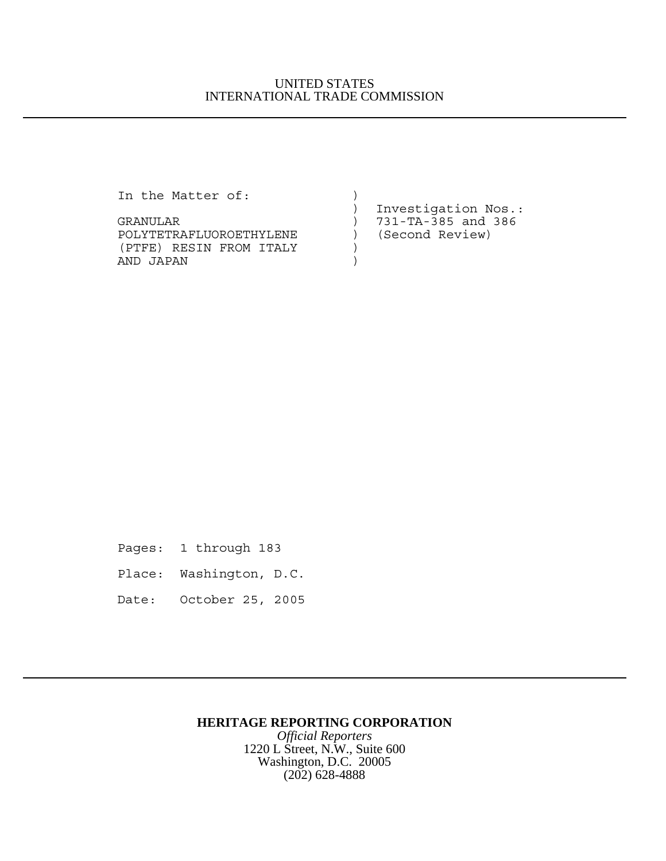## UNITED STATES INTERNATIONAL TRADE COMMISSION

In the Matter of:  $)$ 

| TH CHC MUCCOL OF.       |                        |
|-------------------------|------------------------|
|                         | Investigation Nos.:    |
| GRANULAR                | $) 731-TA-385$ and 386 |
| POLYTETRAFLUOROETHYLENE | (Second Review)        |
| (PTFE) RESIN FROM ITALY |                        |
| AND JAPAN               |                        |
|                         |                        |

Pages: 1 through 183

- Place: Washington, D.C.
- Date: October 25, 2005

## **HERITAGE REPORTING CORPORATION**

*Official Reporters* 1220 L Street, N.W., Suite 600 Washington, D.C. 20005 (202) 628-4888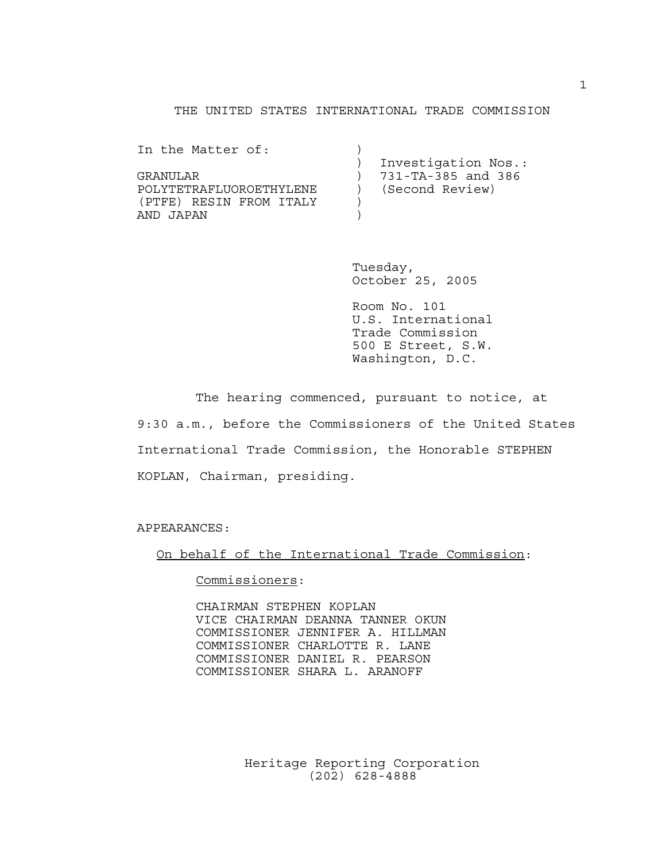## THE UNITED STATES INTERNATIONAL TRADE COMMISSION

| In the Matter of:       |                     |
|-------------------------|---------------------|
|                         | Investigation Nos.: |
| GRANULAR                | 731-TA-385 and 386  |
| POLYTETRAFLUOROETHYLENE | (Second Review)     |
| (PTFE) RESIN FROM ITALY |                     |
| AND JAPAN               |                     |

Tuesday, October 25, 2005

Room No. 101 U.S. International Trade Commission 500 E Street, S.W. Washington, D.C.

The hearing commenced, pursuant to notice, at 9:30 a.m., before the Commissioners of the United States International Trade Commission, the Honorable STEPHEN KOPLAN, Chairman, presiding.

APPEARANCES:

On behalf of the International Trade Commission:

Commissioners:

CHAIRMAN STEPHEN KOPLAN VICE CHAIRMAN DEANNA TANNER OKUN COMMISSIONER JENNIFER A. HILLMAN COMMISSIONER CHARLOTTE R. LANE COMMISSIONER DANIEL R. PEARSON COMMISSIONER SHARA L. ARANOFF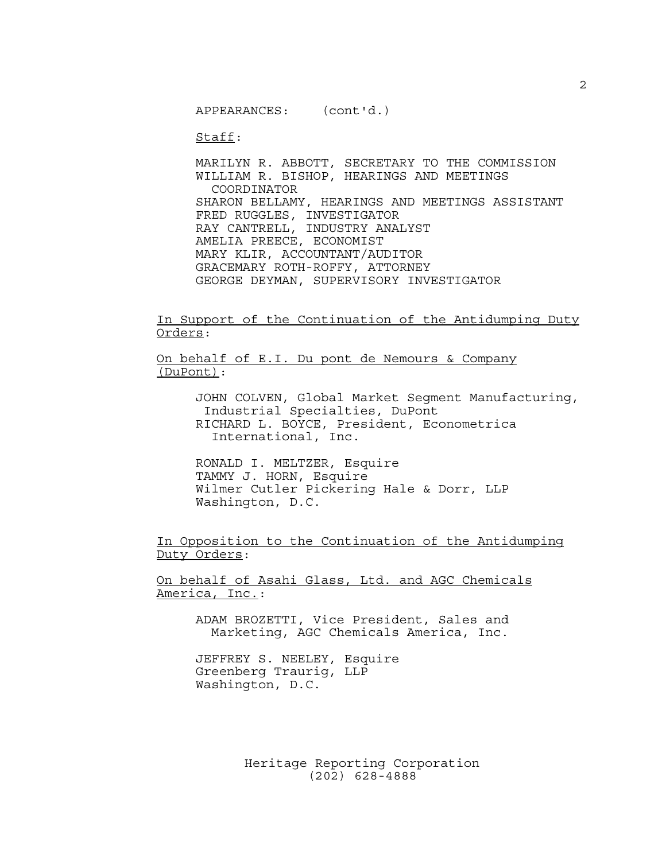APPEARANCES: (cont'd.)

Staff:

MARILYN R. ABBOTT, SECRETARY TO THE COMMISSION WILLIAM R. BISHOP, HEARINGS AND MEETINGS COORDINATOR SHARON BELLAMY, HEARINGS AND MEETINGS ASSISTANT FRED RUGGLES, INVESTIGATOR RAY CANTRELL, INDUSTRY ANALYST AMELIA PREECE, ECONOMIST MARY KLIR, ACCOUNTANT/AUDITOR GRACEMARY ROTH-ROFFY, ATTORNEY GEORGE DEYMAN, SUPERVISORY INVESTIGATOR

In Support of the Continuation of the Antidumping Duty Orders:

On behalf of E.I. Du pont de Nemours & Company (DuPont):

> JOHN COLVEN, Global Market Segment Manufacturing, Industrial Specialties, DuPont RICHARD L. BOYCE, President, Econometrica International, Inc.

RONALD I. MELTZER, Esquire TAMMY J. HORN, Esquire Wilmer Cutler Pickering Hale & Dorr, LLP Washington, D.C.

In Opposition to the Continuation of the Antidumping Duty Orders:

On behalf of Asahi Glass, Ltd. and AGC Chemicals America, Inc.:

> ADAM BROZETTI, Vice President, Sales and Marketing, AGC Chemicals America, Inc.

JEFFREY S. NEELEY, Esquire Greenberg Traurig, LLP Washington, D.C.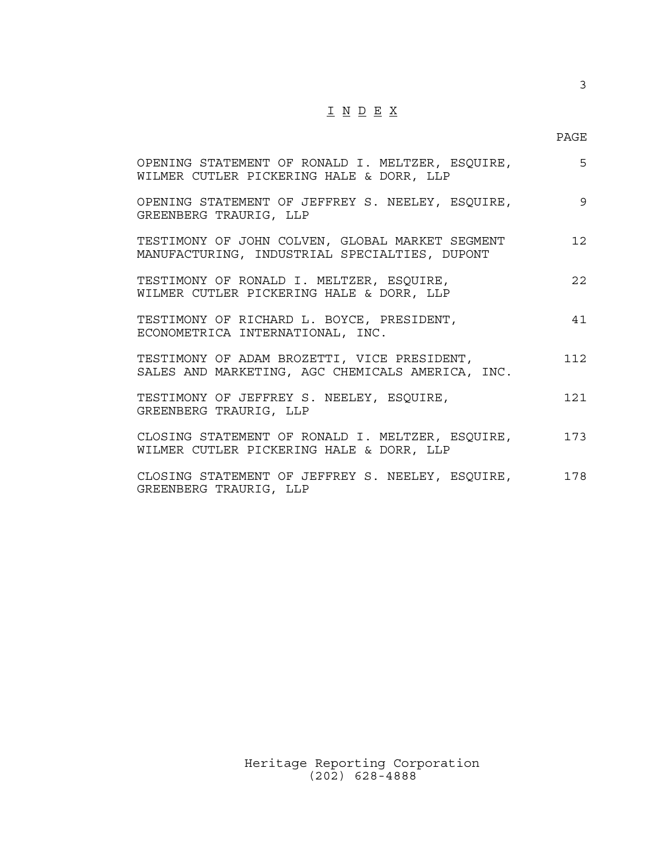## $\underline{\texttt{I}} \ \underline{\texttt{N}} \ \underline{\texttt{D}} \ \underline{\texttt{E}} \ \underline{\texttt{X}}$

3

| OPENING STATEMENT OF RONALD I. MELTZER, ESQUIRE,<br>WILMER CUTLER PICKERING HALE & DORR, LLP     | 5    |
|--------------------------------------------------------------------------------------------------|------|
| OPENING STATEMENT OF JEFFREY S. NEELEY, ESQUIRE,<br>GREENBERG TRAURIG, LLP                       | 9    |
| TESTIMONY OF JOHN COLVEN, GLOBAL MARKET SEGMENT<br>MANUFACTURING, INDUSTRIAL SPECIALTIES, DUPONT | 12   |
| TESTIMONY OF RONALD I. MELTZER, ESQUIRE,<br>WILMER CUTLER PICKERING HALE & DORR, LLP             | 2.2. |
| TESTIMONY OF RICHARD L. BOYCE, PRESIDENT,<br>ECONOMETRICA INTERNATIONAL, INC.                    | 41   |
| TESTIMONY OF ADAM BROZETTI, VICE PRESIDENT,<br>SALES AND MARKETING, AGC CHEMICALS AMERICA, INC.  | 112. |
| TESTIMONY OF JEFFREY S. NEELEY, ESQUIRE,<br>GREENBERG TRAURIG, LLP                               | 121  |
| CLOSING STATEMENT OF RONALD I. MELTZER, ESQUIRE,<br>WILMER CUTLER PICKERING HALE & DORR, LLP     | 173  |
| CLOSING STATEMENT OF JEFFREY S. NEELEY, ESQUIRE,<br>GREENBERG TRAURIG, LLP                       | 178  |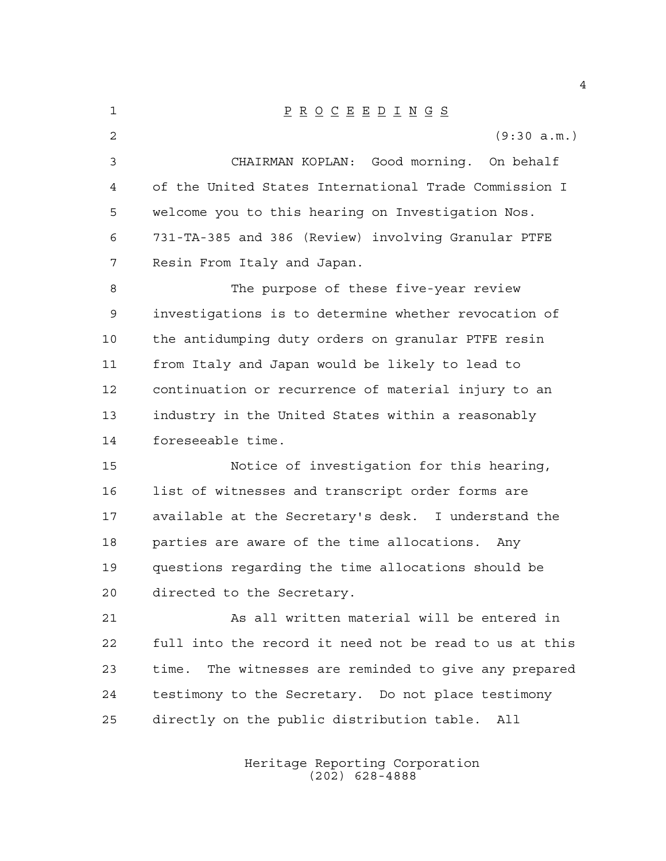P R O C E E D I N G S (9:30 a.m.) CHAIRMAN KOPLAN: Good morning. On behalf of the United States International Trade Commission I welcome you to this hearing on Investigation Nos. 731-TA-385 and 386 (Review) involving Granular PTFE Resin From Italy and Japan. The purpose of these five-year review investigations is to determine whether revocation of the antidumping duty orders on granular PTFE resin from Italy and Japan would be likely to lead to continuation or recurrence of material injury to an industry in the United States within a reasonably foreseeable time. Notice of investigation for this hearing, list of witnesses and transcript order forms are available at the Secretary's desk. I understand the parties are aware of the time allocations. Any questions regarding the time allocations should be directed to the Secretary. As all written material will be entered in full into the record it need not be read to us at this time. The witnesses are reminded to give any prepared testimony to the Secretary. Do not place testimony directly on the public distribution table. All

> Heritage Reporting Corporation (202) 628-4888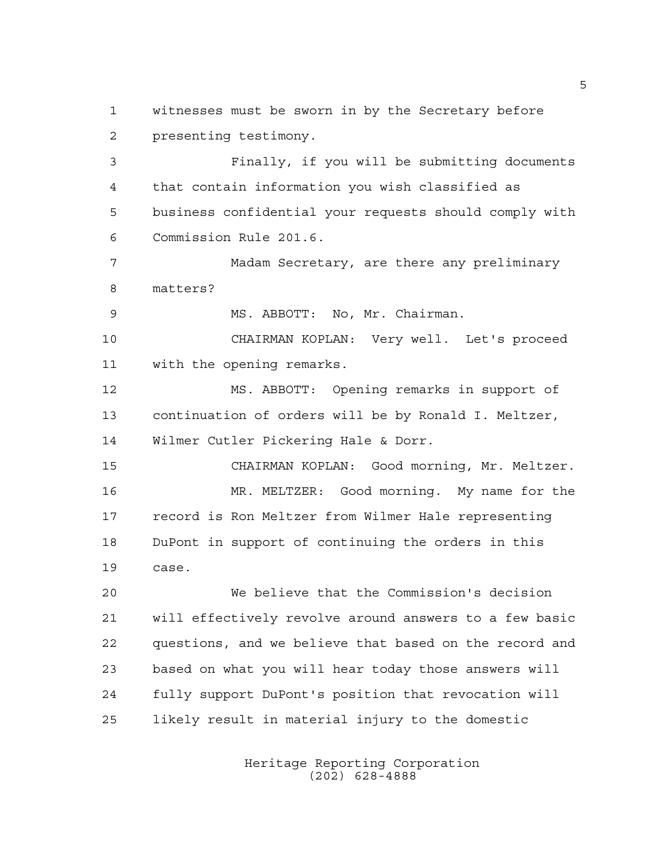witnesses must be sworn in by the Secretary before presenting testimony.

 Finally, if you will be submitting documents that contain information you wish classified as business confidential your requests should comply with Commission Rule 201.6.

 Madam Secretary, are there any preliminary matters?

MS. ABBOTT: No, Mr. Chairman.

 CHAIRMAN KOPLAN: Very well. Let's proceed with the opening remarks.

 MS. ABBOTT: Opening remarks in support of continuation of orders will be by Ronald I. Meltzer, Wilmer Cutler Pickering Hale & Dorr.

 CHAIRMAN KOPLAN: Good morning, Mr. Meltzer. MR. MELTZER: Good morning. My name for the record is Ron Meltzer from Wilmer Hale representing DuPont in support of continuing the orders in this case.

 We believe that the Commission's decision will effectively revolve around answers to a few basic questions, and we believe that based on the record and based on what you will hear today those answers will fully support DuPont's position that revocation will likely result in material injury to the domestic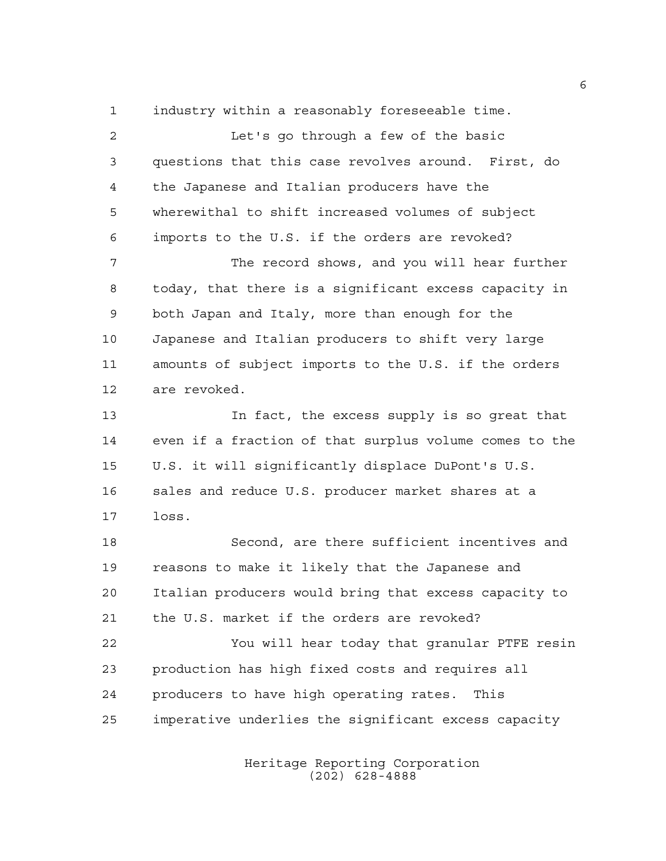industry within a reasonably foreseeable time.

 Let's go through a few of the basic questions that this case revolves around. First, do the Japanese and Italian producers have the wherewithal to shift increased volumes of subject imports to the U.S. if the orders are revoked? The record shows, and you will hear further today, that there is a significant excess capacity in both Japan and Italy, more than enough for the Japanese and Italian producers to shift very large amounts of subject imports to the U.S. if the orders are revoked. In fact, the excess supply is so great that even if a fraction of that surplus volume comes to the U.S. it will significantly displace DuPont's U.S. sales and reduce U.S. producer market shares at a loss. Second, are there sufficient incentives and reasons to make it likely that the Japanese and Italian producers would bring that excess capacity to the U.S. market if the orders are revoked? You will hear today that granular PTFE resin production has high fixed costs and requires all producers to have high operating rates. This imperative underlies the significant excess capacity

> Heritage Reporting Corporation (202) 628-4888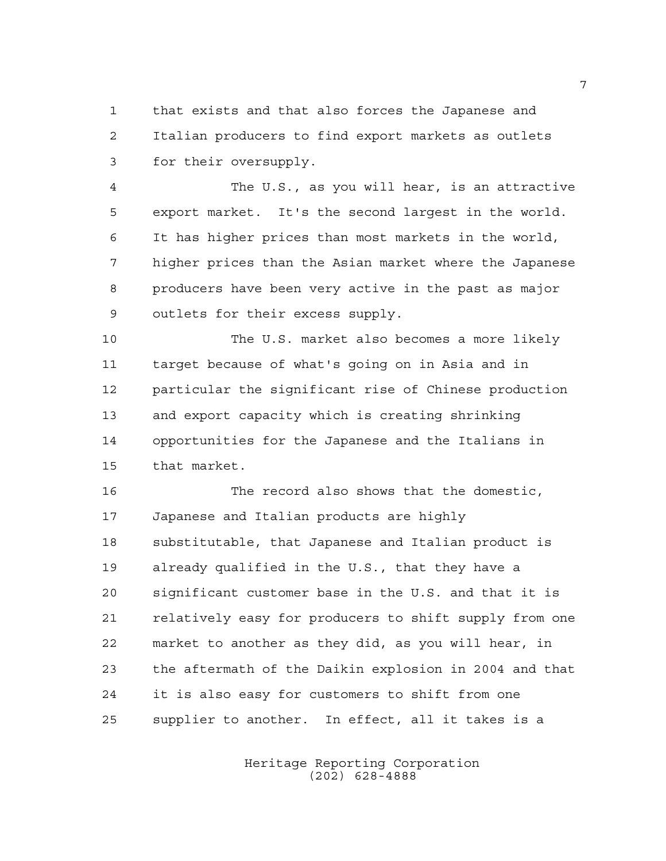that exists and that also forces the Japanese and Italian producers to find export markets as outlets for their oversupply.

 The U.S., as you will hear, is an attractive export market. It's the second largest in the world. It has higher prices than most markets in the world, higher prices than the Asian market where the Japanese producers have been very active in the past as major outlets for their excess supply.

 The U.S. market also becomes a more likely target because of what's going on in Asia and in particular the significant rise of Chinese production and export capacity which is creating shrinking opportunities for the Japanese and the Italians in that market.

 The record also shows that the domestic, Japanese and Italian products are highly substitutable, that Japanese and Italian product is already qualified in the U.S., that they have a significant customer base in the U.S. and that it is relatively easy for producers to shift supply from one market to another as they did, as you will hear, in the aftermath of the Daikin explosion in 2004 and that it is also easy for customers to shift from one supplier to another. In effect, all it takes is a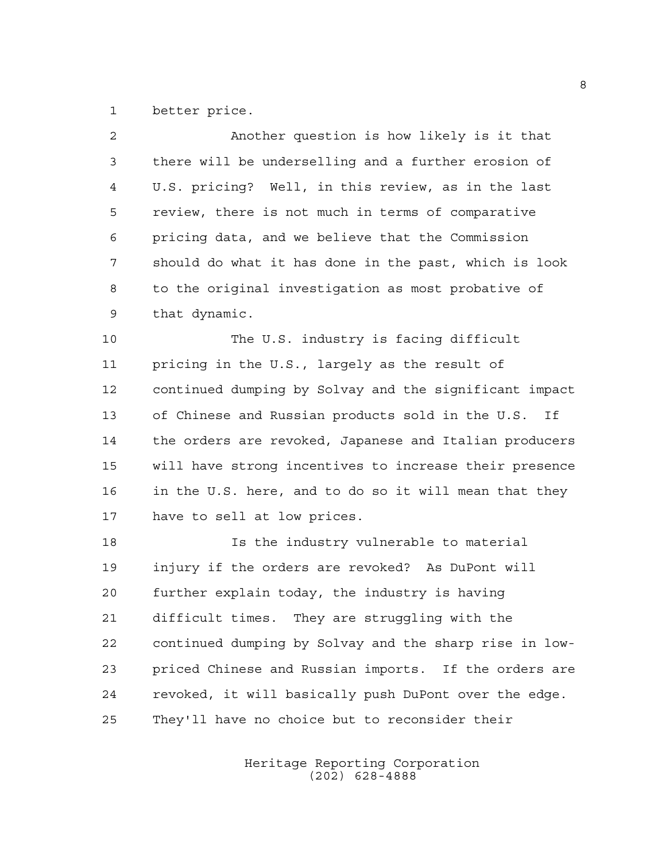better price.

| 2           | Another question is how likely is it that              |
|-------------|--------------------------------------------------------|
| 3           | there will be underselling and a further erosion of    |
| 4           | U.S. pricing? Well, in this review, as in the last     |
| 5           | review, there is not much in terms of comparative      |
| 6           | pricing data, and we believe that the Commission       |
| 7           | should do what it has done in the past, which is look  |
| 8           | to the original investigation as most probative of     |
| $\mathsf 9$ | that dynamic.                                          |
| 10          | The U.S. industry is facing difficult                  |
| 11          | pricing in the U.S., largely as the result of          |
| 12          | continued dumping by Solvay and the significant impact |
| 13          | of Chinese and Russian products sold in the U.S.<br>Ιf |
| 14          | the orders are revoked, Japanese and Italian producers |
| 15          | will have strong incentives to increase their presence |
| 16          | in the U.S. here, and to do so it will mean that they  |
| 17          | have to sell at low prices.                            |
| 18          | Is the industry vulnerable to material                 |
| 19          | injury if the orders are revoked? As DuPont will       |
| 20          | further explain today, the industry is having          |
| 21          | difficult times. They are struggling with the          |
| 22          | continued dumping by Solvay and the sharp rise in low- |
| 23          | priced Chinese and Russian imports. If the orders are  |
| 24          | revoked, it will basically push DuPont over the edge.  |
| 25          | They'll have no choice but to reconsider their         |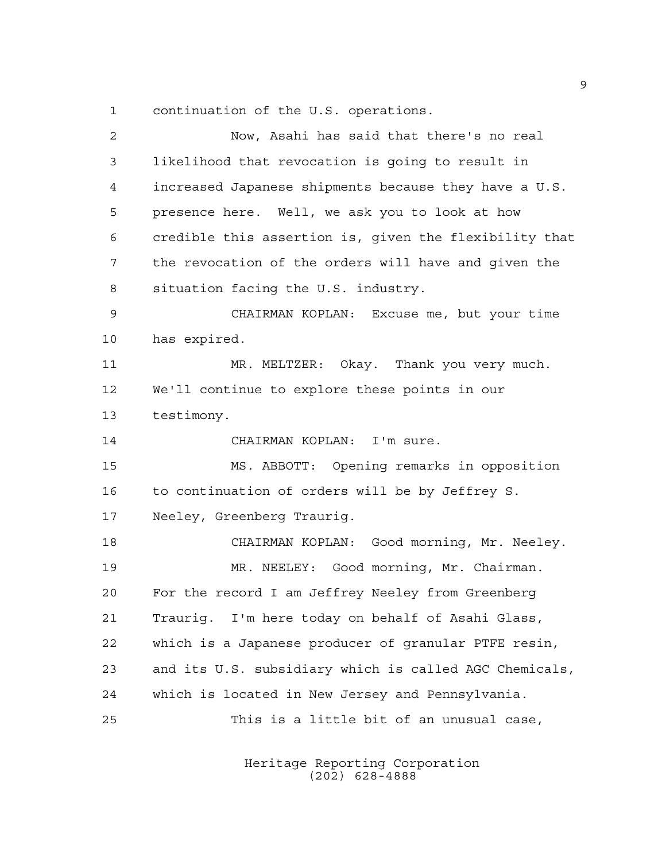continuation of the U.S. operations.

| $\overline{a}$ | Now, Asahi has said that there's no real               |
|----------------|--------------------------------------------------------|
| 3              | likelihood that revocation is going to result in       |
| 4              | increased Japanese shipments because they have a U.S.  |
| 5              | presence here. Well, we ask you to look at how         |
| 6              | credible this assertion is, given the flexibility that |
| 7              | the revocation of the orders will have and given the   |
| 8              | situation facing the U.S. industry.                    |
| 9              | CHAIRMAN KOPLAN: Excuse me, but your time              |
| 10             | has expired.                                           |
| 11             | MR. MELTZER: Okay. Thank you very much.                |
| 12             | We'll continue to explore these points in our          |
| 13             | testimony.                                             |
| 14             | CHAIRMAN KOPLAN: I'm sure.                             |
| 15             | MS. ABBOTT: Opening remarks in opposition              |
| 16             | to continuation of orders will be by Jeffrey S.        |
| 17             | Neeley, Greenberg Traurig.                             |
| 18             | CHAIRMAN KOPLAN: Good morning, Mr. Neeley.             |
| 19             | MR. NEELEY: Good morning, Mr. Chairman.                |
| 20             | For the record I am Jeffrey Neeley from Greenberg      |
| 21             | Traurig. I'm here today on behalf of Asahi Glass,      |
| 22             | which is a Japanese producer of granular PTFE resin,   |
| 23             | and its U.S. subsidiary which is called AGC Chemicals, |
| 24             | which is located in New Jersey and Pennsylvania.       |
| 25             | This is a little bit of an unusual case,               |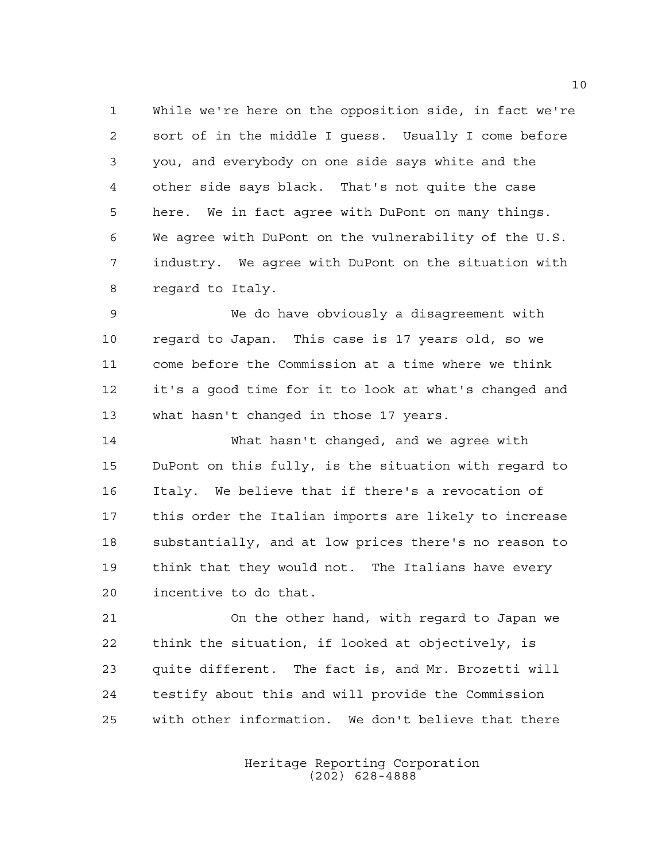While we're here on the opposition side, in fact we're sort of in the middle I guess. Usually I come before you, and everybody on one side says white and the other side says black. That's not quite the case here. We in fact agree with DuPont on many things. We agree with DuPont on the vulnerability of the U.S. industry. We agree with DuPont on the situation with regard to Italy.

 We do have obviously a disagreement with regard to Japan. This case is 17 years old, so we come before the Commission at a time where we think it's a good time for it to look at what's changed and what hasn't changed in those 17 years.

 What hasn't changed, and we agree with DuPont on this fully, is the situation with regard to Italy. We believe that if there's a revocation of this order the Italian imports are likely to increase substantially, and at low prices there's no reason to think that they would not. The Italians have every incentive to do that.

 On the other hand, with regard to Japan we think the situation, if looked at objectively, is quite different. The fact is, and Mr. Brozetti will testify about this and will provide the Commission with other information. We don't believe that there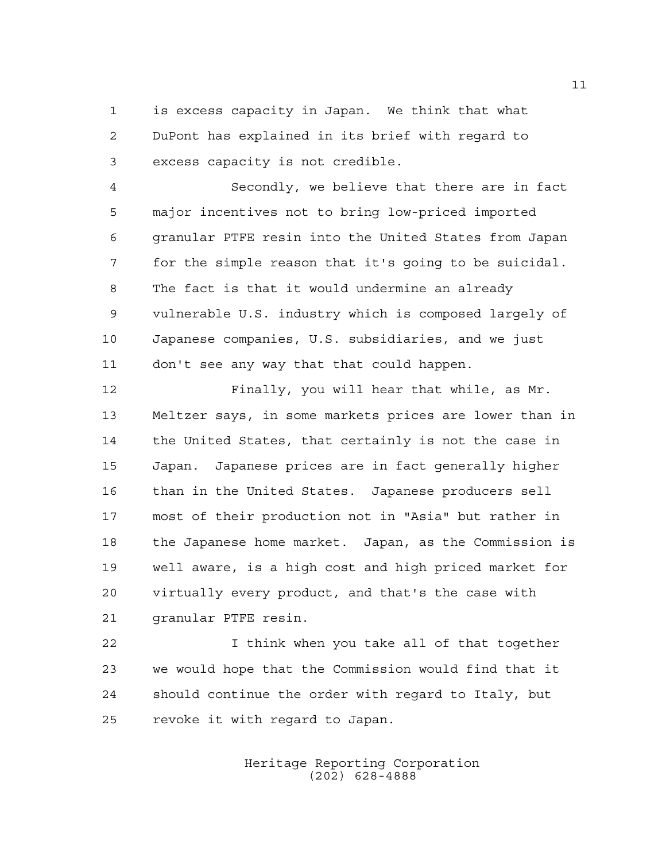is excess capacity in Japan. We think that what DuPont has explained in its brief with regard to excess capacity is not credible.

 Secondly, we believe that there are in fact major incentives not to bring low-priced imported granular PTFE resin into the United States from Japan for the simple reason that it's going to be suicidal. The fact is that it would undermine an already vulnerable U.S. industry which is composed largely of Japanese companies, U.S. subsidiaries, and we just don't see any way that that could happen.

 Finally, you will hear that while, as Mr. Meltzer says, in some markets prices are lower than in the United States, that certainly is not the case in Japan. Japanese prices are in fact generally higher than in the United States. Japanese producers sell most of their production not in "Asia" but rather in the Japanese home market. Japan, as the Commission is well aware, is a high cost and high priced market for virtually every product, and that's the case with granular PTFE resin.

 I think when you take all of that together we would hope that the Commission would find that it should continue the order with regard to Italy, but revoke it with regard to Japan.

> Heritage Reporting Corporation (202) 628-4888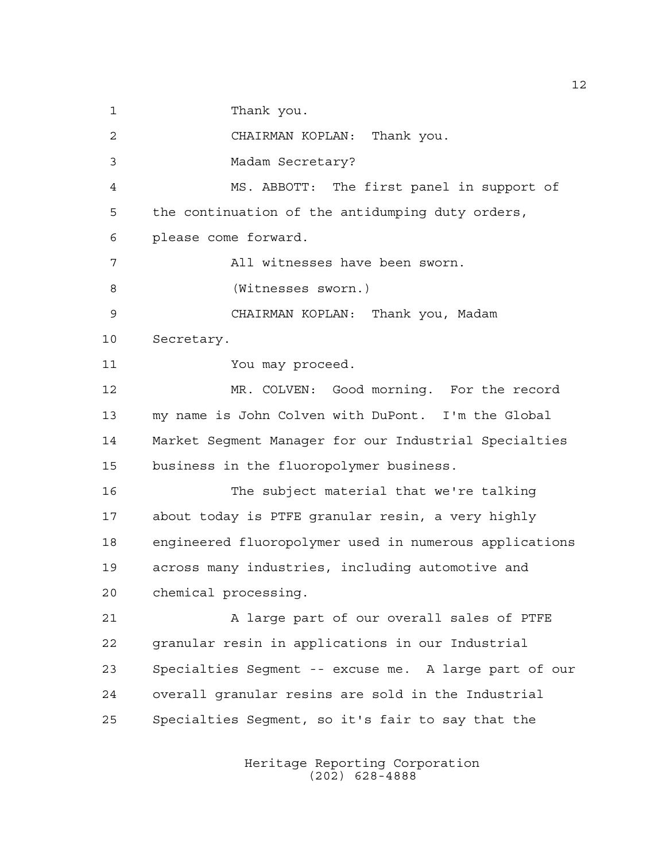1 Thank you.

CHAIRMAN KOPLAN: Thank you.

Madam Secretary?

 MS. ABBOTT: The first panel in support of the continuation of the antidumping duty orders, please come forward.

All witnesses have been sworn.

(Witnesses sworn.)

CHAIRMAN KOPLAN: Thank you, Madam

Secretary.

You may proceed.

 MR. COLVEN: Good morning. For the record my name is John Colven with DuPont. I'm the Global Market Segment Manager for our Industrial Specialties business in the fluoropolymer business.

 The subject material that we're talking about today is PTFE granular resin, a very highly engineered fluoropolymer used in numerous applications across many industries, including automotive and chemical processing.

 A large part of our overall sales of PTFE granular resin in applications in our Industrial Specialties Segment -- excuse me. A large part of our overall granular resins are sold in the Industrial Specialties Segment, so it's fair to say that the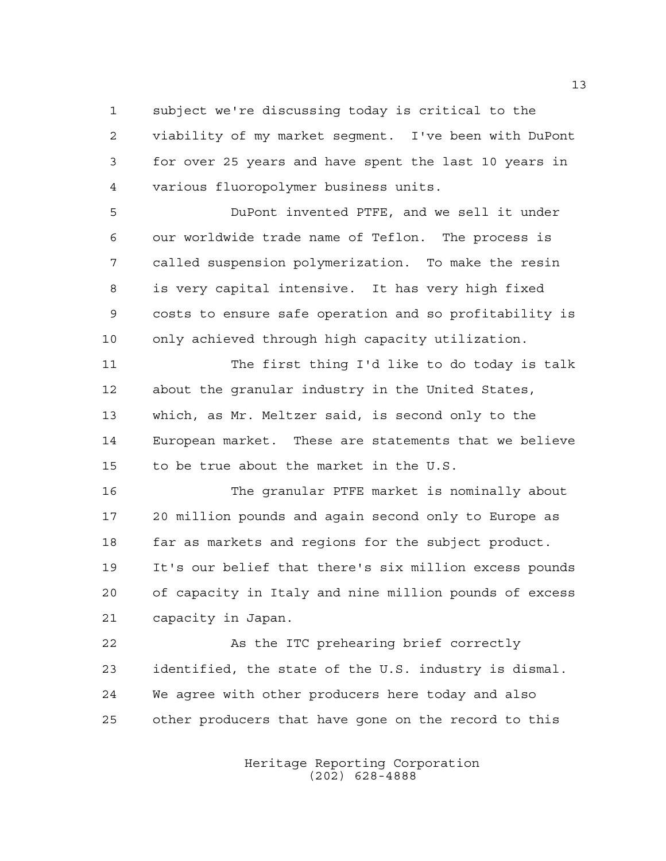subject we're discussing today is critical to the viability of my market segment. I've been with DuPont for over 25 years and have spent the last 10 years in various fluoropolymer business units.

 DuPont invented PTFE, and we sell it under our worldwide trade name of Teflon. The process is called suspension polymerization. To make the resin is very capital intensive. It has very high fixed costs to ensure safe operation and so profitability is only achieved through high capacity utilization.

 The first thing I'd like to do today is talk about the granular industry in the United States, which, as Mr. Meltzer said, is second only to the European market. These are statements that we believe to be true about the market in the U.S.

 The granular PTFE market is nominally about 20 million pounds and again second only to Europe as far as markets and regions for the subject product. It's our belief that there's six million excess pounds of capacity in Italy and nine million pounds of excess capacity in Japan.

 As the ITC prehearing brief correctly identified, the state of the U.S. industry is dismal. We agree with other producers here today and also other producers that have gone on the record to this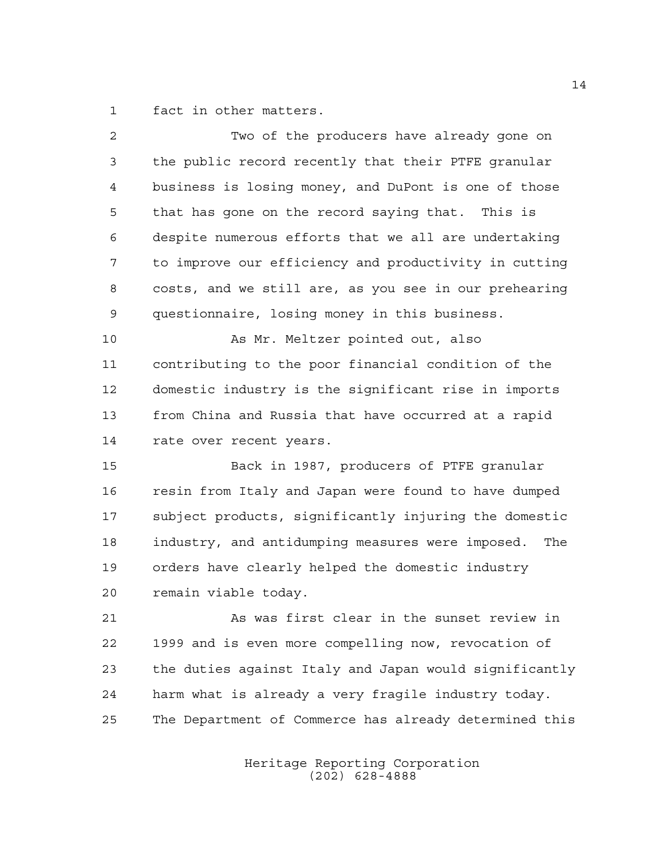fact in other matters.

| $\overline{2}$ | Two of the producers have already gone on               |
|----------------|---------------------------------------------------------|
| 3              | the public record recently that their PTFE granular     |
| $\overline{4}$ | business is losing money, and DuPont is one of those    |
| 5              | that has gone on the record saying that. This is        |
| 6              | despite numerous efforts that we all are undertaking    |
| 7              | to improve our efficiency and productivity in cutting   |
| 8              | costs, and we still are, as you see in our prehearing   |
| 9              | questionnaire, losing money in this business.           |
| 10             | As Mr. Meltzer pointed out, also                        |
| 11             | contributing to the poor financial condition of the     |
| 12             | domestic industry is the significant rise in imports    |
| 13             | from China and Russia that have occurred at a rapid     |
| 14             | rate over recent years.                                 |
| 15             | Back in 1987, producers of PTFE granular                |
| 16             | resin from Italy and Japan were found to have dumped    |
| 17             | subject products, significantly injuring the domestic   |
| 18             | industry, and antidumping measures were imposed.<br>The |
| 19             | orders have clearly helped the domestic industry        |
| 20             | remain viable today.                                    |
| 21             | As was first clear in the sunset review in              |
| 22             | 1999 and is even more compelling now, revocation of     |
| 23             | the duties against Italy and Japan would significantly  |
| 24             | harm what is already a very fragile industry today.     |
| 25             | The Department of Commerce has already determined this  |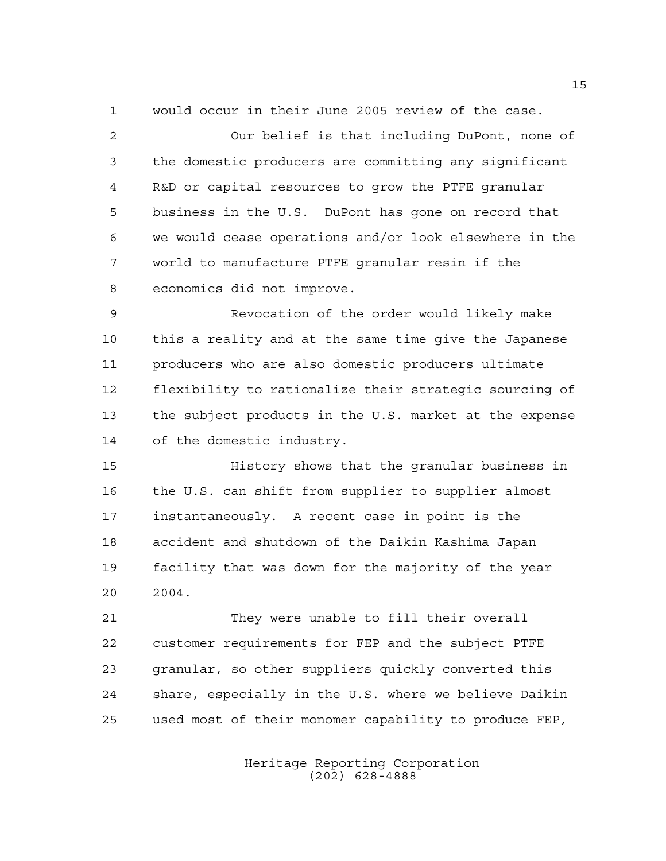would occur in their June 2005 review of the case.

 Our belief is that including DuPont, none of the domestic producers are committing any significant R&D or capital resources to grow the PTFE granular business in the U.S. DuPont has gone on record that we would cease operations and/or look elsewhere in the world to manufacture PTFE granular resin if the economics did not improve.

 Revocation of the order would likely make this a reality and at the same time give the Japanese producers who are also domestic producers ultimate flexibility to rationalize their strategic sourcing of the subject products in the U.S. market at the expense of the domestic industry.

 History shows that the granular business in the U.S. can shift from supplier to supplier almost instantaneously. A recent case in point is the accident and shutdown of the Daikin Kashima Japan facility that was down for the majority of the year 2004.

 They were unable to fill their overall customer requirements for FEP and the subject PTFE granular, so other suppliers quickly converted this share, especially in the U.S. where we believe Daikin used most of their monomer capability to produce FEP,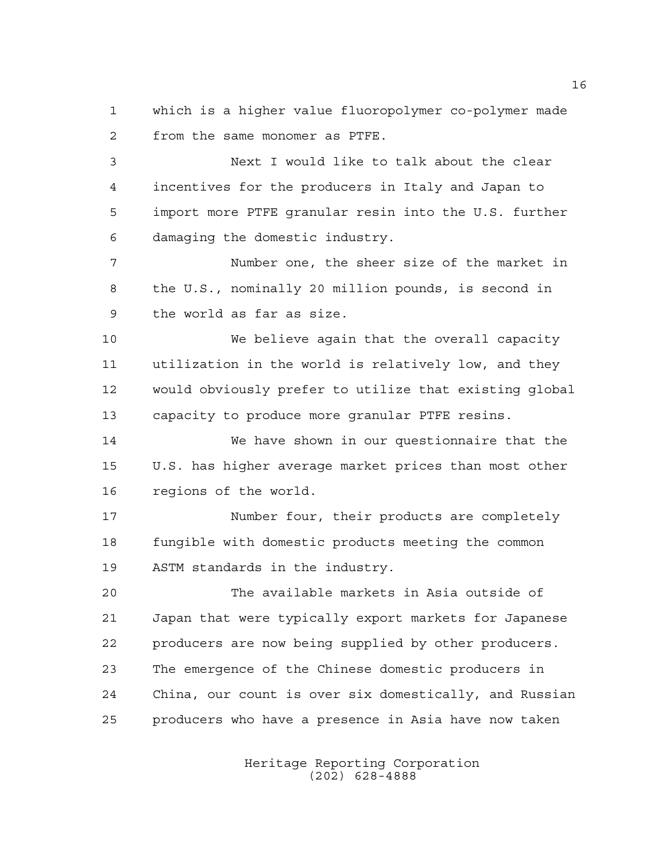which is a higher value fluoropolymer co-polymer made from the same monomer as PTFE.

 Next I would like to talk about the clear incentives for the producers in Italy and Japan to import more PTFE granular resin into the U.S. further damaging the domestic industry.

 Number one, the sheer size of the market in the U.S., nominally 20 million pounds, is second in the world as far as size.

 We believe again that the overall capacity utilization in the world is relatively low, and they would obviously prefer to utilize that existing global capacity to produce more granular PTFE resins.

 We have shown in our questionnaire that the U.S. has higher average market prices than most other regions of the world.

 Number four, their products are completely fungible with domestic products meeting the common ASTM standards in the industry.

 The available markets in Asia outside of Japan that were typically export markets for Japanese producers are now being supplied by other producers. The emergence of the Chinese domestic producers in China, our count is over six domestically, and Russian producers who have a presence in Asia have now taken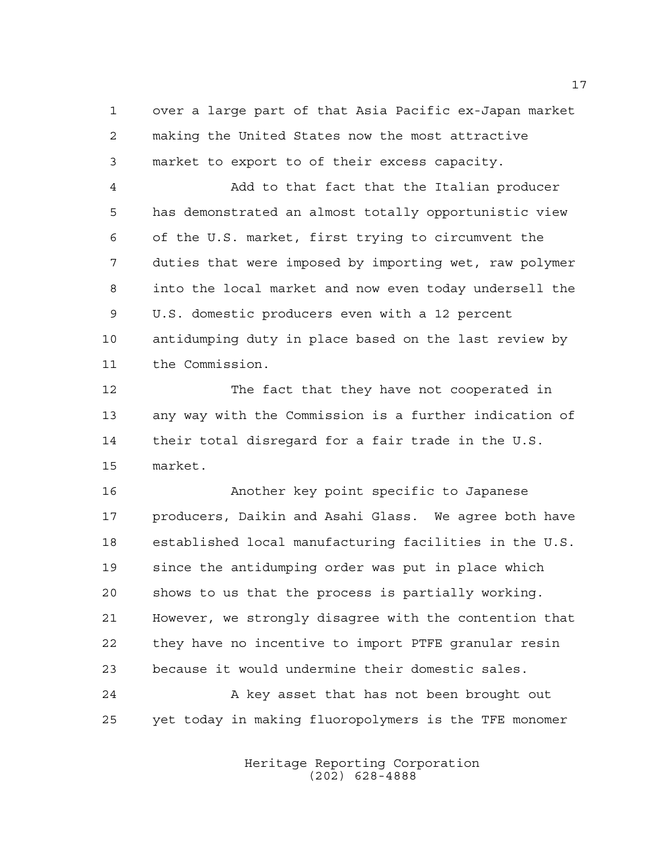over a large part of that Asia Pacific ex-Japan market making the United States now the most attractive market to export to of their excess capacity.

 Add to that fact that the Italian producer has demonstrated an almost totally opportunistic view of the U.S. market, first trying to circumvent the duties that were imposed by importing wet, raw polymer into the local market and now even today undersell the U.S. domestic producers even with a 12 percent antidumping duty in place based on the last review by the Commission.

 The fact that they have not cooperated in any way with the Commission is a further indication of their total disregard for a fair trade in the U.S. market.

 Another key point specific to Japanese producers, Daikin and Asahi Glass. We agree both have established local manufacturing facilities in the U.S. since the antidumping order was put in place which shows to us that the process is partially working. However, we strongly disagree with the contention that they have no incentive to import PTFE granular resin because it would undermine their domestic sales.

24 A key asset that has not been brought out yet today in making fluoropolymers is the TFE monomer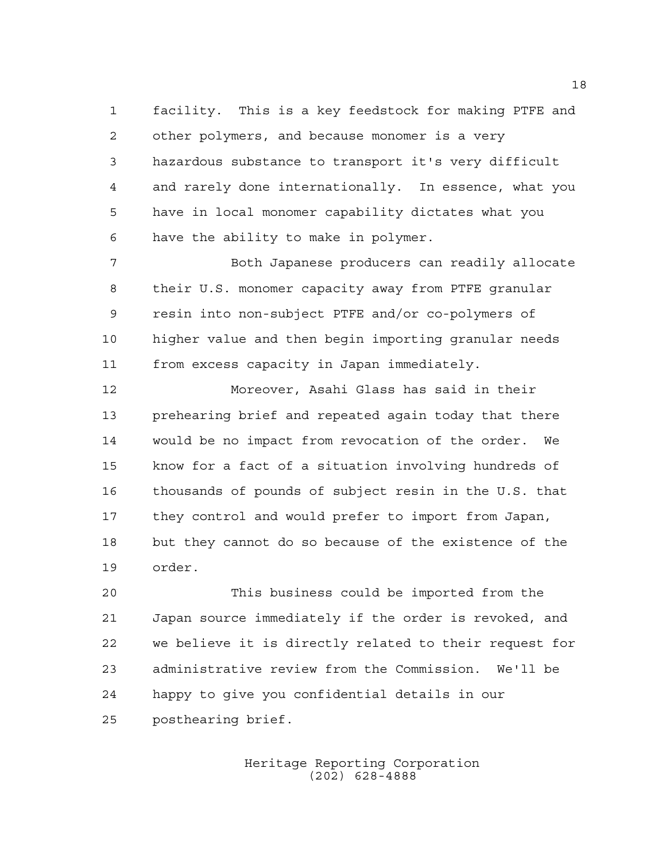facility. This is a key feedstock for making PTFE and other polymers, and because monomer is a very hazardous substance to transport it's very difficult and rarely done internationally. In essence, what you have in local monomer capability dictates what you have the ability to make in polymer.

 Both Japanese producers can readily allocate their U.S. monomer capacity away from PTFE granular resin into non-subject PTFE and/or co-polymers of higher value and then begin importing granular needs from excess capacity in Japan immediately.

 Moreover, Asahi Glass has said in their prehearing brief and repeated again today that there would be no impact from revocation of the order. We know for a fact of a situation involving hundreds of thousands of pounds of subject resin in the U.S. that they control and would prefer to import from Japan, but they cannot do so because of the existence of the order.

 This business could be imported from the Japan source immediately if the order is revoked, and we believe it is directly related to their request for administrative review from the Commission. We'll be happy to give you confidential details in our posthearing brief.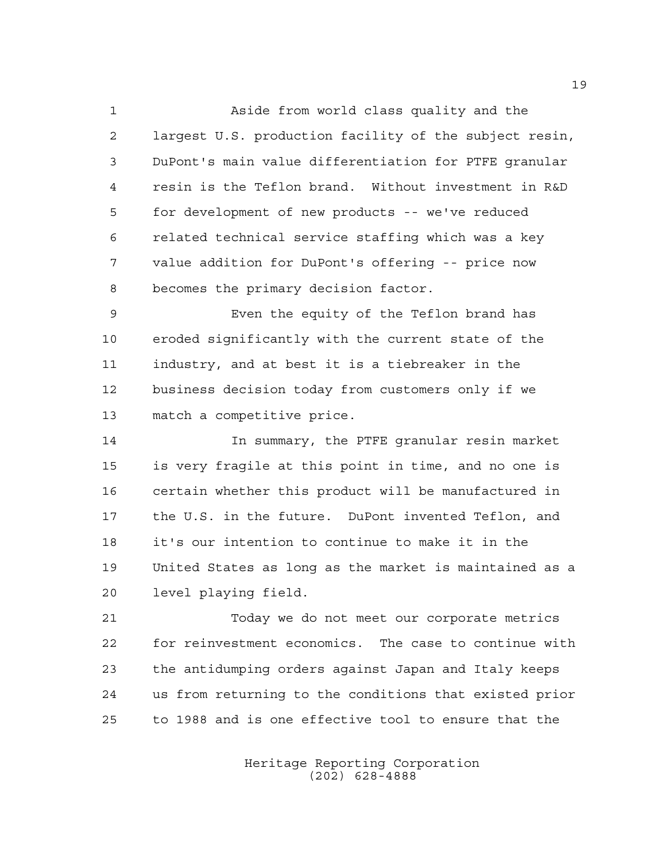Aside from world class quality and the largest U.S. production facility of the subject resin, DuPont's main value differentiation for PTFE granular resin is the Teflon brand. Without investment in R&D for development of new products -- we've reduced related technical service staffing which was a key value addition for DuPont's offering -- price now becomes the primary decision factor.

 Even the equity of the Teflon brand has eroded significantly with the current state of the industry, and at best it is a tiebreaker in the business decision today from customers only if we match a competitive price.

 In summary, the PTFE granular resin market is very fragile at this point in time, and no one is certain whether this product will be manufactured in the U.S. in the future. DuPont invented Teflon, and it's our intention to continue to make it in the United States as long as the market is maintained as a level playing field.

 Today we do not meet our corporate metrics for reinvestment economics. The case to continue with the antidumping orders against Japan and Italy keeps us from returning to the conditions that existed prior to 1988 and is one effective tool to ensure that the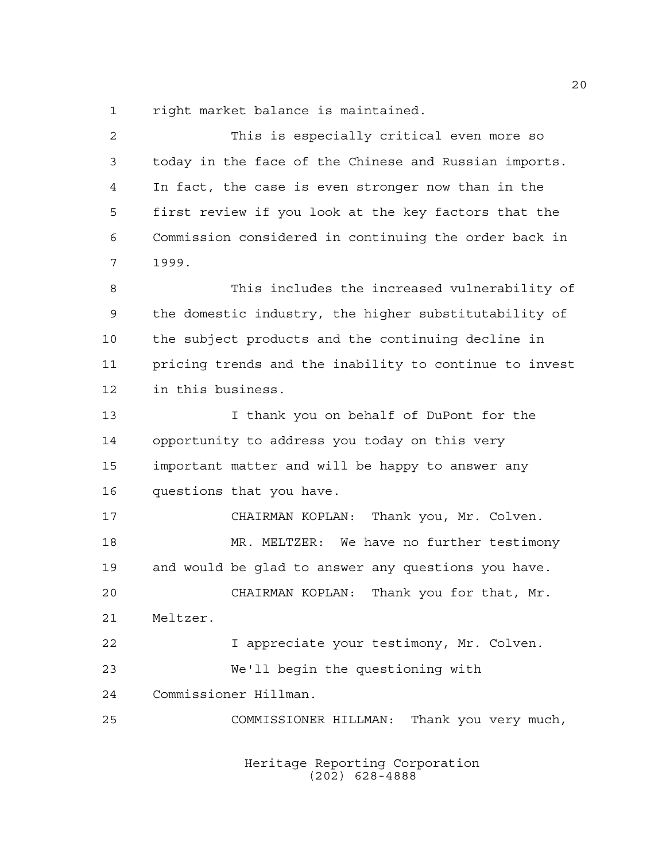right market balance is maintained.

| 2  | This is especially critical even more so               |
|----|--------------------------------------------------------|
| 3  | today in the face of the Chinese and Russian imports.  |
| 4  | In fact, the case is even stronger now than in the     |
| 5  | first review if you look at the key factors that the   |
| 6  | Commission considered in continuing the order back in  |
| 7  | 1999.                                                  |
| 8  | This includes the increased vulnerability of           |
| 9  | the domestic industry, the higher substitutability of  |
| 10 | the subject products and the continuing decline in     |
| 11 | pricing trends and the inability to continue to invest |
| 12 | in this business.                                      |
| 13 | I thank you on behalf of DuPont for the                |
| 14 | opportunity to address you today on this very          |
| 15 | important matter and will be happy to answer any       |
| 16 | questions that you have.                               |
| 17 | CHAIRMAN KOPLAN: Thank you, Mr. Colven.                |
| 18 | MR. MELTZER: We have no further testimony              |
| 19 | and would be glad to answer any questions you have.    |
| 20 | CHAIRMAN KOPLAN:<br>Thank you for that, Mr.            |
| 21 | Meltzer.                                               |
| 22 | I appreciate your testimony, Mr. Colven.               |
| 23 | We'll begin the questioning with                       |
| 24 | Commissioner Hillman.                                  |
| 25 | Thank you very much,<br>COMMISSIONER HILLMAN:          |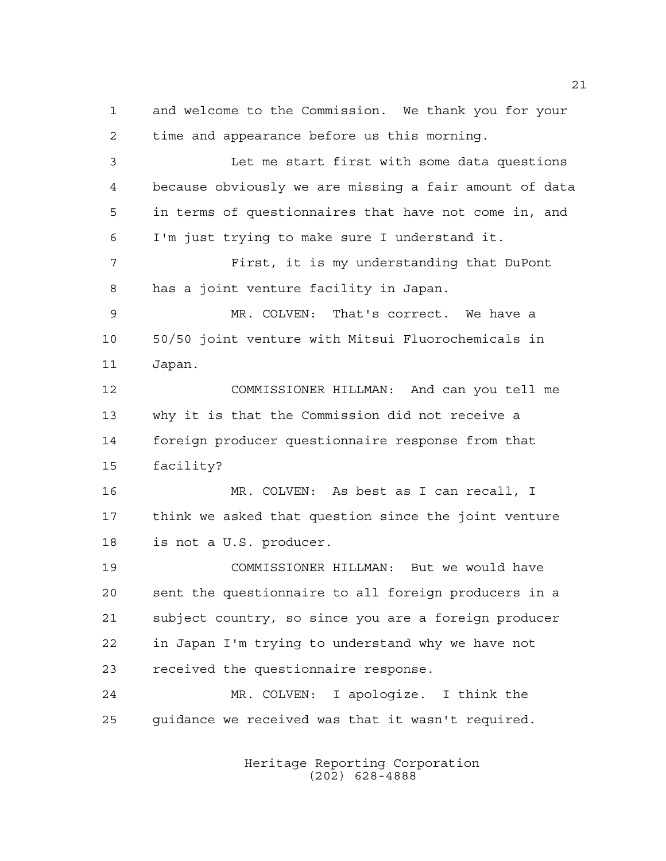time and appearance before us this morning. Let me start first with some data questions because obviously we are missing a fair amount of data in terms of questionnaires that have not come in, and I'm just trying to make sure I understand it. First, it is my understanding that DuPont has a joint venture facility in Japan. MR. COLVEN: That's correct. We have a 50/50 joint venture with Mitsui Fluorochemicals in Japan. COMMISSIONER HILLMAN: And can you tell me why it is that the Commission did not receive a foreign producer questionnaire response from that facility? MR. COLVEN: As best as I can recall, I think we asked that question since the joint venture is not a U.S. producer. COMMISSIONER HILLMAN: But we would have sent the questionnaire to all foreign producers in a subject country, so since you are a foreign producer in Japan I'm trying to understand why we have not

and welcome to the Commission. We thank you for your

 MR. COLVEN: I apologize. I think the guidance we received was that it wasn't required.

received the questionnaire response.

Heritage Reporting Corporation (202) 628-4888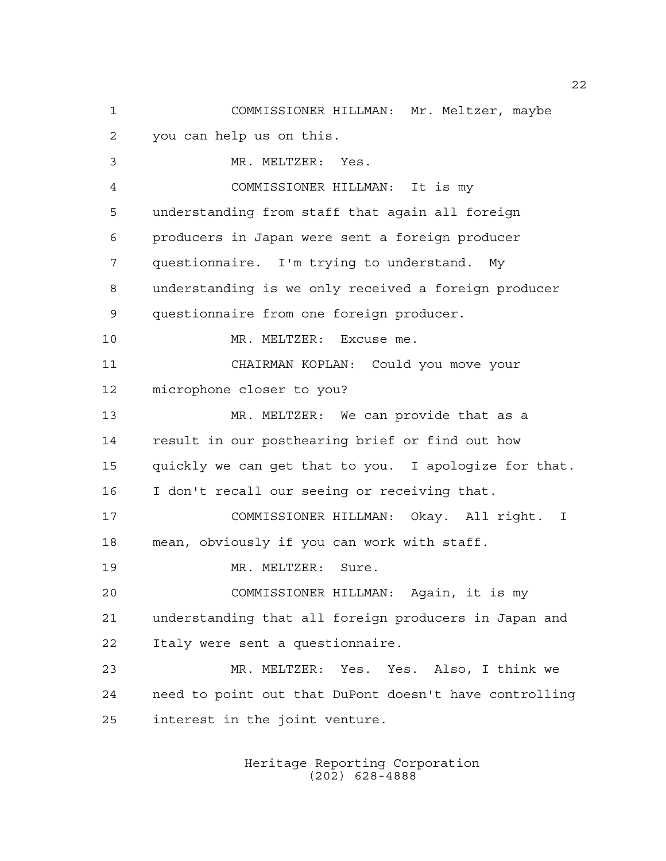COMMISSIONER HILLMAN: Mr. Meltzer, maybe you can help us on this. MR. MELTZER: Yes. COMMISSIONER HILLMAN: It is my understanding from staff that again all foreign producers in Japan were sent a foreign producer questionnaire. I'm trying to understand. My understanding is we only received a foreign producer questionnaire from one foreign producer. 10 MR. MELTZER: Excuse me. CHAIRMAN KOPLAN: Could you move your microphone closer to you? MR. MELTZER: We can provide that as a result in our posthearing brief or find out how quickly we can get that to you. I apologize for that. I don't recall our seeing or receiving that. COMMISSIONER HILLMAN: Okay. All right. I mean, obviously if you can work with staff. 19 MR. MELTZER: Sure. COMMISSIONER HILLMAN: Again, it is my understanding that all foreign producers in Japan and Italy were sent a questionnaire. MR. MELTZER: Yes. Yes. Also, I think we need to point out that DuPont doesn't have controlling interest in the joint venture.

> Heritage Reporting Corporation (202) 628-4888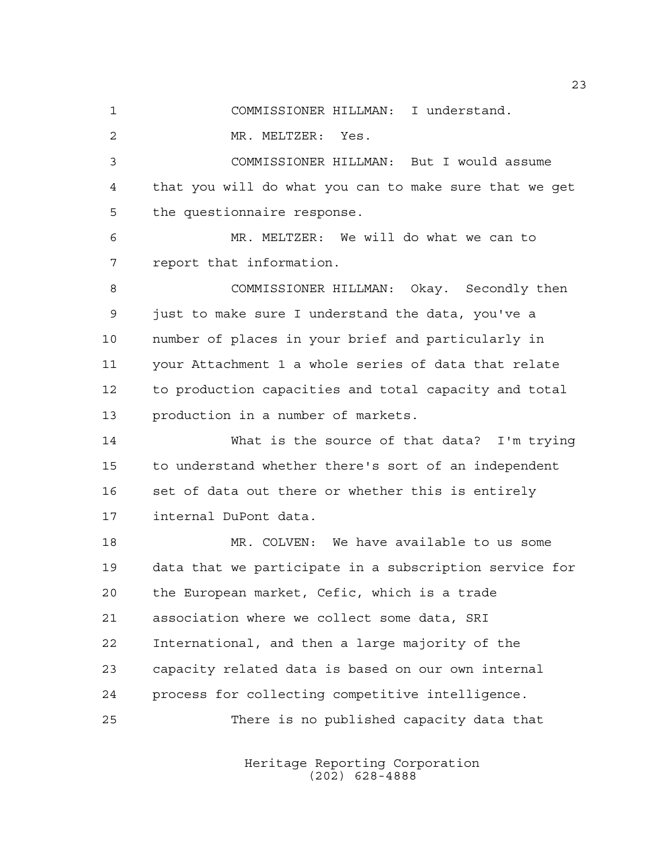COMMISSIONER HILLMAN: I understand.

MR. MELTZER: Yes.

 COMMISSIONER HILLMAN: But I would assume that you will do what you can to make sure that we get the questionnaire response.

 MR. MELTZER: We will do what we can to report that information.

 COMMISSIONER HILLMAN: Okay. Secondly then just to make sure I understand the data, you've a number of places in your brief and particularly in your Attachment 1 a whole series of data that relate to production capacities and total capacity and total production in a number of markets.

 What is the source of that data? I'm trying to understand whether there's sort of an independent 16 set of data out there or whether this is entirely internal DuPont data.

 MR. COLVEN: We have available to us some data that we participate in a subscription service for the European market, Cefic, which is a trade association where we collect some data, SRI International, and then a large majority of the capacity related data is based on our own internal process for collecting competitive intelligence. There is no published capacity data that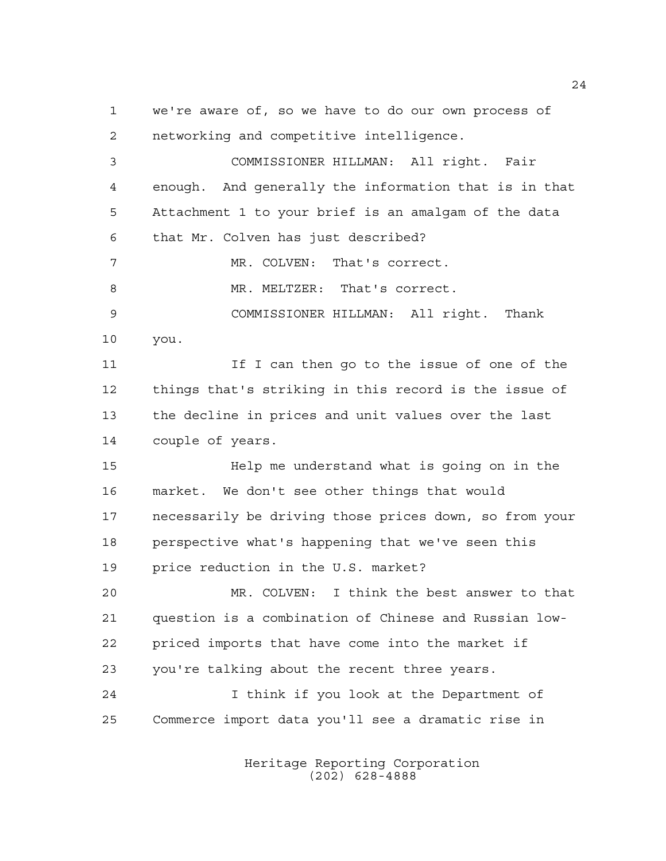we're aware of, so we have to do our own process of networking and competitive intelligence. COMMISSIONER HILLMAN: All right. Fair enough. And generally the information that is in that Attachment 1 to your brief is an amalgam of the data that Mr. Colven has just described? MR. COLVEN: That's correct. MR. MELTZER: That's correct. COMMISSIONER HILLMAN: All right. Thank you. 11 If I can then go to the issue of one of the things that's striking in this record is the issue of the decline in prices and unit values over the last couple of years. Help me understand what is going on in the market. We don't see other things that would necessarily be driving those prices down, so from your perspective what's happening that we've seen this price reduction in the U.S. market? MR. COLVEN: I think the best answer to that question is a combination of Chinese and Russian low- priced imports that have come into the market if you're talking about the recent three years. I think if you look at the Department of Commerce import data you'll see a dramatic rise in

> Heritage Reporting Corporation (202) 628-4888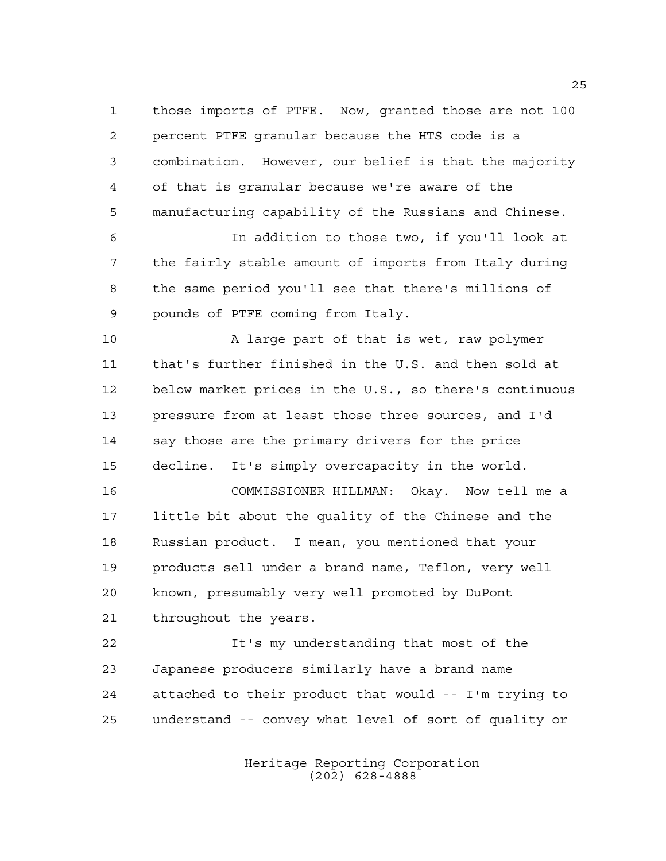those imports of PTFE. Now, granted those are not 100 percent PTFE granular because the HTS code is a combination. However, our belief is that the majority of that is granular because we're aware of the manufacturing capability of the Russians and Chinese.

 In addition to those two, if you'll look at the fairly stable amount of imports from Italy during the same period you'll see that there's millions of pounds of PTFE coming from Italy.

 A large part of that is wet, raw polymer that's further finished in the U.S. and then sold at below market prices in the U.S., so there's continuous pressure from at least those three sources, and I'd say those are the primary drivers for the price decline. It's simply overcapacity in the world.

 COMMISSIONER HILLMAN: Okay. Now tell me a little bit about the quality of the Chinese and the Russian product. I mean, you mentioned that your products sell under a brand name, Teflon, very well known, presumably very well promoted by DuPont throughout the years.

 It's my understanding that most of the Japanese producers similarly have a brand name attached to their product that would -- I'm trying to understand -- convey what level of sort of quality or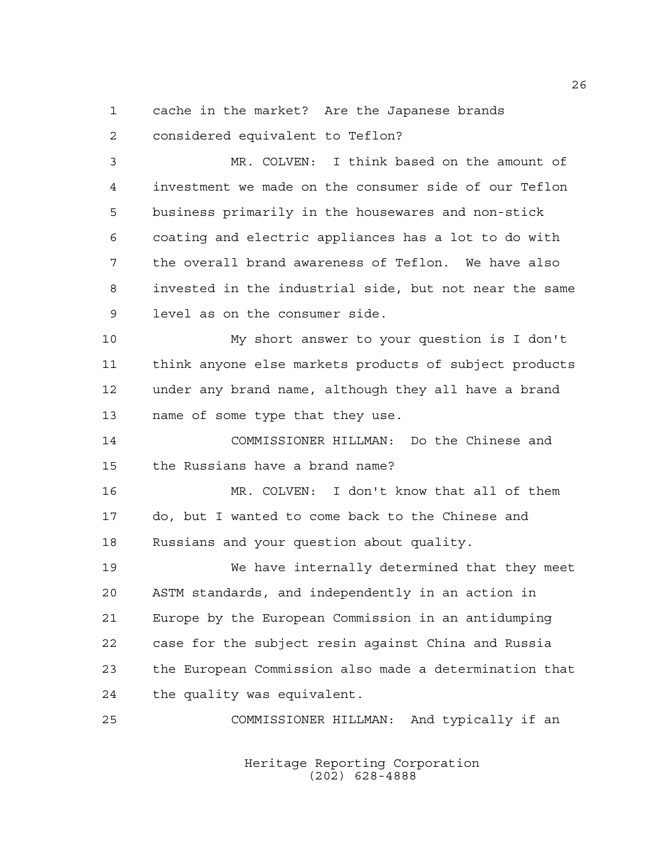cache in the market? Are the Japanese brands

considered equivalent to Teflon?

 MR. COLVEN: I think based on the amount of investment we made on the consumer side of our Teflon business primarily in the housewares and non-stick coating and electric appliances has a lot to do with the overall brand awareness of Teflon. We have also invested in the industrial side, but not near the same level as on the consumer side.

 My short answer to your question is I don't think anyone else markets products of subject products under any brand name, although they all have a brand name of some type that they use.

 COMMISSIONER HILLMAN: Do the Chinese and the Russians have a brand name?

 MR. COLVEN: I don't know that all of them do, but I wanted to come back to the Chinese and Russians and your question about quality.

 We have internally determined that they meet ASTM standards, and independently in an action in Europe by the European Commission in an antidumping case for the subject resin against China and Russia the European Commission also made a determination that the quality was equivalent.

COMMISSIONER HILLMAN: And typically if an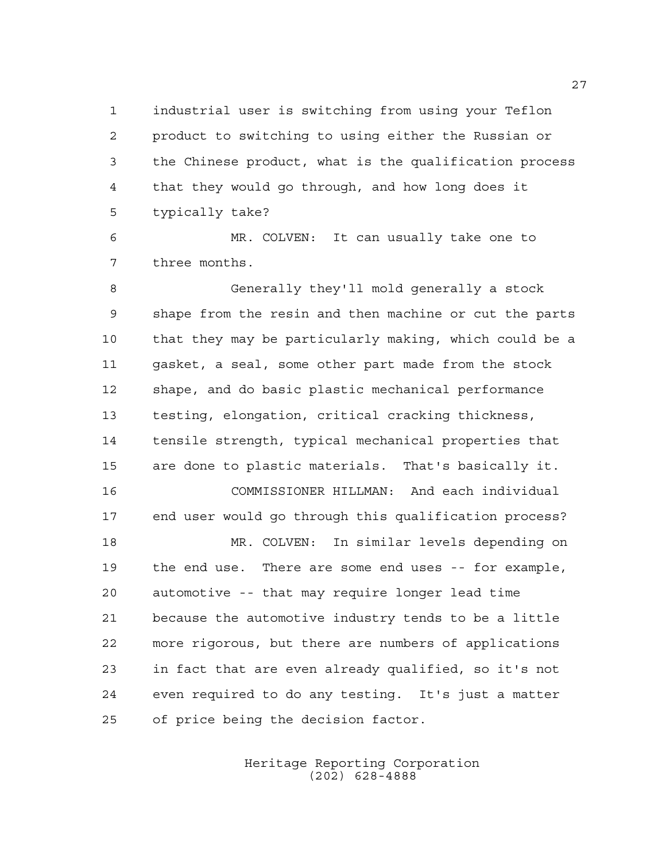industrial user is switching from using your Teflon product to switching to using either the Russian or the Chinese product, what is the qualification process that they would go through, and how long does it typically take?

 MR. COLVEN: It can usually take one to three months.

 Generally they'll mold generally a stock shape from the resin and then machine or cut the parts that they may be particularly making, which could be a gasket, a seal, some other part made from the stock shape, and do basic plastic mechanical performance testing, elongation, critical cracking thickness, tensile strength, typical mechanical properties that are done to plastic materials. That's basically it. COMMISSIONER HILLMAN: And each individual end user would go through this qualification process? MR. COLVEN: In similar levels depending on the end use. There are some end uses -- for example, automotive -- that may require longer lead time because the automotive industry tends to be a little more rigorous, but there are numbers of applications in fact that are even already qualified, so it's not even required to do any testing. It's just a matter of price being the decision factor.

> Heritage Reporting Corporation (202) 628-4888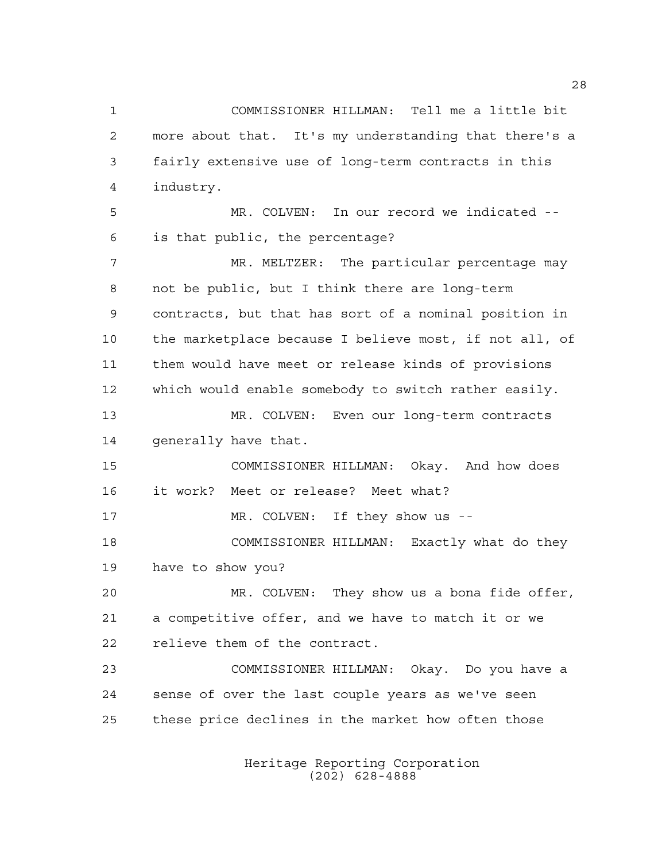COMMISSIONER HILLMAN: Tell me a little bit more about that. It's my understanding that there's a fairly extensive use of long-term contracts in this industry. MR. COLVEN: In our record we indicated -- is that public, the percentage? 7 MR. MELTZER: The particular percentage may not be public, but I think there are long-term contracts, but that has sort of a nominal position in the marketplace because I believe most, if not all, of them would have meet or release kinds of provisions which would enable somebody to switch rather easily. MR. COLVEN: Even our long-term contracts generally have that. COMMISSIONER HILLMAN: Okay. And how does it work? Meet or release? Meet what? 17 MR. COLVEN: If they show us -- COMMISSIONER HILLMAN: Exactly what do they have to show you? MR. COLVEN: They show us a bona fide offer, a competitive offer, and we have to match it or we relieve them of the contract. COMMISSIONER HILLMAN: Okay. Do you have a sense of over the last couple years as we've seen these price declines in the market how often those

> Heritage Reporting Corporation (202) 628-4888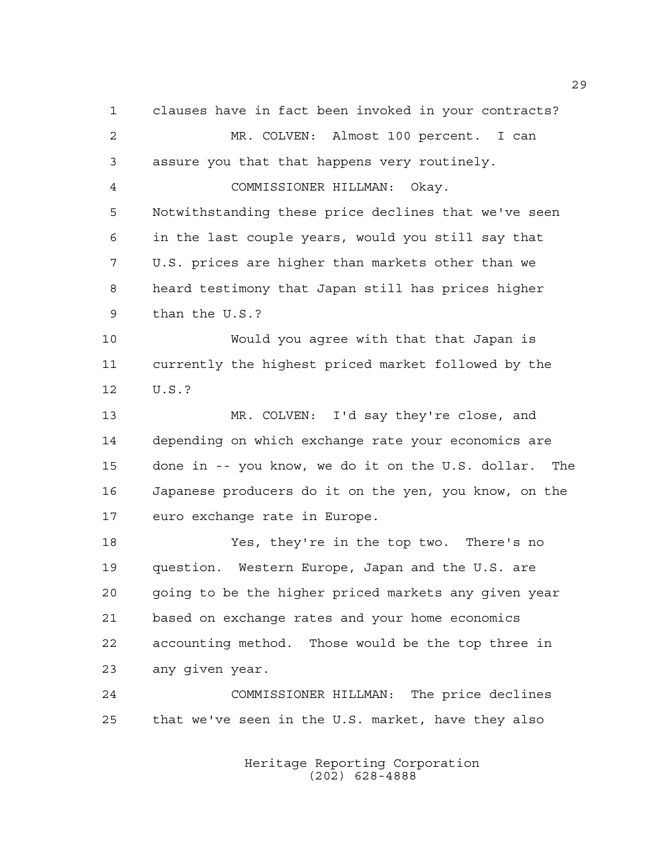clauses have in fact been invoked in your contracts? MR. COLVEN: Almost 100 percent. I can assure you that that happens very routinely. COMMISSIONER HILLMAN: Okay. Notwithstanding these price declines that we've seen in the last couple years, would you still say that U.S. prices are higher than markets other than we heard testimony that Japan still has prices higher than the U.S.? Would you agree with that that Japan is currently the highest priced market followed by the U.S.? MR. COLVEN: I'd say they're close, and depending on which exchange rate your economics are done in -- you know, we do it on the U.S. dollar. The Japanese producers do it on the yen, you know, on the euro exchange rate in Europe. Yes, they're in the top two. There's no question. Western Europe, Japan and the U.S. are going to be the higher priced markets any given year based on exchange rates and your home economics accounting method. Those would be the top three in any given year. COMMISSIONER HILLMAN: The price declines that we've seen in the U.S. market, have they also

> Heritage Reporting Corporation (202) 628-4888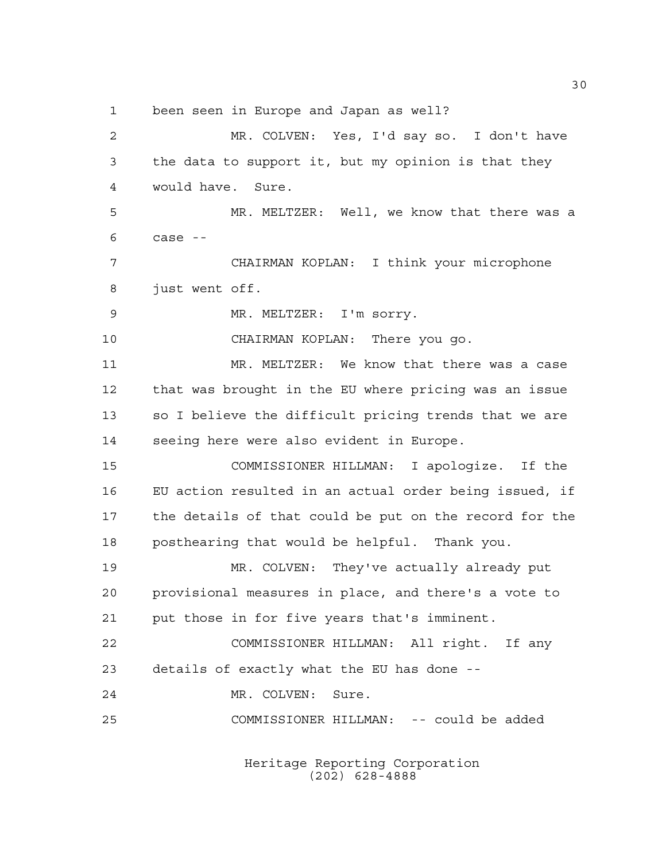been seen in Europe and Japan as well?

 MR. COLVEN: Yes, I'd say so. I don't have the data to support it, but my opinion is that they would have. Sure. MR. MELTZER: Well, we know that there was a case  $-$  CHAIRMAN KOPLAN: I think your microphone just went off. MR. MELTZER: I'm sorry. CHAIRMAN KOPLAN: There you go. MR. MELTZER: We know that there was a case that was brought in the EU where pricing was an issue so I believe the difficult pricing trends that we are seeing here were also evident in Europe. COMMISSIONER HILLMAN: I apologize. If the EU action resulted in an actual order being issued, if the details of that could be put on the record for the posthearing that would be helpful. Thank you. MR. COLVEN: They've actually already put provisional measures in place, and there's a vote to put those in for five years that's imminent. COMMISSIONER HILLMAN: All right. If any details of exactly what the EU has done -- MR. COLVEN: Sure. COMMISSIONER HILLMAN: -- could be added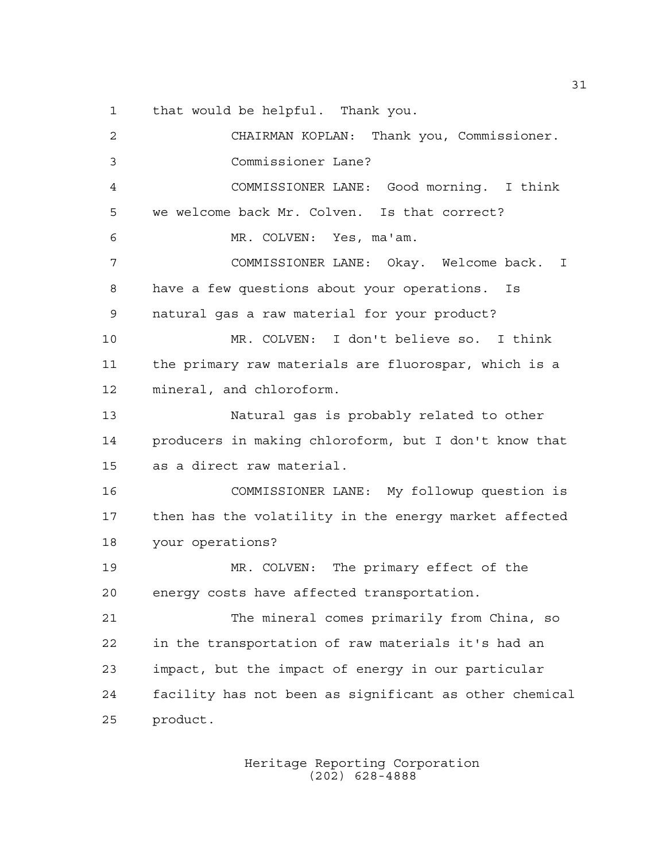that would be helpful. Thank you.

 CHAIRMAN KOPLAN: Thank you, Commissioner. Commissioner Lane? COMMISSIONER LANE: Good morning. I think we welcome back Mr. Colven. Is that correct? MR. COLVEN: Yes, ma'am. COMMISSIONER LANE: Okay. Welcome back. I have a few questions about your operations. Is natural gas a raw material for your product? MR. COLVEN: I don't believe so. I think the primary raw materials are fluorospar, which is a mineral, and chloroform. Natural gas is probably related to other producers in making chloroform, but I don't know that as a direct raw material. COMMISSIONER LANE: My followup question is then has the volatility in the energy market affected your operations? MR. COLVEN: The primary effect of the energy costs have affected transportation. The mineral comes primarily from China, so in the transportation of raw materials it's had an impact, but the impact of energy in our particular facility has not been as significant as other chemical product.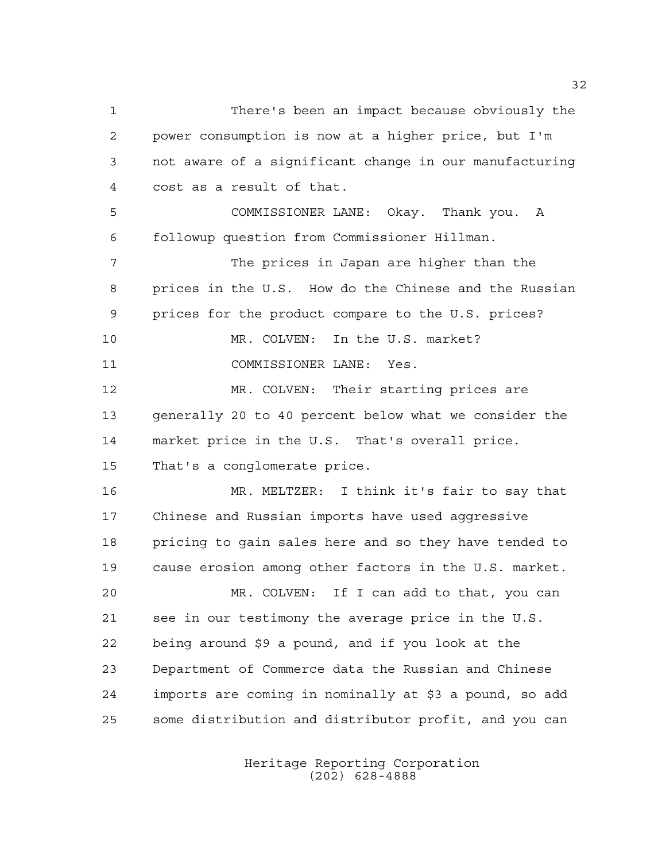There's been an impact because obviously the power consumption is now at a higher price, but I'm not aware of a significant change in our manufacturing cost as a result of that. COMMISSIONER LANE: Okay. Thank you. A followup question from Commissioner Hillman. The prices in Japan are higher than the prices in the U.S. How do the Chinese and the Russian prices for the product compare to the U.S. prices? MR. COLVEN: In the U.S. market? COMMISSIONER LANE: Yes. MR. COLVEN: Their starting prices are generally 20 to 40 percent below what we consider the market price in the U.S. That's overall price. That's a conglomerate price. MR. MELTZER: I think it's fair to say that Chinese and Russian imports have used aggressive pricing to gain sales here and so they have tended to cause erosion among other factors in the U.S. market. MR. COLVEN: If I can add to that, you can see in our testimony the average price in the U.S. being around \$9 a pound, and if you look at the Department of Commerce data the Russian and Chinese imports are coming in nominally at \$3 a pound, so add some distribution and distributor profit, and you can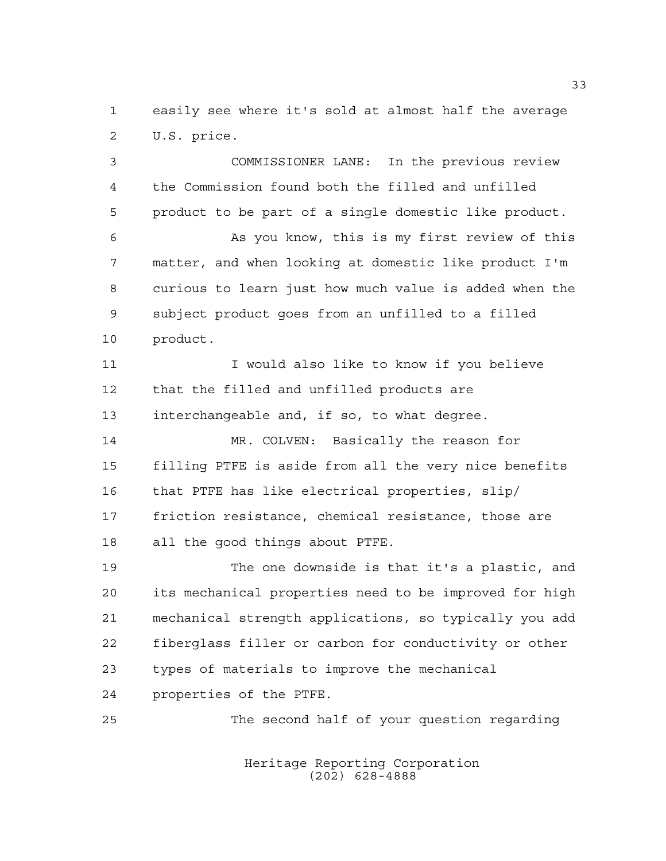easily see where it's sold at almost half the average U.S. price.

 COMMISSIONER LANE: In the previous review the Commission found both the filled and unfilled product to be part of a single domestic like product. As you know, this is my first review of this matter, and when looking at domestic like product I'm curious to learn just how much value is added when the subject product goes from an unfilled to a filled product. 11 I would also like to know if you believe that the filled and unfilled products are interchangeable and, if so, to what degree. MR. COLVEN: Basically the reason for filling PTFE is aside from all the very nice benefits that PTFE has like electrical properties, slip/ friction resistance, chemical resistance, those are all the good things about PTFE. The one downside is that it's a plastic, and

 its mechanical properties need to be improved for high mechanical strength applications, so typically you add fiberglass filler or carbon for conductivity or other types of materials to improve the mechanical properties of the PTFE.

The second half of your question regarding

Heritage Reporting Corporation (202) 628-4888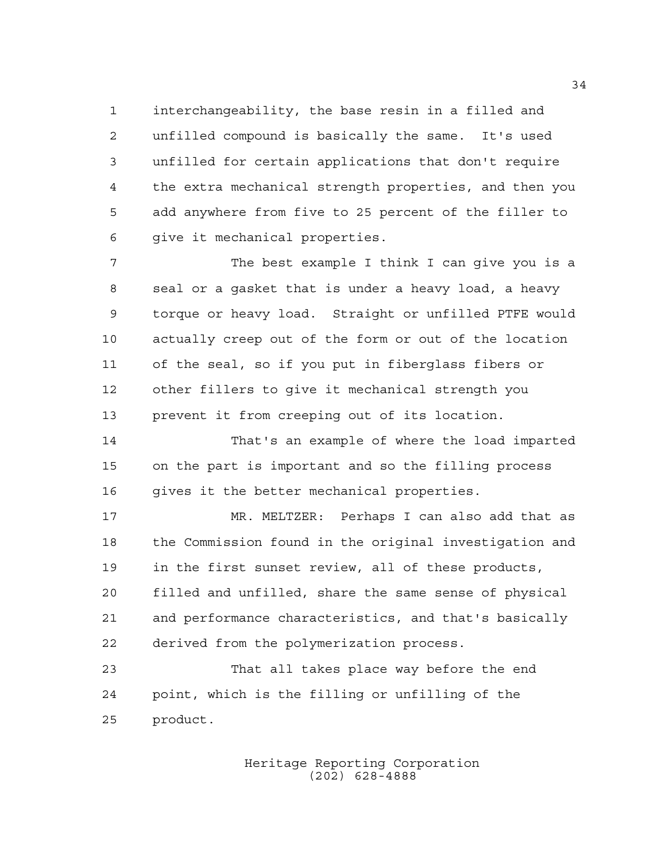interchangeability, the base resin in a filled and unfilled compound is basically the same. It's used unfilled for certain applications that don't require the extra mechanical strength properties, and then you add anywhere from five to 25 percent of the filler to give it mechanical properties.

 The best example I think I can give you is a seal or a gasket that is under a heavy load, a heavy torque or heavy load. Straight or unfilled PTFE would actually creep out of the form or out of the location of the seal, so if you put in fiberglass fibers or other fillers to give it mechanical strength you prevent it from creeping out of its location.

 That's an example of where the load imparted on the part is important and so the filling process 16 gives it the better mechanical properties.

 MR. MELTZER: Perhaps I can also add that as the Commission found in the original investigation and in the first sunset review, all of these products, filled and unfilled, share the same sense of physical and performance characteristics, and that's basically derived from the polymerization process.

 That all takes place way before the end point, which is the filling or unfilling of the product.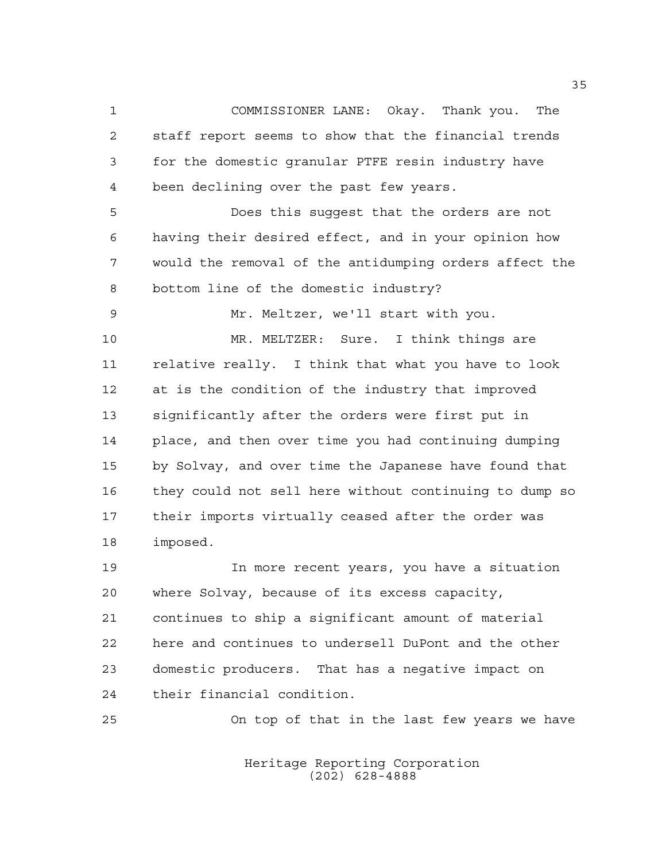COMMISSIONER LANE: Okay. Thank you. The staff report seems to show that the financial trends for the domestic granular PTFE resin industry have been declining over the past few years.

 Does this suggest that the orders are not having their desired effect, and in your opinion how would the removal of the antidumping orders affect the bottom line of the domestic industry?

Mr. Meltzer, we'll start with you.

 MR. MELTZER: Sure. I think things are relative really. I think that what you have to look at is the condition of the industry that improved significantly after the orders were first put in place, and then over time you had continuing dumping by Solvay, and over time the Japanese have found that they could not sell here without continuing to dump so their imports virtually ceased after the order was imposed.

 In more recent years, you have a situation where Solvay, because of its excess capacity, continues to ship a significant amount of material here and continues to undersell DuPont and the other domestic producers. That has a negative impact on their financial condition.

On top of that in the last few years we have

Heritage Reporting Corporation (202) 628-4888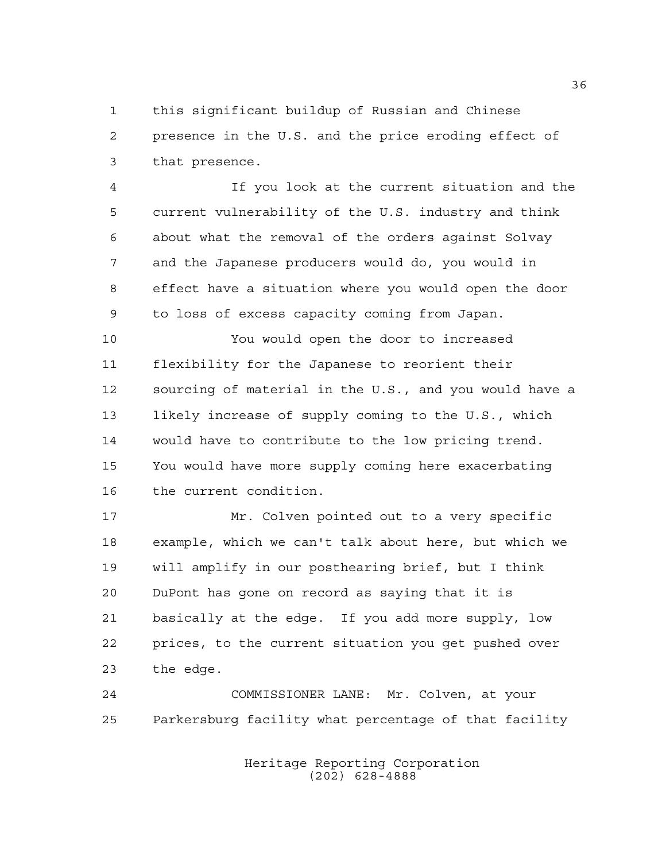this significant buildup of Russian and Chinese presence in the U.S. and the price eroding effect of that presence.

 If you look at the current situation and the current vulnerability of the U.S. industry and think about what the removal of the orders against Solvay and the Japanese producers would do, you would in effect have a situation where you would open the door to loss of excess capacity coming from Japan.

 You would open the door to increased flexibility for the Japanese to reorient their sourcing of material in the U.S., and you would have a likely increase of supply coming to the U.S., which would have to contribute to the low pricing trend. You would have more supply coming here exacerbating the current condition.

 Mr. Colven pointed out to a very specific example, which we can't talk about here, but which we will amplify in our posthearing brief, but I think DuPont has gone on record as saying that it is basically at the edge. If you add more supply, low prices, to the current situation you get pushed over the edge.

 COMMISSIONER LANE: Mr. Colven, at your Parkersburg facility what percentage of that facility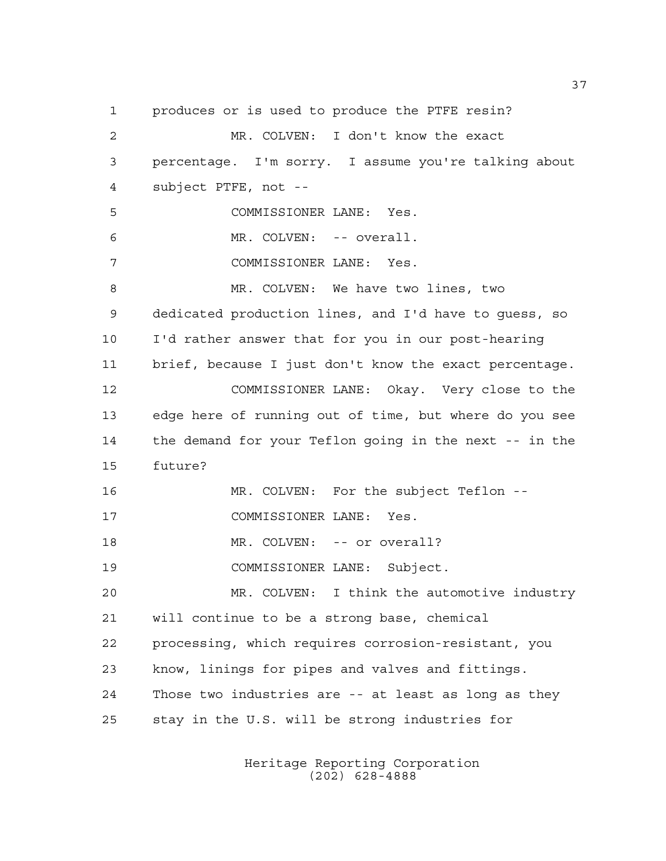produces or is used to produce the PTFE resin? MR. COLVEN: I don't know the exact percentage. I'm sorry. I assume you're talking about subject PTFE, not -- COMMISSIONER LANE: Yes. MR. COLVEN: -- overall. COMMISSIONER LANE: Yes. MR. COLVEN: We have two lines, two dedicated production lines, and I'd have to guess, so I'd rather answer that for you in our post-hearing brief, because I just don't know the exact percentage. COMMISSIONER LANE: Okay. Very close to the edge here of running out of time, but where do you see the demand for your Teflon going in the next -- in the future? MR. COLVEN: For the subject Teflon -- COMMISSIONER LANE: Yes. 18 MR. COLVEN: -- or overall? COMMISSIONER LANE: Subject. MR. COLVEN: I think the automotive industry will continue to be a strong base, chemical processing, which requires corrosion-resistant, you know, linings for pipes and valves and fittings. Those two industries are -- at least as long as they stay in the U.S. will be strong industries for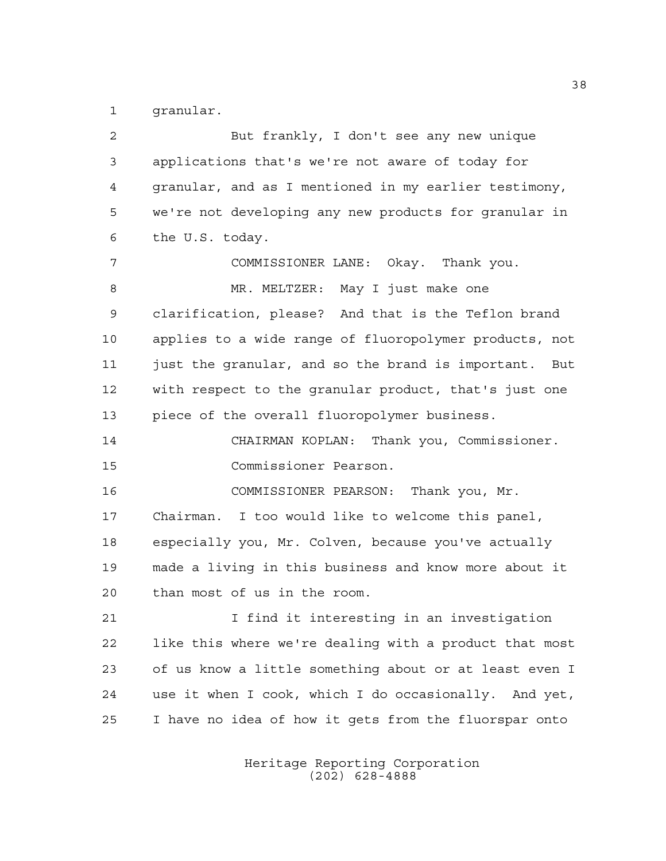granular.

| 2  | But frankly, I don't see any new unique                |
|----|--------------------------------------------------------|
| 3  | applications that's we're not aware of today for       |
| 4  | granular, and as I mentioned in my earlier testimony,  |
| 5  | we're not developing any new products for granular in  |
| 6  | the U.S. today.                                        |
| 7  | COMMISSIONER LANE: Okay. Thank you.                    |
| 8  | MR. MELTZER: May I just make one                       |
| 9  | clarification, please? And that is the Teflon brand    |
| 10 | applies to a wide range of fluoropolymer products, not |
| 11 | just the granular, and so the brand is important. But  |
| 12 | with respect to the granular product, that's just one  |
| 13 | piece of the overall fluoropolymer business.           |
| 14 | CHAIRMAN KOPLAN: Thank you, Commissioner.              |
| 15 | Commissioner Pearson.                                  |
| 16 | COMMISSIONER PEARSON: Thank you, Mr.                   |
| 17 | Chairman. I too would like to welcome this panel,      |
| 18 | especially you, Mr. Colven, because you've actually    |
| 19 | made a living in this business and know more about it  |
| 20 | than most of us in the room.                           |
| 21 | I find it interesting in an investigation              |
| 22 | like this where we're dealing with a product that most |
| 23 | of us know a little something about or at least even I |
| 24 | use it when I cook, which I do occasionally. And yet,  |
| 25 | I have no idea of how it gets from the fluorspar onto  |
|    |                                                        |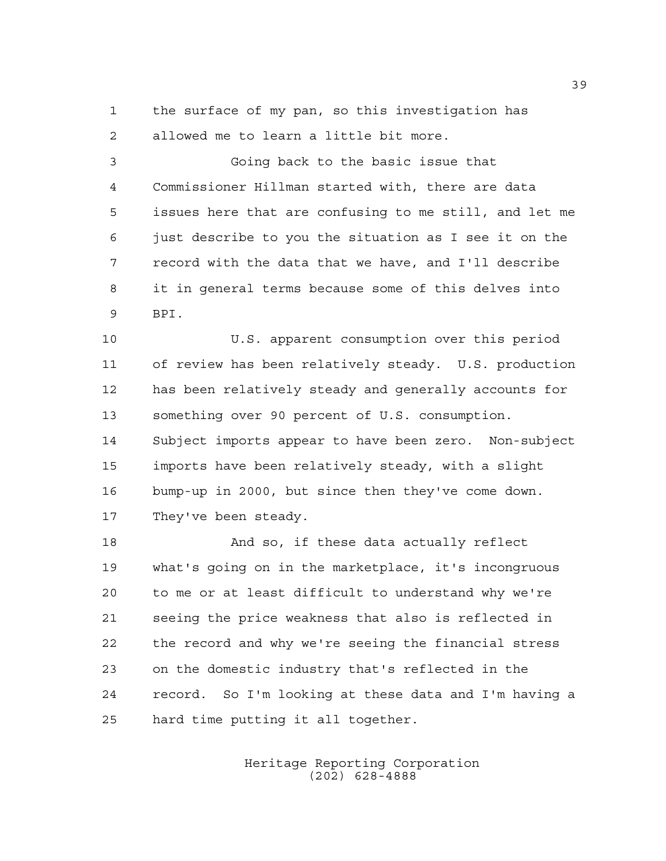the surface of my pan, so this investigation has allowed me to learn a little bit more.

 Going back to the basic issue that Commissioner Hillman started with, there are data issues here that are confusing to me still, and let me just describe to you the situation as I see it on the record with the data that we have, and I'll describe it in general terms because some of this delves into BPI.

 U.S. apparent consumption over this period of review has been relatively steady. U.S. production has been relatively steady and generally accounts for something over 90 percent of U.S. consumption. Subject imports appear to have been zero. Non-subject imports have been relatively steady, with a slight bump-up in 2000, but since then they've come down. 17 They've been steady.

 And so, if these data actually reflect what's going on in the marketplace, it's incongruous to me or at least difficult to understand why we're seeing the price weakness that also is reflected in the record and why we're seeing the financial stress on the domestic industry that's reflected in the record. So I'm looking at these data and I'm having a hard time putting it all together.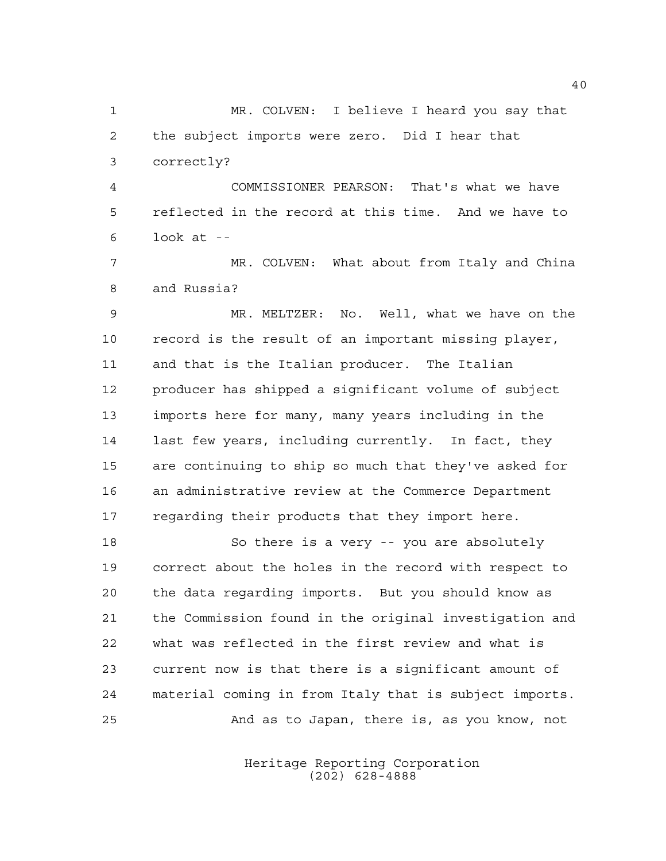MR. COLVEN: I believe I heard you say that the subject imports were zero. Did I hear that correctly?

 COMMISSIONER PEARSON: That's what we have reflected in the record at this time. And we have to look at --

7 MR. COLVEN: What about from Italy and China and Russia?

 MR. MELTZER: No. Well, what we have on the record is the result of an important missing player, and that is the Italian producer. The Italian producer has shipped a significant volume of subject imports here for many, many years including in the last few years, including currently. In fact, they are continuing to ship so much that they've asked for an administrative review at the Commerce Department regarding their products that they import here.

 So there is a very -- you are absolutely correct about the holes in the record with respect to the data regarding imports. But you should know as the Commission found in the original investigation and what was reflected in the first review and what is current now is that there is a significant amount of material coming in from Italy that is subject imports. And as to Japan, there is, as you know, not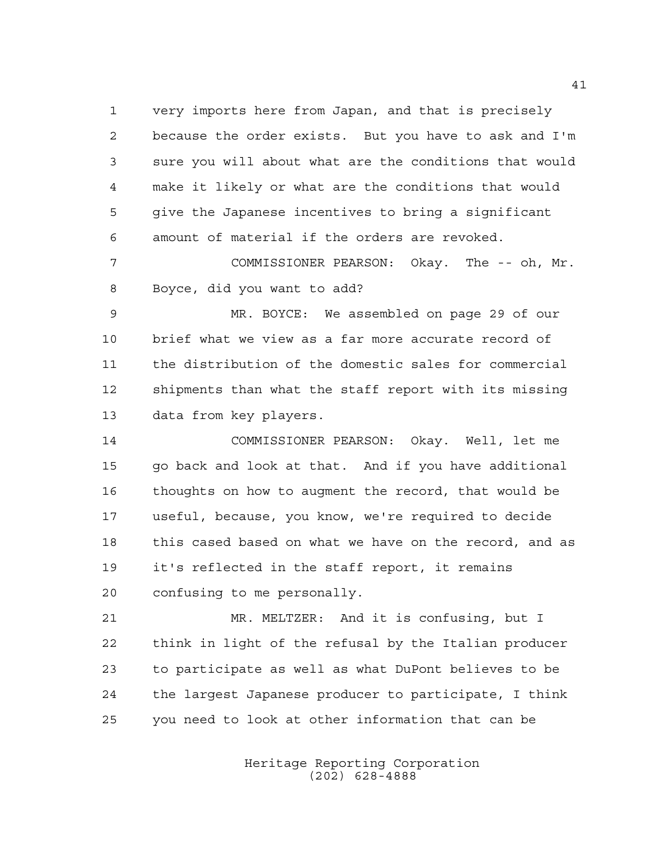very imports here from Japan, and that is precisely because the order exists. But you have to ask and I'm sure you will about what are the conditions that would make it likely or what are the conditions that would give the Japanese incentives to bring a significant amount of material if the orders are revoked.

 COMMISSIONER PEARSON: Okay. The -- oh, Mr. Boyce, did you want to add?

 MR. BOYCE: We assembled on page 29 of our brief what we view as a far more accurate record of the distribution of the domestic sales for commercial shipments than what the staff report with its missing data from key players.

 COMMISSIONER PEARSON: Okay. Well, let me go back and look at that. And if you have additional thoughts on how to augment the record, that would be useful, because, you know, we're required to decide this cased based on what we have on the record, and as it's reflected in the staff report, it remains confusing to me personally.

 MR. MELTZER: And it is confusing, but I think in light of the refusal by the Italian producer to participate as well as what DuPont believes to be the largest Japanese producer to participate, I think you need to look at other information that can be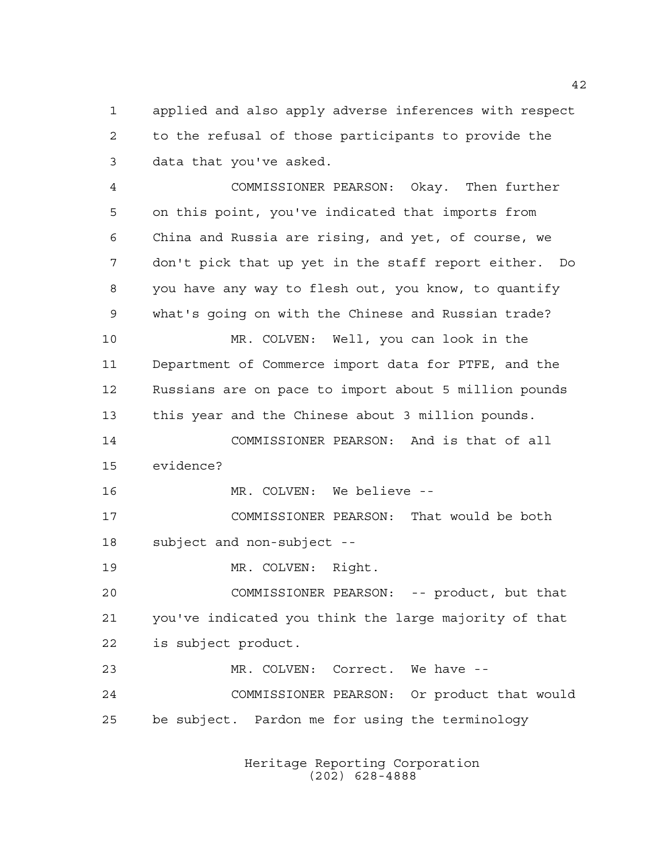applied and also apply adverse inferences with respect to the refusal of those participants to provide the data that you've asked.

 COMMISSIONER PEARSON: Okay. Then further on this point, you've indicated that imports from China and Russia are rising, and yet, of course, we don't pick that up yet in the staff report either. Do you have any way to flesh out, you know, to quantify what's going on with the Chinese and Russian trade? MR. COLVEN: Well, you can look in the Department of Commerce import data for PTFE, and the Russians are on pace to import about 5 million pounds this year and the Chinese about 3 million pounds. COMMISSIONER PEARSON: And is that of all evidence? MR. COLVEN: We believe -- COMMISSIONER PEARSON: That would be both subject and non-subject -- 19 MR. COLVEN: Right. COMMISSIONER PEARSON: -- product, but that you've indicated you think the large majority of that is subject product. MR. COLVEN: Correct. We have -- COMMISSIONER PEARSON: Or product that would be subject. Pardon me for using the terminology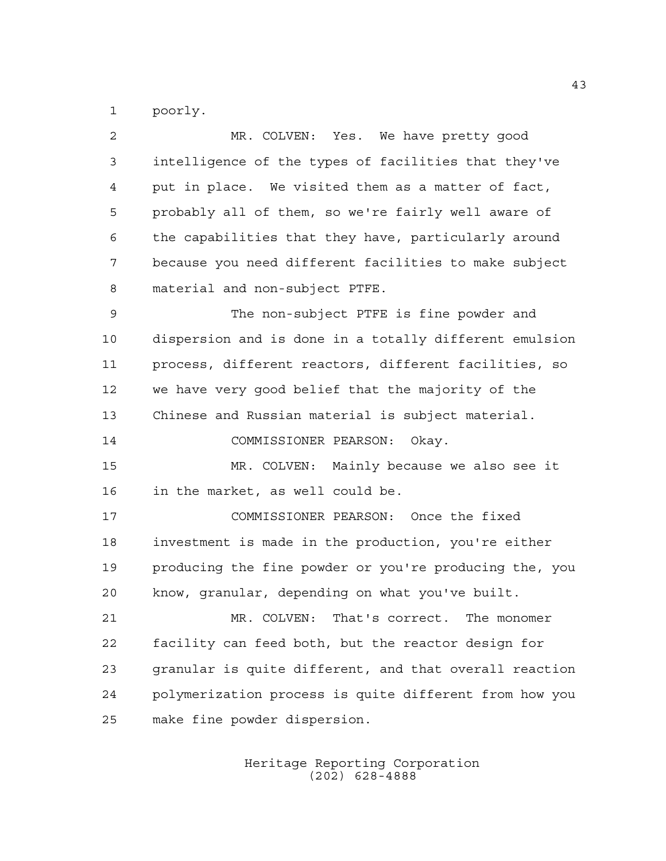poorly.

| $\overline{2}$ | MR. COLVEN: Yes. We have pretty good                   |
|----------------|--------------------------------------------------------|
| 3              | intelligence of the types of facilities that they've   |
| 4              | put in place. We visited them as a matter of fact,     |
| 5              | probably all of them, so we're fairly well aware of    |
| 6              | the capabilities that they have, particularly around   |
| 7              | because you need different facilities to make subject  |
| 8              | material and non-subject PTFE.                         |
| 9              | The non-subject PTFE is fine powder and                |
| 10             | dispersion and is done in a totally different emulsion |
| 11             | process, different reactors, different facilities, so  |
| 12             | we have very good belief that the majority of the      |
| 13             | Chinese and Russian material is subject material.      |
| 14             | COMMISSIONER PEARSON:<br>Okay.                         |
| 15             | MR. COLVEN: Mainly because we also see it              |
| 16             | in the market, as well could be.                       |
| 17             | COMMISSIONER PEARSON: Once the fixed                   |
| 18             | investment is made in the production, you're either    |
| 19             | producing the fine powder or you're producing the, you |
| 20             | know, granular, depending on what you've built.        |
| 21             | MR. COLVEN: That's correct. The monomer                |
| 22             | facility can feed both, but the reactor design for     |
| 23             | granular is quite different, and that overall reaction |
| 24             | polymerization process is quite different from how you |
| 25             | make fine powder dispersion.                           |
|                |                                                        |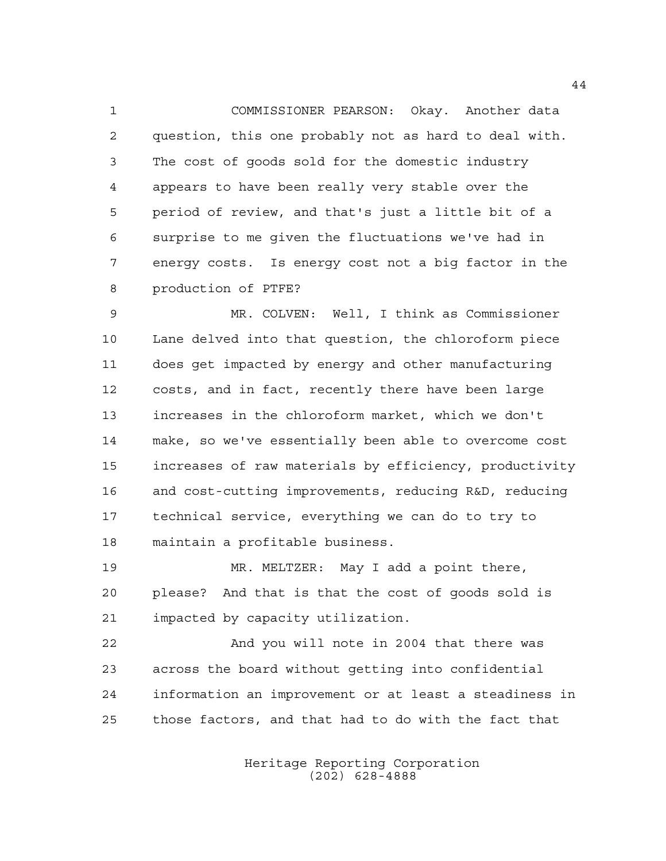COMMISSIONER PEARSON: Okay. Another data question, this one probably not as hard to deal with. The cost of goods sold for the domestic industry appears to have been really very stable over the period of review, and that's just a little bit of a surprise to me given the fluctuations we've had in energy costs. Is energy cost not a big factor in the production of PTFE?

 MR. COLVEN: Well, I think as Commissioner Lane delved into that question, the chloroform piece does get impacted by energy and other manufacturing costs, and in fact, recently there have been large increases in the chloroform market, which we don't make, so we've essentially been able to overcome cost increases of raw materials by efficiency, productivity and cost-cutting improvements, reducing R&D, reducing technical service, everything we can do to try to maintain a profitable business.

 MR. MELTZER: May I add a point there, please? And that is that the cost of goods sold is impacted by capacity utilization.

 And you will note in 2004 that there was across the board without getting into confidential information an improvement or at least a steadiness in those factors, and that had to do with the fact that

> Heritage Reporting Corporation (202) 628-4888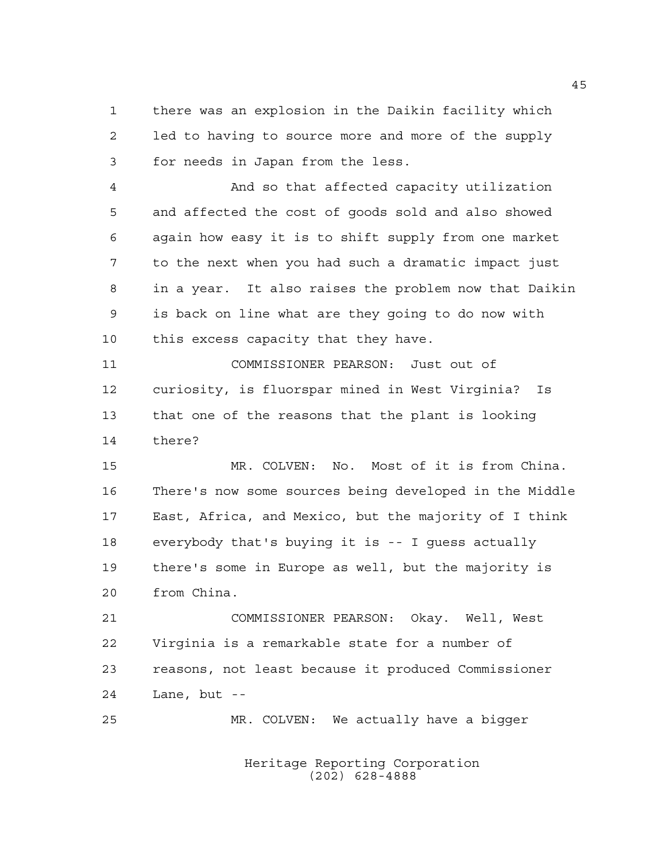there was an explosion in the Daikin facility which led to having to source more and more of the supply for needs in Japan from the less.

 And so that affected capacity utilization and affected the cost of goods sold and also showed again how easy it is to shift supply from one market to the next when you had such a dramatic impact just in a year. It also raises the problem now that Daikin is back on line what are they going to do now with this excess capacity that they have.

 COMMISSIONER PEARSON: Just out of curiosity, is fluorspar mined in West Virginia? Is that one of the reasons that the plant is looking there?

 MR. COLVEN: No. Most of it is from China. There's now some sources being developed in the Middle East, Africa, and Mexico, but the majority of I think everybody that's buying it is -- I guess actually there's some in Europe as well, but the majority is from China.

 COMMISSIONER PEARSON: Okay. Well, West Virginia is a remarkable state for a number of reasons, not least because it produced Commissioner Lane, but --

MR. COLVEN: We actually have a bigger

Heritage Reporting Corporation (202) 628-4888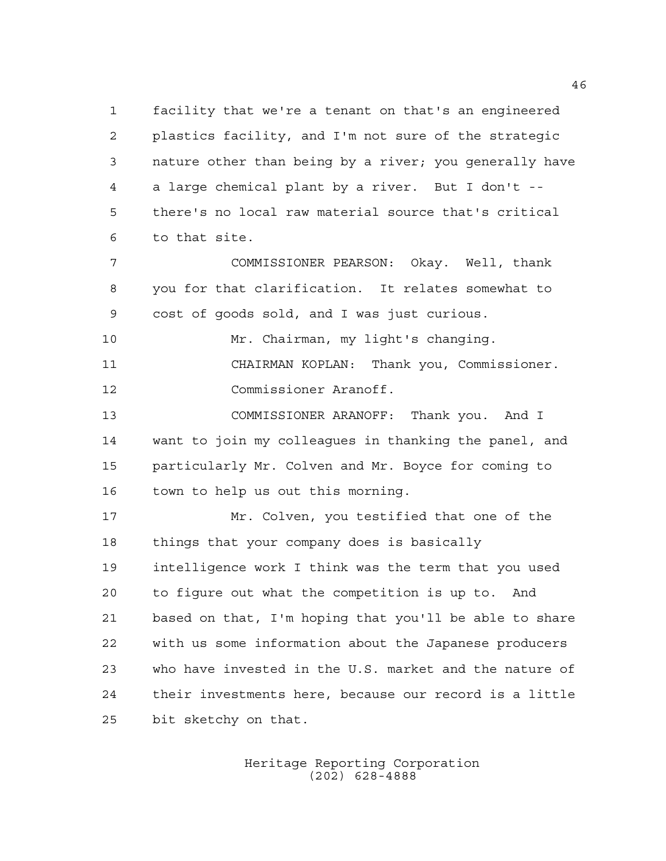facility that we're a tenant on that's an engineered plastics facility, and I'm not sure of the strategic nature other than being by a river; you generally have a large chemical plant by a river. But I don't -- there's no local raw material source that's critical to that site.

 COMMISSIONER PEARSON: Okay. Well, thank you for that clarification. It relates somewhat to cost of goods sold, and I was just curious.

 CHAIRMAN KOPLAN: Thank you, Commissioner. Commissioner Aranoff.

Mr. Chairman, my light's changing.

 COMMISSIONER ARANOFF: Thank you. And I want to join my colleagues in thanking the panel, and particularly Mr. Colven and Mr. Boyce for coming to town to help us out this morning.

 Mr. Colven, you testified that one of the things that your company does is basically intelligence work I think was the term that you used to figure out what the competition is up to. And based on that, I'm hoping that you'll be able to share with us some information about the Japanese producers who have invested in the U.S. market and the nature of their investments here, because our record is a little bit sketchy on that.

> Heritage Reporting Corporation (202) 628-4888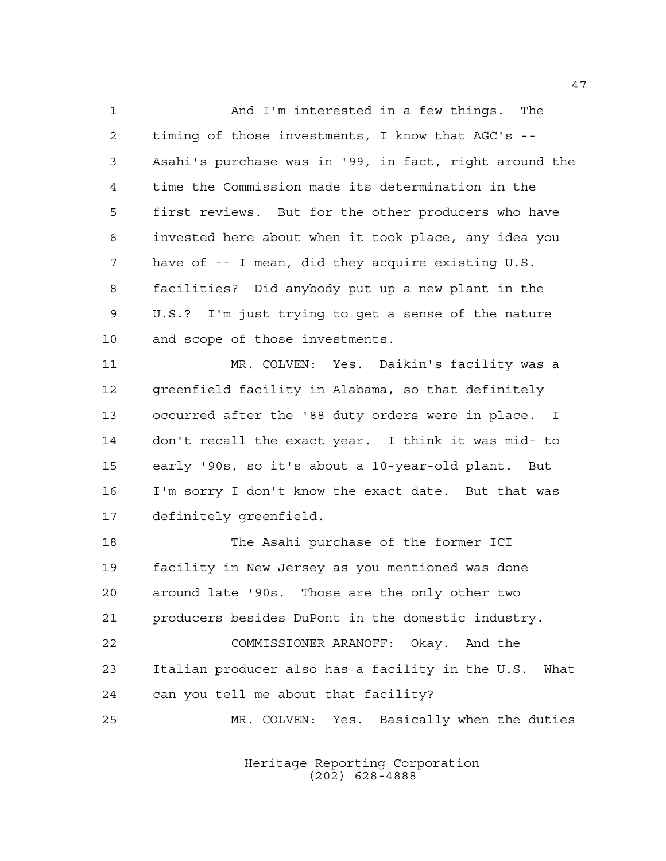And I'm interested in a few things. The timing of those investments, I know that AGC's -- Asahi's purchase was in '99, in fact, right around the time the Commission made its determination in the first reviews. But for the other producers who have invested here about when it took place, any idea you have of -- I mean, did they acquire existing U.S. facilities? Did anybody put up a new plant in the U.S.? I'm just trying to get a sense of the nature and scope of those investments.

 MR. COLVEN: Yes. Daikin's facility was a greenfield facility in Alabama, so that definitely occurred after the '88 duty orders were in place. I don't recall the exact year. I think it was mid- to early '90s, so it's about a 10-year-old plant. But I'm sorry I don't know the exact date. But that was definitely greenfield.

 The Asahi purchase of the former ICI facility in New Jersey as you mentioned was done around late '90s. Those are the only other two producers besides DuPont in the domestic industry. COMMISSIONER ARANOFF: Okay. And the Italian producer also has a facility in the U.S. What can you tell me about that facility? MR. COLVEN: Yes. Basically when the duties

> Heritage Reporting Corporation (202) 628-4888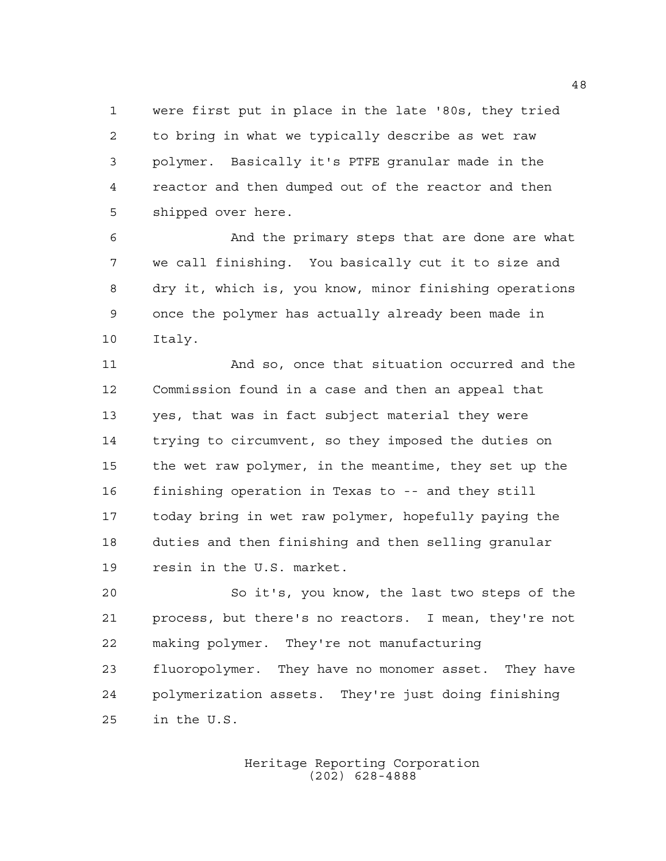were first put in place in the late '80s, they tried to bring in what we typically describe as wet raw polymer. Basically it's PTFE granular made in the reactor and then dumped out of the reactor and then shipped over here.

 And the primary steps that are done are what we call finishing. You basically cut it to size and dry it, which is, you know, minor finishing operations once the polymer has actually already been made in Italy.

 And so, once that situation occurred and the Commission found in a case and then an appeal that yes, that was in fact subject material they were trying to circumvent, so they imposed the duties on the wet raw polymer, in the meantime, they set up the finishing operation in Texas to -- and they still today bring in wet raw polymer, hopefully paying the duties and then finishing and then selling granular resin in the U.S. market.

 So it's, you know, the last two steps of the process, but there's no reactors. I mean, they're not making polymer. They're not manufacturing fluoropolymer. They have no monomer asset. They have polymerization assets. They're just doing finishing in the U.S.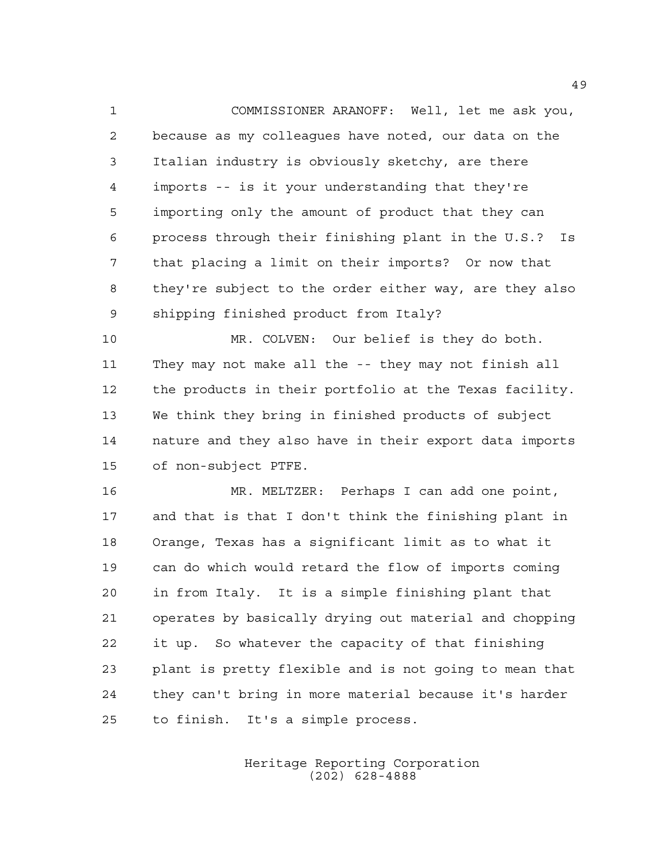COMMISSIONER ARANOFF: Well, let me ask you, because as my colleagues have noted, our data on the Italian industry is obviously sketchy, are there imports -- is it your understanding that they're importing only the amount of product that they can process through their finishing plant in the U.S.? Is that placing a limit on their imports? Or now that they're subject to the order either way, are they also shipping finished product from Italy?

 MR. COLVEN: Our belief is they do both. They may not make all the -- they may not finish all the products in their portfolio at the Texas facility. We think they bring in finished products of subject nature and they also have in their export data imports of non-subject PTFE.

 MR. MELTZER: Perhaps I can add one point, and that is that I don't think the finishing plant in Orange, Texas has a significant limit as to what it can do which would retard the flow of imports coming in from Italy. It is a simple finishing plant that operates by basically drying out material and chopping it up. So whatever the capacity of that finishing plant is pretty flexible and is not going to mean that they can't bring in more material because it's harder to finish. It's a simple process.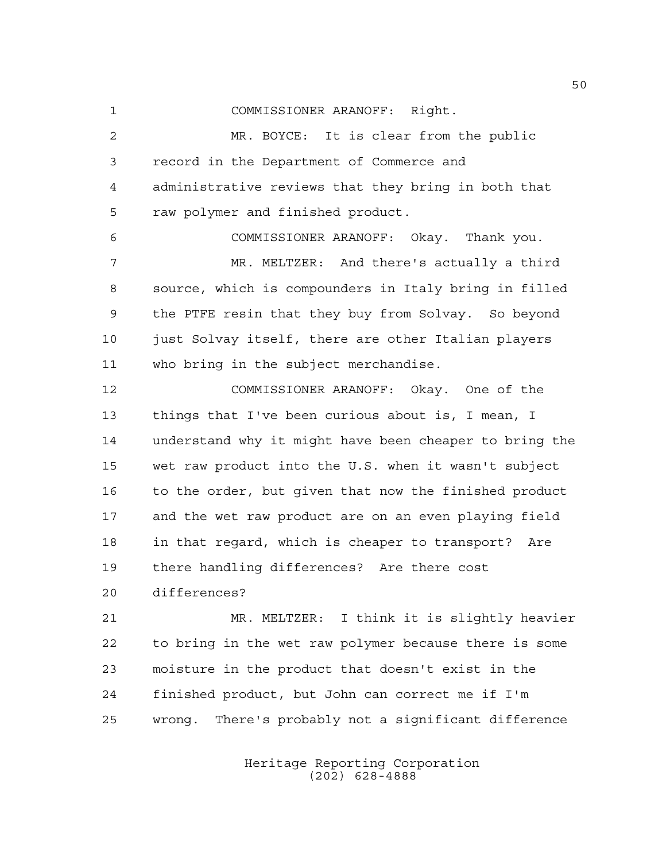COMMISSIONER ARANOFF: Right.

 MR. BOYCE: It is clear from the public record in the Department of Commerce and administrative reviews that they bring in both that raw polymer and finished product.

 COMMISSIONER ARANOFF: Okay. Thank you. MR. MELTZER: And there's actually a third source, which is compounders in Italy bring in filled the PTFE resin that they buy from Solvay. So beyond just Solvay itself, there are other Italian players who bring in the subject merchandise.

 COMMISSIONER ARANOFF: Okay. One of the things that I've been curious about is, I mean, I understand why it might have been cheaper to bring the wet raw product into the U.S. when it wasn't subject to the order, but given that now the finished product and the wet raw product are on an even playing field in that regard, which is cheaper to transport? Are there handling differences? Are there cost

differences?

 MR. MELTZER: I think it is slightly heavier to bring in the wet raw polymer because there is some moisture in the product that doesn't exist in the finished product, but John can correct me if I'm wrong. There's probably not a significant difference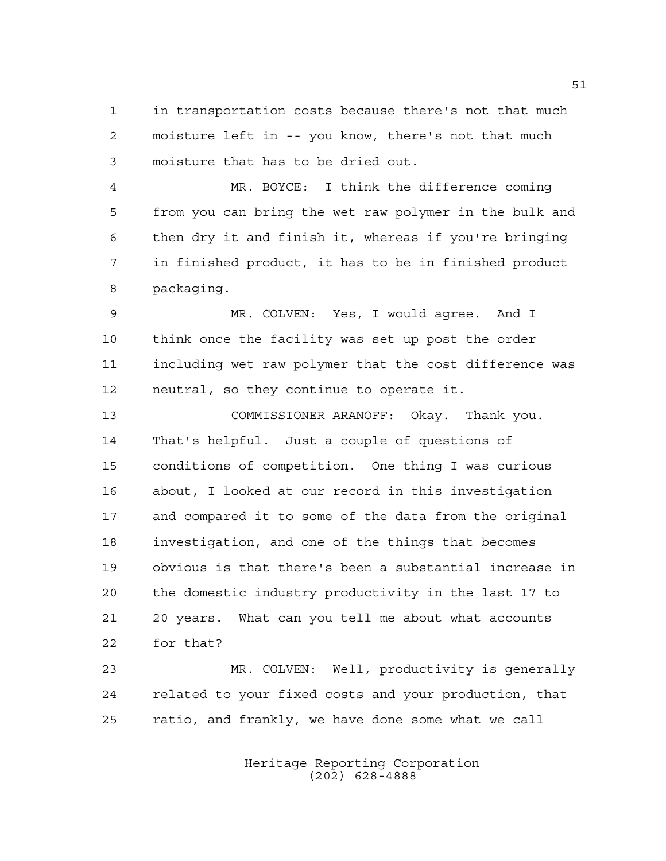in transportation costs because there's not that much moisture left in -- you know, there's not that much moisture that has to be dried out.

 MR. BOYCE: I think the difference coming from you can bring the wet raw polymer in the bulk and then dry it and finish it, whereas if you're bringing in finished product, it has to be in finished product packaging.

 MR. COLVEN: Yes, I would agree. And I think once the facility was set up post the order including wet raw polymer that the cost difference was neutral, so they continue to operate it.

 COMMISSIONER ARANOFF: Okay. Thank you. That's helpful. Just a couple of questions of conditions of competition. One thing I was curious about, I looked at our record in this investigation and compared it to some of the data from the original investigation, and one of the things that becomes obvious is that there's been a substantial increase in the domestic industry productivity in the last 17 to 20 years. What can you tell me about what accounts for that?

 MR. COLVEN: Well, productivity is generally related to your fixed costs and your production, that ratio, and frankly, we have done some what we call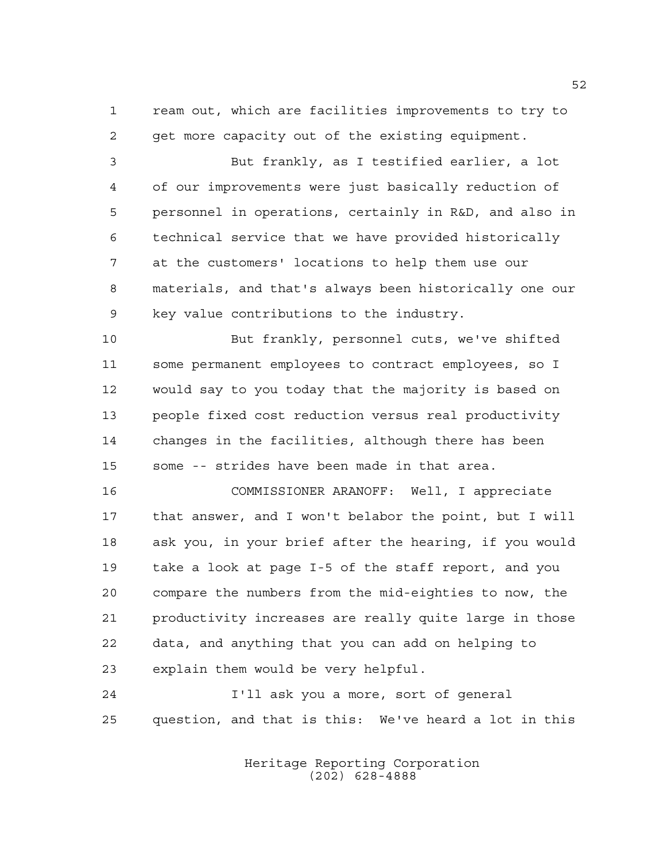ream out, which are facilities improvements to try to get more capacity out of the existing equipment.

 But frankly, as I testified earlier, a lot of our improvements were just basically reduction of personnel in operations, certainly in R&D, and also in technical service that we have provided historically at the customers' locations to help them use our materials, and that's always been historically one our key value contributions to the industry.

 But frankly, personnel cuts, we've shifted some permanent employees to contract employees, so I would say to you today that the majority is based on people fixed cost reduction versus real productivity changes in the facilities, although there has been some -- strides have been made in that area.

 COMMISSIONER ARANOFF: Well, I appreciate that answer, and I won't belabor the point, but I will ask you, in your brief after the hearing, if you would take a look at page I-5 of the staff report, and you compare the numbers from the mid-eighties to now, the productivity increases are really quite large in those data, and anything that you can add on helping to explain them would be very helpful.

 I'll ask you a more, sort of general question, and that is this: We've heard a lot in this

> Heritage Reporting Corporation (202) 628-4888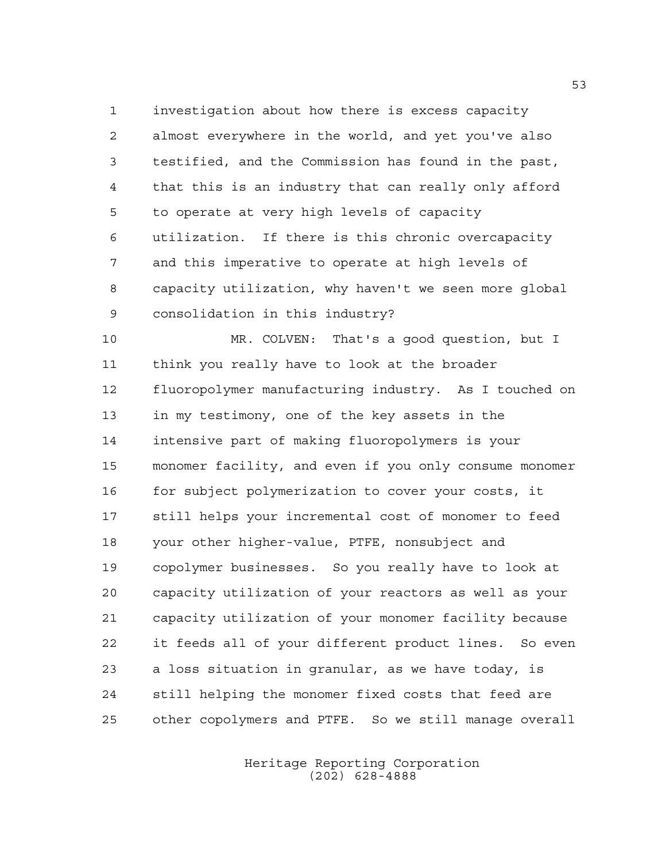investigation about how there is excess capacity almost everywhere in the world, and yet you've also testified, and the Commission has found in the past, that this is an industry that can really only afford to operate at very high levels of capacity utilization. If there is this chronic overcapacity and this imperative to operate at high levels of capacity utilization, why haven't we seen more global consolidation in this industry?

 MR. COLVEN: That's a good question, but I think you really have to look at the broader fluoropolymer manufacturing industry. As I touched on in my testimony, one of the key assets in the intensive part of making fluoropolymers is your monomer facility, and even if you only consume monomer for subject polymerization to cover your costs, it still helps your incremental cost of monomer to feed your other higher-value, PTFE, nonsubject and copolymer businesses. So you really have to look at capacity utilization of your reactors as well as your capacity utilization of your monomer facility because it feeds all of your different product lines. So even a loss situation in granular, as we have today, is still helping the monomer fixed costs that feed are other copolymers and PTFE. So we still manage overall

> Heritage Reporting Corporation (202) 628-4888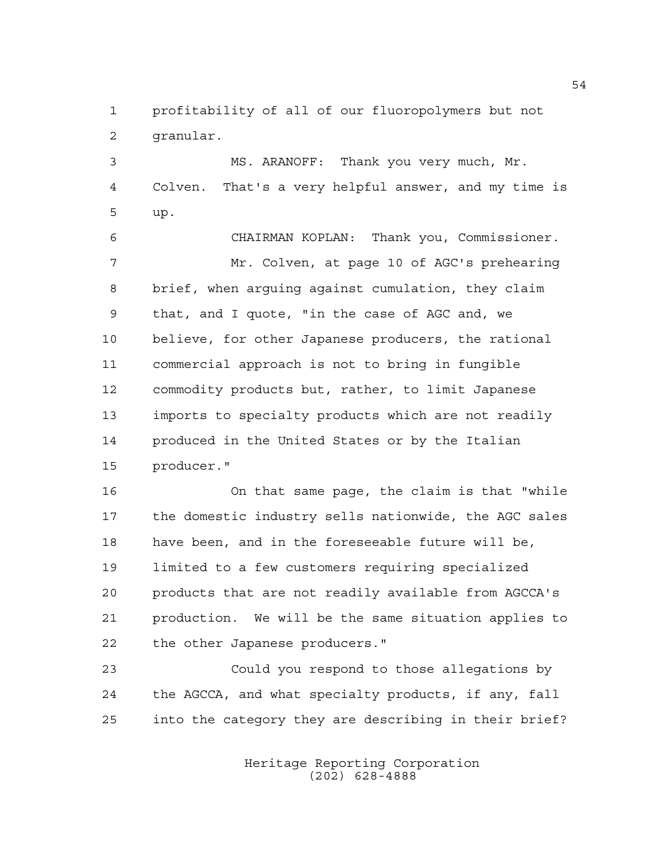profitability of all of our fluoropolymers but not granular.

 MS. ARANOFF: Thank you very much, Mr. Colven. That's a very helpful answer, and my time is up.

 CHAIRMAN KOPLAN: Thank you, Commissioner. Mr. Colven, at page 10 of AGC's prehearing brief, when arguing against cumulation, they claim that, and I quote, "in the case of AGC and, we believe, for other Japanese producers, the rational commercial approach is not to bring in fungible commodity products but, rather, to limit Japanese imports to specialty products which are not readily produced in the United States or by the Italian producer."

 On that same page, the claim is that "while the domestic industry sells nationwide, the AGC sales have been, and in the foreseeable future will be, limited to a few customers requiring specialized products that are not readily available from AGCCA's production. We will be the same situation applies to the other Japanese producers."

 Could you respond to those allegations by the AGCCA, and what specialty products, if any, fall into the category they are describing in their brief?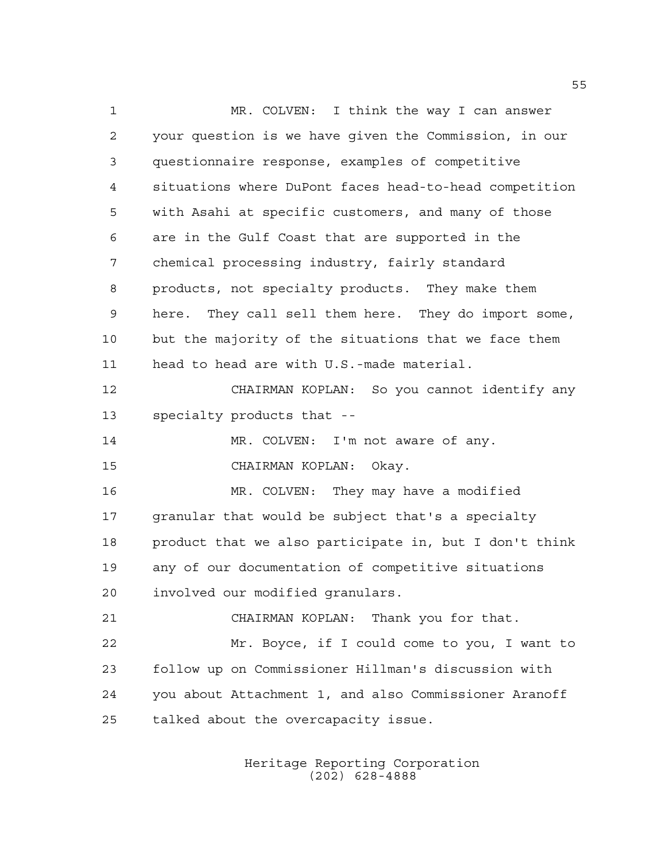MR. COLVEN: I think the way I can answer your question is we have given the Commission, in our questionnaire response, examples of competitive situations where DuPont faces head-to-head competition with Asahi at specific customers, and many of those are in the Gulf Coast that are supported in the chemical processing industry, fairly standard products, not specialty products. They make them here. They call sell them here. They do import some, but the majority of the situations that we face them head to head are with U.S.-made material. CHAIRMAN KOPLAN: So you cannot identify any specialty products that -- 14 MR. COLVEN: I'm not aware of any. CHAIRMAN KOPLAN: Okay. MR. COLVEN: They may have a modified granular that would be subject that's a specialty product that we also participate in, but I don't think any of our documentation of competitive situations involved our modified granulars. CHAIRMAN KOPLAN: Thank you for that. Mr. Boyce, if I could come to you, I want to follow up on Commissioner Hillman's discussion with you about Attachment 1, and also Commissioner Aranoff talked about the overcapacity issue.

> Heritage Reporting Corporation (202) 628-4888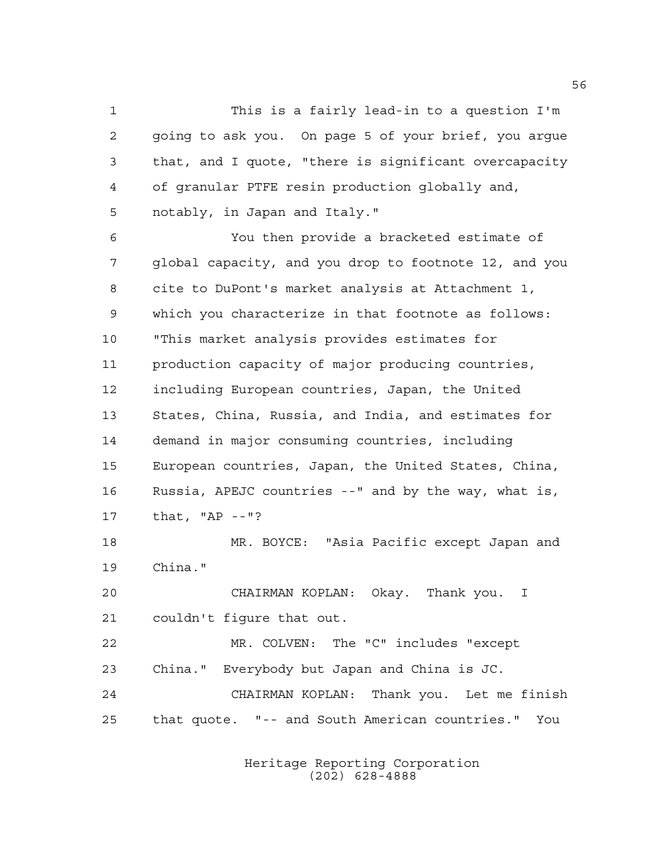This is a fairly lead-in to a question I'm going to ask you. On page 5 of your brief, you argue that, and I quote, "there is significant overcapacity of granular PTFE resin production globally and, notably, in Japan and Italy." You then provide a bracketed estimate of

 global capacity, and you drop to footnote 12, and you cite to DuPont's market analysis at Attachment 1, which you characterize in that footnote as follows: "This market analysis provides estimates for production capacity of major producing countries, including European countries, Japan, the United States, China, Russia, and India, and estimates for demand in major consuming countries, including European countries, Japan, the United States, China, Russia, APEJC countries --" and by the way, what is, that, "AP --"?

 MR. BOYCE: "Asia Pacific except Japan and China."

 CHAIRMAN KOPLAN: Okay. Thank you. I couldn't figure that out.

 MR. COLVEN: The "C" includes "except China." Everybody but Japan and China is JC. CHAIRMAN KOPLAN: Thank you. Let me finish that quote. "-- and South American countries." You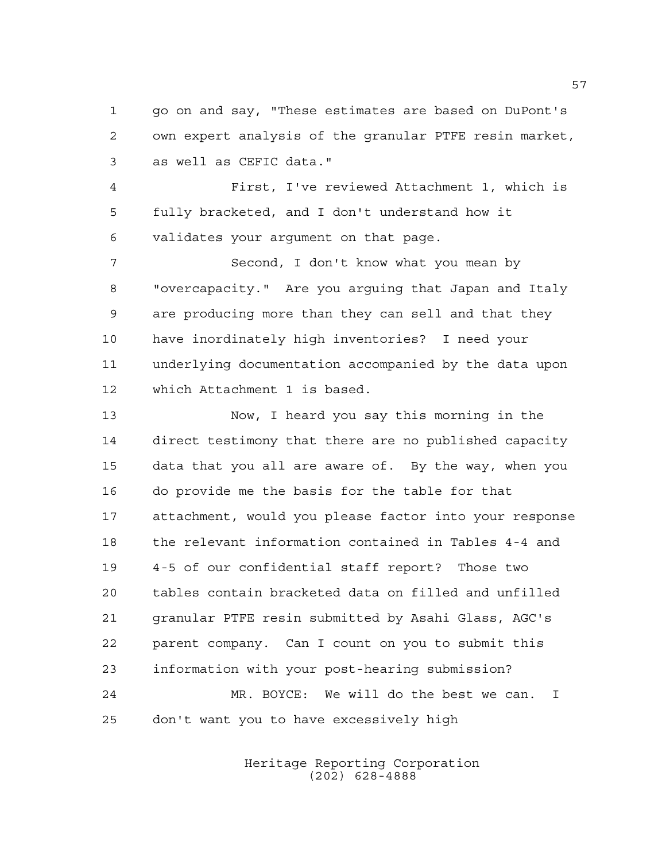go on and say, "These estimates are based on DuPont's own expert analysis of the granular PTFE resin market, as well as CEFIC data."

 First, I've reviewed Attachment 1, which is fully bracketed, and I don't understand how it validates your argument on that page.

 Second, I don't know what you mean by "overcapacity." Are you arguing that Japan and Italy are producing more than they can sell and that they have inordinately high inventories? I need your underlying documentation accompanied by the data upon which Attachment 1 is based.

 Now, I heard you say this morning in the direct testimony that there are no published capacity data that you all are aware of. By the way, when you do provide me the basis for the table for that attachment, would you please factor into your response the relevant information contained in Tables 4-4 and 4-5 of our confidential staff report? Those two tables contain bracketed data on filled and unfilled granular PTFE resin submitted by Asahi Glass, AGC's parent company. Can I count on you to submit this information with your post-hearing submission? MR. BOYCE: We will do the best we can. I don't want you to have excessively high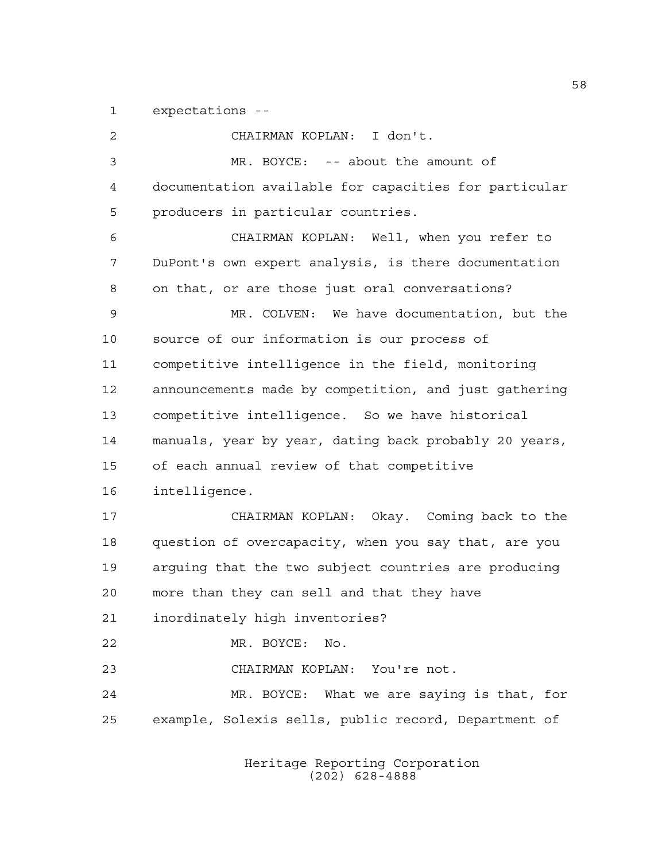expectations --

 CHAIRMAN KOPLAN: I don't. MR. BOYCE: -- about the amount of documentation available for capacities for particular producers in particular countries. CHAIRMAN KOPLAN: Well, when you refer to DuPont's own expert analysis, is there documentation on that, or are those just oral conversations? MR. COLVEN: We have documentation, but the source of our information is our process of competitive intelligence in the field, monitoring announcements made by competition, and just gathering competitive intelligence. So we have historical manuals, year by year, dating back probably 20 years, of each annual review of that competitive intelligence. CHAIRMAN KOPLAN: Okay. Coming back to the question of overcapacity, when you say that, are you arguing that the two subject countries are producing more than they can sell and that they have inordinately high inventories? MR. BOYCE: No. CHAIRMAN KOPLAN: You're not. MR. BOYCE: What we are saying is that, for example, Solexis sells, public record, Department of

> Heritage Reporting Corporation (202) 628-4888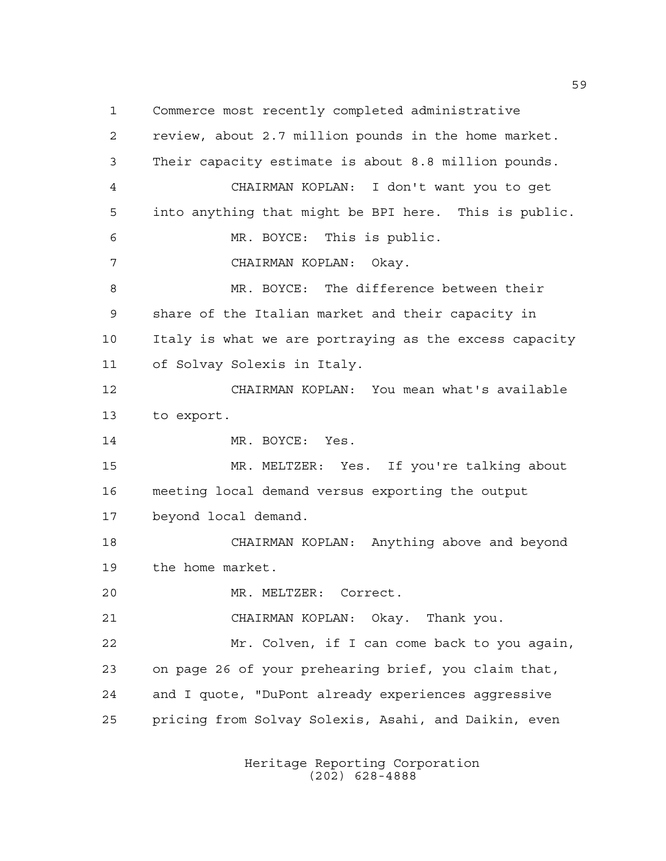Commerce most recently completed administrative review, about 2.7 million pounds in the home market. Their capacity estimate is about 8.8 million pounds. CHAIRMAN KOPLAN: I don't want you to get into anything that might be BPI here. This is public. MR. BOYCE: This is public. CHAIRMAN KOPLAN: Okay. 8 MR. BOYCE: The difference between their share of the Italian market and their capacity in Italy is what we are portraying as the excess capacity of Solvay Solexis in Italy. CHAIRMAN KOPLAN: You mean what's available to export. 14 MR. BOYCE: Yes. MR. MELTZER: Yes. If you're talking about meeting local demand versus exporting the output beyond local demand. CHAIRMAN KOPLAN: Anything above and beyond the home market. MR. MELTZER: Correct. CHAIRMAN KOPLAN: Okay. Thank you. Mr. Colven, if I can come back to you again, on page 26 of your prehearing brief, you claim that, and I quote, "DuPont already experiences aggressive pricing from Solvay Solexis, Asahi, and Daikin, even

> Heritage Reporting Corporation (202) 628-4888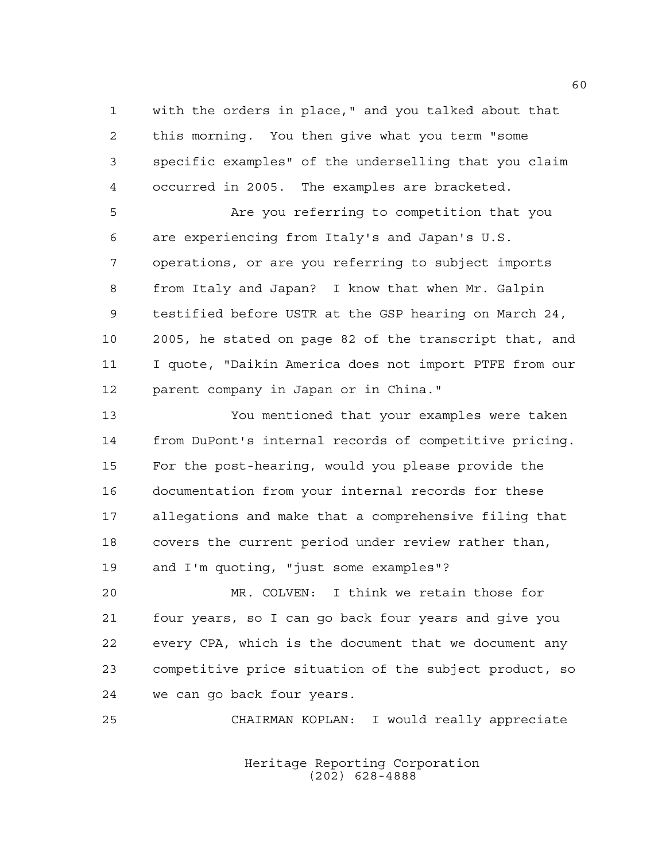with the orders in place," and you talked about that this morning. You then give what you term "some specific examples" of the underselling that you claim occurred in 2005. The examples are bracketed.

 Are you referring to competition that you are experiencing from Italy's and Japan's U.S. operations, or are you referring to subject imports from Italy and Japan? I know that when Mr. Galpin testified before USTR at the GSP hearing on March 24, 2005, he stated on page 82 of the transcript that, and I quote, "Daikin America does not import PTFE from our parent company in Japan or in China."

 You mentioned that your examples were taken from DuPont's internal records of competitive pricing. For the post-hearing, would you please provide the documentation from your internal records for these allegations and make that a comprehensive filing that covers the current period under review rather than, and I'm quoting, "just some examples"?

 MR. COLVEN: I think we retain those for four years, so I can go back four years and give you every CPA, which is the document that we document any competitive price situation of the subject product, so we can go back four years.

CHAIRMAN KOPLAN: I would really appreciate

Heritage Reporting Corporation (202) 628-4888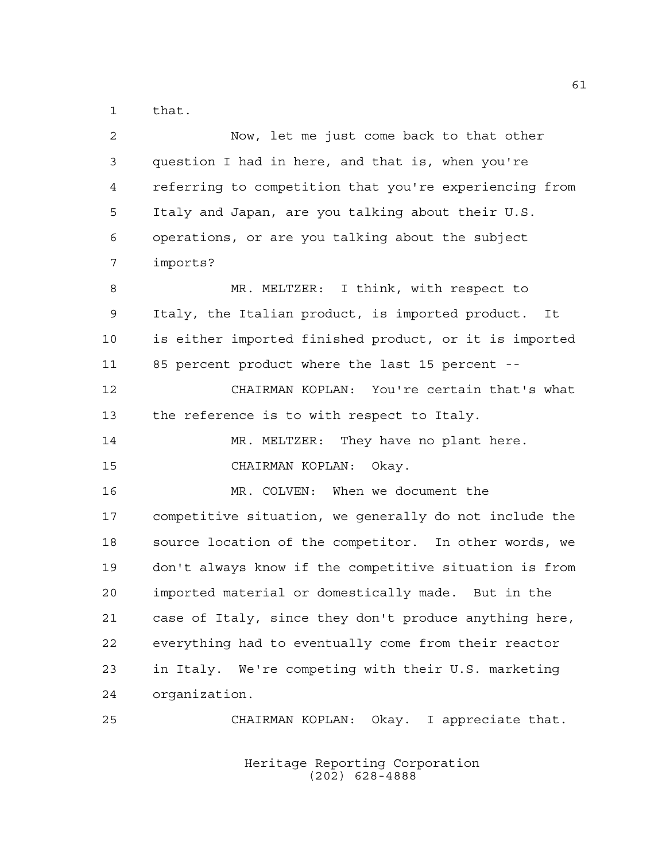that.

| $\overline{2}$ | Now, let me just come back to that other               |
|----------------|--------------------------------------------------------|
| 3              | question I had in here, and that is, when you're       |
| 4              | referring to competition that you're experiencing from |
| 5              | Italy and Japan, are you talking about their U.S.      |
| 6              | operations, or are you talking about the subject       |
| 7              | imports?                                               |
| 8              | MR. MELTZER: I think, with respect to                  |
| 9              | Italy, the Italian product, is imported product. It    |
| 10             | is either imported finished product, or it is imported |
| 11             | 85 percent product where the last 15 percent --        |
| 12             | CHAIRMAN KOPLAN: You're certain that's what            |
| 13             | the reference is to with respect to Italy.             |
| 14             | MR. MELTZER: They have no plant here.                  |
| 15             | CHAIRMAN KOPLAN: Okay.                                 |
| 16             | MR. COLVEN: When we document the                       |
| 17             | competitive situation, we generally do not include the |
| 18             | source location of the competitor. In other words, we  |
| 19             | don't always know if the competitive situation is from |
| 20             | imported material or domestically made. But in the     |
| 21             | case of Italy, since they don't produce anything here, |
| 22             | everything had to eventually come from their reactor   |
| 23             | in Italy. We're competing with their U.S. marketing    |
| 24             | organization.                                          |
| 25             | Okay. I appreciate that.<br>CHAIRMAN KOPLAN:           |

Heritage Reporting Corporation (202) 628-4888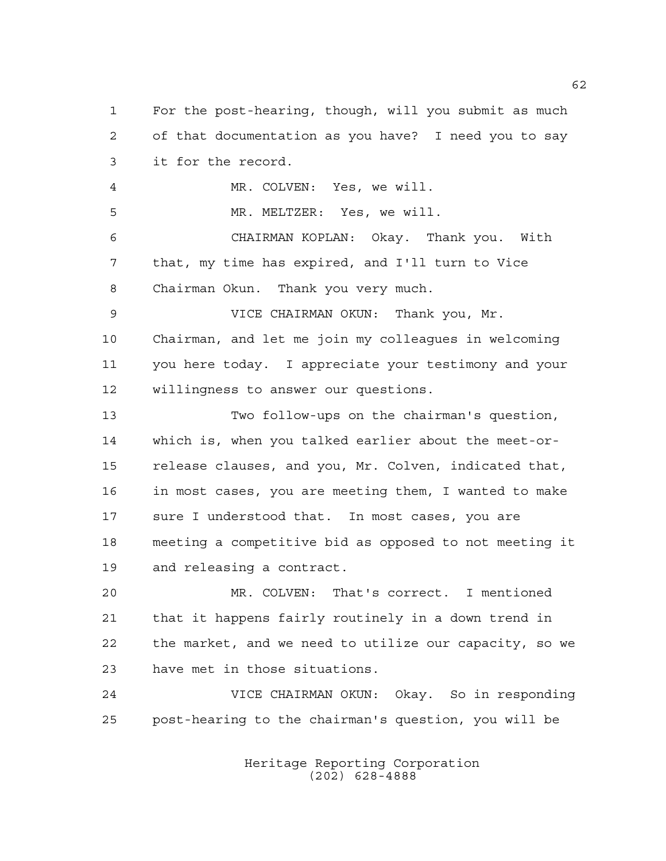For the post-hearing, though, will you submit as much of that documentation as you have? I need you to say it for the record. MR. COLVEN: Yes, we will. MR. MELTZER: Yes, we will. CHAIRMAN KOPLAN: Okay. Thank you. With that, my time has expired, and I'll turn to Vice Chairman Okun. Thank you very much. VICE CHAIRMAN OKUN: Thank you, Mr. Chairman, and let me join my colleagues in welcoming you here today. I appreciate your testimony and your willingness to answer our questions. Two follow-ups on the chairman's question, which is, when you talked earlier about the meet-or- release clauses, and you, Mr. Colven, indicated that, in most cases, you are meeting them, I wanted to make sure I understood that. In most cases, you are meeting a competitive bid as opposed to not meeting it and releasing a contract. MR. COLVEN: That's correct. I mentioned that it happens fairly routinely in a down trend in the market, and we need to utilize our capacity, so we have met in those situations. VICE CHAIRMAN OKUN: Okay. So in responding post-hearing to the chairman's question, you will be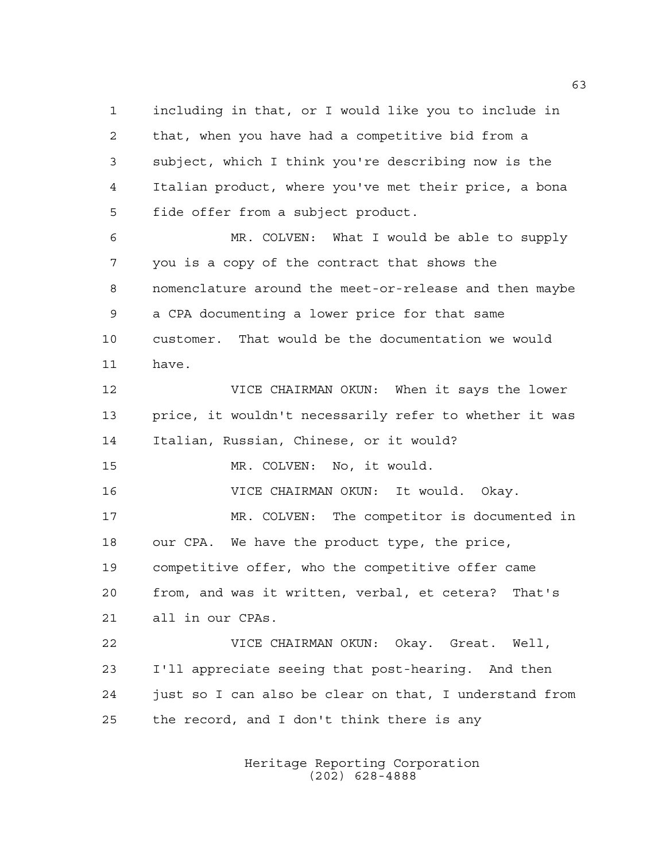that, when you have had a competitive bid from a subject, which I think you're describing now is the Italian product, where you've met their price, a bona fide offer from a subject product. MR. COLVEN: What I would be able to supply you is a copy of the contract that shows the nomenclature around the meet-or-release and then maybe a CPA documenting a lower price for that same customer. That would be the documentation we would have. VICE CHAIRMAN OKUN: When it says the lower price, it wouldn't necessarily refer to whether it was Italian, Russian, Chinese, or it would? MR. COLVEN: No, it would. VICE CHAIRMAN OKUN: It would. Okay. MR. COLVEN: The competitor is documented in our CPA. We have the product type, the price, competitive offer, who the competitive offer came

including in that, or I would like you to include in

 from, and was it written, verbal, et cetera? That's all in our CPAs.

 VICE CHAIRMAN OKUN: Okay. Great. Well, I'll appreciate seeing that post-hearing. And then just so I can also be clear on that, I understand from the record, and I don't think there is any

> Heritage Reporting Corporation (202) 628-4888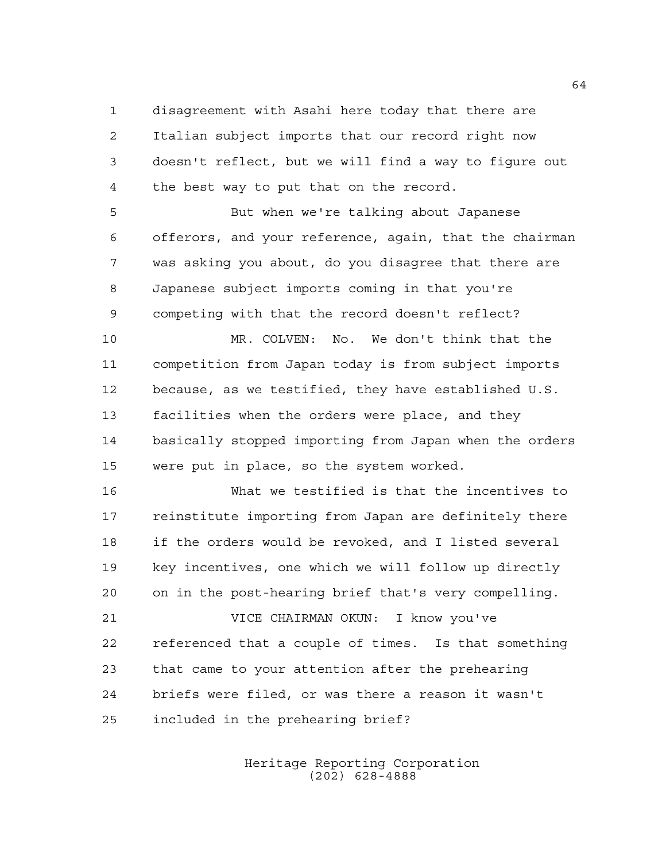disagreement with Asahi here today that there are Italian subject imports that our record right now doesn't reflect, but we will find a way to figure out the best way to put that on the record.

 But when we're talking about Japanese offerors, and your reference, again, that the chairman was asking you about, do you disagree that there are Japanese subject imports coming in that you're competing with that the record doesn't reflect?

 MR. COLVEN: No. We don't think that the competition from Japan today is from subject imports because, as we testified, they have established U.S. facilities when the orders were place, and they basically stopped importing from Japan when the orders were put in place, so the system worked.

 What we testified is that the incentives to reinstitute importing from Japan are definitely there if the orders would be revoked, and I listed several key incentives, one which we will follow up directly on in the post-hearing brief that's very compelling.

 VICE CHAIRMAN OKUN: I know you've referenced that a couple of times. Is that something that came to your attention after the prehearing briefs were filed, or was there a reason it wasn't included in the prehearing brief?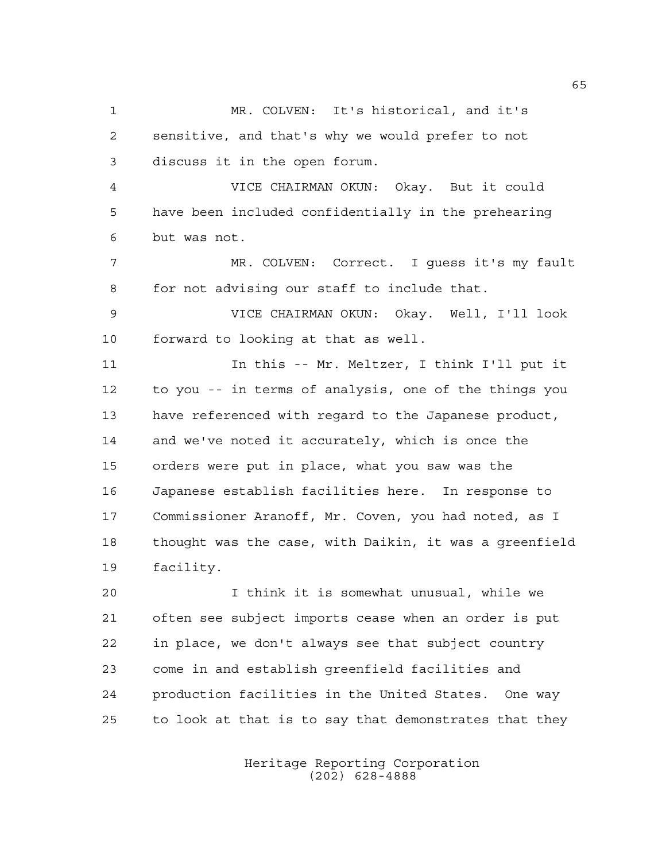MR. COLVEN: It's historical, and it's sensitive, and that's why we would prefer to not discuss it in the open forum. VICE CHAIRMAN OKUN: Okay. But it could have been included confidentially in the prehearing but was not. MR. COLVEN: Correct. I guess it's my fault for not advising our staff to include that. VICE CHAIRMAN OKUN: Okay. Well, I'll look forward to looking at that as well. In this -- Mr. Meltzer, I think I'll put it to you -- in terms of analysis, one of the things you have referenced with regard to the Japanese product, and we've noted it accurately, which is once the orders were put in place, what you saw was the Japanese establish facilities here. In response to Commissioner Aranoff, Mr. Coven, you had noted, as I thought was the case, with Daikin, it was a greenfield facility. I think it is somewhat unusual, while we often see subject imports cease when an order is put

 in place, we don't always see that subject country come in and establish greenfield facilities and production facilities in the United States. One way to look at that is to say that demonstrates that they

> Heritage Reporting Corporation (202) 628-4888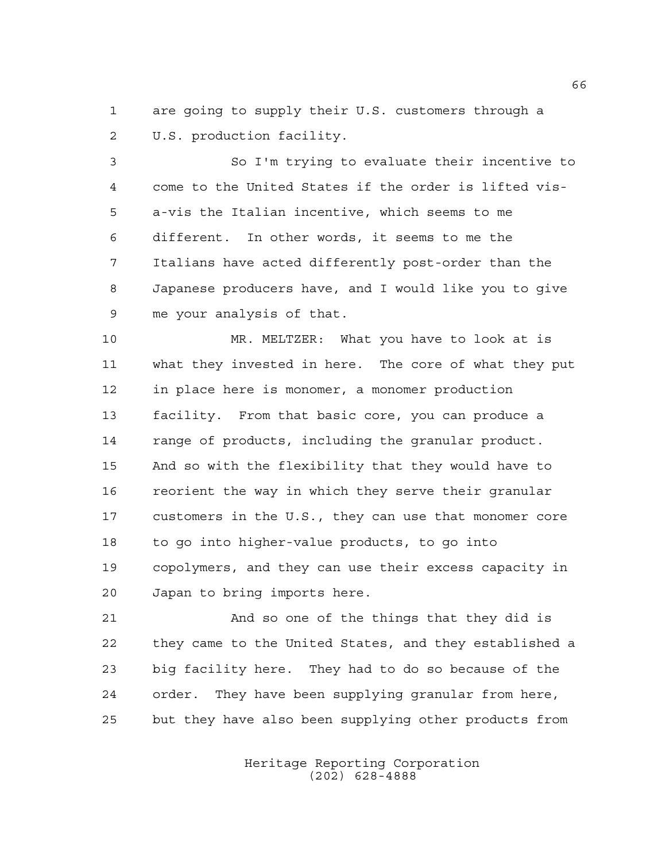are going to supply their U.S. customers through a U.S. production facility.

 So I'm trying to evaluate their incentive to come to the United States if the order is lifted vis- a-vis the Italian incentive, which seems to me different. In other words, it seems to me the Italians have acted differently post-order than the Japanese producers have, and I would like you to give me your analysis of that.

 MR. MELTZER: What you have to look at is what they invested in here. The core of what they put in place here is monomer, a monomer production facility. From that basic core, you can produce a range of products, including the granular product. And so with the flexibility that they would have to reorient the way in which they serve their granular customers in the U.S., they can use that monomer core to go into higher-value products, to go into copolymers, and they can use their excess capacity in Japan to bring imports here.

 And so one of the things that they did is they came to the United States, and they established a big facility here. They had to do so because of the order. They have been supplying granular from here, but they have also been supplying other products from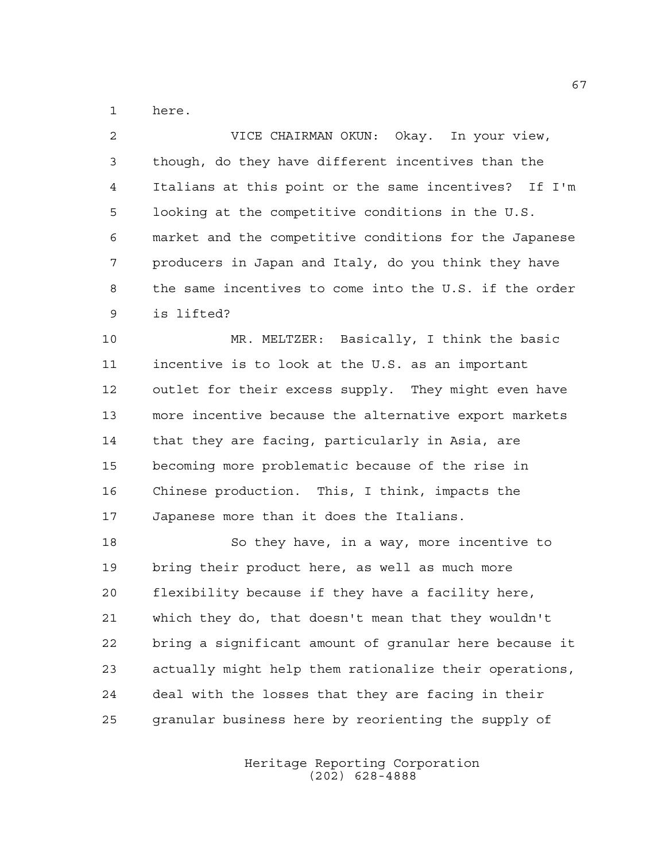here.

 VICE CHAIRMAN OKUN: Okay. In your view, though, do they have different incentives than the Italians at this point or the same incentives? If I'm looking at the competitive conditions in the U.S. market and the competitive conditions for the Japanese producers in Japan and Italy, do you think they have the same incentives to come into the U.S. if the order is lifted?

 MR. MELTZER: Basically, I think the basic incentive is to look at the U.S. as an important outlet for their excess supply. They might even have more incentive because the alternative export markets that they are facing, particularly in Asia, are becoming more problematic because of the rise in Chinese production. This, I think, impacts the Japanese more than it does the Italians.

 So they have, in a way, more incentive to bring their product here, as well as much more flexibility because if they have a facility here, which they do, that doesn't mean that they wouldn't bring a significant amount of granular here because it actually might help them rationalize their operations, deal with the losses that they are facing in their granular business here by reorienting the supply of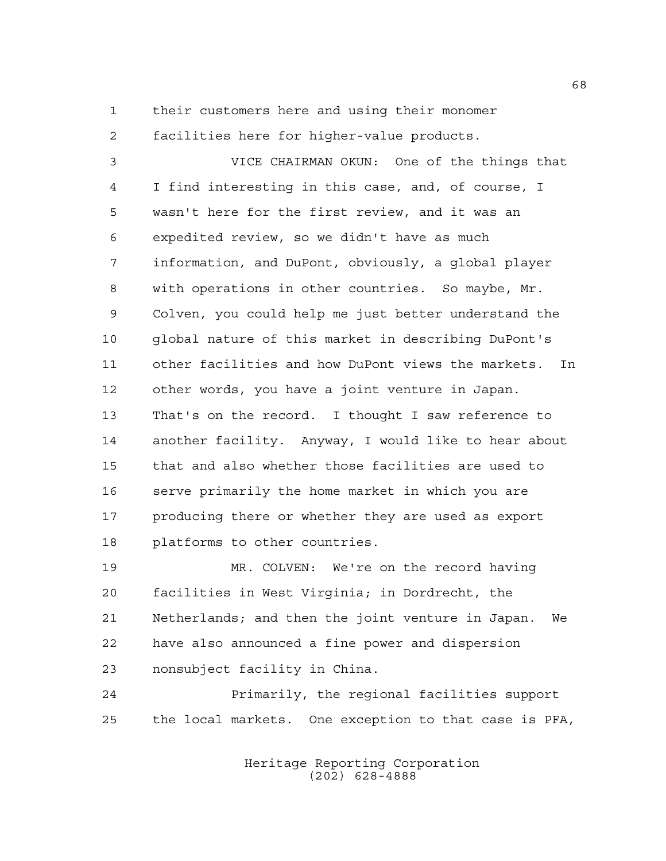their customers here and using their monomer

 facilities here for higher-value products. VICE CHAIRMAN OKUN: One of the things that I find interesting in this case, and, of course, I wasn't here for the first review, and it was an expedited review, so we didn't have as much information, and DuPont, obviously, a global player with operations in other countries. So maybe, Mr. Colven, you could help me just better understand the global nature of this market in describing DuPont's other facilities and how DuPont views the markets. In other words, you have a joint venture in Japan. That's on the record. I thought I saw reference to another facility. Anyway, I would like to hear about that and also whether those facilities are used to serve primarily the home market in which you are producing there or whether they are used as export platforms to other countries.

 MR. COLVEN: We're on the record having facilities in West Virginia; in Dordrecht, the Netherlands; and then the joint venture in Japan. We have also announced a fine power and dispersion nonsubject facility in China.

 Primarily, the regional facilities support the local markets. One exception to that case is PFA,

> Heritage Reporting Corporation (202) 628-4888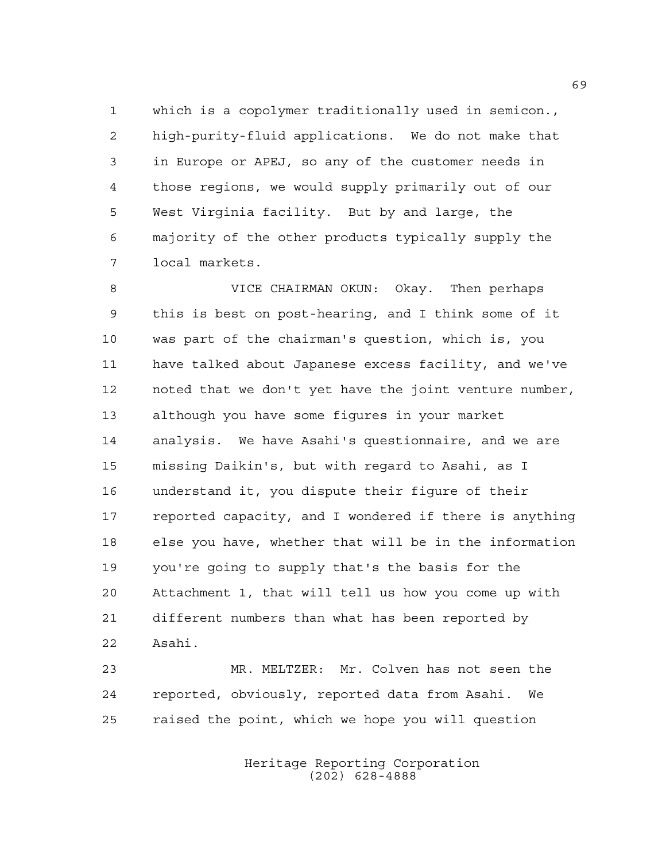which is a copolymer traditionally used in semicon., high-purity-fluid applications. We do not make that in Europe or APEJ, so any of the customer needs in those regions, we would supply primarily out of our West Virginia facility. But by and large, the majority of the other products typically supply the local markets.

 VICE CHAIRMAN OKUN: Okay. Then perhaps this is best on post-hearing, and I think some of it was part of the chairman's question, which is, you have talked about Japanese excess facility, and we've noted that we don't yet have the joint venture number, although you have some figures in your market analysis. We have Asahi's questionnaire, and we are missing Daikin's, but with regard to Asahi, as I understand it, you dispute their figure of their reported capacity, and I wondered if there is anything else you have, whether that will be in the information you're going to supply that's the basis for the Attachment 1, that will tell us how you come up with different numbers than what has been reported by Asahi.

 MR. MELTZER: Mr. Colven has not seen the reported, obviously, reported data from Asahi. We raised the point, which we hope you will question

> Heritage Reporting Corporation (202) 628-4888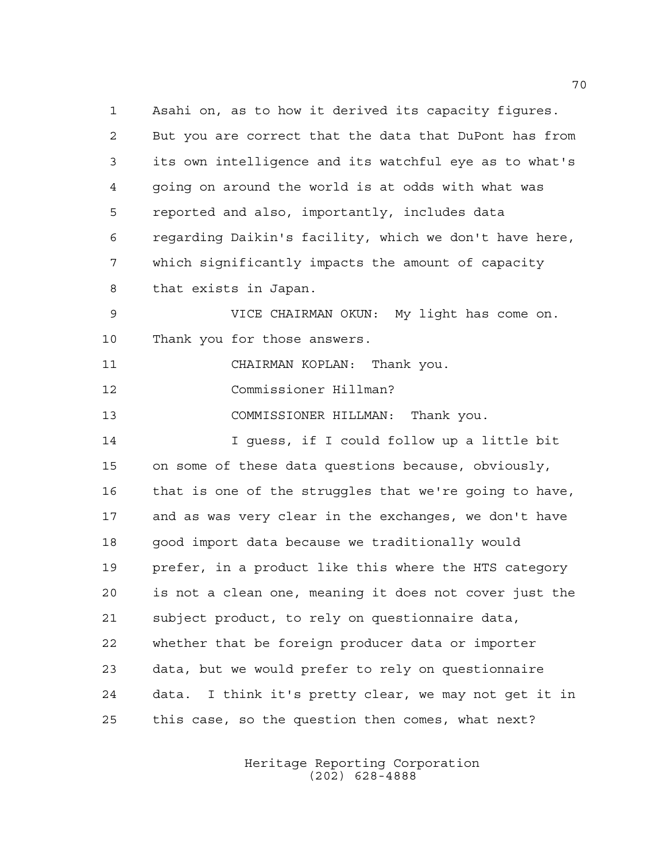Asahi on, as to how it derived its capacity figures. But you are correct that the data that DuPont has from its own intelligence and its watchful eye as to what's going on around the world is at odds with what was reported and also, importantly, includes data regarding Daikin's facility, which we don't have here, which significantly impacts the amount of capacity that exists in Japan. VICE CHAIRMAN OKUN: My light has come on. Thank you for those answers. CHAIRMAN KOPLAN: Thank you. Commissioner Hillman? COMMISSIONER HILLMAN: Thank you. I guess, if I could follow up a little bit on some of these data questions because, obviously, that is one of the struggles that we're going to have, and as was very clear in the exchanges, we don't have good import data because we traditionally would prefer, in a product like this where the HTS category is not a clean one, meaning it does not cover just the subject product, to rely on questionnaire data, whether that be foreign producer data or importer data, but we would prefer to rely on questionnaire data. I think it's pretty clear, we may not get it in this case, so the question then comes, what next?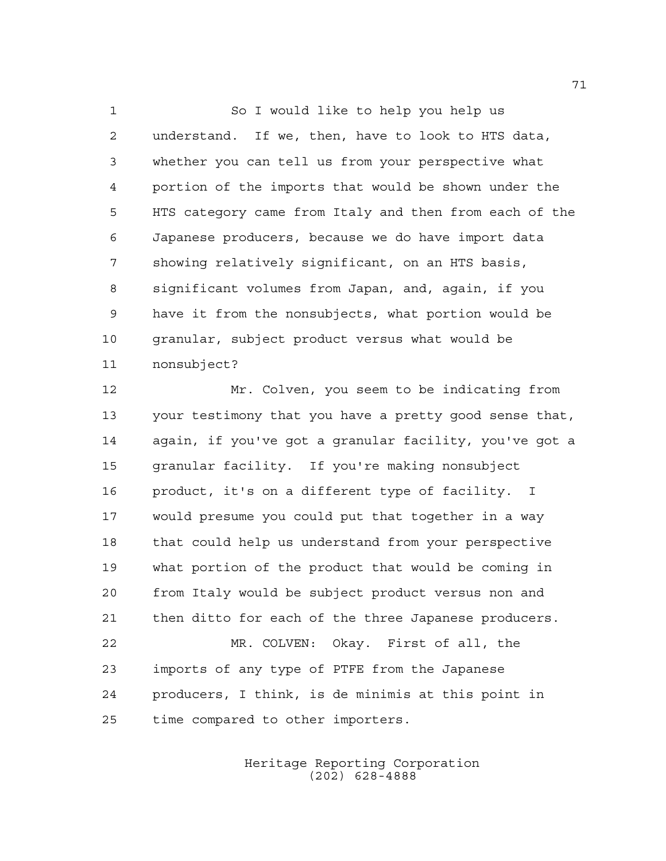So I would like to help you help us understand. If we, then, have to look to HTS data, whether you can tell us from your perspective what portion of the imports that would be shown under the HTS category came from Italy and then from each of the Japanese producers, because we do have import data showing relatively significant, on an HTS basis, significant volumes from Japan, and, again, if you have it from the nonsubjects, what portion would be granular, subject product versus what would be nonsubject?

 Mr. Colven, you seem to be indicating from your testimony that you have a pretty good sense that, again, if you've got a granular facility, you've got a granular facility. If you're making nonsubject product, it's on a different type of facility. I would presume you could put that together in a way that could help us understand from your perspective what portion of the product that would be coming in from Italy would be subject product versus non and then ditto for each of the three Japanese producers. MR. COLVEN: Okay. First of all, the imports of any type of PTFE from the Japanese

 producers, I think, is de minimis at this point in time compared to other importers.

> Heritage Reporting Corporation (202) 628-4888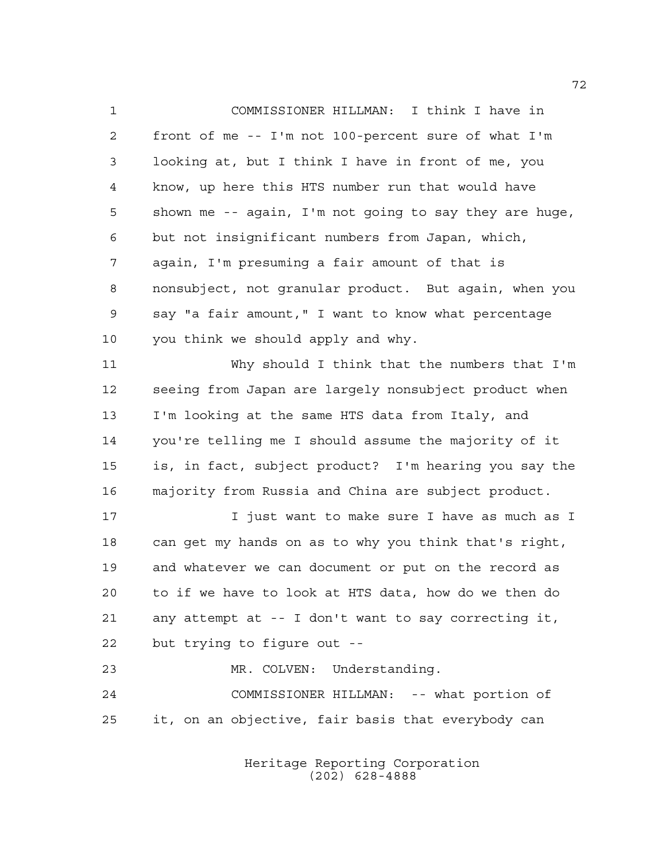COMMISSIONER HILLMAN: I think I have in front of me -- I'm not 100-percent sure of what I'm looking at, but I think I have in front of me, you know, up here this HTS number run that would have shown me -- again, I'm not going to say they are huge, but not insignificant numbers from Japan, which, again, I'm presuming a fair amount of that is nonsubject, not granular product. But again, when you say "a fair amount," I want to know what percentage you think we should apply and why. Why should I think that the numbers that I'm seeing from Japan are largely nonsubject product when I'm looking at the same HTS data from Italy, and you're telling me I should assume the majority of it is, in fact, subject product? I'm hearing you say the majority from Russia and China are subject product. I just want to make sure I have as much as I

 can get my hands on as to why you think that's right, and whatever we can document or put on the record as to if we have to look at HTS data, how do we then do any attempt at -- I don't want to say correcting it, but trying to figure out --

 MR. COLVEN: Understanding. COMMISSIONER HILLMAN: -- what portion of it, on an objective, fair basis that everybody can

> Heritage Reporting Corporation (202) 628-4888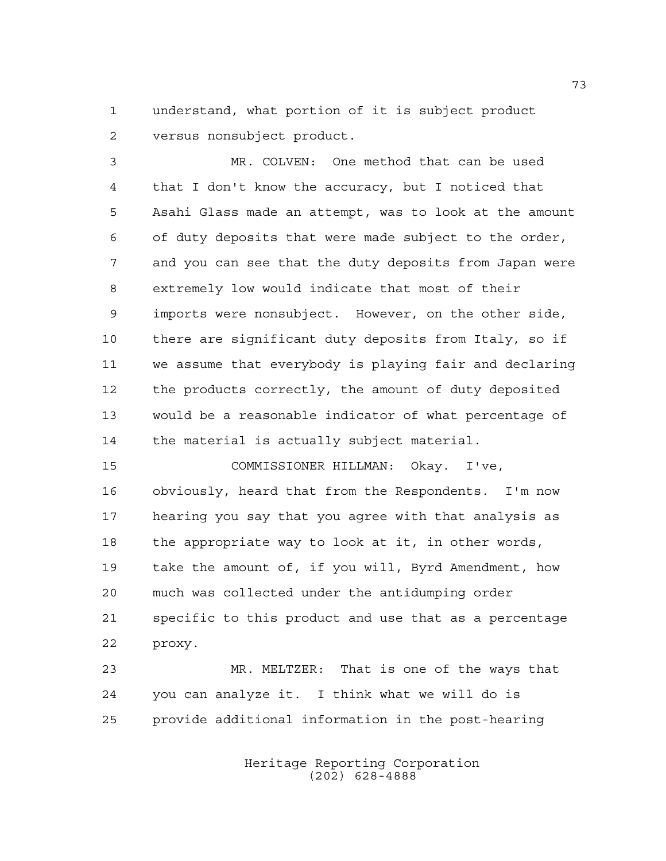understand, what portion of it is subject product versus nonsubject product.

 MR. COLVEN: One method that can be used that I don't know the accuracy, but I noticed that Asahi Glass made an attempt, was to look at the amount of duty deposits that were made subject to the order, and you can see that the duty deposits from Japan were extremely low would indicate that most of their imports were nonsubject. However, on the other side, there are significant duty deposits from Italy, so if we assume that everybody is playing fair and declaring the products correctly, the amount of duty deposited would be a reasonable indicator of what percentage of the material is actually subject material.

 COMMISSIONER HILLMAN: Okay. I've, obviously, heard that from the Respondents. I'm now hearing you say that you agree with that analysis as the appropriate way to look at it, in other words, take the amount of, if you will, Byrd Amendment, how much was collected under the antidumping order specific to this product and use that as a percentage proxy.

 MR. MELTZER: That is one of the ways that you can analyze it. I think what we will do is provide additional information in the post-hearing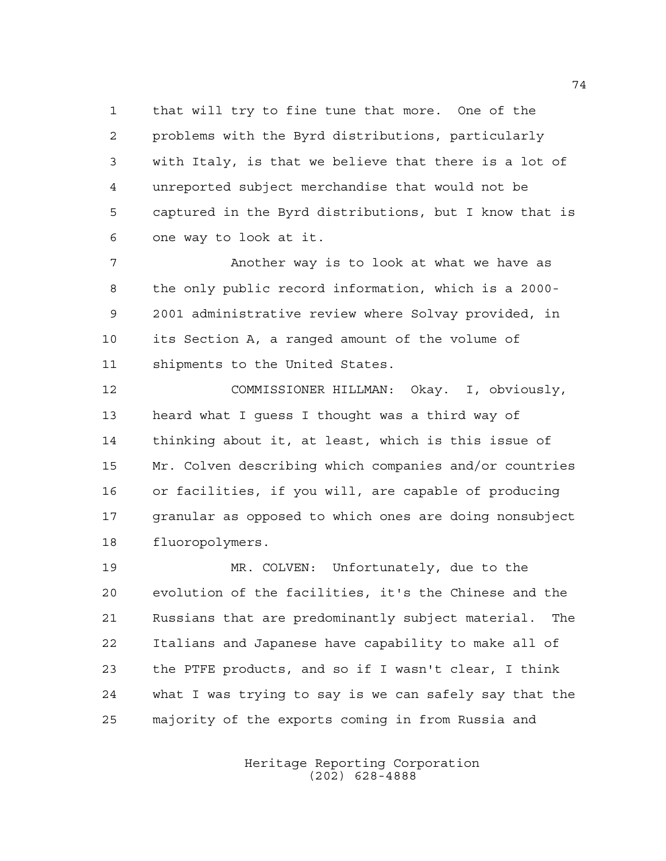that will try to fine tune that more. One of the problems with the Byrd distributions, particularly with Italy, is that we believe that there is a lot of unreported subject merchandise that would not be captured in the Byrd distributions, but I know that is one way to look at it.

 Another way is to look at what we have as the only public record information, which is a 2000- 2001 administrative review where Solvay provided, in its Section A, a ranged amount of the volume of shipments to the United States.

 COMMISSIONER HILLMAN: Okay. I, obviously, heard what I guess I thought was a third way of thinking about it, at least, which is this issue of Mr. Colven describing which companies and/or countries or facilities, if you will, are capable of producing granular as opposed to which ones are doing nonsubject fluoropolymers.

 MR. COLVEN: Unfortunately, due to the evolution of the facilities, it's the Chinese and the Russians that are predominantly subject material. The Italians and Japanese have capability to make all of the PTFE products, and so if I wasn't clear, I think what I was trying to say is we can safely say that the majority of the exports coming in from Russia and

> Heritage Reporting Corporation (202) 628-4888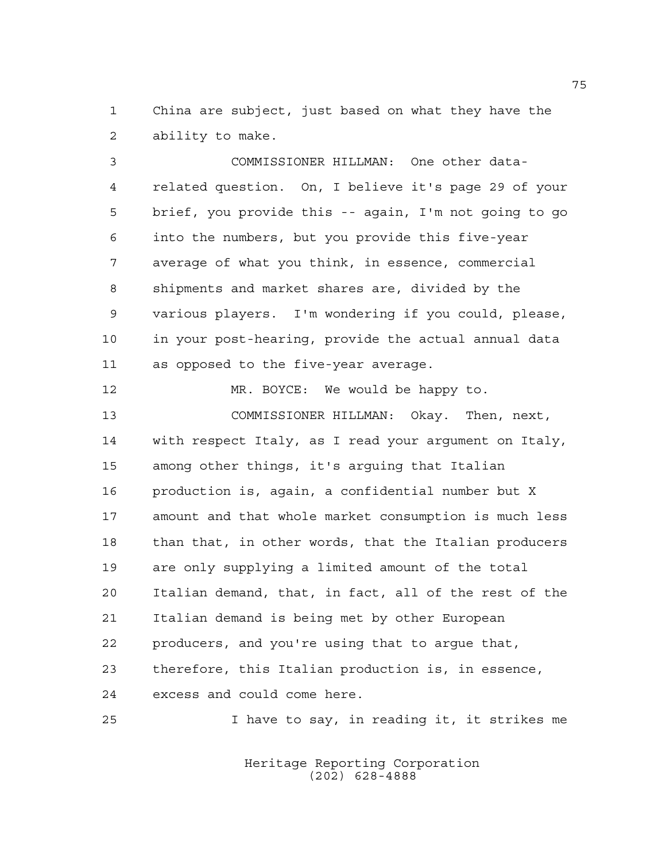China are subject, just based on what they have the ability to make.

 COMMISSIONER HILLMAN: One other data- related question. On, I believe it's page 29 of your brief, you provide this -- again, I'm not going to go into the numbers, but you provide this five-year average of what you think, in essence, commercial shipments and market shares are, divided by the various players. I'm wondering if you could, please, in your post-hearing, provide the actual annual data as opposed to the five-year average.

 MR. BOYCE: We would be happy to. COMMISSIONER HILLMAN: Okay. Then, next, with respect Italy, as I read your argument on Italy, among other things, it's arguing that Italian production is, again, a confidential number but X amount and that whole market consumption is much less than that, in other words, that the Italian producers are only supplying a limited amount of the total Italian demand, that, in fact, all of the rest of the Italian demand is being met by other European producers, and you're using that to argue that, therefore, this Italian production is, in essence, excess and could come here.

I have to say, in reading it, it strikes me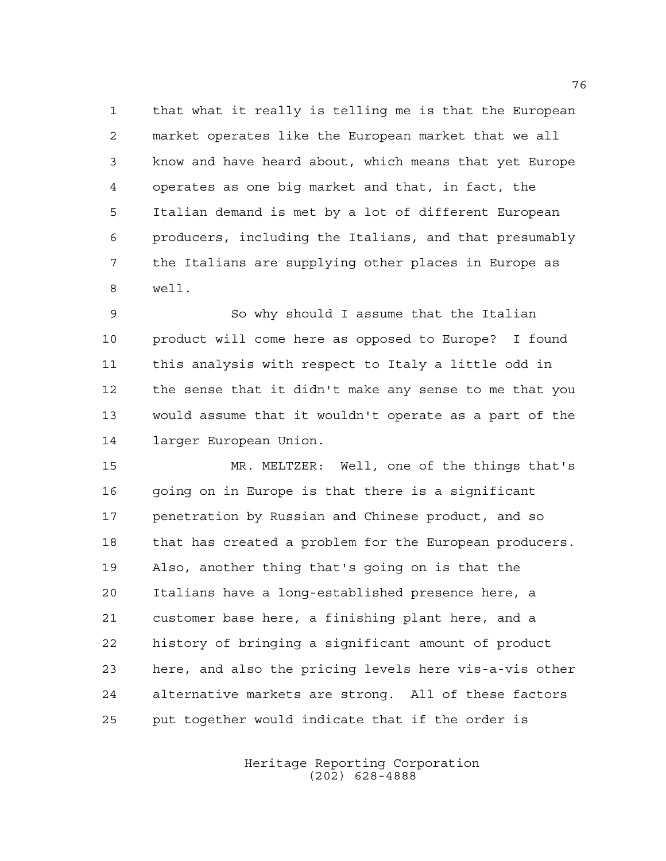that what it really is telling me is that the European market operates like the European market that we all know and have heard about, which means that yet Europe operates as one big market and that, in fact, the Italian demand is met by a lot of different European producers, including the Italians, and that presumably the Italians are supplying other places in Europe as well.

 So why should I assume that the Italian product will come here as opposed to Europe? I found this analysis with respect to Italy a little odd in the sense that it didn't make any sense to me that you would assume that it wouldn't operate as a part of the larger European Union.

 MR. MELTZER: Well, one of the things that's going on in Europe is that there is a significant penetration by Russian and Chinese product, and so 18 that has created a problem for the European producers. Also, another thing that's going on is that the Italians have a long-established presence here, a customer base here, a finishing plant here, and a history of bringing a significant amount of product here, and also the pricing levels here vis-a-vis other alternative markets are strong. All of these factors put together would indicate that if the order is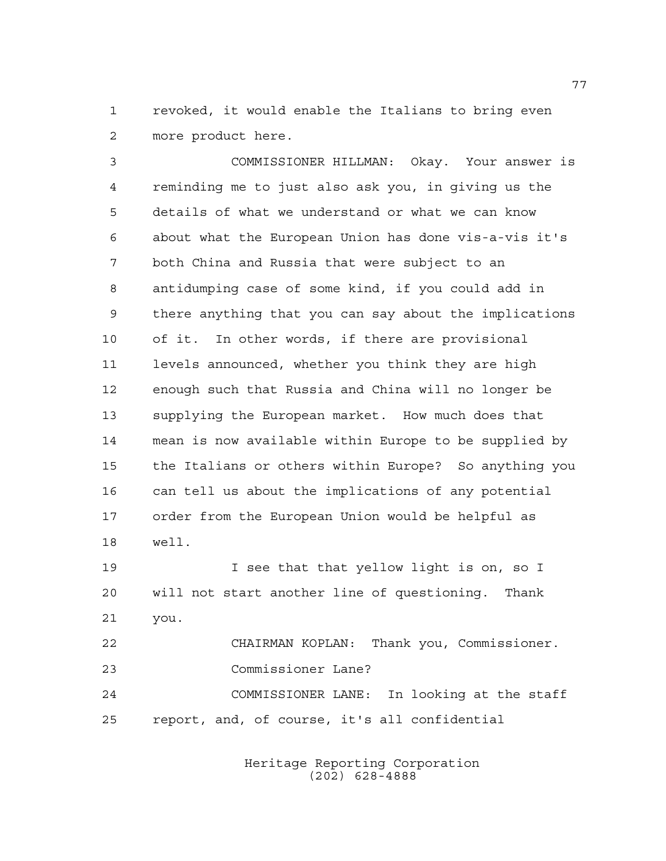revoked, it would enable the Italians to bring even more product here.

 COMMISSIONER HILLMAN: Okay. Your answer is reminding me to just also ask you, in giving us the details of what we understand or what we can know about what the European Union has done vis-a-vis it's both China and Russia that were subject to an antidumping case of some kind, if you could add in there anything that you can say about the implications of it. In other words, if there are provisional levels announced, whether you think they are high enough such that Russia and China will no longer be supplying the European market. How much does that mean is now available within Europe to be supplied by the Italians or others within Europe? So anything you can tell us about the implications of any potential order from the European Union would be helpful as well.

**I** see that that yellow light is on, so I will not start another line of questioning. Thank you. CHAIRMAN KOPLAN: Thank you, Commissioner. Commissioner Lane?

 COMMISSIONER LANE: In looking at the staff report, and, of course, it's all confidential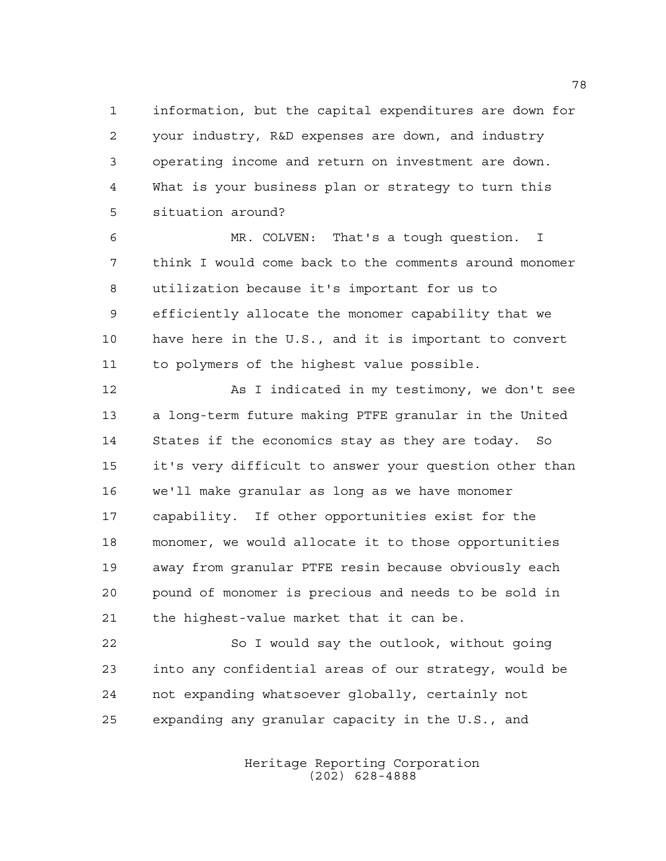information, but the capital expenditures are down for your industry, R&D expenses are down, and industry operating income and return on investment are down. What is your business plan or strategy to turn this situation around?

 MR. COLVEN: That's a tough question. I think I would come back to the comments around monomer utilization because it's important for us to efficiently allocate the monomer capability that we have here in the U.S., and it is important to convert to polymers of the highest value possible.

 As I indicated in my testimony, we don't see a long-term future making PTFE granular in the United States if the economics stay as they are today. So it's very difficult to answer your question other than we'll make granular as long as we have monomer capability. If other opportunities exist for the monomer, we would allocate it to those opportunities away from granular PTFE resin because obviously each pound of monomer is precious and needs to be sold in the highest-value market that it can be.

 So I would say the outlook, without going into any confidential areas of our strategy, would be not expanding whatsoever globally, certainly not expanding any granular capacity in the U.S., and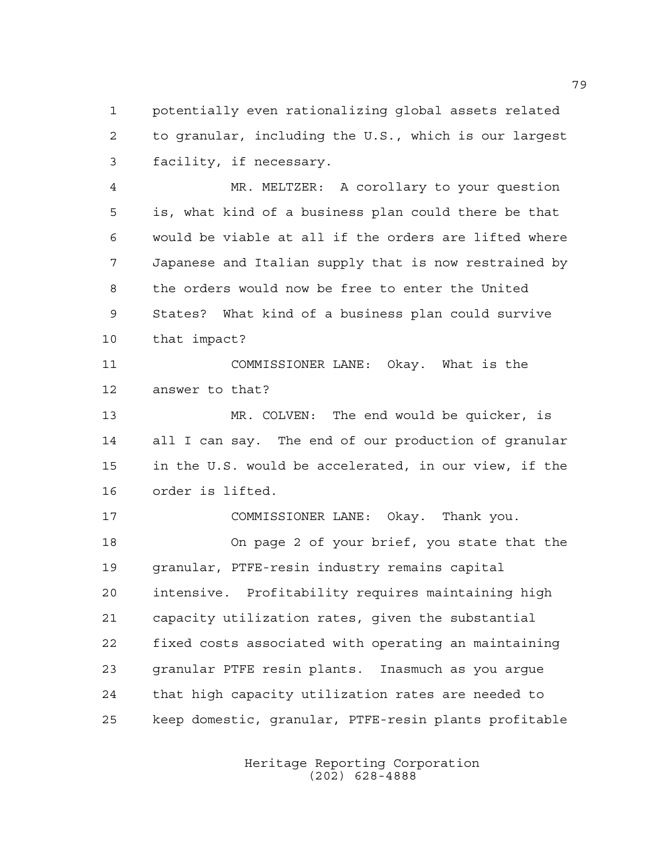potentially even rationalizing global assets related to granular, including the U.S., which is our largest facility, if necessary.

 MR. MELTZER: A corollary to your question is, what kind of a business plan could there be that would be viable at all if the orders are lifted where Japanese and Italian supply that is now restrained by the orders would now be free to enter the United States? What kind of a business plan could survive that impact?

 COMMISSIONER LANE: Okay. What is the answer to that?

 MR. COLVEN: The end would be quicker, is all I can say. The end of our production of granular in the U.S. would be accelerated, in our view, if the order is lifted.

 COMMISSIONER LANE: Okay. Thank you. On page 2 of your brief, you state that the granular, PTFE-resin industry remains capital intensive. Profitability requires maintaining high capacity utilization rates, given the substantial fixed costs associated with operating an maintaining granular PTFE resin plants. Inasmuch as you argue that high capacity utilization rates are needed to keep domestic, granular, PTFE-resin plants profitable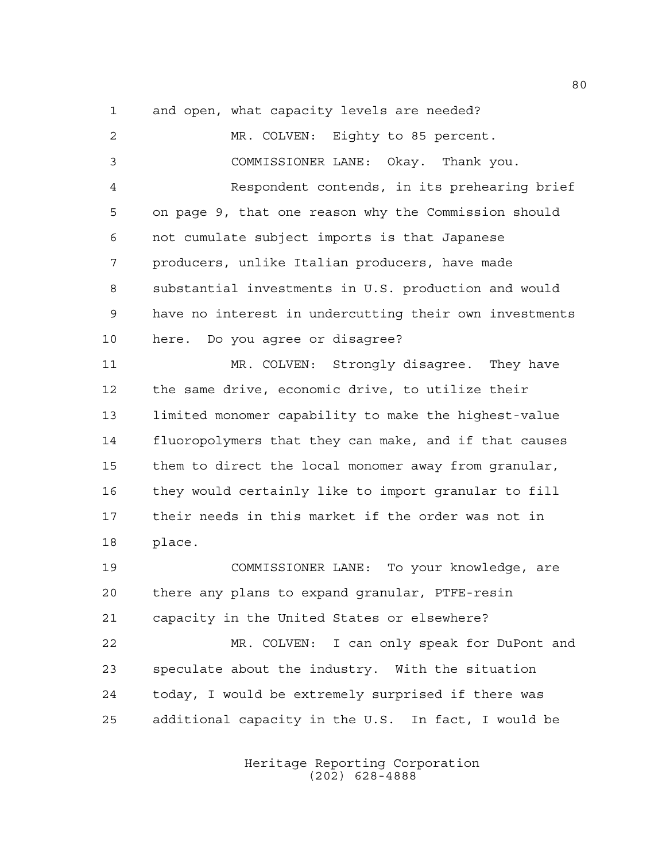and open, what capacity levels are needed?

 MR. COLVEN: Eighty to 85 percent. COMMISSIONER LANE: Okay. Thank you. Respondent contends, in its prehearing brief on page 9, that one reason why the Commission should not cumulate subject imports is that Japanese producers, unlike Italian producers, have made substantial investments in U.S. production and would have no interest in undercutting their own investments here. Do you agree or disagree? 11 MR. COLVEN: Strongly disagree. They have the same drive, economic drive, to utilize their limited monomer capability to make the highest-value fluoropolymers that they can make, and if that causes them to direct the local monomer away from granular, they would certainly like to import granular to fill their needs in this market if the order was not in place. COMMISSIONER LANE: To your knowledge, are there any plans to expand granular, PTFE-resin capacity in the United States or elsewhere? MR. COLVEN: I can only speak for DuPont and speculate about the industry. With the situation today, I would be extremely surprised if there was additional capacity in the U.S. In fact, I would be

> Heritage Reporting Corporation (202) 628-4888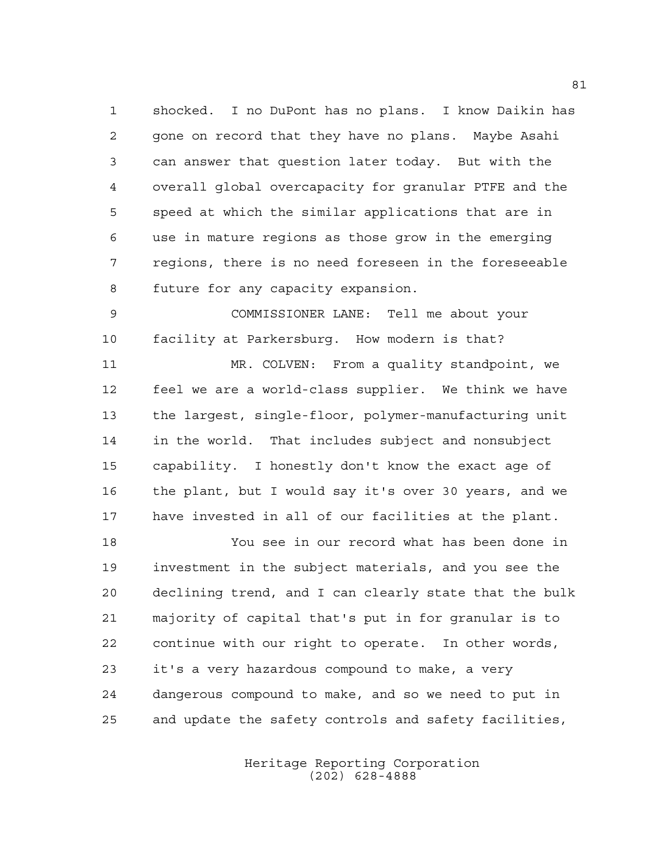shocked. I no DuPont has no plans. I know Daikin has gone on record that they have no plans. Maybe Asahi can answer that question later today. But with the overall global overcapacity for granular PTFE and the speed at which the similar applications that are in use in mature regions as those grow in the emerging regions, there is no need foreseen in the foreseeable future for any capacity expansion.

 COMMISSIONER LANE: Tell me about your facility at Parkersburg. How modern is that?

 MR. COLVEN: From a quality standpoint, we feel we are a world-class supplier. We think we have the largest, single-floor, polymer-manufacturing unit in the world. That includes subject and nonsubject capability. I honestly don't know the exact age of the plant, but I would say it's over 30 years, and we have invested in all of our facilities at the plant.

 You see in our record what has been done in investment in the subject materials, and you see the declining trend, and I can clearly state that the bulk majority of capital that's put in for granular is to continue with our right to operate. In other words, it's a very hazardous compound to make, a very dangerous compound to make, and so we need to put in and update the safety controls and safety facilities,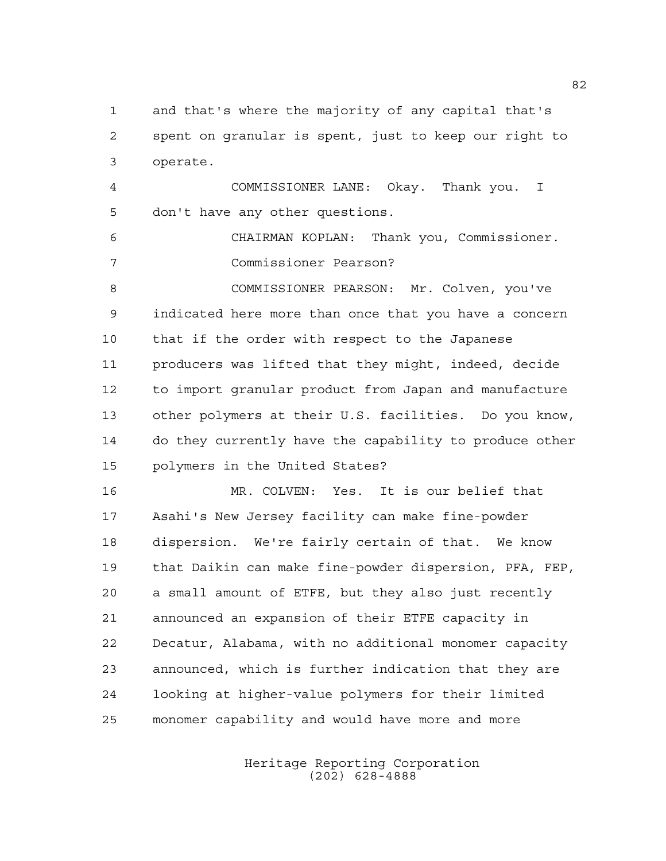and that's where the majority of any capital that's spent on granular is spent, just to keep our right to operate.

 COMMISSIONER LANE: Okay. Thank you. I don't have any other questions.

 CHAIRMAN KOPLAN: Thank you, Commissioner. Commissioner Pearson?

 COMMISSIONER PEARSON: Mr. Colven, you've indicated here more than once that you have a concern that if the order with respect to the Japanese producers was lifted that they might, indeed, decide to import granular product from Japan and manufacture other polymers at their U.S. facilities. Do you know, do they currently have the capability to produce other polymers in the United States?

 MR. COLVEN: Yes. It is our belief that Asahi's New Jersey facility can make fine-powder dispersion. We're fairly certain of that. We know that Daikin can make fine-powder dispersion, PFA, FEP, a small amount of ETFE, but they also just recently announced an expansion of their ETFE capacity in Decatur, Alabama, with no additional monomer capacity announced, which is further indication that they are looking at higher-value polymers for their limited monomer capability and would have more and more

> Heritage Reporting Corporation (202) 628-4888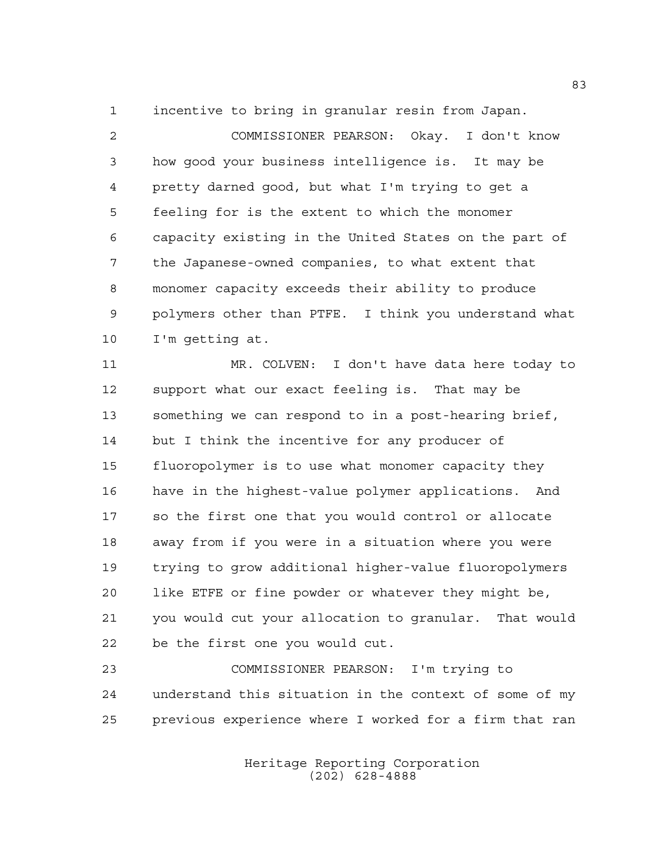incentive to bring in granular resin from Japan.

 COMMISSIONER PEARSON: Okay. I don't know how good your business intelligence is. It may be pretty darned good, but what I'm trying to get a feeling for is the extent to which the monomer capacity existing in the United States on the part of the Japanese-owned companies, to what extent that monomer capacity exceeds their ability to produce polymers other than PTFE. I think you understand what I'm getting at.

 MR. COLVEN: I don't have data here today to support what our exact feeling is. That may be something we can respond to in a post-hearing brief, 14 but I think the incentive for any producer of fluoropolymer is to use what monomer capacity they have in the highest-value polymer applications. And so the first one that you would control or allocate away from if you were in a situation where you were trying to grow additional higher-value fluoropolymers like ETFE or fine powder or whatever they might be, you would cut your allocation to granular. That would be the first one you would cut.

 COMMISSIONER PEARSON: I'm trying to understand this situation in the context of some of my previous experience where I worked for a firm that ran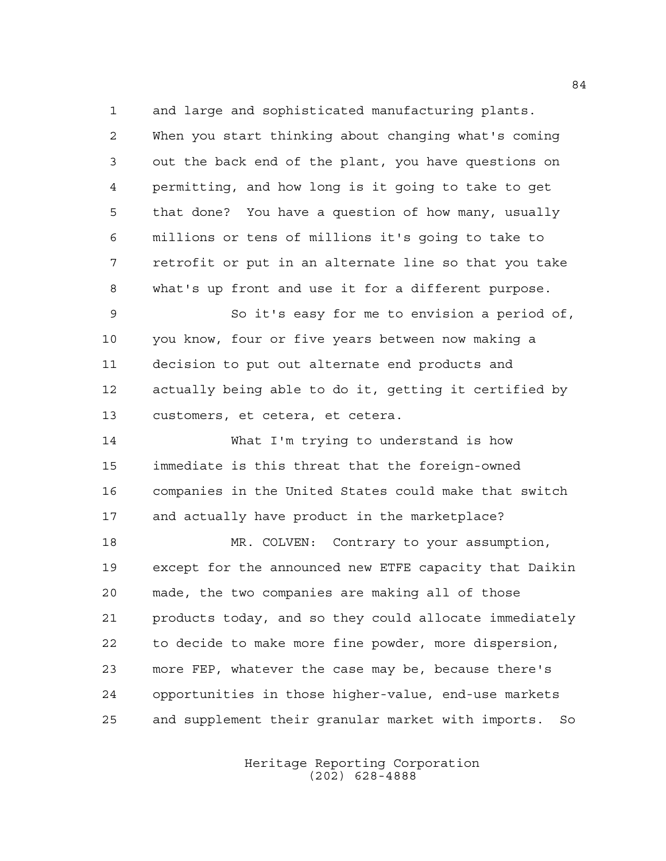and large and sophisticated manufacturing plants.

 When you start thinking about changing what's coming out the back end of the plant, you have questions on permitting, and how long is it going to take to get that done? You have a question of how many, usually millions or tens of millions it's going to take to retrofit or put in an alternate line so that you take what's up front and use it for a different purpose.

 So it's easy for me to envision a period of, you know, four or five years between now making a decision to put out alternate end products and actually being able to do it, getting it certified by customers, et cetera, et cetera.

 What I'm trying to understand is how immediate is this threat that the foreign-owned companies in the United States could make that switch and actually have product in the marketplace?

18 MR. COLVEN: Contrary to your assumption, except for the announced new ETFE capacity that Daikin made, the two companies are making all of those products today, and so they could allocate immediately to decide to make more fine powder, more dispersion, more FEP, whatever the case may be, because there's opportunities in those higher-value, end-use markets and supplement their granular market with imports. So

> Heritage Reporting Corporation (202) 628-4888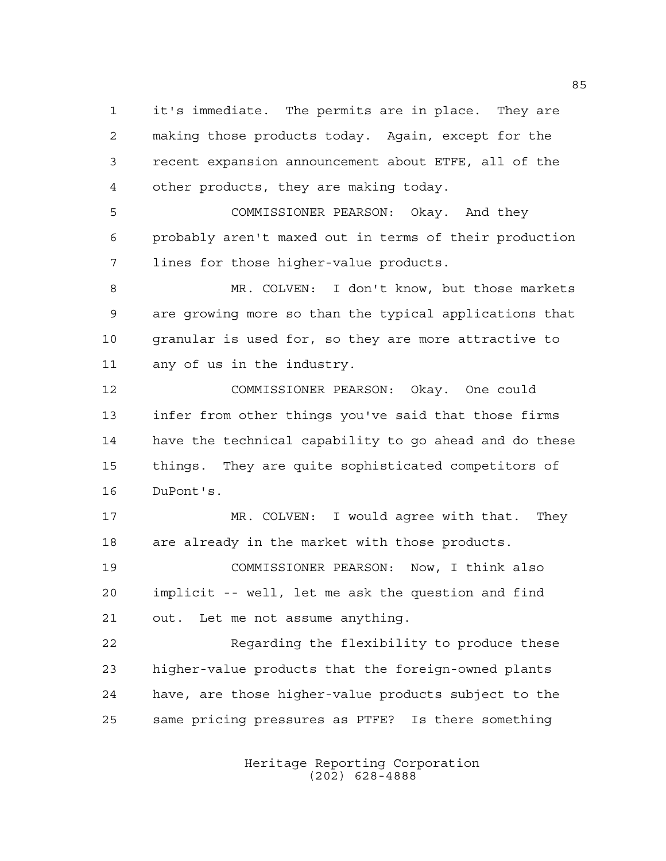it's immediate. The permits are in place. They are making those products today. Again, except for the recent expansion announcement about ETFE, all of the other products, they are making today.

 COMMISSIONER PEARSON: Okay. And they probably aren't maxed out in terms of their production lines for those higher-value products.

 MR. COLVEN: I don't know, but those markets are growing more so than the typical applications that granular is used for, so they are more attractive to any of us in the industry.

 COMMISSIONER PEARSON: Okay. One could infer from other things you've said that those firms have the technical capability to go ahead and do these things. They are quite sophisticated competitors of DuPont's.

 MR. COLVEN: I would agree with that. They are already in the market with those products.

 COMMISSIONER PEARSON: Now, I think also implicit -- well, let me ask the question and find out. Let me not assume anything.

 Regarding the flexibility to produce these higher-value products that the foreign-owned plants have, are those higher-value products subject to the same pricing pressures as PTFE? Is there something

> Heritage Reporting Corporation (202) 628-4888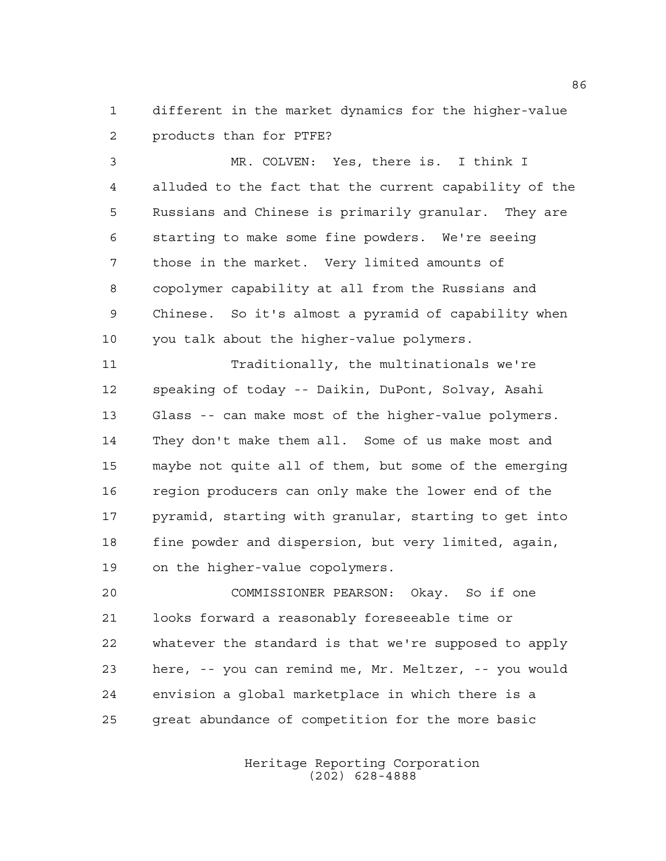different in the market dynamics for the higher-value products than for PTFE?

 MR. COLVEN: Yes, there is. I think I alluded to the fact that the current capability of the Russians and Chinese is primarily granular. They are starting to make some fine powders. We're seeing those in the market. Very limited amounts of copolymer capability at all from the Russians and Chinese. So it's almost a pyramid of capability when you talk about the higher-value polymers.

 Traditionally, the multinationals we're speaking of today -- Daikin, DuPont, Solvay, Asahi Glass -- can make most of the higher-value polymers. They don't make them all. Some of us make most and maybe not quite all of them, but some of the emerging region producers can only make the lower end of the pyramid, starting with granular, starting to get into fine powder and dispersion, but very limited, again, on the higher-value copolymers.

 COMMISSIONER PEARSON: Okay. So if one looks forward a reasonably foreseeable time or whatever the standard is that we're supposed to apply here, -- you can remind me, Mr. Meltzer, -- you would envision a global marketplace in which there is a great abundance of competition for the more basic

> Heritage Reporting Corporation (202) 628-4888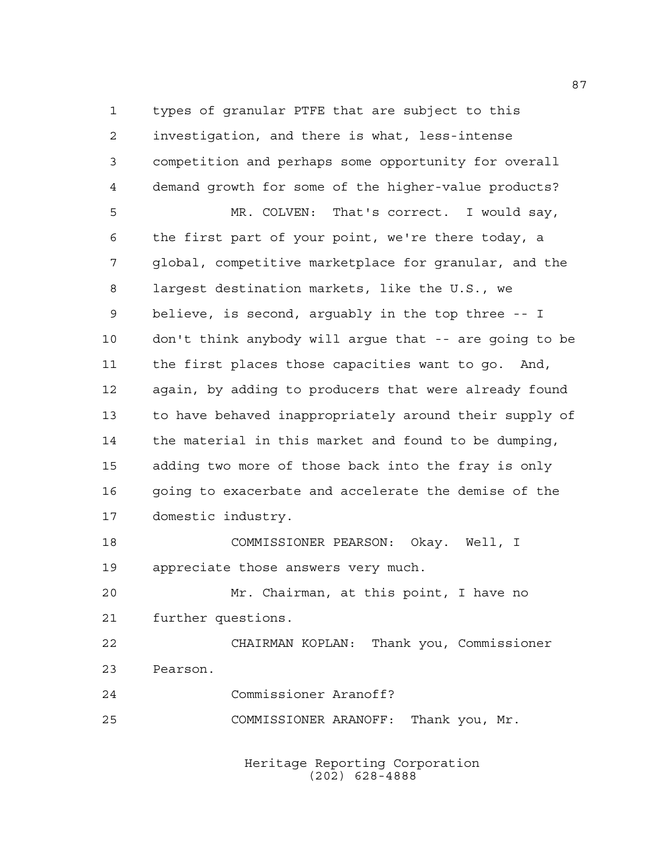types of granular PTFE that are subject to this investigation, and there is what, less-intense competition and perhaps some opportunity for overall demand growth for some of the higher-value products? MR. COLVEN: That's correct. I would say, the first part of your point, we're there today, a global, competitive marketplace for granular, and the largest destination markets, like the U.S., we believe, is second, arguably in the top three -- I don't think anybody will argue that -- are going to be the first places those capacities want to go. And, again, by adding to producers that were already found to have behaved inappropriately around their supply of

 the material in this market and found to be dumping, adding two more of those back into the fray is only going to exacerbate and accelerate the demise of the domestic industry.

 COMMISSIONER PEARSON: Okay. Well, I appreciate those answers very much.

 Mr. Chairman, at this point, I have no further questions.

 CHAIRMAN KOPLAN: Thank you, Commissioner Pearson.

Commissioner Aranoff?

COMMISSIONER ARANOFF: Thank you, Mr.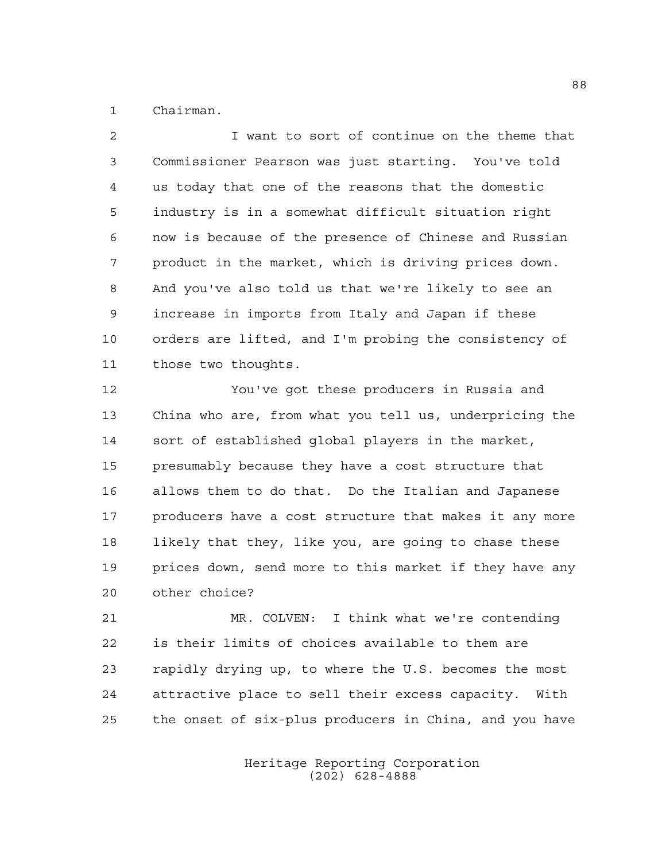Chairman.

 I want to sort of continue on the theme that Commissioner Pearson was just starting. You've told us today that one of the reasons that the domestic industry is in a somewhat difficult situation right now is because of the presence of Chinese and Russian product in the market, which is driving prices down. And you've also told us that we're likely to see an increase in imports from Italy and Japan if these orders are lifted, and I'm probing the consistency of those two thoughts. You've got these producers in Russia and

 China who are, from what you tell us, underpricing the sort of established global players in the market, presumably because they have a cost structure that allows them to do that. Do the Italian and Japanese 17 producers have a cost structure that makes it any more 18 likely that they, like you, are going to chase these prices down, send more to this market if they have any other choice?

 MR. COLVEN: I think what we're contending is their limits of choices available to them are rapidly drying up, to where the U.S. becomes the most attractive place to sell their excess capacity. With the onset of six-plus producers in China, and you have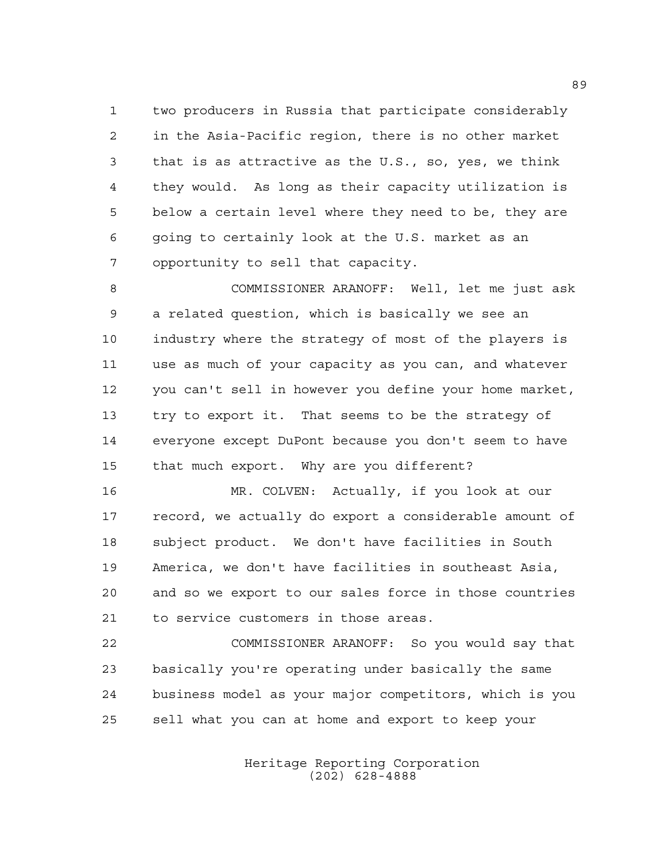two producers in Russia that participate considerably in the Asia-Pacific region, there is no other market that is as attractive as the U.S., so, yes, we think they would. As long as their capacity utilization is below a certain level where they need to be, they are going to certainly look at the U.S. market as an opportunity to sell that capacity.

 COMMISSIONER ARANOFF: Well, let me just ask a related question, which is basically we see an industry where the strategy of most of the players is use as much of your capacity as you can, and whatever you can't sell in however you define your home market, try to export it. That seems to be the strategy of everyone except DuPont because you don't seem to have that much export. Why are you different?

 MR. COLVEN: Actually, if you look at our record, we actually do export a considerable amount of subject product. We don't have facilities in South America, we don't have facilities in southeast Asia, and so we export to our sales force in those countries to service customers in those areas.

 COMMISSIONER ARANOFF: So you would say that basically you're operating under basically the same business model as your major competitors, which is you sell what you can at home and export to keep your

> Heritage Reporting Corporation (202) 628-4888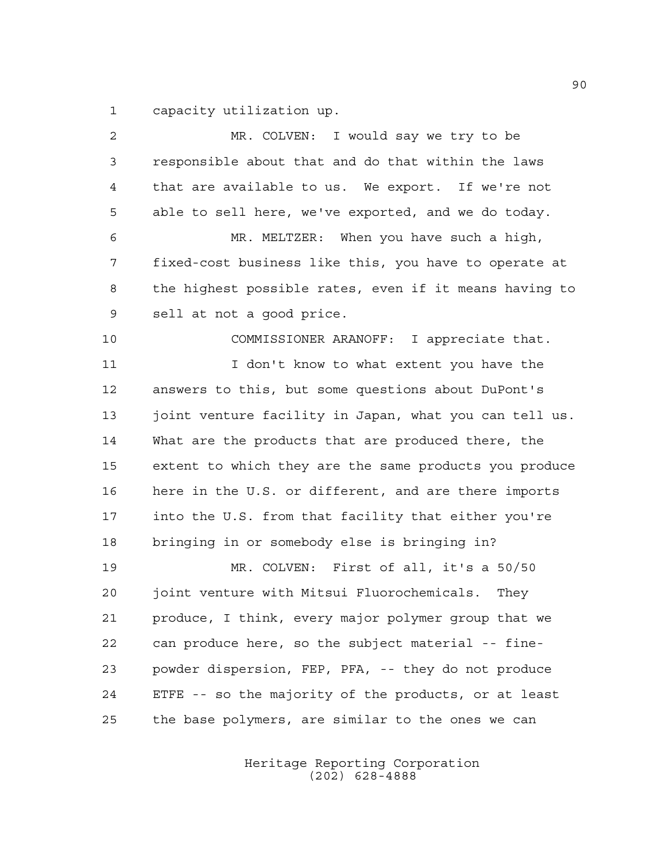capacity utilization up.

| $\overline{2}$ | MR. COLVEN: I would say we try to be                   |
|----------------|--------------------------------------------------------|
| 3              | responsible about that and do that within the laws     |
| 4              | that are available to us. We export. If we're not      |
| 5              | able to sell here, we've exported, and we do today.    |
| 6              | MR. MELTZER: When you have such a high,                |
| 7              | fixed-cost business like this, you have to operate at  |
| 8              | the highest possible rates, even if it means having to |
| 9              | sell at not a good price.                              |
| 10             | COMMISSIONER ARANOFF: I appreciate that.               |
| 11             | I don't know to what extent you have the               |
| 12             | answers to this, but some questions about DuPont's     |
| 13             | joint venture facility in Japan, what you can tell us. |
| 14             | What are the products that are produced there, the     |
| 15             | extent to which they are the same products you produce |
| 16             | here in the U.S. or different, and are there imports   |
| 17             | into the U.S. from that facility that either you're    |
| 18             | bringing in or somebody else is bringing in?           |
| 19             | MR. COLVEN: First of all, it's a 50/50                 |
| 20             | joint venture with Mitsui Fluorochemicals.<br>They     |
| 21             | produce, I think, every major polymer group that we    |
| 22             | can produce here, so the subject material -- fine-     |
| 23             | powder dispersion, FEP, PFA, -- they do not produce    |
| 24             | ETFE -- so the majority of the products, or at least   |
| 25             | the base polymers, are similar to the ones we can      |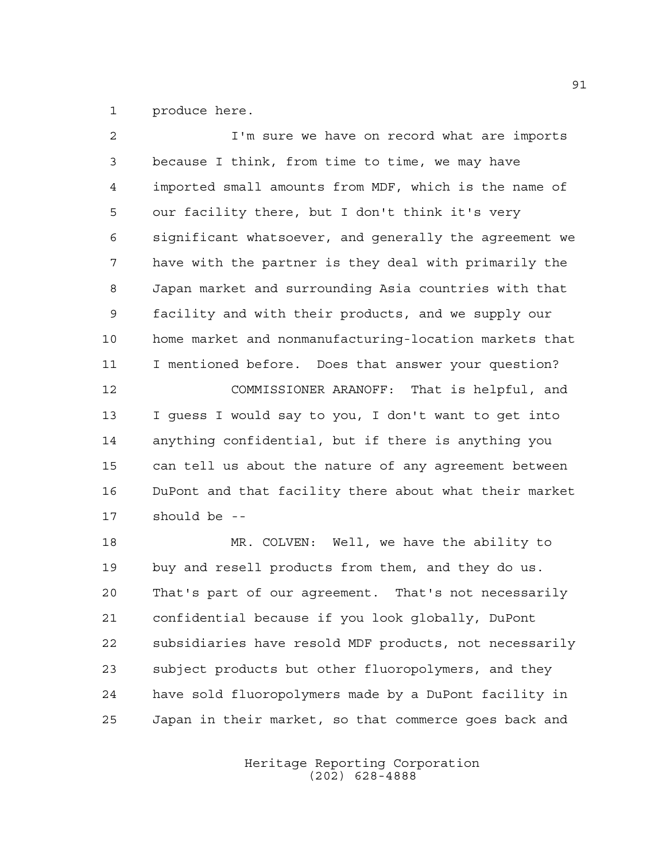produce here.

 I'm sure we have on record what are imports because I think, from time to time, we may have imported small amounts from MDF, which is the name of our facility there, but I don't think it's very significant whatsoever, and generally the agreement we have with the partner is they deal with primarily the Japan market and surrounding Asia countries with that facility and with their products, and we supply our home market and nonmanufacturing-location markets that I mentioned before. Does that answer your question? COMMISSIONER ARANOFF: That is helpful, and I guess I would say to you, I don't want to get into anything confidential, but if there is anything you can tell us about the nature of any agreement between DuPont and that facility there about what their market should be -- MR. COLVEN: Well, we have the ability to

 buy and resell products from them, and they do us. That's part of our agreement. That's not necessarily confidential because if you look globally, DuPont subsidiaries have resold MDF products, not necessarily subject products but other fluoropolymers, and they have sold fluoropolymers made by a DuPont facility in Japan in their market, so that commerce goes back and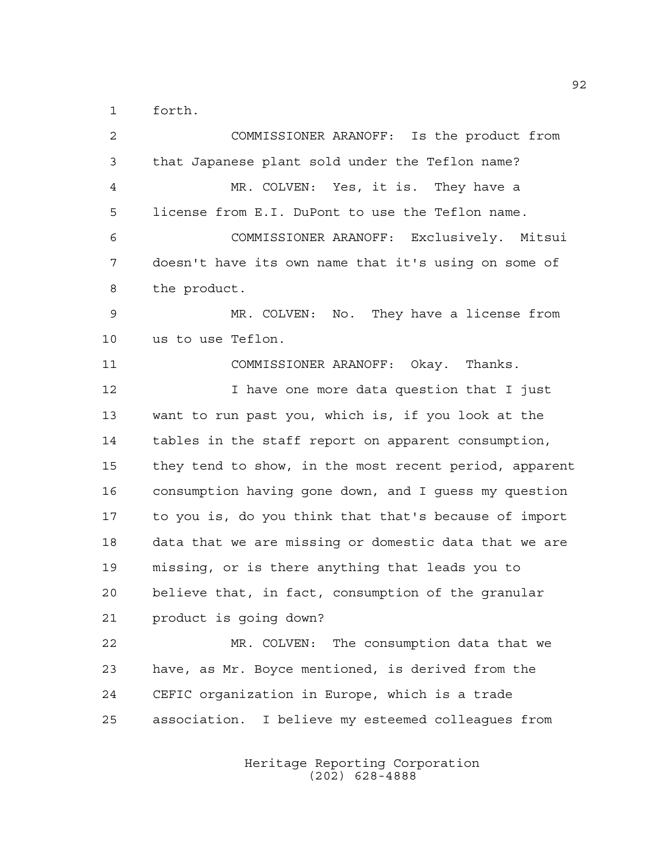forth.

 COMMISSIONER ARANOFF: Is the product from that Japanese plant sold under the Teflon name? MR. COLVEN: Yes, it is. They have a license from E.I. DuPont to use the Teflon name. COMMISSIONER ARANOFF: Exclusively. Mitsui doesn't have its own name that it's using on some of the product. MR. COLVEN: No. They have a license from us to use Teflon. COMMISSIONER ARANOFF: Okay. Thanks. 12 12 I have one more data question that I just want to run past you, which is, if you look at the tables in the staff report on apparent consumption, they tend to show, in the most recent period, apparent consumption having gone down, and I guess my question to you is, do you think that that's because of import data that we are missing or domestic data that we are missing, or is there anything that leads you to believe that, in fact, consumption of the granular product is going down? MR. COLVEN: The consumption data that we have, as Mr. Boyce mentioned, is derived from the CEFIC organization in Europe, which is a trade association. I believe my esteemed colleagues from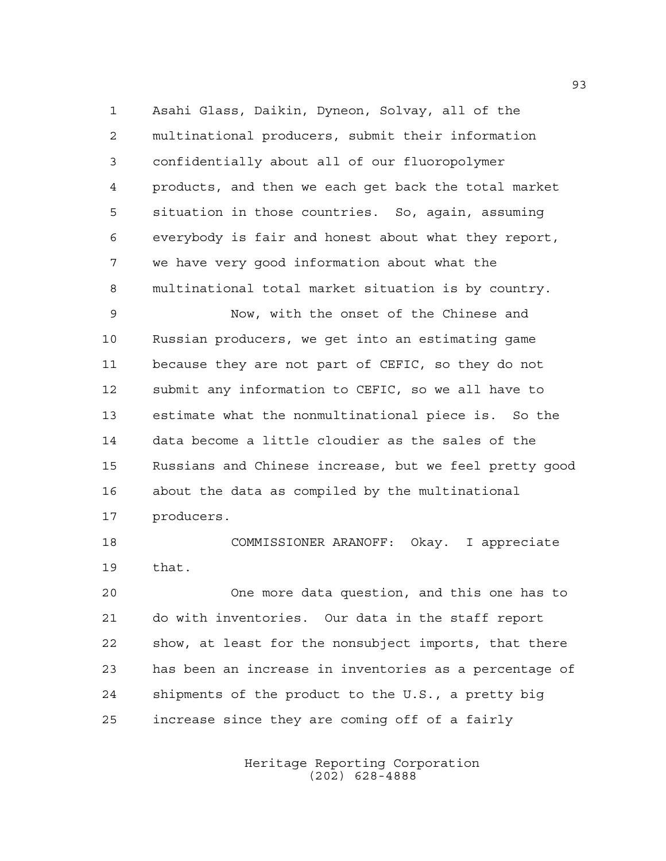Asahi Glass, Daikin, Dyneon, Solvay, all of the multinational producers, submit their information confidentially about all of our fluoropolymer products, and then we each get back the total market situation in those countries. So, again, assuming everybody is fair and honest about what they report, we have very good information about what the multinational total market situation is by country.

 Now, with the onset of the Chinese and Russian producers, we get into an estimating game because they are not part of CEFIC, so they do not submit any information to CEFIC, so we all have to estimate what the nonmultinational piece is. So the data become a little cloudier as the sales of the Russians and Chinese increase, but we feel pretty good about the data as compiled by the multinational producers.

 COMMISSIONER ARANOFF: Okay. I appreciate that.

 One more data question, and this one has to do with inventories. Our data in the staff report show, at least for the nonsubject imports, that there has been an increase in inventories as a percentage of shipments of the product to the U.S., a pretty big increase since they are coming off of a fairly

> Heritage Reporting Corporation (202) 628-4888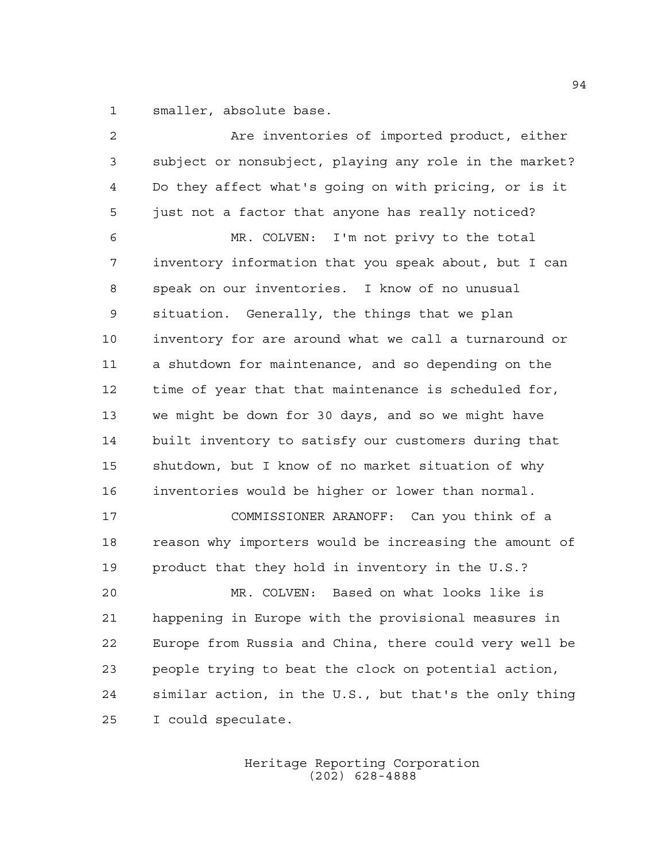smaller, absolute base.

 Are inventories of imported product, either subject or nonsubject, playing any role in the market? Do they affect what's going on with pricing, or is it just not a factor that anyone has really noticed? MR. COLVEN: I'm not privy to the total inventory information that you speak about, but I can speak on our inventories. I know of no unusual situation. Generally, the things that we plan inventory for are around what we call a turnaround or a shutdown for maintenance, and so depending on the time of year that that maintenance is scheduled for, we might be down for 30 days, and so we might have built inventory to satisfy our customers during that shutdown, but I know of no market situation of why inventories would be higher or lower than normal. COMMISSIONER ARANOFF: Can you think of a reason why importers would be increasing the amount of product that they hold in inventory in the U.S.? MR. COLVEN: Based on what looks like is happening in Europe with the provisional measures in Europe from Russia and China, there could very well be people trying to beat the clock on potential action, similar action, in the U.S., but that's the only thing I could speculate.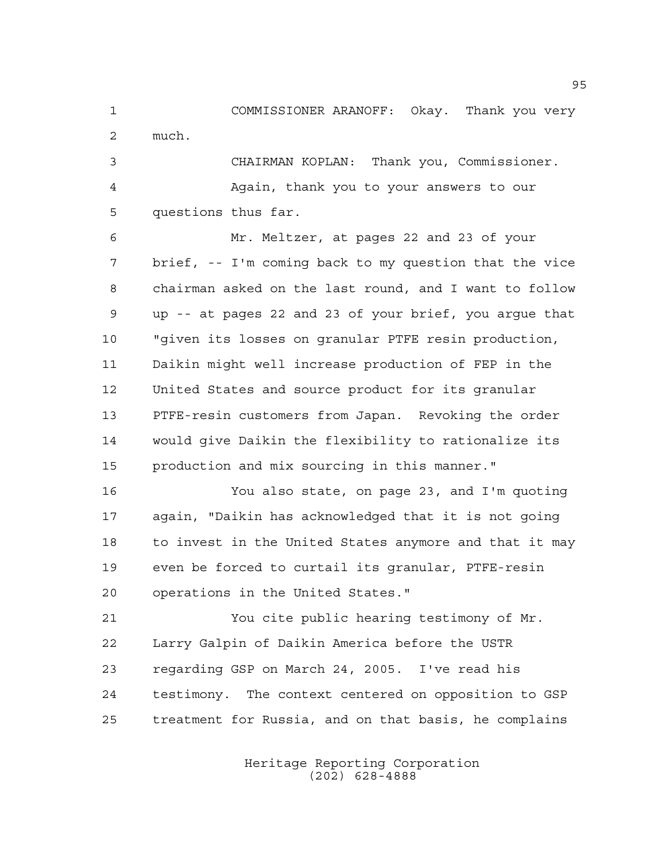COMMISSIONER ARANOFF: Okay. Thank you very much. CHAIRMAN KOPLAN: Thank you, Commissioner. Again, thank you to your answers to our

questions thus far.

 Mr. Meltzer, at pages 22 and 23 of your brief, -- I'm coming back to my question that the vice chairman asked on the last round, and I want to follow up -- at pages 22 and 23 of your brief, you argue that "given its losses on granular PTFE resin production, Daikin might well increase production of FEP in the United States and source product for its granular PTFE-resin customers from Japan. Revoking the order would give Daikin the flexibility to rationalize its production and mix sourcing in this manner."

 You also state, on page 23, and I'm quoting again, "Daikin has acknowledged that it is not going to invest in the United States anymore and that it may even be forced to curtail its granular, PTFE-resin operations in the United States."

 You cite public hearing testimony of Mr. Larry Galpin of Daikin America before the USTR regarding GSP on March 24, 2005. I've read his testimony. The context centered on opposition to GSP treatment for Russia, and on that basis, he complains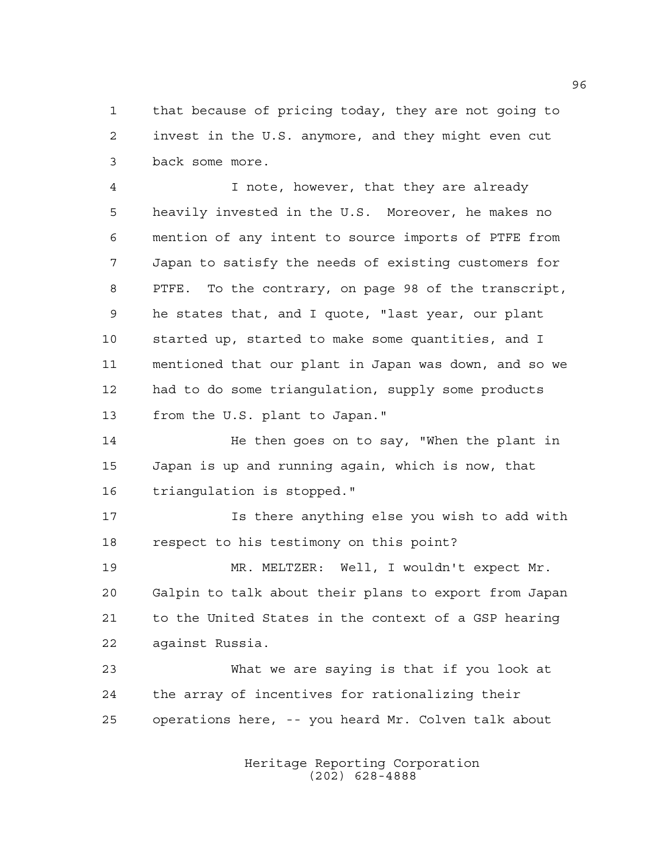that because of pricing today, they are not going to invest in the U.S. anymore, and they might even cut back some more.

 I note, however, that they are already heavily invested in the U.S. Moreover, he makes no mention of any intent to source imports of PTFE from Japan to satisfy the needs of existing customers for PTFE. To the contrary, on page 98 of the transcript, he states that, and I quote, "last year, our plant started up, started to make some quantities, and I mentioned that our plant in Japan was down, and so we had to do some triangulation, supply some products from the U.S. plant to Japan."

14 He then goes on to say, "When the plant in Japan is up and running again, which is now, that triangulation is stopped."

 Is there anything else you wish to add with respect to his testimony on this point?

 MR. MELTZER: Well, I wouldn't expect Mr. Galpin to talk about their plans to export from Japan to the United States in the context of a GSP hearing against Russia.

 What we are saying is that if you look at the array of incentives for rationalizing their operations here, -- you heard Mr. Colven talk about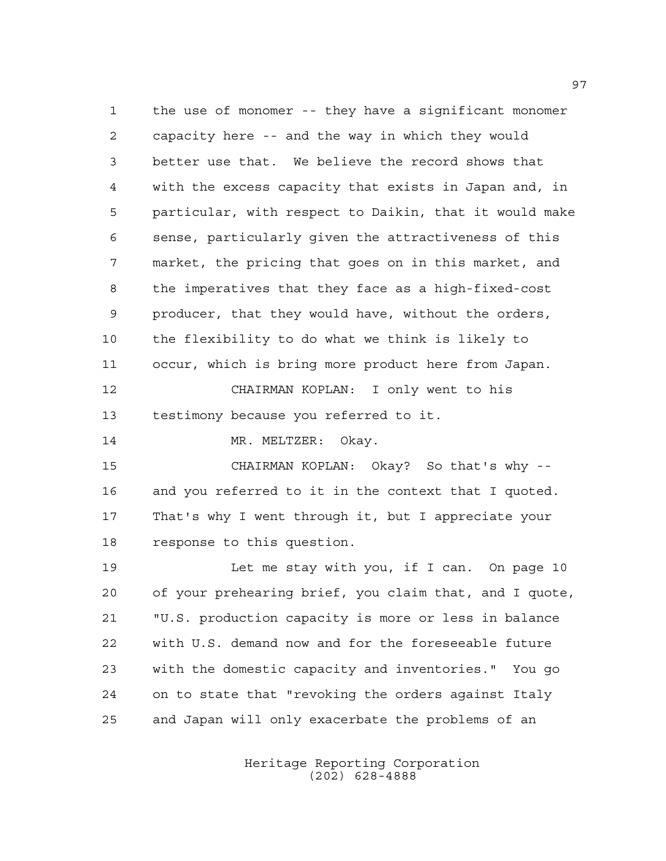the use of monomer -- they have a significant monomer capacity here -- and the way in which they would better use that. We believe the record shows that with the excess capacity that exists in Japan and, in particular, with respect to Daikin, that it would make sense, particularly given the attractiveness of this market, the pricing that goes on in this market, and the imperatives that they face as a high-fixed-cost producer, that they would have, without the orders, the flexibility to do what we think is likely to occur, which is bring more product here from Japan. CHAIRMAN KOPLAN: I only went to his testimony because you referred to it. 14 MR. MELTZER: Okay. CHAIRMAN KOPLAN: Okay? So that's why -- and you referred to it in the context that I quoted. That's why I went through it, but I appreciate your response to this question. Let me stay with you, if I can. On page 10 of your prehearing brief, you claim that, and I quote, "U.S. production capacity is more or less in balance with U.S. demand now and for the foreseeable future with the domestic capacity and inventories." You go on to state that "revoking the orders against Italy and Japan will only exacerbate the problems of an

> Heritage Reporting Corporation (202) 628-4888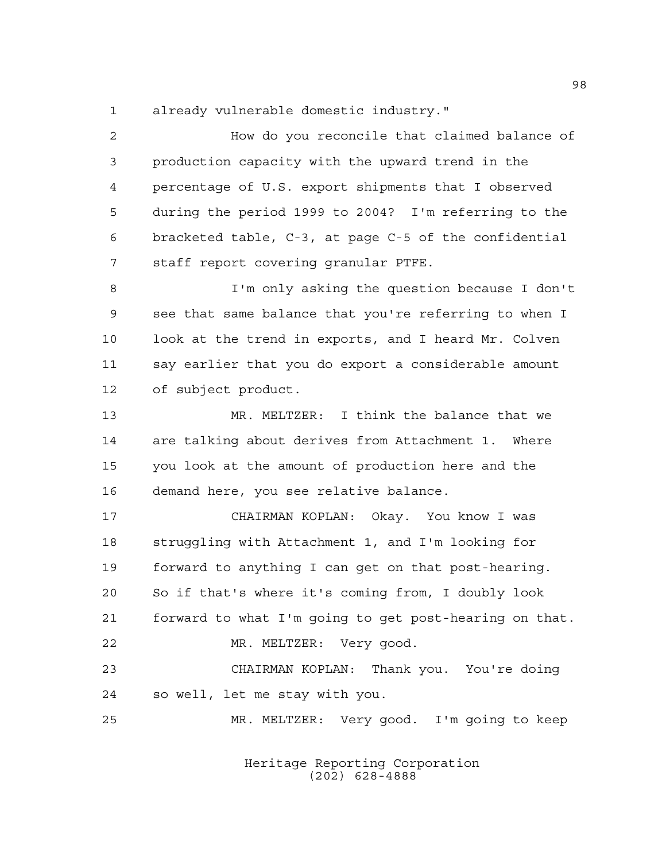already vulnerable domestic industry."

 How do you reconcile that claimed balance of production capacity with the upward trend in the percentage of U.S. export shipments that I observed during the period 1999 to 2004? I'm referring to the bracketed table, C-3, at page C-5 of the confidential staff report covering granular PTFE. I'm only asking the question because I don't see that same balance that you're referring to when I look at the trend in exports, and I heard Mr. Colven say earlier that you do export a considerable amount of subject product. MR. MELTZER: I think the balance that we are talking about derives from Attachment 1. Where you look at the amount of production here and the demand here, you see relative balance. CHAIRMAN KOPLAN: Okay. You know I was struggling with Attachment 1, and I'm looking for forward to anything I can get on that post-hearing. So if that's where it's coming from, I doubly look forward to what I'm going to get post-hearing on that. MR. MELTZER: Very good. CHAIRMAN KOPLAN: Thank you. You're doing so well, let me stay with you. MR. MELTZER: Very good. I'm going to keep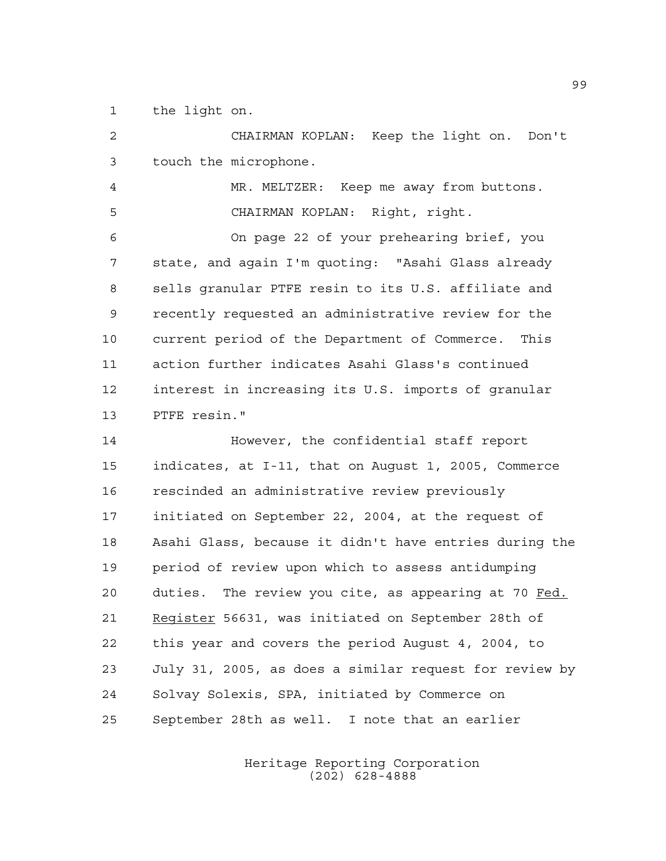the light on.

 CHAIRMAN KOPLAN: Keep the light on. Don't touch the microphone. MR. MELTZER: Keep me away from buttons. CHAIRMAN KOPLAN: Right, right. On page 22 of your prehearing brief, you state, and again I'm quoting: "Asahi Glass already sells granular PTFE resin to its U.S. affiliate and recently requested an administrative review for the current period of the Department of Commerce. This action further indicates Asahi Glass's continued interest in increasing its U.S. imports of granular PTFE resin." However, the confidential staff report indicates, at I-11, that on August 1, 2005, Commerce rescinded an administrative review previously initiated on September 22, 2004, at the request of Asahi Glass, because it didn't have entries during the period of review upon which to assess antidumping duties. The review you cite, as appearing at 70 Fed. 21 Register 56631, was initiated on September 28th of this year and covers the period August 4, 2004, to July 31, 2005, as does a similar request for review by Solvay Solexis, SPA, initiated by Commerce on September 28th as well. I note that an earlier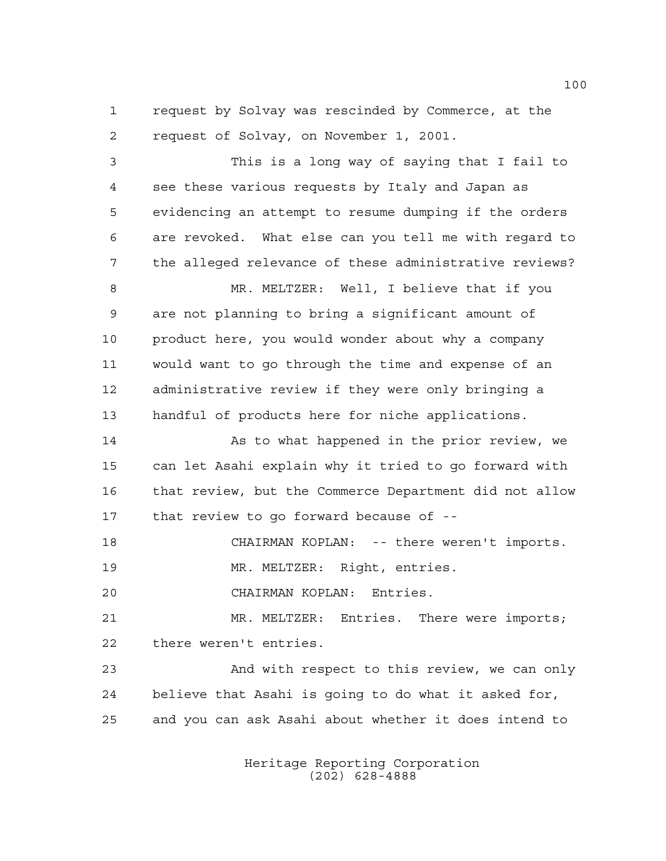request by Solvay was rescinded by Commerce, at the request of Solvay, on November 1, 2001.

 This is a long way of saying that I fail to see these various requests by Italy and Japan as evidencing an attempt to resume dumping if the orders are revoked. What else can you tell me with regard to the alleged relevance of these administrative reviews? MR. MELTZER: Well, I believe that if you are not planning to bring a significant amount of 10 product here, you would wonder about why a company would want to go through the time and expense of an administrative review if they were only bringing a handful of products here for niche applications. 14 As to what happened in the prior review, we can let Asahi explain why it tried to go forward with that review, but the Commerce Department did not allow that review to go forward because of --

CHAIRMAN KOPLAN: -- there weren't imports.

MR. MELTZER: Right, entries.

CHAIRMAN KOPLAN: Entries.

 MR. MELTZER: Entries. There were imports; there weren't entries.

 And with respect to this review, we can only believe that Asahi is going to do what it asked for, and you can ask Asahi about whether it does intend to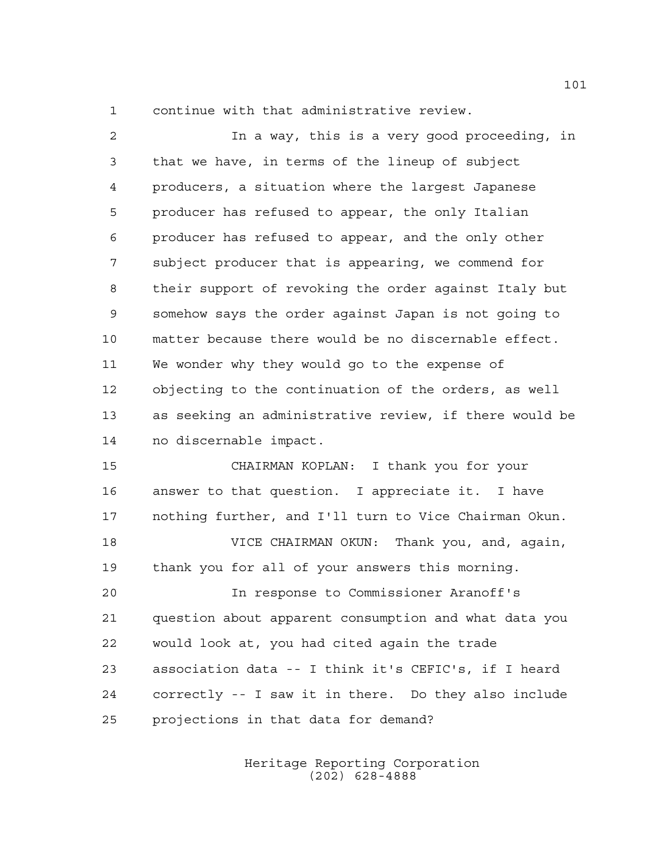continue with that administrative review.

 In a way, this is a very good proceeding, in that we have, in terms of the lineup of subject producers, a situation where the largest Japanese producer has refused to appear, the only Italian producer has refused to appear, and the only other subject producer that is appearing, we commend for their support of revoking the order against Italy but somehow says the order against Japan is not going to matter because there would be no discernable effect. We wonder why they would go to the expense of objecting to the continuation of the orders, as well as seeking an administrative review, if there would be no discernable impact.

 CHAIRMAN KOPLAN: I thank you for your answer to that question. I appreciate it. I have nothing further, and I'll turn to Vice Chairman Okun.

 VICE CHAIRMAN OKUN: Thank you, and, again, thank you for all of your answers this morning.

 In response to Commissioner Aranoff's question about apparent consumption and what data you would look at, you had cited again the trade association data -- I think it's CEFIC's, if I heard correctly -- I saw it in there. Do they also include projections in that data for demand?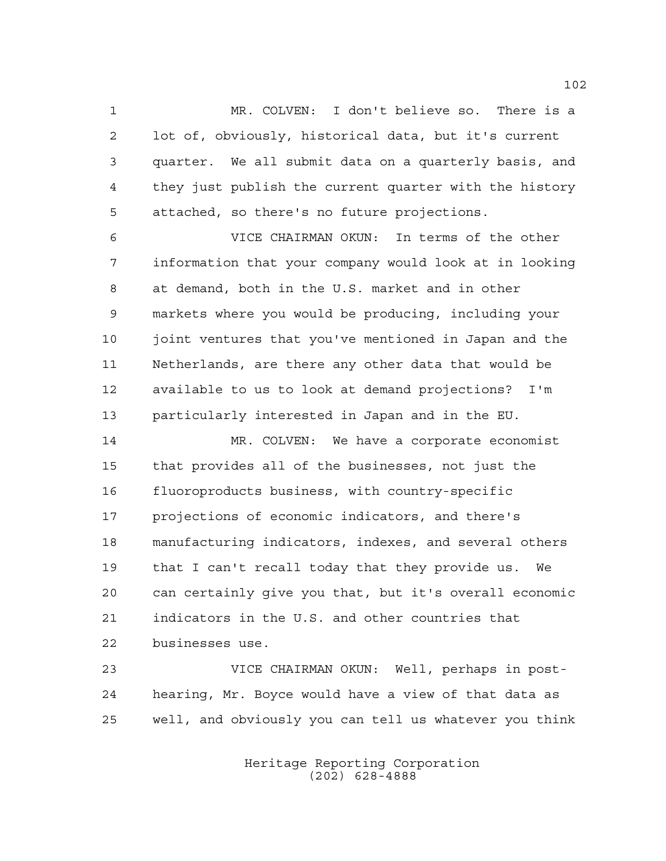MR. COLVEN: I don't believe so. There is a lot of, obviously, historical data, but it's current quarter. We all submit data on a quarterly basis, and they just publish the current quarter with the history attached, so there's no future projections.

 VICE CHAIRMAN OKUN: In terms of the other information that your company would look at in looking at demand, both in the U.S. market and in other markets where you would be producing, including your joint ventures that you've mentioned in Japan and the Netherlands, are there any other data that would be available to us to look at demand projections? I'm particularly interested in Japan and in the EU.

 MR. COLVEN: We have a corporate economist that provides all of the businesses, not just the fluoroproducts business, with country-specific projections of economic indicators, and there's manufacturing indicators, indexes, and several others that I can't recall today that they provide us. We can certainly give you that, but it's overall economic indicators in the U.S. and other countries that businesses use.

 VICE CHAIRMAN OKUN: Well, perhaps in post- hearing, Mr. Boyce would have a view of that data as well, and obviously you can tell us whatever you think

> Heritage Reporting Corporation (202) 628-4888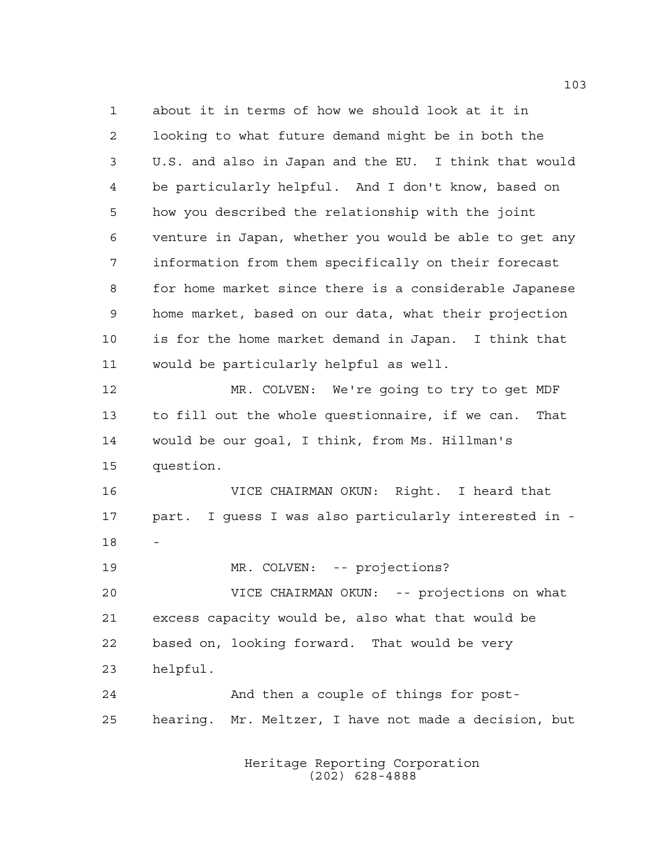about it in terms of how we should look at it in looking to what future demand might be in both the U.S. and also in Japan and the EU. I think that would be particularly helpful. And I don't know, based on how you described the relationship with the joint venture in Japan, whether you would be able to get any information from them specifically on their forecast for home market since there is a considerable Japanese home market, based on our data, what their projection is for the home market demand in Japan. I think that would be particularly helpful as well. MR. COLVEN: We're going to try to get MDF to fill out the whole questionnaire, if we can. That would be our goal, I think, from Ms. Hillman's question. VICE CHAIRMAN OKUN: Right. I heard that part. I guess I was also particularly interested in - 19 MR. COLVEN: -- projections? VICE CHAIRMAN OKUN: -- projections on what excess capacity would be, also what that would be based on, looking forward. That would be very helpful. And then a couple of things for post-hearing. Mr. Meltzer, I have not made a decision, but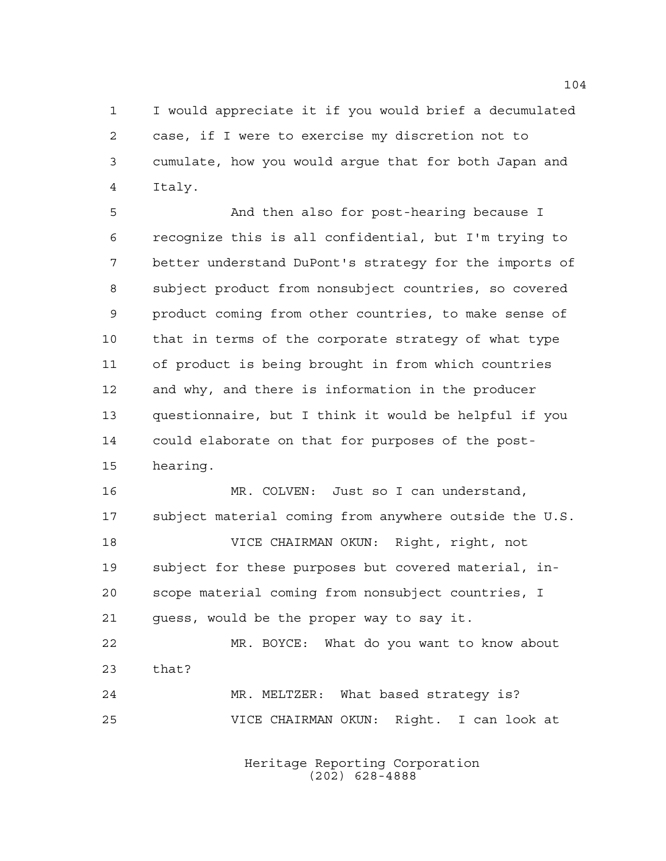I would appreciate it if you would brief a decumulated case, if I were to exercise my discretion not to cumulate, how you would argue that for both Japan and Italy.

 And then also for post-hearing because I recognize this is all confidential, but I'm trying to better understand DuPont's strategy for the imports of subject product from nonsubject countries, so covered product coming from other countries, to make sense of that in terms of the corporate strategy of what type of product is being brought in from which countries and why, and there is information in the producer questionnaire, but I think it would be helpful if you could elaborate on that for purposes of the post-hearing.

 MR. COLVEN: Just so I can understand, subject material coming from anywhere outside the U.S. VICE CHAIRMAN OKUN: Right, right, not subject for these purposes but covered material, in-

 scope material coming from nonsubject countries, I guess, would be the proper way to say it.

 MR. BOYCE: What do you want to know about that? MR. MELTZER: What based strategy is?

VICE CHAIRMAN OKUN: Right. I can look at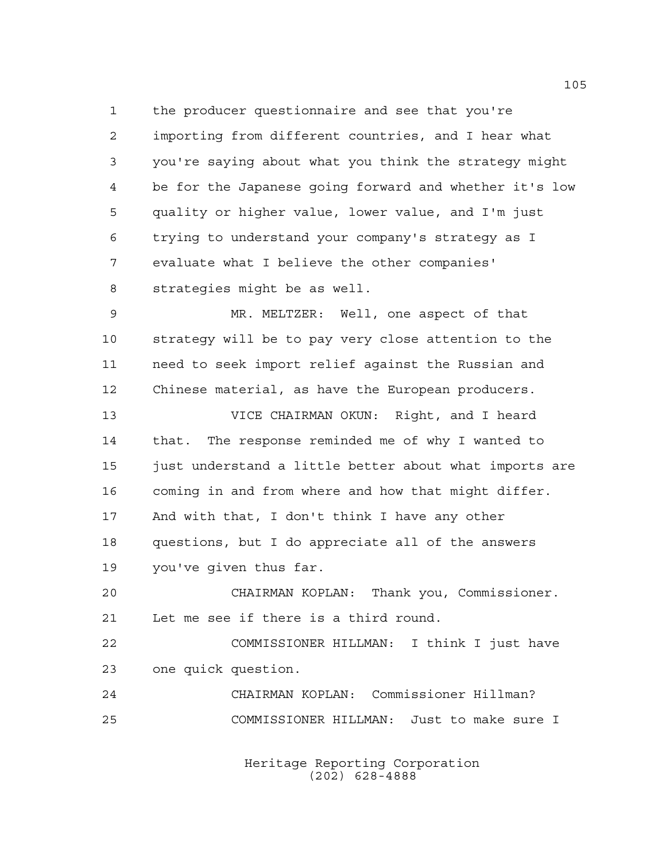the producer questionnaire and see that you're importing from different countries, and I hear what you're saying about what you think the strategy might be for the Japanese going forward and whether it's low quality or higher value, lower value, and I'm just trying to understand your company's strategy as I evaluate what I believe the other companies' strategies might be as well.

 MR. MELTZER: Well, one aspect of that strategy will be to pay very close attention to the need to seek import relief against the Russian and Chinese material, as have the European producers.

 VICE CHAIRMAN OKUN: Right, and I heard that. The response reminded me of why I wanted to just understand a little better about what imports are coming in and from where and how that might differ. And with that, I don't think I have any other questions, but I do appreciate all of the answers you've given thus far.

 CHAIRMAN KOPLAN: Thank you, Commissioner. Let me see if there is a third round.

 COMMISSIONER HILLMAN: I think I just have one quick question.

 CHAIRMAN KOPLAN: Commissioner Hillman? COMMISSIONER HILLMAN: Just to make sure I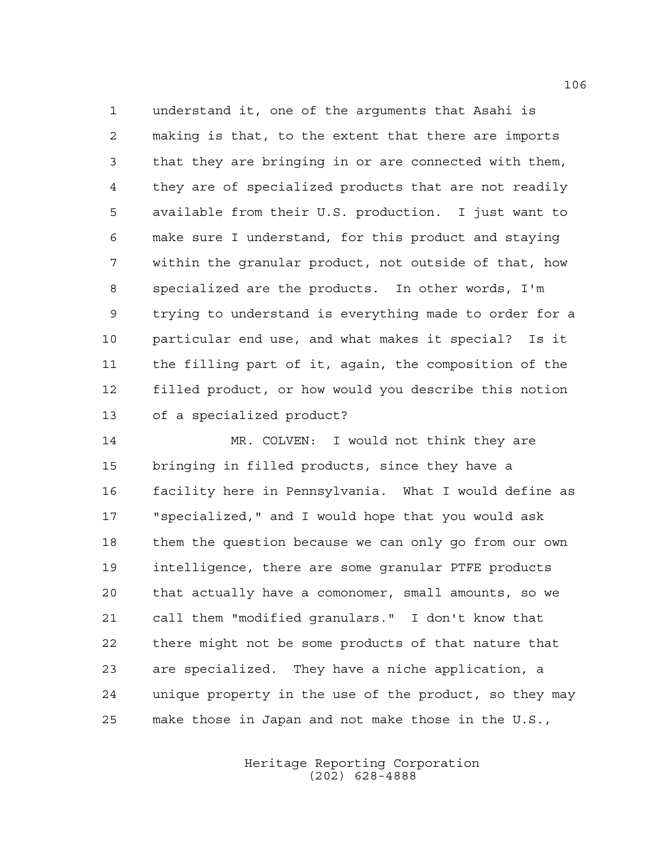understand it, one of the arguments that Asahi is making is that, to the extent that there are imports that they are bringing in or are connected with them, they are of specialized products that are not readily available from their U.S. production. I just want to make sure I understand, for this product and staying within the granular product, not outside of that, how specialized are the products. In other words, I'm trying to understand is everything made to order for a particular end use, and what makes it special? Is it the filling part of it, again, the composition of the filled product, or how would you describe this notion of a specialized product?

 MR. COLVEN: I would not think they are bringing in filled products, since they have a facility here in Pennsylvania. What I would define as "specialized," and I would hope that you would ask them the question because we can only go from our own intelligence, there are some granular PTFE products that actually have a comonomer, small amounts, so we call them "modified granulars." I don't know that there might not be some products of that nature that are specialized. They have a niche application, a unique property in the use of the product, so they may make those in Japan and not make those in the U.S.,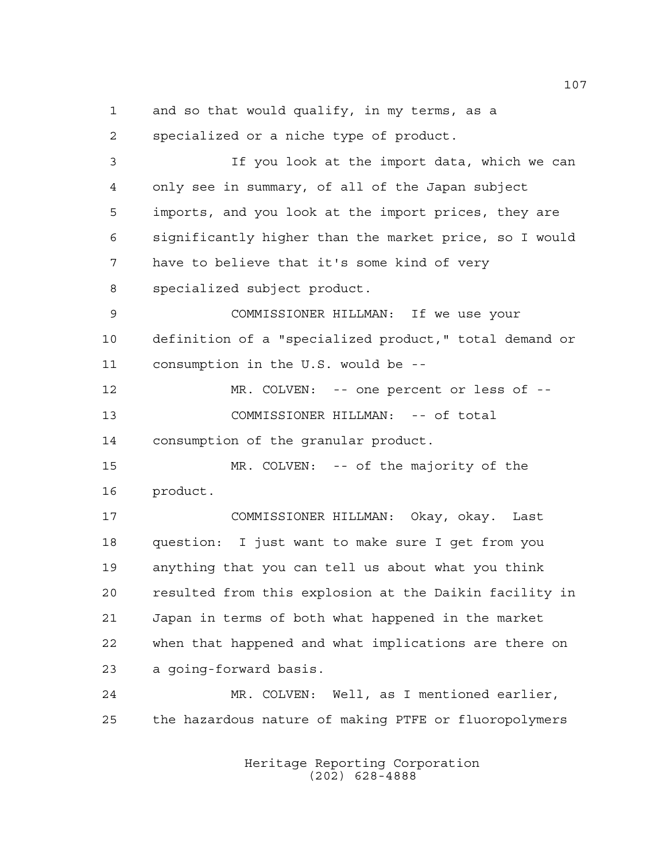and so that would qualify, in my terms, as a

 specialized or a niche type of product. If you look at the import data, which we can only see in summary, of all of the Japan subject imports, and you look at the import prices, they are significantly higher than the market price, so I would have to believe that it's some kind of very specialized subject product. COMMISSIONER HILLMAN: If we use your definition of a "specialized product," total demand or consumption in the U.S. would be -- MR. COLVEN: -- one percent or less of -- COMMISSIONER HILLMAN: -- of total consumption of the granular product. MR. COLVEN: -- of the majority of the product. COMMISSIONER HILLMAN: Okay, okay. Last question: I just want to make sure I get from you anything that you can tell us about what you think resulted from this explosion at the Daikin facility in Japan in terms of both what happened in the market when that happened and what implications are there on a going-forward basis. MR. COLVEN: Well, as I mentioned earlier, the hazardous nature of making PTFE or fluoropolymers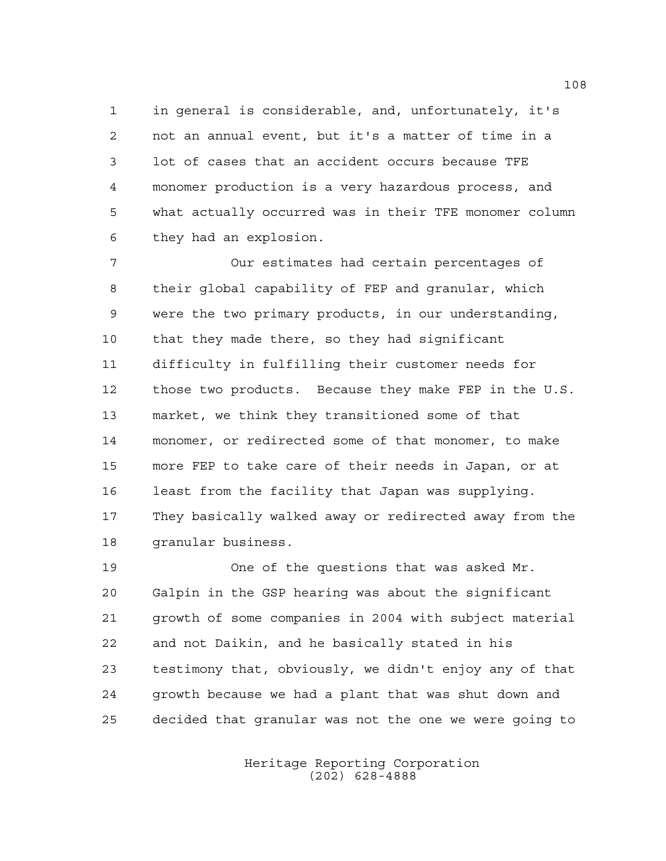in general is considerable, and, unfortunately, it's not an annual event, but it's a matter of time in a lot of cases that an accident occurs because TFE monomer production is a very hazardous process, and what actually occurred was in their TFE monomer column they had an explosion.

 Our estimates had certain percentages of their global capability of FEP and granular, which were the two primary products, in our understanding, that they made there, so they had significant difficulty in fulfilling their customer needs for those two products. Because they make FEP in the U.S. market, we think they transitioned some of that monomer, or redirected some of that monomer, to make more FEP to take care of their needs in Japan, or at least from the facility that Japan was supplying. They basically walked away or redirected away from the granular business.

 One of the questions that was asked Mr. Galpin in the GSP hearing was about the significant growth of some companies in 2004 with subject material and not Daikin, and he basically stated in his testimony that, obviously, we didn't enjoy any of that growth because we had a plant that was shut down and decided that granular was not the one we were going to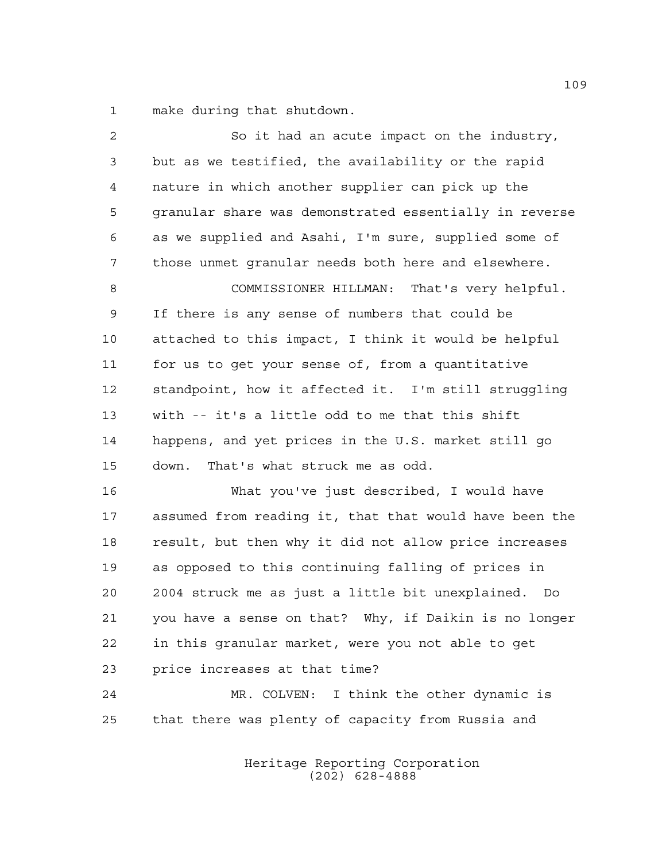make during that shutdown.

| $\overline{2}$ | So it had an acute impact on the industry,             |
|----------------|--------------------------------------------------------|
| 3              | but as we testified, the availability or the rapid     |
| 4              | nature in which another supplier can pick up the       |
| 5              | granular share was demonstrated essentially in reverse |
| 6              | as we supplied and Asahi, I'm sure, supplied some of   |
| 7              | those unmet granular needs both here and elsewhere.    |
| 8              | COMMISSIONER HILLMAN: That's very helpful.             |
| 9              | If there is any sense of numbers that could be         |
| 10             | attached to this impact, I think it would be helpful   |
| 11             | for us to get your sense of, from a quantitative       |
| 12             | standpoint, how it affected it. I'm still struggling   |
| 13             | with -- it's a little odd to me that this shift        |
| 14             | happens, and yet prices in the U.S. market still go    |
| 15             | That's what struck me as odd.<br>down.                 |
| 16             | What you've just described, I would have               |
| 17             | assumed from reading it, that that would have been the |
| 18             | result, but then why it did not allow price increases  |
| 19             | as opposed to this continuing falling of prices in     |
| 20             | 2004 struck me as just a little bit unexplained. Do    |
| 21             | you have a sense on that? Why, if Daikin is no longer  |
| 22             | in this granular market, were you not able to get      |
| 23             | price increases at that time?                          |
| 24             | MR. COLVEN: I think the other dynamic is               |
| 25             | that there was plenty of capacity from Russia and      |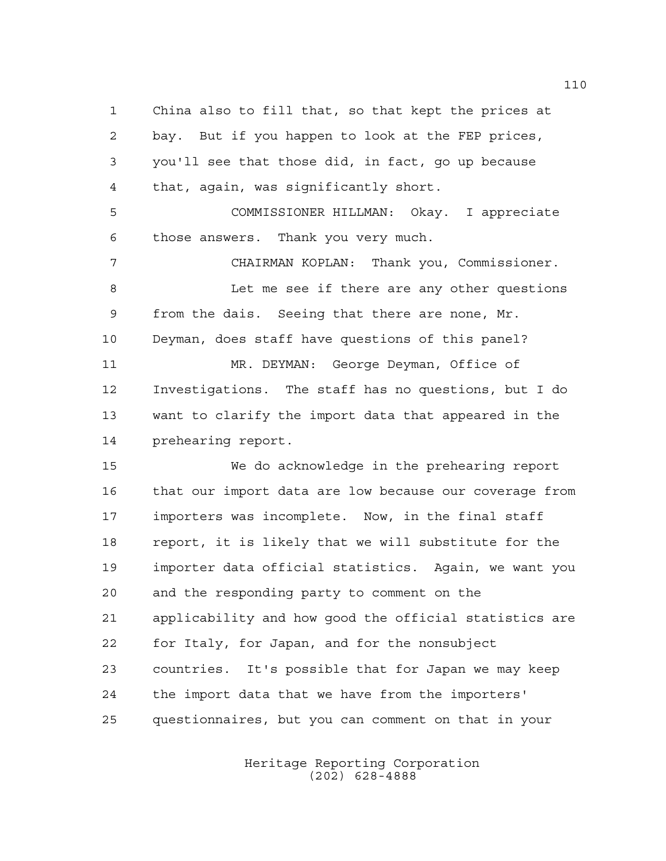China also to fill that, so that kept the prices at bay. But if you happen to look at the FEP prices, you'll see that those did, in fact, go up because that, again, was significantly short. COMMISSIONER HILLMAN: Okay. I appreciate those answers. Thank you very much. CHAIRMAN KOPLAN: Thank you, Commissioner. Let me see if there are any other questions from the dais. Seeing that there are none, Mr. Deyman, does staff have questions of this panel? MR. DEYMAN: George Deyman, Office of Investigations. The staff has no questions, but I do want to clarify the import data that appeared in the prehearing report. We do acknowledge in the prehearing report that our import data are low because our coverage from importers was incomplete. Now, in the final staff report, it is likely that we will substitute for the importer data official statistics. Again, we want you and the responding party to comment on the applicability and how good the official statistics are for Italy, for Japan, and for the nonsubject countries. It's possible that for Japan we may keep the import data that we have from the importers' questionnaires, but you can comment on that in your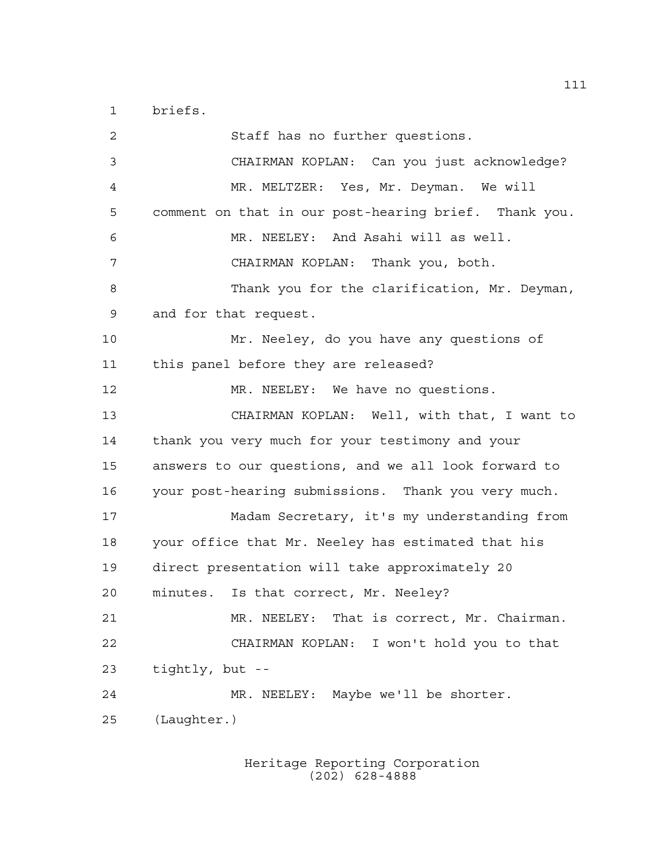briefs.

 Staff has no further questions. CHAIRMAN KOPLAN: Can you just acknowledge? MR. MELTZER: Yes, Mr. Deyman. We will comment on that in our post-hearing brief. Thank you. MR. NEELEY: And Asahi will as well. CHAIRMAN KOPLAN: Thank you, both. Thank you for the clarification, Mr. Deyman, and for that request. Mr. Neeley, do you have any questions of this panel before they are released? MR. NEELEY: We have no questions. CHAIRMAN KOPLAN: Well, with that, I want to thank you very much for your testimony and your answers to our questions, and we all look forward to your post-hearing submissions. Thank you very much. Madam Secretary, it's my understanding from your office that Mr. Neeley has estimated that his direct presentation will take approximately 20 minutes. Is that correct, Mr. Neeley? MR. NEELEY: That is correct, Mr. Chairman. CHAIRMAN KOPLAN: I won't hold you to that tightly, but -- MR. NEELEY: Maybe we'll be shorter. (Laughter.)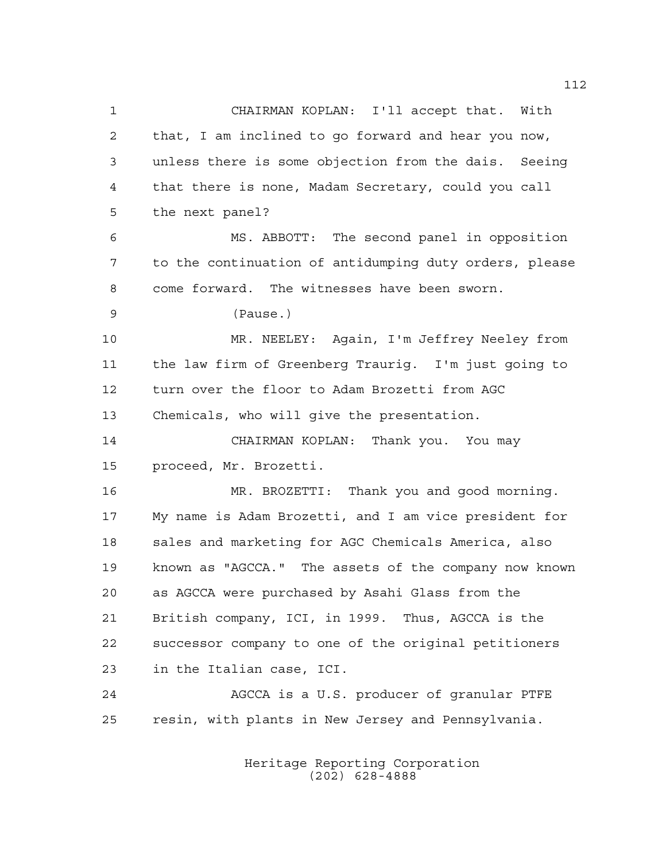CHAIRMAN KOPLAN: I'll accept that. With that, I am inclined to go forward and hear you now, unless there is some objection from the dais. Seeing that there is none, Madam Secretary, could you call the next panel? MS. ABBOTT: The second panel in opposition to the continuation of antidumping duty orders, please come forward. The witnesses have been sworn. (Pause.) MR. NEELEY: Again, I'm Jeffrey Neeley from the law firm of Greenberg Traurig. I'm just going to turn over the floor to Adam Brozetti from AGC Chemicals, who will give the presentation. CHAIRMAN KOPLAN: Thank you. You may proceed, Mr. Brozetti. MR. BROZETTI: Thank you and good morning. My name is Adam Brozetti, and I am vice president for sales and marketing for AGC Chemicals America, also known as "AGCCA." The assets of the company now known as AGCCA were purchased by Asahi Glass from the British company, ICI, in 1999. Thus, AGCCA is the successor company to one of the original petitioners in the Italian case, ICI. AGCCA is a U.S. producer of granular PTFE resin, with plants in New Jersey and Pennsylvania.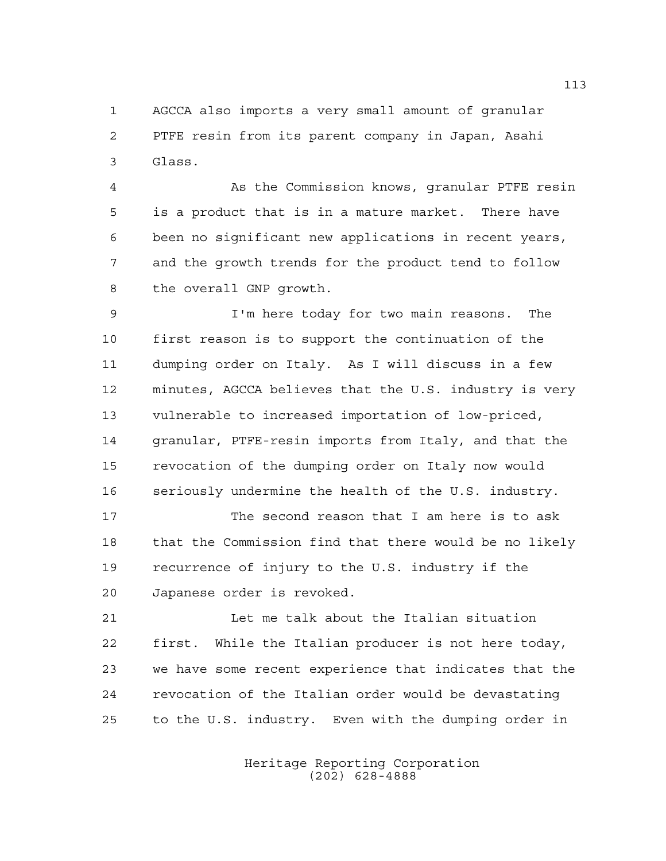AGCCA also imports a very small amount of granular PTFE resin from its parent company in Japan, Asahi Glass.

 As the Commission knows, granular PTFE resin is a product that is in a mature market. There have been no significant new applications in recent years, and the growth trends for the product tend to follow the overall GNP growth.

 I'm here today for two main reasons. The first reason is to support the continuation of the dumping order on Italy. As I will discuss in a few minutes, AGCCA believes that the U.S. industry is very vulnerable to increased importation of low-priced, granular, PTFE-resin imports from Italy, and that the revocation of the dumping order on Italy now would seriously undermine the health of the U.S. industry.

 The second reason that I am here is to ask that the Commission find that there would be no likely recurrence of injury to the U.S. industry if the Japanese order is revoked.

 Let me talk about the Italian situation first. While the Italian producer is not here today, we have some recent experience that indicates that the revocation of the Italian order would be devastating to the U.S. industry. Even with the dumping order in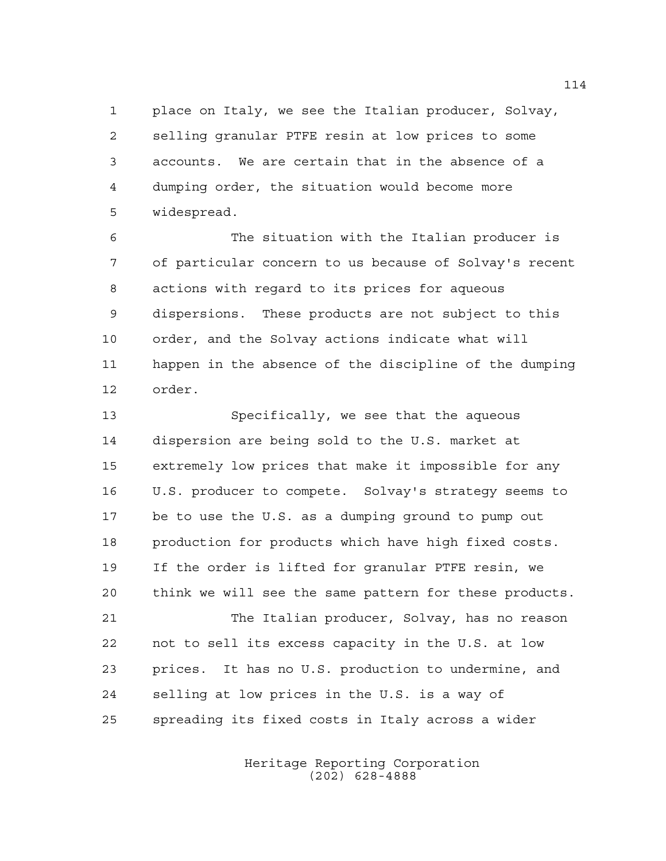place on Italy, we see the Italian producer, Solvay, selling granular PTFE resin at low prices to some accounts. We are certain that in the absence of a dumping order, the situation would become more widespread.

 The situation with the Italian producer is of particular concern to us because of Solvay's recent actions with regard to its prices for aqueous dispersions. These products are not subject to this order, and the Solvay actions indicate what will happen in the absence of the discipline of the dumping order.

 Specifically, we see that the aqueous dispersion are being sold to the U.S. market at extremely low prices that make it impossible for any U.S. producer to compete. Solvay's strategy seems to be to use the U.S. as a dumping ground to pump out production for products which have high fixed costs. If the order is lifted for granular PTFE resin, we think we will see the same pattern for these products. The Italian producer, Solvay, has no reason not to sell its excess capacity in the U.S. at low prices. It has no U.S. production to undermine, and selling at low prices in the U.S. is a way of spreading its fixed costs in Italy across a wider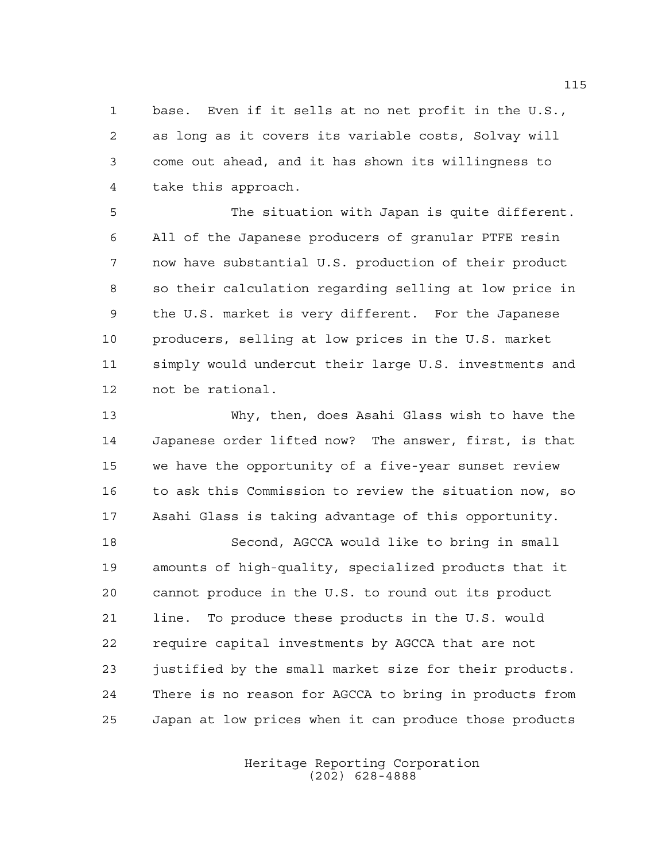base. Even if it sells at no net profit in the U.S., as long as it covers its variable costs, Solvay will come out ahead, and it has shown its willingness to take this approach.

 The situation with Japan is quite different. All of the Japanese producers of granular PTFE resin now have substantial U.S. production of their product so their calculation regarding selling at low price in the U.S. market is very different. For the Japanese producers, selling at low prices in the U.S. market simply would undercut their large U.S. investments and not be rational.

 Why, then, does Asahi Glass wish to have the Japanese order lifted now? The answer, first, is that we have the opportunity of a five-year sunset review to ask this Commission to review the situation now, so Asahi Glass is taking advantage of this opportunity.

 Second, AGCCA would like to bring in small amounts of high-quality, specialized products that it cannot produce in the U.S. to round out its product line. To produce these products in the U.S. would require capital investments by AGCCA that are not justified by the small market size for their products. There is no reason for AGCCA to bring in products from Japan at low prices when it can produce those products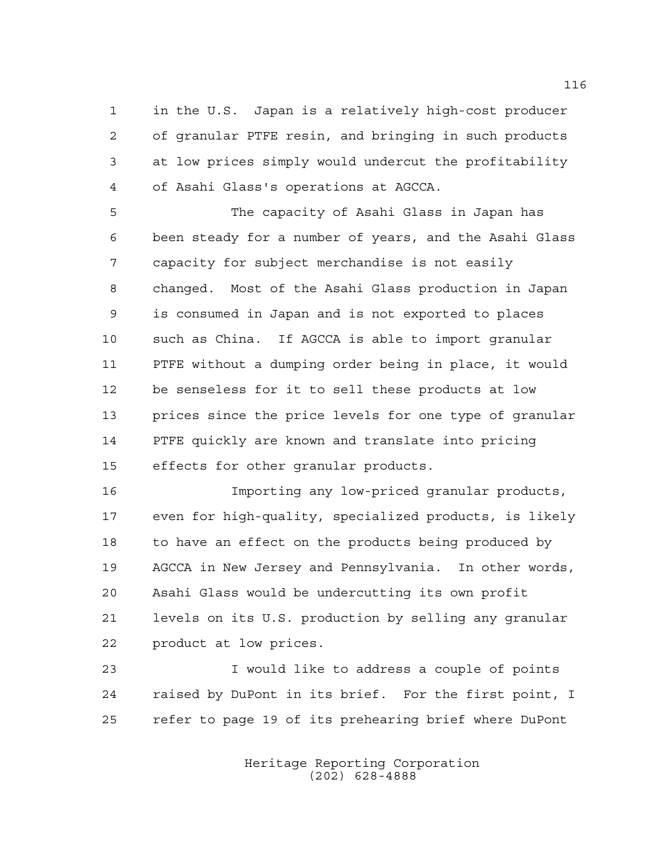in the U.S. Japan is a relatively high-cost producer of granular PTFE resin, and bringing in such products at low prices simply would undercut the profitability of Asahi Glass's operations at AGCCA.

 The capacity of Asahi Glass in Japan has been steady for a number of years, and the Asahi Glass capacity for subject merchandise is not easily changed. Most of the Asahi Glass production in Japan is consumed in Japan and is not exported to places such as China. If AGCCA is able to import granular PTFE without a dumping order being in place, it would be senseless for it to sell these products at low prices since the price levels for one type of granular PTFE quickly are known and translate into pricing effects for other granular products.

 Importing any low-priced granular products, even for high-quality, specialized products, is likely to have an effect on the products being produced by AGCCA in New Jersey and Pennsylvania. In other words, Asahi Glass would be undercutting its own profit levels on its U.S. production by selling any granular product at low prices.

 I would like to address a couple of points raised by DuPont in its brief. For the first point, I refer to page 19 of its prehearing brief where DuPont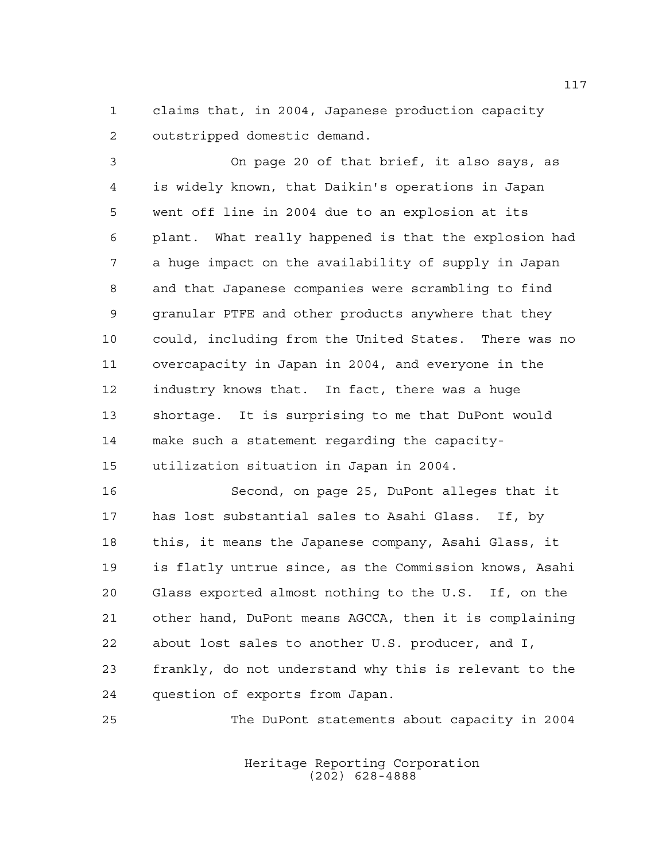claims that, in 2004, Japanese production capacity outstripped domestic demand.

 On page 20 of that brief, it also says, as is widely known, that Daikin's operations in Japan went off line in 2004 due to an explosion at its plant. What really happened is that the explosion had a huge impact on the availability of supply in Japan and that Japanese companies were scrambling to find granular PTFE and other products anywhere that they could, including from the United States. There was no overcapacity in Japan in 2004, and everyone in the industry knows that. In fact, there was a huge shortage. It is surprising to me that DuPont would make such a statement regarding the capacity-utilization situation in Japan in 2004.

 Second, on page 25, DuPont alleges that it has lost substantial sales to Asahi Glass. If, by this, it means the Japanese company, Asahi Glass, it is flatly untrue since, as the Commission knows, Asahi Glass exported almost nothing to the U.S. If, on the other hand, DuPont means AGCCA, then it is complaining about lost sales to another U.S. producer, and I, frankly, do not understand why this is relevant to the question of exports from Japan.

The DuPont statements about capacity in 2004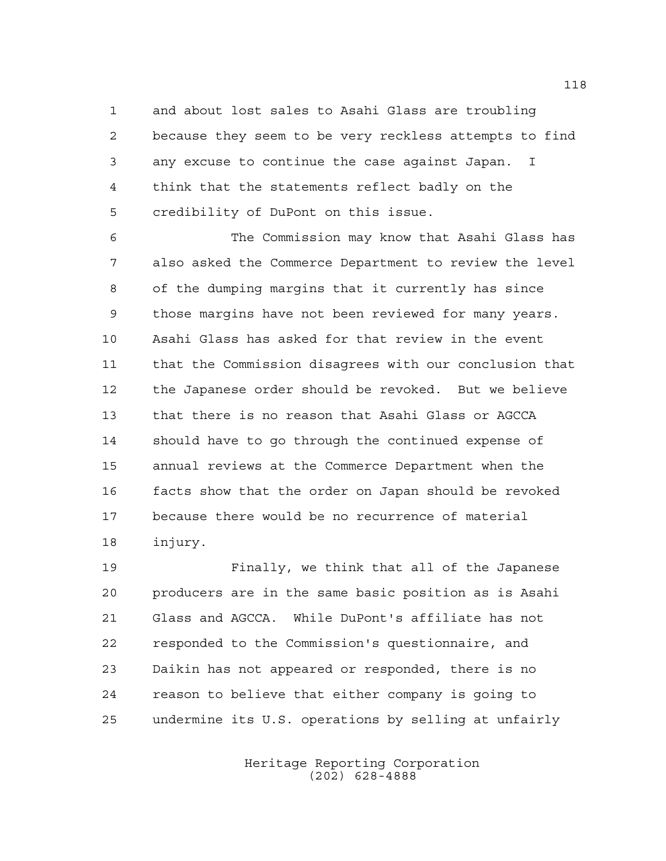and about lost sales to Asahi Glass are troubling because they seem to be very reckless attempts to find any excuse to continue the case against Japan. I think that the statements reflect badly on the credibility of DuPont on this issue.

 The Commission may know that Asahi Glass has also asked the Commerce Department to review the level of the dumping margins that it currently has since those margins have not been reviewed for many years. Asahi Glass has asked for that review in the event that the Commission disagrees with our conclusion that the Japanese order should be revoked. But we believe that there is no reason that Asahi Glass or AGCCA should have to go through the continued expense of annual reviews at the Commerce Department when the facts show that the order on Japan should be revoked because there would be no recurrence of material injury.

 Finally, we think that all of the Japanese producers are in the same basic position as is Asahi Glass and AGCCA. While DuPont's affiliate has not responded to the Commission's questionnaire, and Daikin has not appeared or responded, there is no reason to believe that either company is going to undermine its U.S. operations by selling at unfairly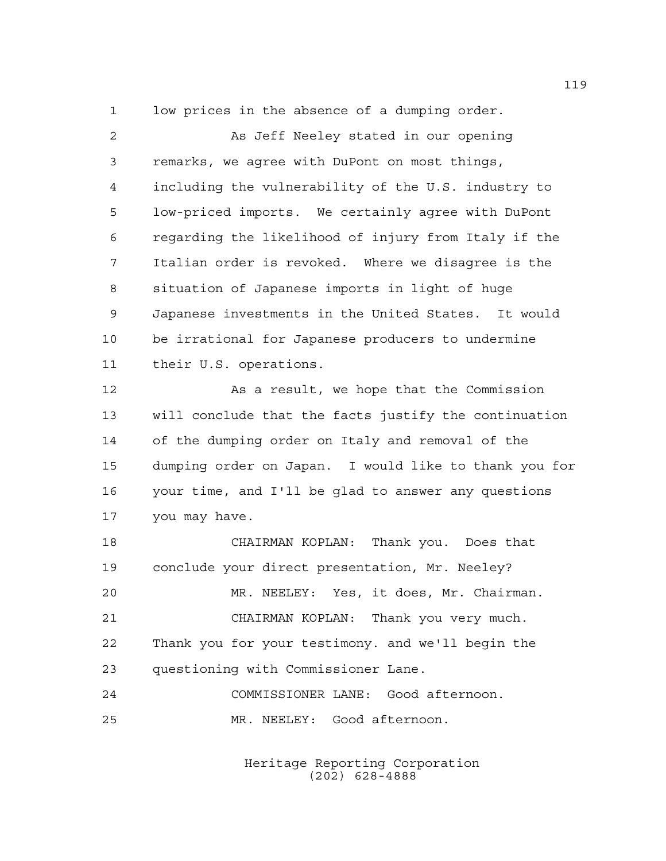low prices in the absence of a dumping order.

 As Jeff Neeley stated in our opening remarks, we agree with DuPont on most things, including the vulnerability of the U.S. industry to low-priced imports. We certainly agree with DuPont regarding the likelihood of injury from Italy if the Italian order is revoked. Where we disagree is the situation of Japanese imports in light of huge Japanese investments in the United States. It would be irrational for Japanese producers to undermine their U.S. operations.

 As a result, we hope that the Commission will conclude that the facts justify the continuation of the dumping order on Italy and removal of the dumping order on Japan. I would like to thank you for your time, and I'll be glad to answer any questions you may have.

 CHAIRMAN KOPLAN: Thank you. Does that conclude your direct presentation, Mr. Neeley? MR. NEELEY: Yes, it does, Mr. Chairman. CHAIRMAN KOPLAN: Thank you very much. Thank you for your testimony. and we'll begin the questioning with Commissioner Lane. COMMISSIONER LANE: Good afternoon.

MR. NEELEY: Good afternoon.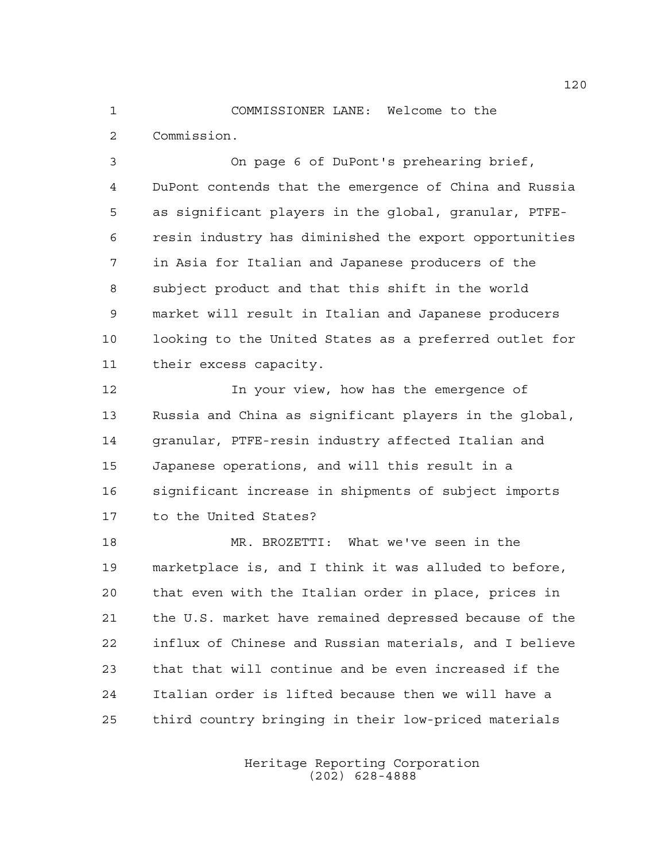COMMISSIONER LANE: Welcome to the Commission.

 On page 6 of DuPont's prehearing brief, DuPont contends that the emergence of China and Russia as significant players in the global, granular, PTFE- resin industry has diminished the export opportunities in Asia for Italian and Japanese producers of the subject product and that this shift in the world market will result in Italian and Japanese producers looking to the United States as a preferred outlet for their excess capacity.

 In your view, how has the emergence of Russia and China as significant players in the global, granular, PTFE-resin industry affected Italian and Japanese operations, and will this result in a significant increase in shipments of subject imports to the United States?

 MR. BROZETTI: What we've seen in the marketplace is, and I think it was alluded to before, that even with the Italian order in place, prices in the U.S. market have remained depressed because of the influx of Chinese and Russian materials, and I believe that that will continue and be even increased if the Italian order is lifted because then we will have a third country bringing in their low-priced materials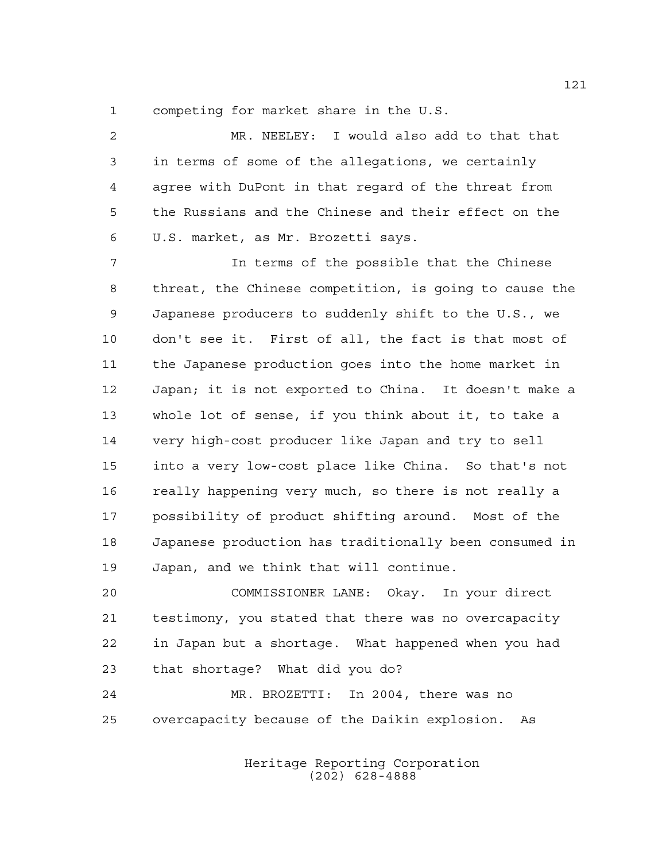competing for market share in the U.S.

 MR. NEELEY: I would also add to that that in terms of some of the allegations, we certainly agree with DuPont in that regard of the threat from the Russians and the Chinese and their effect on the U.S. market, as Mr. Brozetti says.

 In terms of the possible that the Chinese threat, the Chinese competition, is going to cause the Japanese producers to suddenly shift to the U.S., we don't see it. First of all, the fact is that most of the Japanese production goes into the home market in Japan; it is not exported to China. It doesn't make a whole lot of sense, if you think about it, to take a very high-cost producer like Japan and try to sell into a very low-cost place like China. So that's not really happening very much, so there is not really a possibility of product shifting around. Most of the Japanese production has traditionally been consumed in Japan, and we think that will continue.

 COMMISSIONER LANE: Okay. In your direct testimony, you stated that there was no overcapacity in Japan but a shortage. What happened when you had that shortage? What did you do?

 MR. BROZETTI: In 2004, there was no overcapacity because of the Daikin explosion. As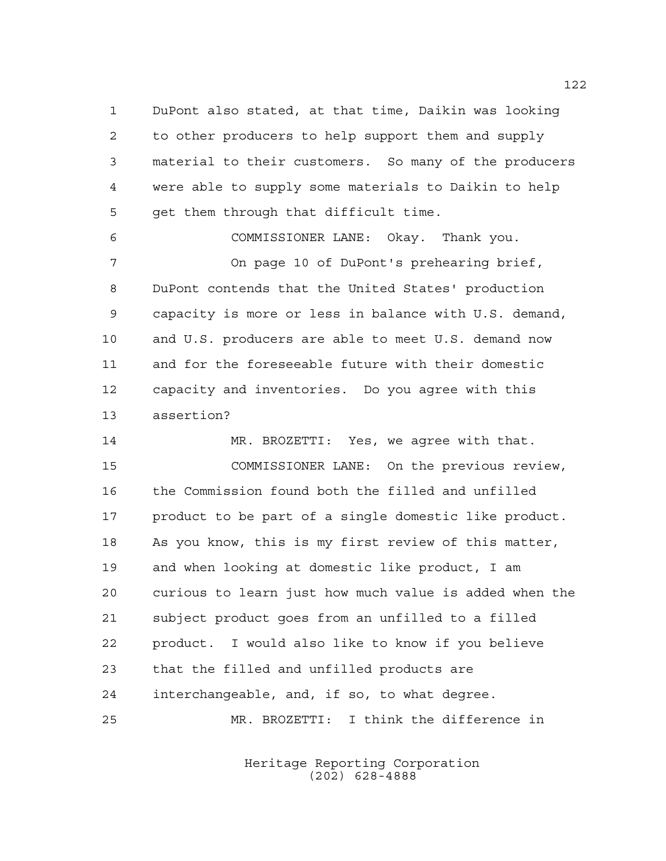DuPont also stated, at that time, Daikin was looking to other producers to help support them and supply material to their customers. So many of the producers were able to supply some materials to Daikin to help get them through that difficult time.

 COMMISSIONER LANE: Okay. Thank you. On page 10 of DuPont's prehearing brief, DuPont contends that the United States' production capacity is more or less in balance with U.S. demand, and U.S. producers are able to meet U.S. demand now and for the foreseeable future with their domestic capacity and inventories. Do you agree with this assertion?

 MR. BROZETTI: Yes, we agree with that. COMMISSIONER LANE: On the previous review, the Commission found both the filled and unfilled product to be part of a single domestic like product. As you know, this is my first review of this matter, and when looking at domestic like product, I am curious to learn just how much value is added when the subject product goes from an unfilled to a filled product. I would also like to know if you believe that the filled and unfilled products are interchangeable, and, if so, to what degree. MR. BROZETTI: I think the difference in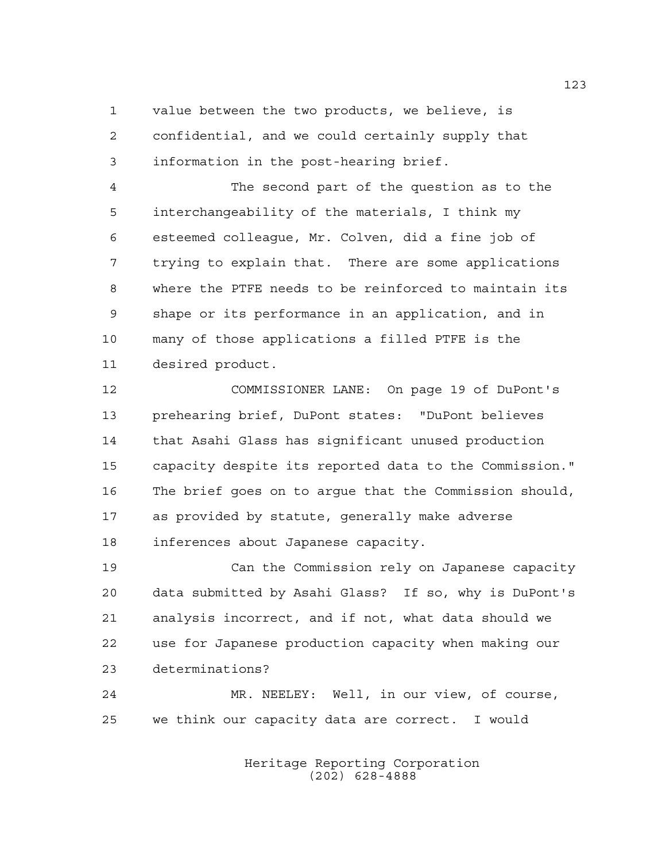value between the two products, we believe, is confidential, and we could certainly supply that information in the post-hearing brief.

 The second part of the question as to the interchangeability of the materials, I think my esteemed colleague, Mr. Colven, did a fine job of trying to explain that. There are some applications where the PTFE needs to be reinforced to maintain its shape or its performance in an application, and in many of those applications a filled PTFE is the desired product.

 COMMISSIONER LANE: On page 19 of DuPont's prehearing brief, DuPont states: "DuPont believes that Asahi Glass has significant unused production capacity despite its reported data to the Commission." The brief goes on to argue that the Commission should, as provided by statute, generally make adverse inferences about Japanese capacity.

 Can the Commission rely on Japanese capacity data submitted by Asahi Glass? If so, why is DuPont's analysis incorrect, and if not, what data should we use for Japanese production capacity when making our determinations?

 MR. NEELEY: Well, in our view, of course, we think our capacity data are correct. I would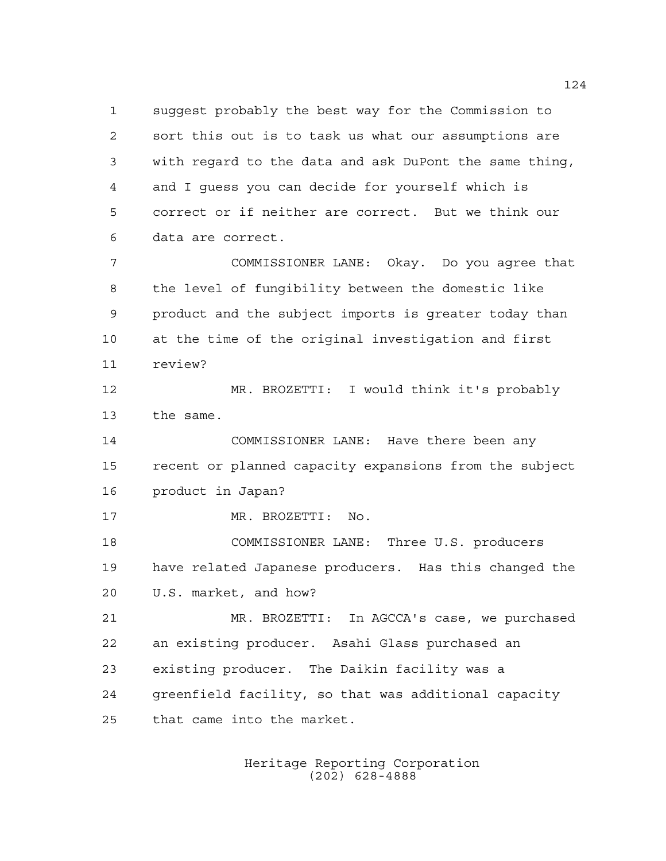suggest probably the best way for the Commission to sort this out is to task us what our assumptions are with regard to the data and ask DuPont the same thing, and I guess you can decide for yourself which is correct or if neither are correct. But we think our data are correct.

 COMMISSIONER LANE: Okay. Do you agree that the level of fungibility between the domestic like product and the subject imports is greater today than at the time of the original investigation and first review?

 MR. BROZETTI: I would think it's probably the same.

 COMMISSIONER LANE: Have there been any recent or planned capacity expansions from the subject product in Japan?

MR. BROZETTI: No.

 COMMISSIONER LANE: Three U.S. producers have related Japanese producers. Has this changed the U.S. market, and how?

 MR. BROZETTI: In AGCCA's case, we purchased an existing producer. Asahi Glass purchased an existing producer. The Daikin facility was a greenfield facility, so that was additional capacity that came into the market.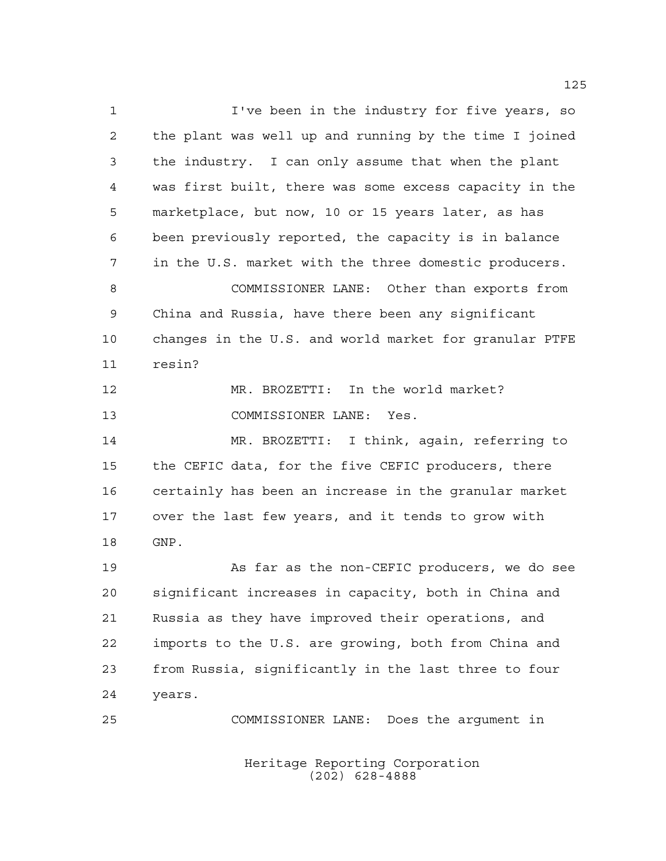I've been in the industry for five years, so the plant was well up and running by the time I joined the industry. I can only assume that when the plant was first built, there was some excess capacity in the marketplace, but now, 10 or 15 years later, as has been previously reported, the capacity is in balance in the U.S. market with the three domestic producers. COMMISSIONER LANE: Other than exports from China and Russia, have there been any significant changes in the U.S. and world market for granular PTFE resin? MR. BROZETTI: In the world market? COMMISSIONER LANE: Yes. MR. BROZETTI: I think, again, referring to the CEFIC data, for the five CEFIC producers, there certainly has been an increase in the granular market over the last few years, and it tends to grow with GNP. As far as the non-CEFIC producers, we do see significant increases in capacity, both in China and Russia as they have improved their operations, and imports to the U.S. are growing, both from China and from Russia, significantly in the last three to four years. COMMISSIONER LANE: Does the argument in

> Heritage Reporting Corporation (202) 628-4888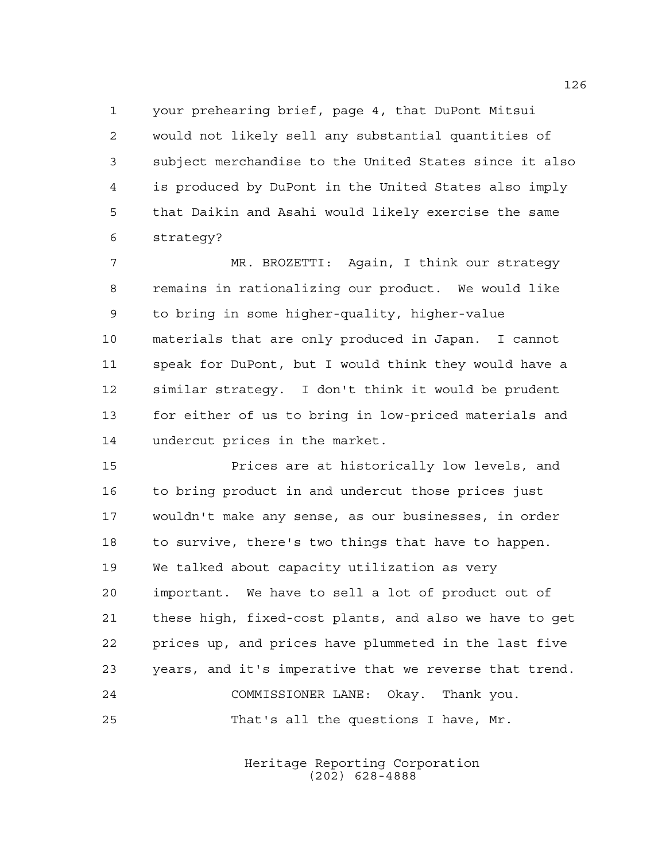your prehearing brief, page 4, that DuPont Mitsui would not likely sell any substantial quantities of subject merchandise to the United States since it also is produced by DuPont in the United States also imply that Daikin and Asahi would likely exercise the same strategy?

 MR. BROZETTI: Again, I think our strategy remains in rationalizing our product. We would like to bring in some higher-quality, higher-value materials that are only produced in Japan. I cannot speak for DuPont, but I would think they would have a similar strategy. I don't think it would be prudent for either of us to bring in low-priced materials and undercut prices in the market.

 Prices are at historically low levels, and to bring product in and undercut those prices just wouldn't make any sense, as our businesses, in order to survive, there's two things that have to happen. We talked about capacity utilization as very important. We have to sell a lot of product out of these high, fixed-cost plants, and also we have to get prices up, and prices have plummeted in the last five years, and it's imperative that we reverse that trend. COMMISSIONER LANE: Okay. Thank you. That's all the questions I have, Mr.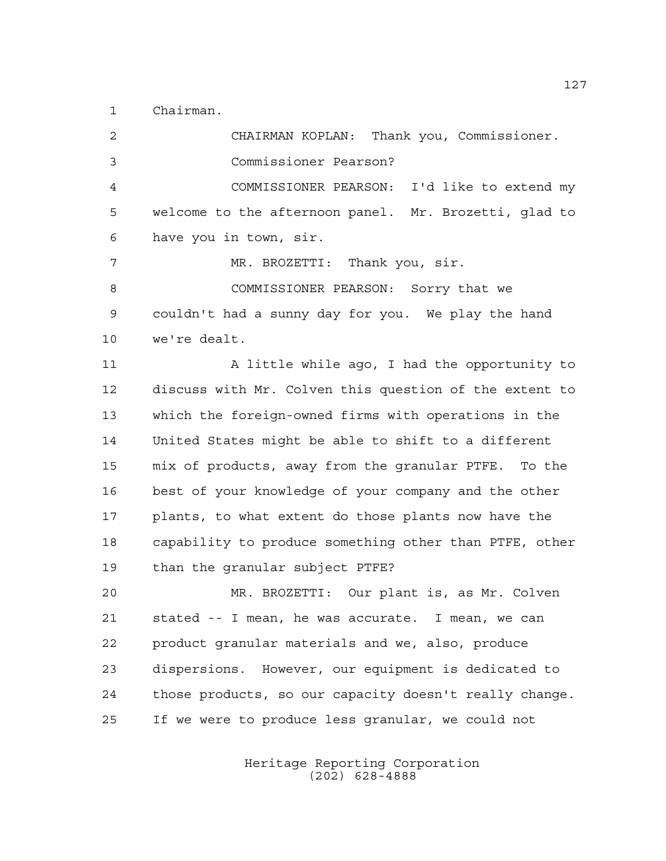Chairman.

 CHAIRMAN KOPLAN: Thank you, Commissioner. Commissioner Pearson? COMMISSIONER PEARSON: I'd like to extend my welcome to the afternoon panel. Mr. Brozetti, glad to have you in town, sir. MR. BROZETTI: Thank you, sir. 8 COMMISSIONER PEARSON: Sorry that we couldn't had a sunny day for you. We play the hand we're dealt. 11 A little while ago, I had the opportunity to discuss with Mr. Colven this question of the extent to which the foreign-owned firms with operations in the United States might be able to shift to a different mix of products, away from the granular PTFE. To the best of your knowledge of your company and the other plants, to what extent do those plants now have the capability to produce something other than PTFE, other than the granular subject PTFE? MR. BROZETTI: Our plant is, as Mr. Colven stated -- I mean, he was accurate. I mean, we can product granular materials and we, also, produce dispersions. However, our equipment is dedicated to those products, so our capacity doesn't really change. If we were to produce less granular, we could not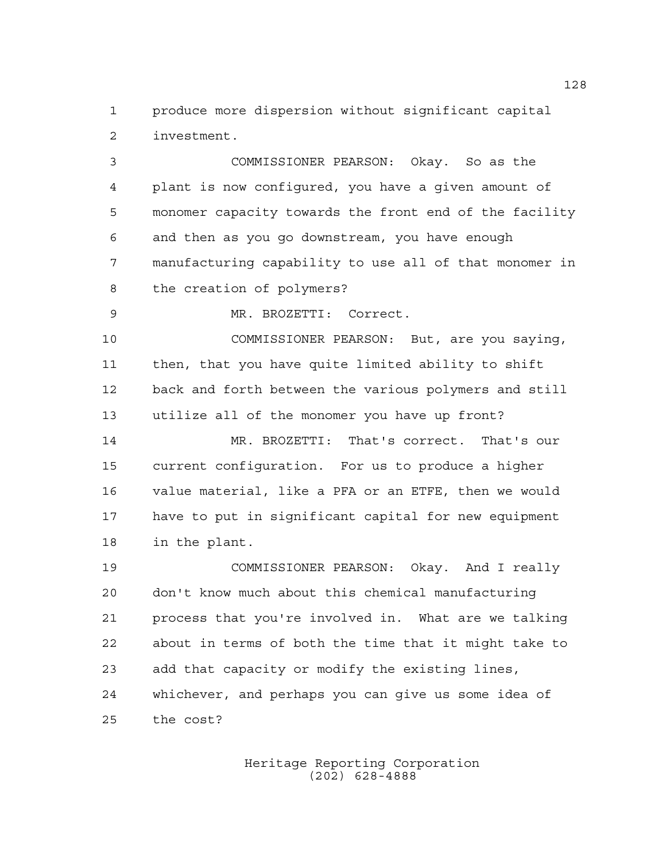produce more dispersion without significant capital investment.

 COMMISSIONER PEARSON: Okay. So as the plant is now configured, you have a given amount of monomer capacity towards the front end of the facility and then as you go downstream, you have enough manufacturing capability to use all of that monomer in the creation of polymers?

MR. BROZETTI: Correct.

 COMMISSIONER PEARSON: But, are you saying, then, that you have quite limited ability to shift back and forth between the various polymers and still utilize all of the monomer you have up front?

 MR. BROZETTI: That's correct. That's our current configuration. For us to produce a higher value material, like a PFA or an ETFE, then we would have to put in significant capital for new equipment in the plant.

 COMMISSIONER PEARSON: Okay. And I really don't know much about this chemical manufacturing process that you're involved in. What are we talking about in terms of both the time that it might take to add that capacity or modify the existing lines, whichever, and perhaps you can give us some idea of the cost?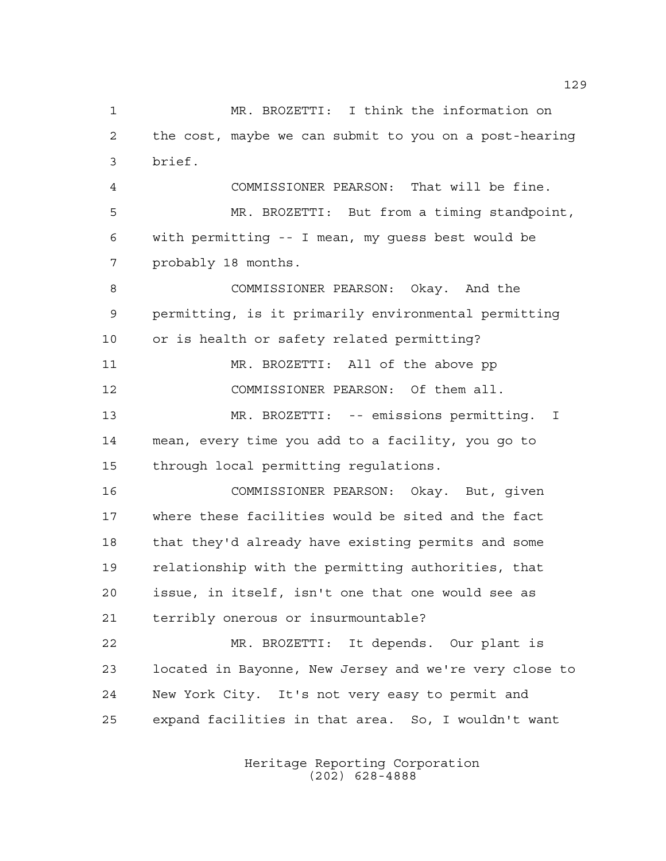MR. BROZETTI: I think the information on the cost, maybe we can submit to you on a post-hearing brief. COMMISSIONER PEARSON: That will be fine. MR. BROZETTI: But from a timing standpoint, with permitting -- I mean, my guess best would be probably 18 months. COMMISSIONER PEARSON: Okay. And the permitting, is it primarily environmental permitting or is health or safety related permitting? MR. BROZETTI: All of the above pp COMMISSIONER PEARSON: Of them all. MR. BROZETTI: -- emissions permitting. I mean, every time you add to a facility, you go to through local permitting regulations. COMMISSIONER PEARSON: Okay. But, given where these facilities would be sited and the fact that they'd already have existing permits and some relationship with the permitting authorities, that issue, in itself, isn't one that one would see as terribly onerous or insurmountable? MR. BROZETTI: It depends. Our plant is located in Bayonne, New Jersey and we're very close to New York City. It's not very easy to permit and expand facilities in that area. So, I wouldn't want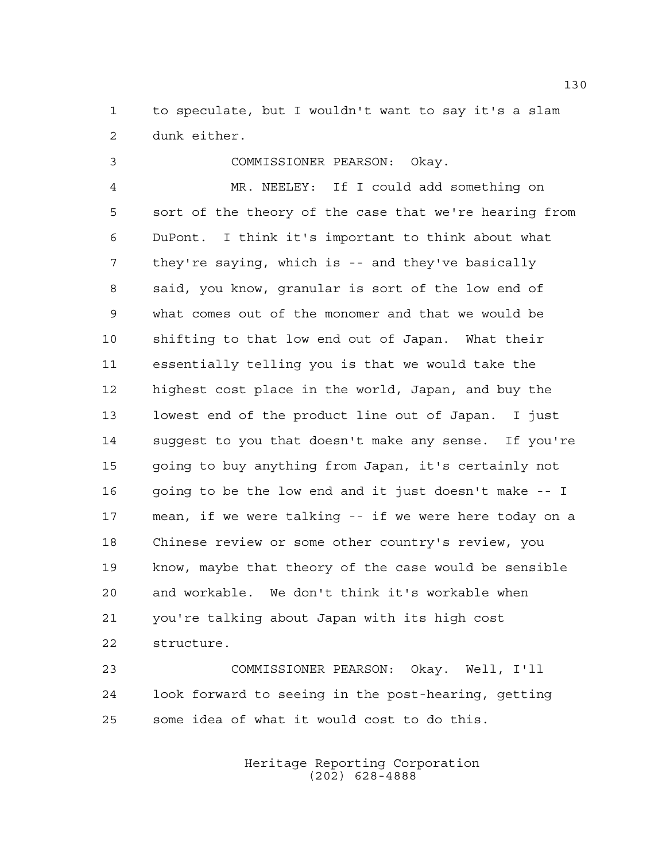to speculate, but I wouldn't want to say it's a slam dunk either.

COMMISSIONER PEARSON: Okay.

 MR. NEELEY: If I could add something on sort of the theory of the case that we're hearing from DuPont. I think it's important to think about what they're saying, which is -- and they've basically said, you know, granular is sort of the low end of what comes out of the monomer and that we would be shifting to that low end out of Japan. What their essentially telling you is that we would take the highest cost place in the world, Japan, and buy the lowest end of the product line out of Japan. I just suggest to you that doesn't make any sense. If you're going to buy anything from Japan, it's certainly not 16 going to be the low end and it just doesn't make -- I mean, if we were talking -- if we were here today on a Chinese review or some other country's review, you know, maybe that theory of the case would be sensible and workable. We don't think it's workable when you're talking about Japan with its high cost structure.

 COMMISSIONER PEARSON: Okay. Well, I'll look forward to seeing in the post-hearing, getting some idea of what it would cost to do this.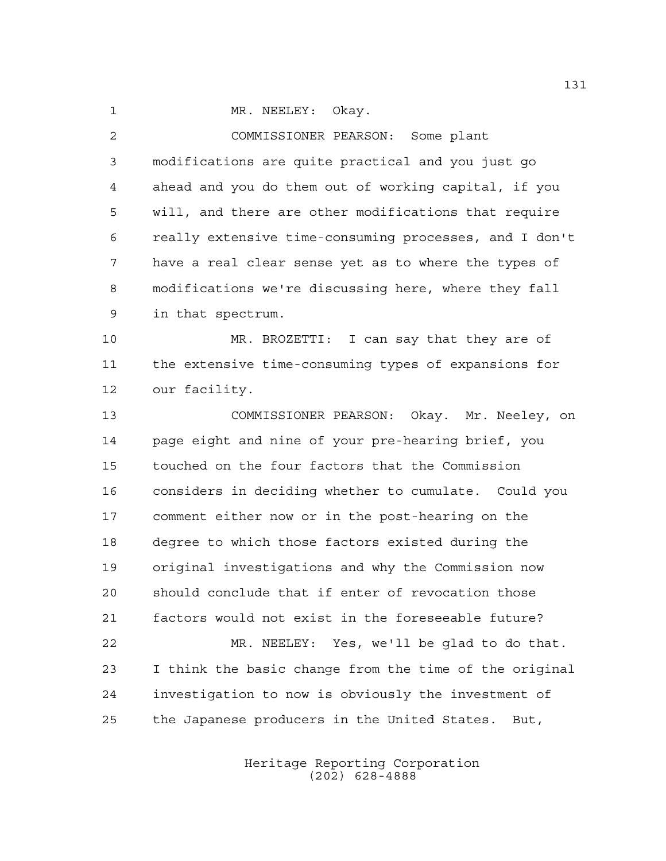1 MR. NEELEY: Okay.

 COMMISSIONER PEARSON: Some plant modifications are quite practical and you just go ahead and you do them out of working capital, if you will, and there are other modifications that require really extensive time-consuming processes, and I don't have a real clear sense yet as to where the types of modifications we're discussing here, where they fall in that spectrum.

 MR. BROZETTI: I can say that they are of the extensive time-consuming types of expansions for our facility.

 COMMISSIONER PEARSON: Okay. Mr. Neeley, on page eight and nine of your pre-hearing brief, you touched on the four factors that the Commission considers in deciding whether to cumulate. Could you comment either now or in the post-hearing on the degree to which those factors existed during the original investigations and why the Commission now should conclude that if enter of revocation those factors would not exist in the foreseeable future? MR. NEELEY: Yes, we'll be glad to do that. I think the basic change from the time of the original investigation to now is obviously the investment of

the Japanese producers in the United States. But,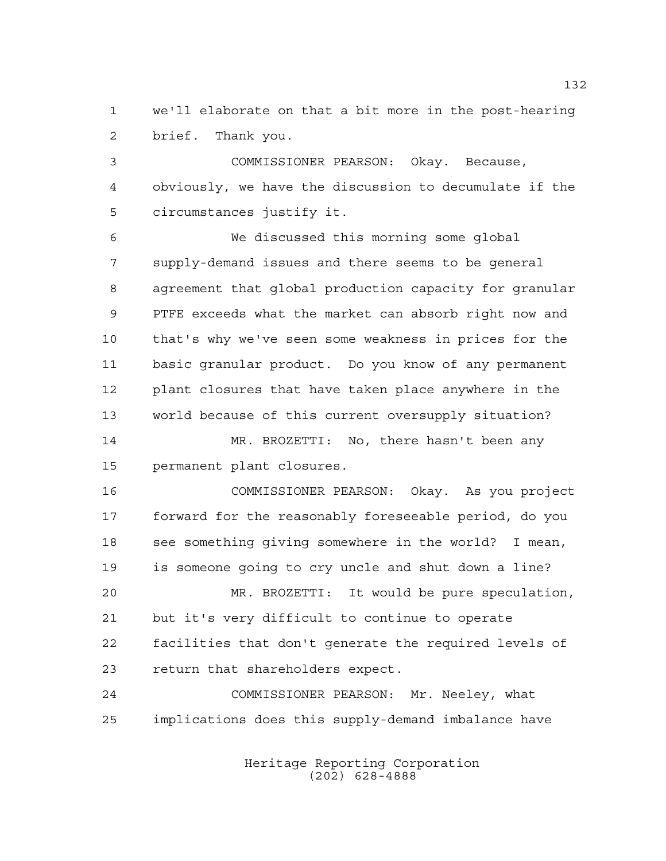we'll elaborate on that a bit more in the post-hearing brief. Thank you.

 COMMISSIONER PEARSON: Okay. Because, obviously, we have the discussion to decumulate if the circumstances justify it.

 We discussed this morning some global supply-demand issues and there seems to be general agreement that global production capacity for granular PTFE exceeds what the market can absorb right now and that's why we've seen some weakness in prices for the basic granular product. Do you know of any permanent plant closures that have taken place anywhere in the world because of this current oversupply situation? MR. BROZETTI: No, there hasn't been any

permanent plant closures.

 COMMISSIONER PEARSON: Okay. As you project forward for the reasonably foreseeable period, do you see something giving somewhere in the world? I mean, is someone going to cry uncle and shut down a line?

 MR. BROZETTI: It would be pure speculation, but it's very difficult to continue to operate facilities that don't generate the required levels of return that shareholders expect.

 COMMISSIONER PEARSON: Mr. Neeley, what implications does this supply-demand imbalance have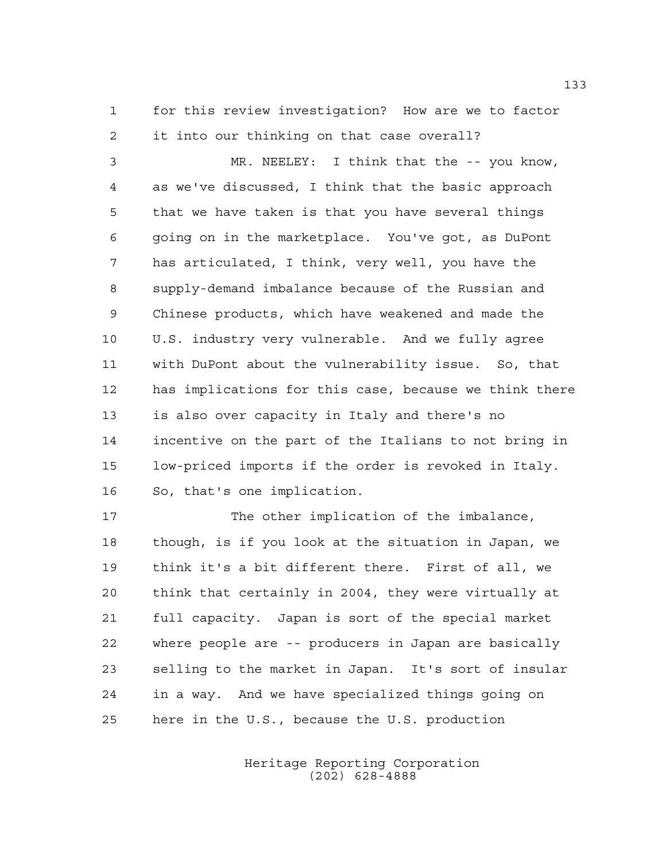for this review investigation? How are we to factor it into our thinking on that case overall?

 MR. NEELEY: I think that the -- you know, as we've discussed, I think that the basic approach that we have taken is that you have several things going on in the marketplace. You've got, as DuPont has articulated, I think, very well, you have the supply-demand imbalance because of the Russian and Chinese products, which have weakened and made the U.S. industry very vulnerable. And we fully agree with DuPont about the vulnerability issue. So, that has implications for this case, because we think there is also over capacity in Italy and there's no incentive on the part of the Italians to not bring in low-priced imports if the order is revoked in Italy. So, that's one implication.

 The other implication of the imbalance, though, is if you look at the situation in Japan, we think it's a bit different there. First of all, we think that certainly in 2004, they were virtually at full capacity. Japan is sort of the special market where people are -- producers in Japan are basically selling to the market in Japan. It's sort of insular in a way. And we have specialized things going on here in the U.S., because the U.S. production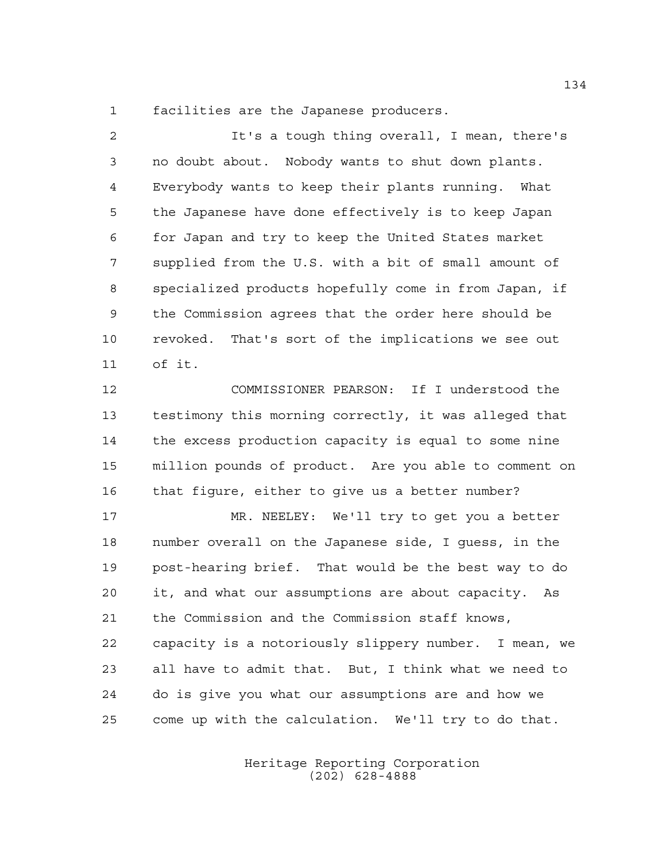facilities are the Japanese producers.

 It's a tough thing overall, I mean, there's no doubt about. Nobody wants to shut down plants. Everybody wants to keep their plants running. What the Japanese have done effectively is to keep Japan for Japan and try to keep the United States market supplied from the U.S. with a bit of small amount of specialized products hopefully come in from Japan, if the Commission agrees that the order here should be revoked. That's sort of the implications we see out of it.

 COMMISSIONER PEARSON: If I understood the testimony this morning correctly, it was alleged that the excess production capacity is equal to some nine million pounds of product. Are you able to comment on that figure, either to give us a better number?

 MR. NEELEY: We'll try to get you a better number overall on the Japanese side, I guess, in the post-hearing brief. That would be the best way to do it, and what our assumptions are about capacity. As the Commission and the Commission staff knows, capacity is a notoriously slippery number. I mean, we all have to admit that. But, I think what we need to do is give you what our assumptions are and how we come up with the calculation. We'll try to do that.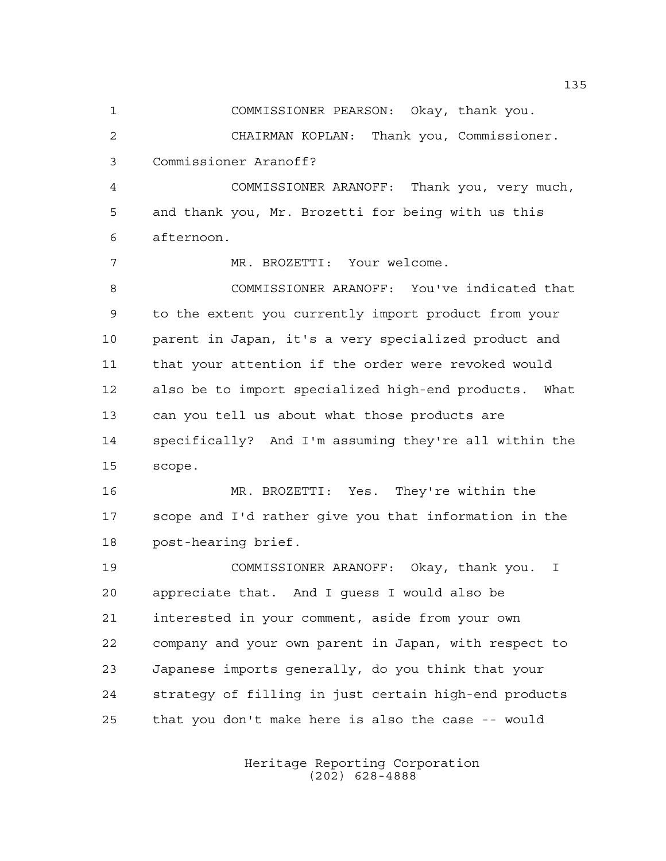COMMISSIONER PEARSON: Okay, thank you. CHAIRMAN KOPLAN: Thank you, Commissioner. Commissioner Aranoff? COMMISSIONER ARANOFF: Thank you, very much, and thank you, Mr. Brozetti for being with us this afternoon. MR. BROZETTI: Your welcome. COMMISSIONER ARANOFF: You've indicated that to the extent you currently import product from your parent in Japan, it's a very specialized product and that your attention if the order were revoked would also be to import specialized high-end products. What can you tell us about what those products are specifically? And I'm assuming they're all within the scope. MR. BROZETTI: Yes. They're within the scope and I'd rather give you that information in the post-hearing brief. COMMISSIONER ARANOFF: Okay, thank you. I appreciate that. And I guess I would also be interested in your comment, aside from your own company and your own parent in Japan, with respect to Japanese imports generally, do you think that your strategy of filling in just certain high-end products

> Heritage Reporting Corporation (202) 628-4888

that you don't make here is also the case -- would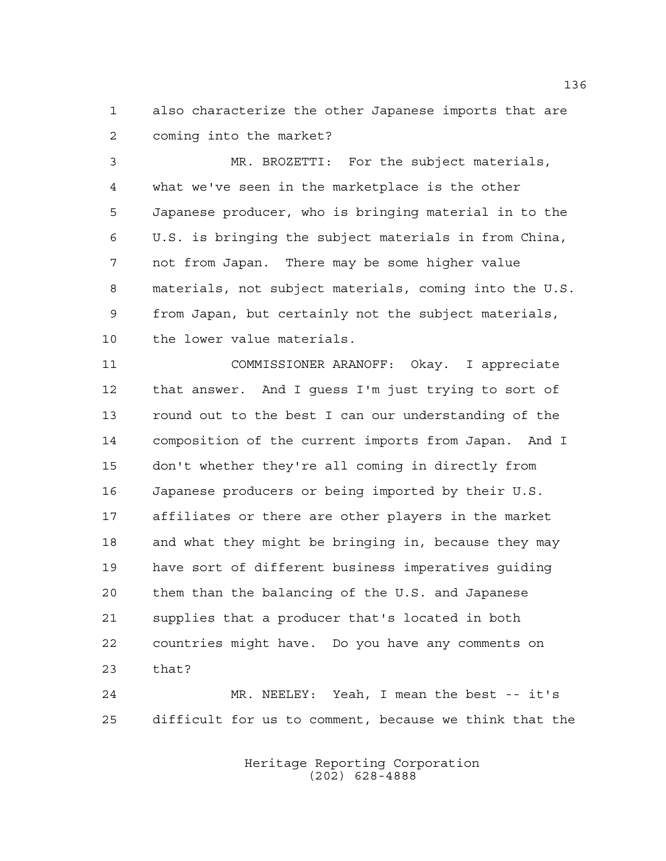also characterize the other Japanese imports that are coming into the market?

 MR. BROZETTI: For the subject materials, what we've seen in the marketplace is the other Japanese producer, who is bringing material in to the U.S. is bringing the subject materials in from China, not from Japan. There may be some higher value materials, not subject materials, coming into the U.S. from Japan, but certainly not the subject materials, the lower value materials.

 COMMISSIONER ARANOFF: Okay. I appreciate that answer. And I guess I'm just trying to sort of round out to the best I can our understanding of the composition of the current imports from Japan. And I don't whether they're all coming in directly from Japanese producers or being imported by their U.S. affiliates or there are other players in the market and what they might be bringing in, because they may have sort of different business imperatives guiding them than the balancing of the U.S. and Japanese supplies that a producer that's located in both countries might have. Do you have any comments on that?

 MR. NEELEY: Yeah, I mean the best -- it's difficult for us to comment, because we think that the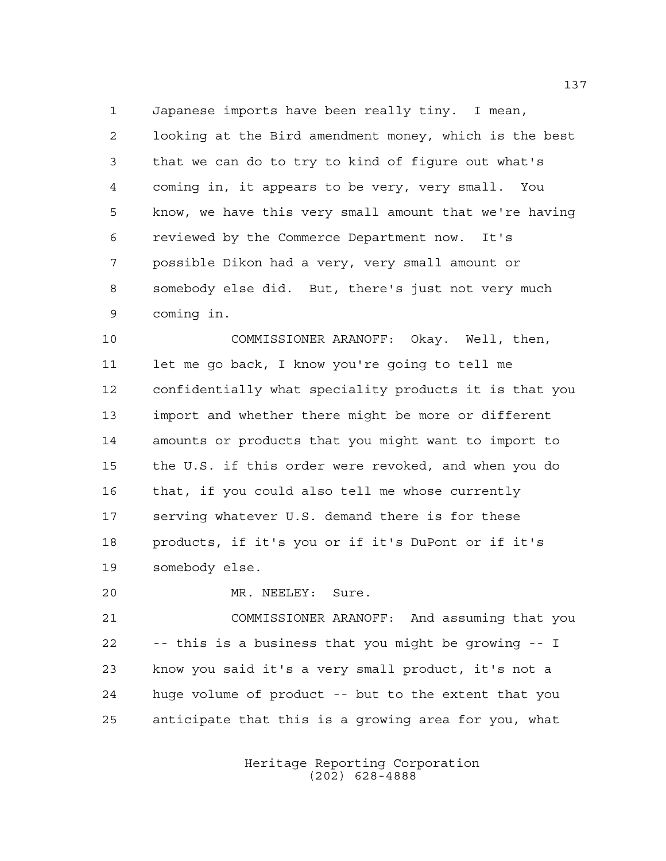Japanese imports have been really tiny. I mean, looking at the Bird amendment money, which is the best that we can do to try to kind of figure out what's coming in, it appears to be very, very small. You know, we have this very small amount that we're having reviewed by the Commerce Department now. It's possible Dikon had a very, very small amount or somebody else did. But, there's just not very much coming in.

 COMMISSIONER ARANOFF: Okay. Well, then, let me go back, I know you're going to tell me confidentially what speciality products it is that you import and whether there might be more or different amounts or products that you might want to import to the U.S. if this order were revoked, and when you do that, if you could also tell me whose currently serving whatever U.S. demand there is for these products, if it's you or if it's DuPont or if it's somebody else.

MR. NEELEY: Sure.

 COMMISSIONER ARANOFF: And assuming that you -- this is a business that you might be growing -- I know you said it's a very small product, it's not a huge volume of product -- but to the extent that you anticipate that this is a growing area for you, what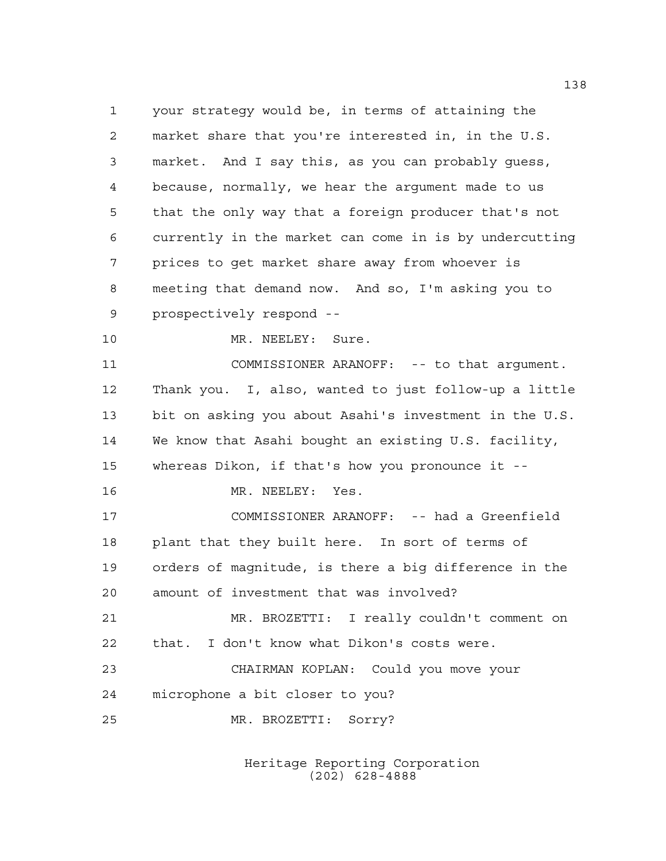your strategy would be, in terms of attaining the market share that you're interested in, in the U.S. market. And I say this, as you can probably guess, because, normally, we hear the argument made to us that the only way that a foreign producer that's not currently in the market can come in is by undercutting prices to get market share away from whoever is meeting that demand now. And so, I'm asking you to prospectively respond -- 10 MR. NEELEY: Sure. 11 COMMISSIONER ARANOFF: -- to that argument. Thank you. I, also, wanted to just follow-up a little bit on asking you about Asahi's investment in the U.S. We know that Asahi bought an existing U.S. facility, whereas Dikon, if that's how you pronounce it -- MR. NEELEY: Yes. COMMISSIONER ARANOFF: -- had a Greenfield plant that they built here. In sort of terms of orders of magnitude, is there a big difference in the amount of investment that was involved? MR. BROZETTI: I really couldn't comment on that. I don't know what Dikon's costs were. CHAIRMAN KOPLAN: Could you move your microphone a bit closer to you? MR. BROZETTI: Sorry?

> Heritage Reporting Corporation (202) 628-4888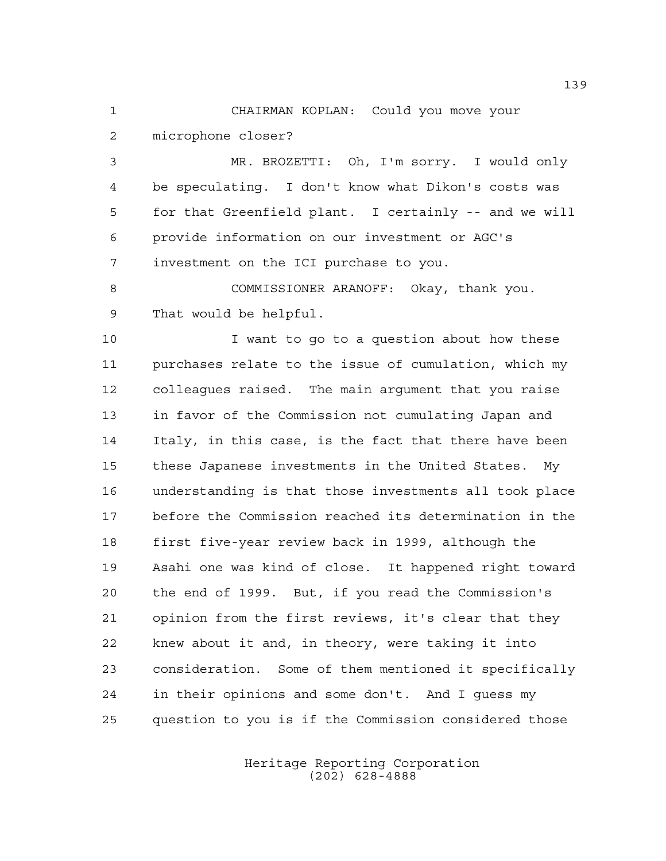CHAIRMAN KOPLAN: Could you move your microphone closer?

 MR. BROZETTI: Oh, I'm sorry. I would only be speculating. I don't know what Dikon's costs was for that Greenfield plant. I certainly -- and we will provide information on our investment or AGC's investment on the ICI purchase to you.

 COMMISSIONER ARANOFF: Okay, thank you. That would be helpful.

 I want to go to a question about how these purchases relate to the issue of cumulation, which my colleagues raised. The main argument that you raise in favor of the Commission not cumulating Japan and Italy, in this case, is the fact that there have been these Japanese investments in the United States. My understanding is that those investments all took place before the Commission reached its determination in the first five-year review back in 1999, although the Asahi one was kind of close. It happened right toward the end of 1999. But, if you read the Commission's opinion from the first reviews, it's clear that they knew about it and, in theory, were taking it into consideration. Some of them mentioned it specifically in their opinions and some don't. And I guess my question to you is if the Commission considered those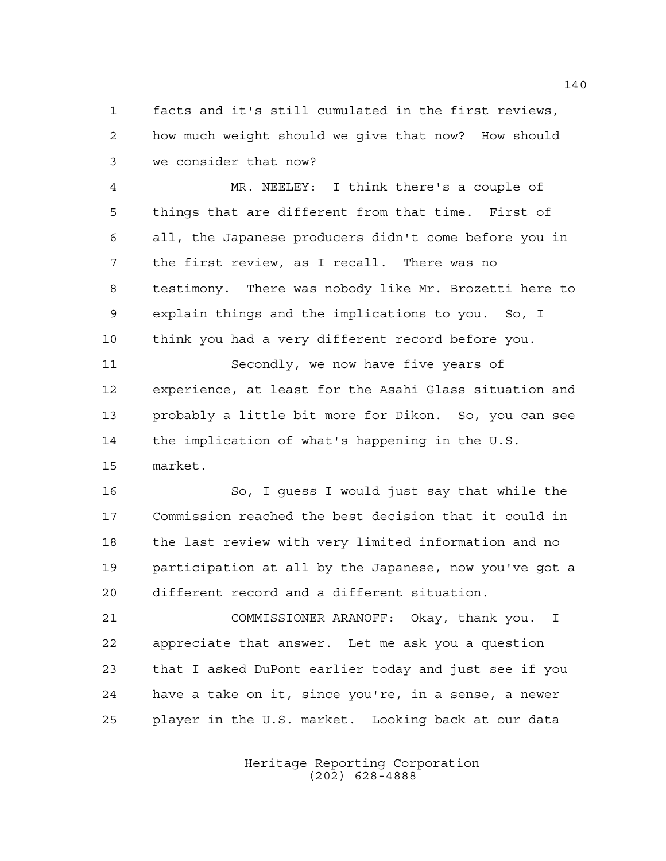facts and it's still cumulated in the first reviews, how much weight should we give that now? How should we consider that now?

 MR. NEELEY: I think there's a couple of things that are different from that time. First of all, the Japanese producers didn't come before you in the first review, as I recall. There was no testimony. There was nobody like Mr. Brozetti here to explain things and the implications to you. So, I think you had a very different record before you.

 Secondly, we now have five years of experience, at least for the Asahi Glass situation and probably a little bit more for Dikon. So, you can see the implication of what's happening in the U.S. market.

 So, I guess I would just say that while the Commission reached the best decision that it could in the last review with very limited information and no participation at all by the Japanese, now you've got a different record and a different situation.

 COMMISSIONER ARANOFF: Okay, thank you. I appreciate that answer. Let me ask you a question that I asked DuPont earlier today and just see if you have a take on it, since you're, in a sense, a newer player in the U.S. market. Looking back at our data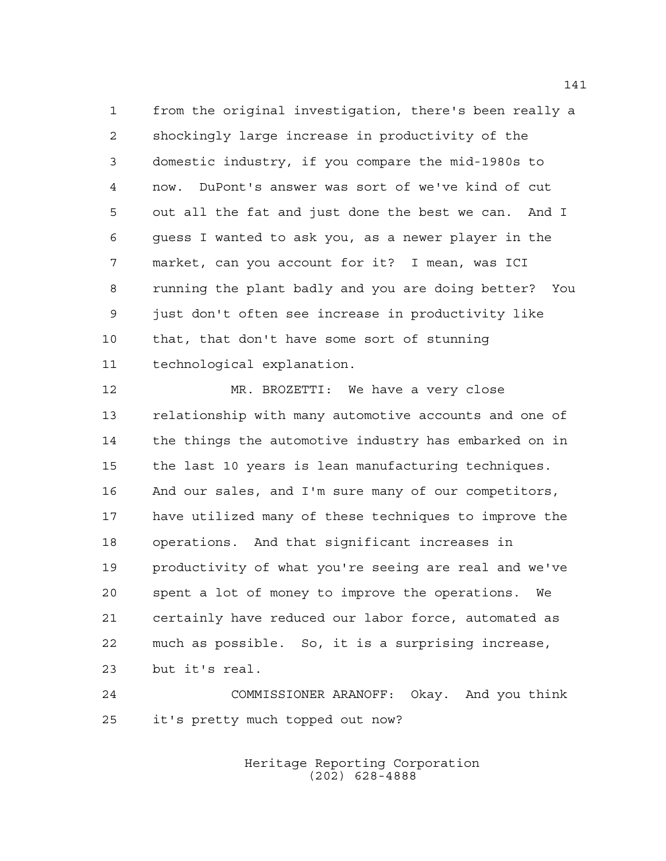from the original investigation, there's been really a shockingly large increase in productivity of the domestic industry, if you compare the mid-1980s to now. DuPont's answer was sort of we've kind of cut out all the fat and just done the best we can. And I guess I wanted to ask you, as a newer player in the market, can you account for it? I mean, was ICI running the plant badly and you are doing better? You just don't often see increase in productivity like that, that don't have some sort of stunning technological explanation.

 MR. BROZETTI: We have a very close relationship with many automotive accounts and one of the things the automotive industry has embarked on in the last 10 years is lean manufacturing techniques. And our sales, and I'm sure many of our competitors, have utilized many of these techniques to improve the operations. And that significant increases in productivity of what you're seeing are real and we've spent a lot of money to improve the operations. We certainly have reduced our labor force, automated as much as possible. So, it is a surprising increase, but it's real.

 COMMISSIONER ARANOFF: Okay. And you think it's pretty much topped out now?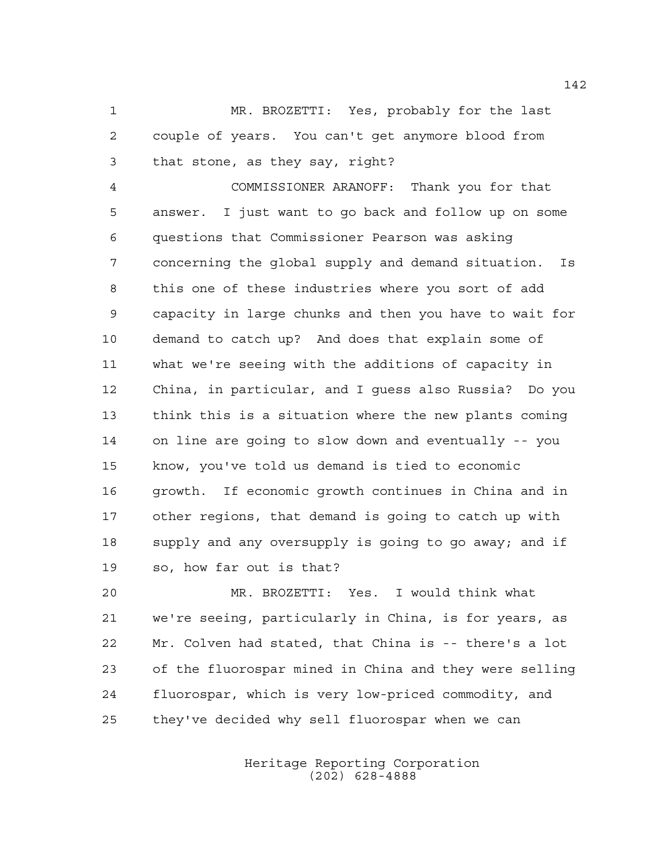MR. BROZETTI: Yes, probably for the last couple of years. You can't get anymore blood from that stone, as they say, right?

 COMMISSIONER ARANOFF: Thank you for that answer. I just want to go back and follow up on some questions that Commissioner Pearson was asking concerning the global supply and demand situation. Is this one of these industries where you sort of add capacity in large chunks and then you have to wait for demand to catch up? And does that explain some of what we're seeing with the additions of capacity in China, in particular, and I guess also Russia? Do you think this is a situation where the new plants coming on line are going to slow down and eventually -- you know, you've told us demand is tied to economic growth. If economic growth continues in China and in other regions, that demand is going to catch up with 18 supply and any oversupply is going to go away; and if so, how far out is that?

 MR. BROZETTI: Yes. I would think what we're seeing, particularly in China, is for years, as Mr. Colven had stated, that China is -- there's a lot of the fluorospar mined in China and they were selling fluorospar, which is very low-priced commodity, and they've decided why sell fluorospar when we can

> Heritage Reporting Corporation (202) 628-4888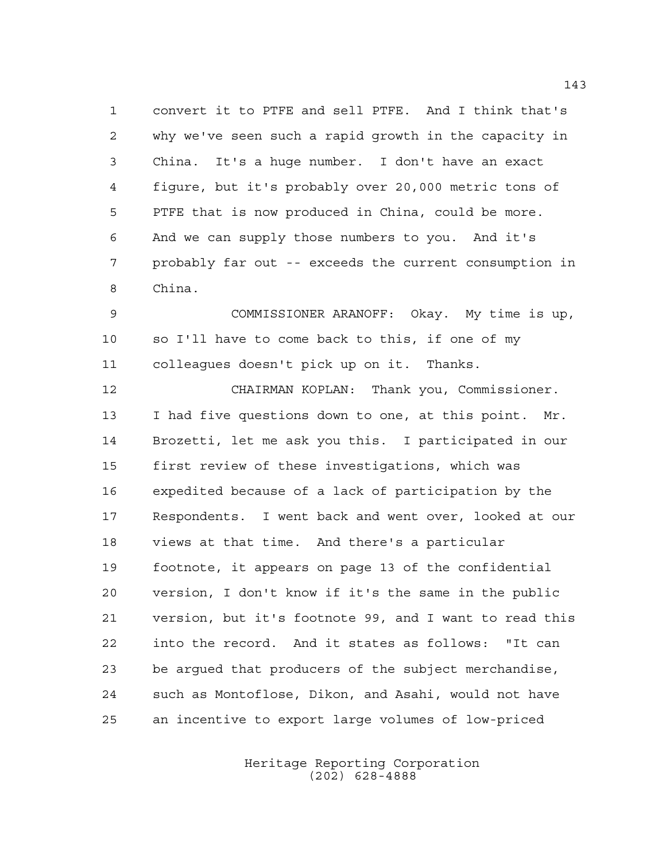convert it to PTFE and sell PTFE. And I think that's why we've seen such a rapid growth in the capacity in China. It's a huge number. I don't have an exact figure, but it's probably over 20,000 metric tons of PTFE that is now produced in China, could be more. And we can supply those numbers to you. And it's probably far out -- exceeds the current consumption in China.

 COMMISSIONER ARANOFF: Okay. My time is up, so I'll have to come back to this, if one of my colleagues doesn't pick up on it. Thanks.

 CHAIRMAN KOPLAN: Thank you, Commissioner. I had five questions down to one, at this point. Mr. Brozetti, let me ask you this. I participated in our first review of these investigations, which was expedited because of a lack of participation by the Respondents. I went back and went over, looked at our views at that time. And there's a particular footnote, it appears on page 13 of the confidential version, I don't know if it's the same in the public version, but it's footnote 99, and I want to read this into the record. And it states as follows: "It can be argued that producers of the subject merchandise, such as Montoflose, Dikon, and Asahi, would not have an incentive to export large volumes of low-priced

> Heritage Reporting Corporation (202) 628-4888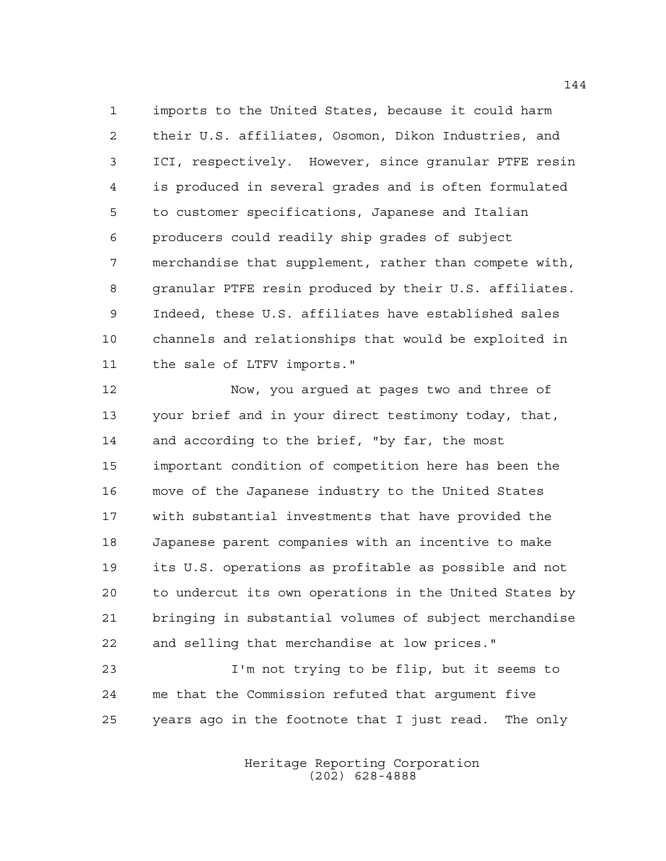imports to the United States, because it could harm their U.S. affiliates, Osomon, Dikon Industries, and ICI, respectively. However, since granular PTFE resin is produced in several grades and is often formulated to customer specifications, Japanese and Italian producers could readily ship grades of subject merchandise that supplement, rather than compete with, granular PTFE resin produced by their U.S. affiliates. Indeed, these U.S. affiliates have established sales channels and relationships that would be exploited in the sale of LTFV imports."

 Now, you argued at pages two and three of your brief and in your direct testimony today, that, and according to the brief, "by far, the most important condition of competition here has been the move of the Japanese industry to the United States with substantial investments that have provided the Japanese parent companies with an incentive to make its U.S. operations as profitable as possible and not to undercut its own operations in the United States by bringing in substantial volumes of subject merchandise and selling that merchandise at low prices."

 I'm not trying to be flip, but it seems to me that the Commission refuted that argument five years ago in the footnote that I just read. The only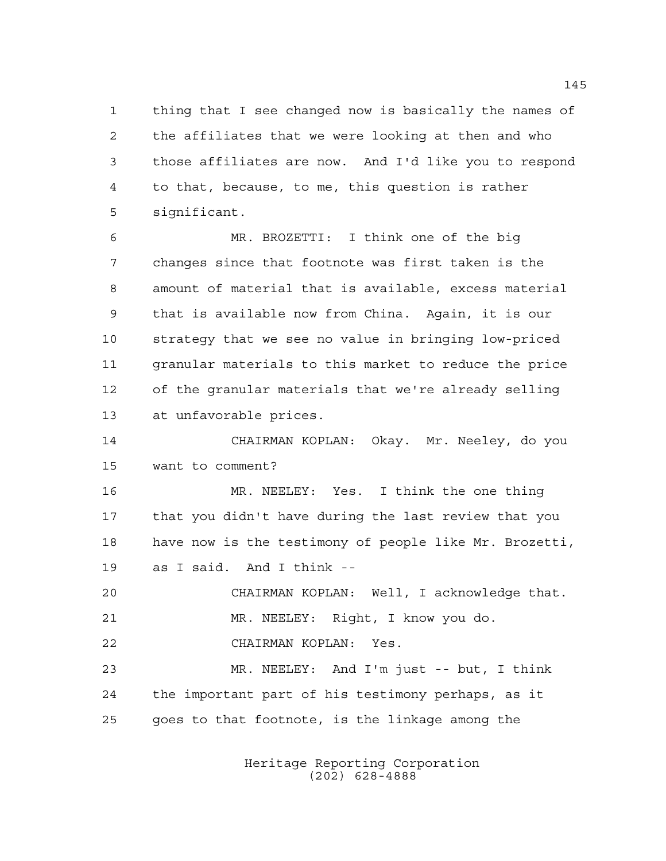thing that I see changed now is basically the names of the affiliates that we were looking at then and who those affiliates are now. And I'd like you to respond to that, because, to me, this question is rather significant.

 MR. BROZETTI: I think one of the big changes since that footnote was first taken is the amount of material that is available, excess material that is available now from China. Again, it is our strategy that we see no value in bringing low-priced granular materials to this market to reduce the price of the granular materials that we're already selling at unfavorable prices.

 CHAIRMAN KOPLAN: Okay. Mr. Neeley, do you want to comment?

 MR. NEELEY: Yes. I think the one thing that you didn't have during the last review that you have now is the testimony of people like Mr. Brozetti, as I said. And I think --

 CHAIRMAN KOPLAN: Well, I acknowledge that. MR. NEELEY: Right, I know you do.

CHAIRMAN KOPLAN: Yes.

 MR. NEELEY: And I'm just -- but, I think the important part of his testimony perhaps, as it goes to that footnote, is the linkage among the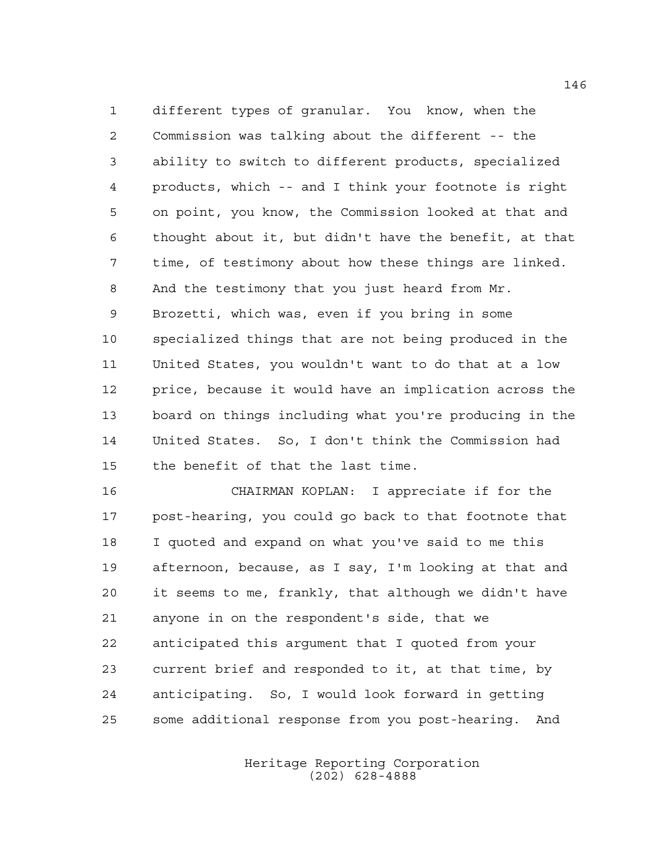different types of granular. You know, when the Commission was talking about the different -- the ability to switch to different products, specialized products, which -- and I think your footnote is right on point, you know, the Commission looked at that and thought about it, but didn't have the benefit, at that time, of testimony about how these things are linked. And the testimony that you just heard from Mr. Brozetti, which was, even if you bring in some specialized things that are not being produced in the United States, you wouldn't want to do that at a low price, because it would have an implication across the board on things including what you're producing in the United States. So, I don't think the Commission had the benefit of that the last time.

 CHAIRMAN KOPLAN: I appreciate if for the post-hearing, you could go back to that footnote that I quoted and expand on what you've said to me this afternoon, because, as I say, I'm looking at that and it seems to me, frankly, that although we didn't have anyone in on the respondent's side, that we anticipated this argument that I quoted from your current brief and responded to it, at that time, by anticipating. So, I would look forward in getting some additional response from you post-hearing. And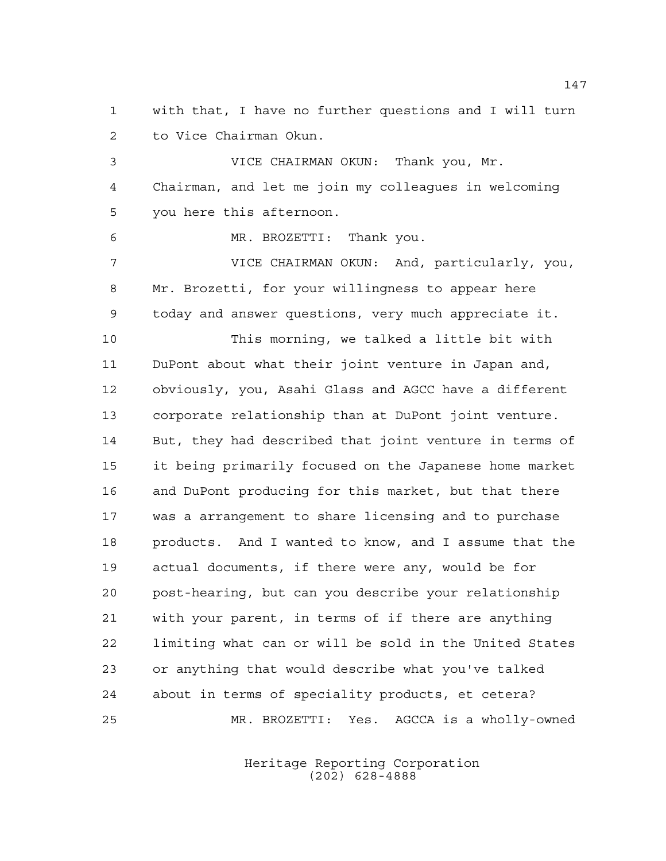with that, I have no further questions and I will turn to Vice Chairman Okun.

 VICE CHAIRMAN OKUN: Thank you, Mr. Chairman, and let me join my colleagues in welcoming you here this afternoon.

MR. BROZETTI: Thank you.

 VICE CHAIRMAN OKUN: And, particularly, you, Mr. Brozetti, for your willingness to appear here today and answer questions, very much appreciate it.

 This morning, we talked a little bit with DuPont about what their joint venture in Japan and, obviously, you, Asahi Glass and AGCC have a different corporate relationship than at DuPont joint venture. But, they had described that joint venture in terms of it being primarily focused on the Japanese home market and DuPont producing for this market, but that there was a arrangement to share licensing and to purchase products. And I wanted to know, and I assume that the actual documents, if there were any, would be for post-hearing, but can you describe your relationship with your parent, in terms of if there are anything limiting what can or will be sold in the United States or anything that would describe what you've talked about in terms of speciality products, et cetera? MR. BROZETTI: Yes. AGCCA is a wholly-owned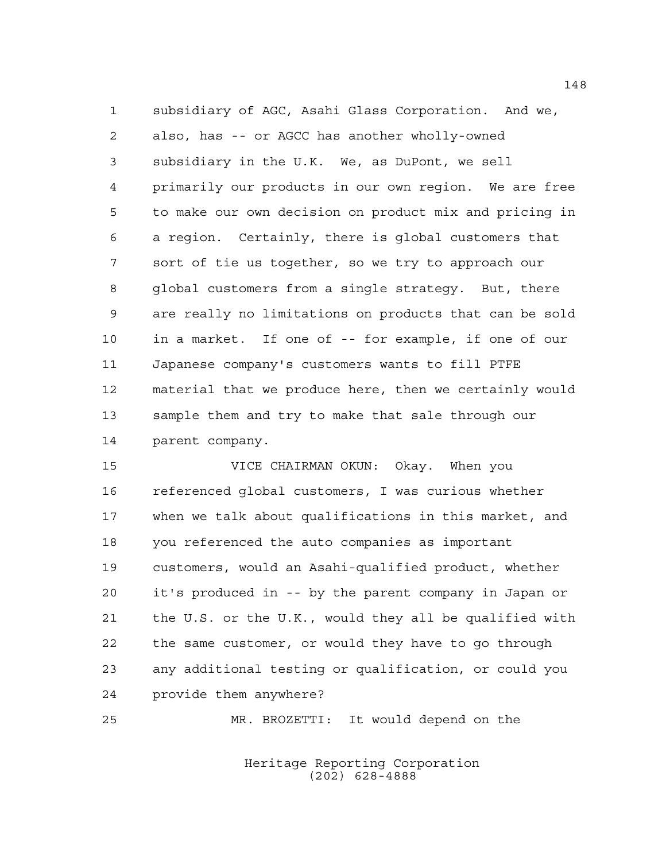subsidiary of AGC, Asahi Glass Corporation. And we, also, has -- or AGCC has another wholly-owned subsidiary in the U.K. We, as DuPont, we sell primarily our products in our own region. We are free to make our own decision on product mix and pricing in a region. Certainly, there is global customers that sort of tie us together, so we try to approach our global customers from a single strategy. But, there are really no limitations on products that can be sold in a market. If one of -- for example, if one of our Japanese company's customers wants to fill PTFE material that we produce here, then we certainly would sample them and try to make that sale through our parent company.

 VICE CHAIRMAN OKUN: Okay. When you referenced global customers, I was curious whether when we talk about qualifications in this market, and you referenced the auto companies as important customers, would an Asahi-qualified product, whether it's produced in -- by the parent company in Japan or the U.S. or the U.K., would they all be qualified with the same customer, or would they have to go through any additional testing or qualification, or could you provide them anywhere?

MR. BROZETTI: It would depend on the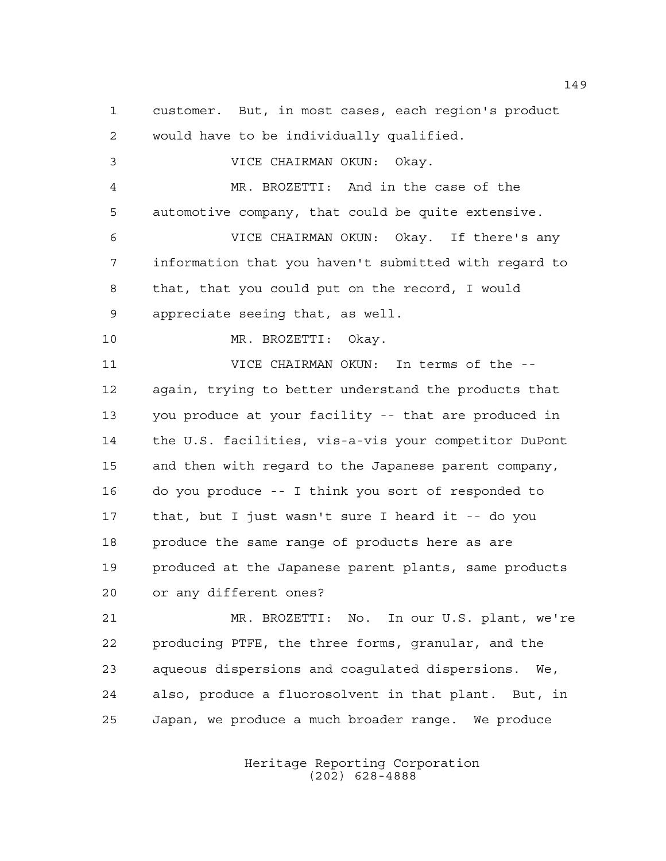customer. But, in most cases, each region's product would have to be individually qualified. VICE CHAIRMAN OKUN: Okay. MR. BROZETTI: And in the case of the automotive company, that could be quite extensive. VICE CHAIRMAN OKUN: Okay. If there's any information that you haven't submitted with regard to that, that you could put on the record, I would appreciate seeing that, as well. MR. BROZETTI: Okay. VICE CHAIRMAN OKUN: In terms of the -- again, trying to better understand the products that you produce at your facility -- that are produced in the U.S. facilities, vis-a-vis your competitor DuPont and then with regard to the Japanese parent company, do you produce -- I think you sort of responded to that, but I just wasn't sure I heard it -- do you produce the same range of products here as are produced at the Japanese parent plants, same products or any different ones? MR. BROZETTI: No. In our U.S. plant, we're producing PTFE, the three forms, granular, and the aqueous dispersions and coagulated dispersions. We, also, produce a fluorosolvent in that plant. But, in

> Heritage Reporting Corporation (202) 628-4888

Japan, we produce a much broader range. We produce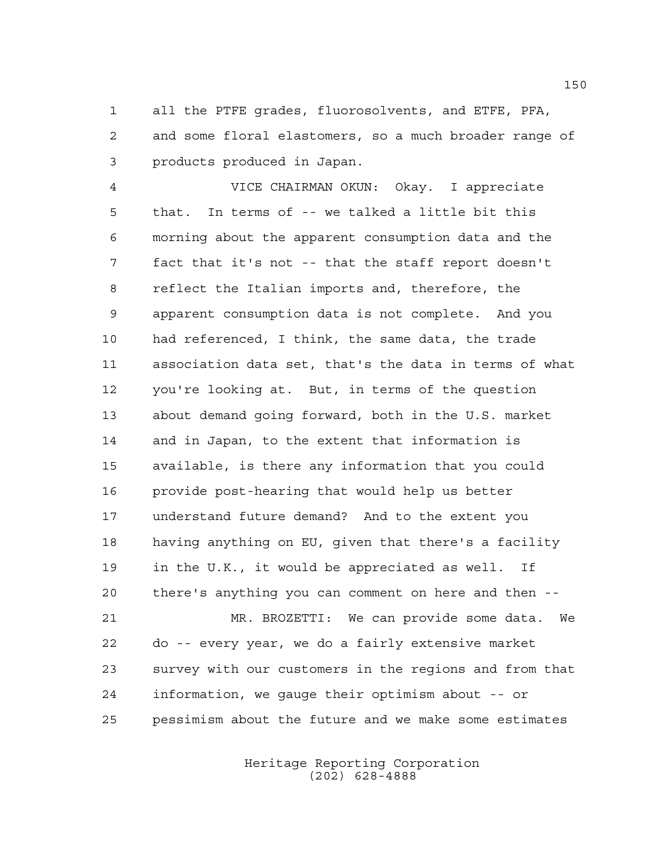all the PTFE grades, fluorosolvents, and ETFE, PFA, and some floral elastomers, so a much broader range of products produced in Japan.

 VICE CHAIRMAN OKUN: Okay. I appreciate that. In terms of -- we talked a little bit this morning about the apparent consumption data and the fact that it's not -- that the staff report doesn't reflect the Italian imports and, therefore, the apparent consumption data is not complete. And you had referenced, I think, the same data, the trade association data set, that's the data in terms of what you're looking at. But, in terms of the question about demand going forward, both in the U.S. market and in Japan, to the extent that information is available, is there any information that you could provide post-hearing that would help us better understand future demand? And to the extent you having anything on EU, given that there's a facility in the U.K., it would be appreciated as well. If there's anything you can comment on here and then -- MR. BROZETTI: We can provide some data. We do -- every year, we do a fairly extensive market

 survey with our customers in the regions and from that information, we gauge their optimism about -- or pessimism about the future and we make some estimates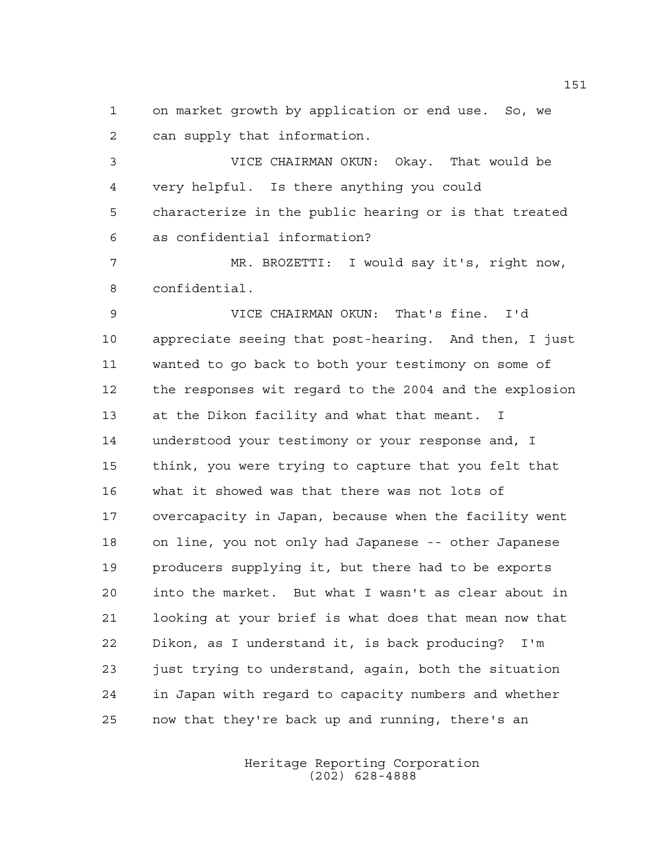on market growth by application or end use. So, we can supply that information.

 VICE CHAIRMAN OKUN: Okay. That would be very helpful. Is there anything you could characterize in the public hearing or is that treated as confidential information?

 MR. BROZETTI: I would say it's, right now, confidential.

 VICE CHAIRMAN OKUN: That's fine. I'd appreciate seeing that post-hearing. And then, I just wanted to go back to both your testimony on some of the responses wit regard to the 2004 and the explosion at the Dikon facility and what that meant. I understood your testimony or your response and, I think, you were trying to capture that you felt that what it showed was that there was not lots of overcapacity in Japan, because when the facility went on line, you not only had Japanese -- other Japanese producers supplying it, but there had to be exports into the market. But what I wasn't as clear about in looking at your brief is what does that mean now that Dikon, as I understand it, is back producing? I'm just trying to understand, again, both the situation in Japan with regard to capacity numbers and whether now that they're back up and running, there's an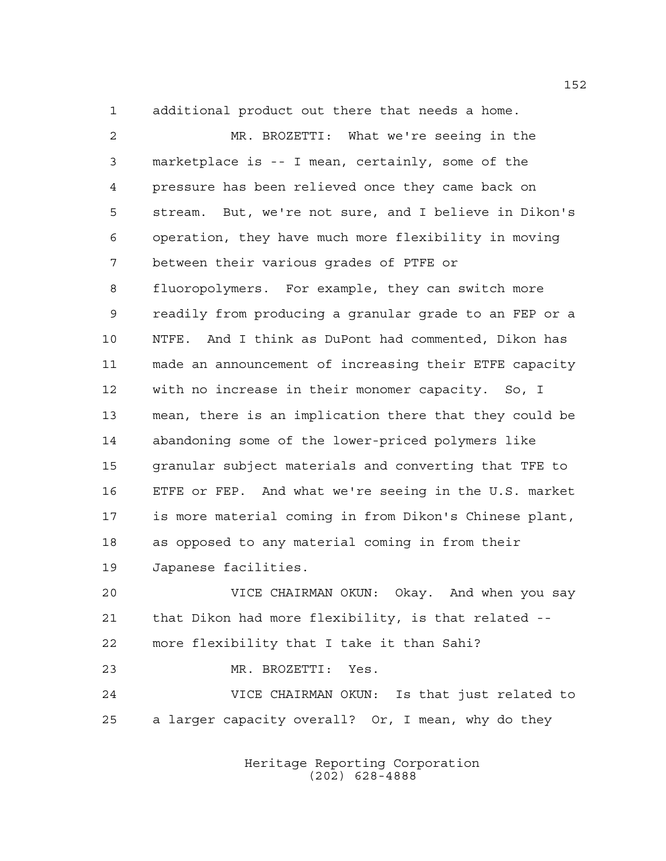additional product out there that needs a home.

 MR. BROZETTI: What we're seeing in the marketplace is -- I mean, certainly, some of the pressure has been relieved once they came back on stream. But, we're not sure, and I believe in Dikon's operation, they have much more flexibility in moving between their various grades of PTFE or fluoropolymers. For example, they can switch more readily from producing a granular grade to an FEP or a NTFE. And I think as DuPont had commented, Dikon has made an announcement of increasing their ETFE capacity with no increase in their monomer capacity. So, I mean, there is an implication there that they could be abandoning some of the lower-priced polymers like granular subject materials and converting that TFE to ETFE or FEP. And what we're seeing in the U.S. market is more material coming in from Dikon's Chinese plant, as opposed to any material coming in from their Japanese facilities.

 VICE CHAIRMAN OKUN: Okay. And when you say that Dikon had more flexibility, is that related -- more flexibility that I take it than Sahi? MR. BROZETTI: Yes. VICE CHAIRMAN OKUN: Is that just related to a larger capacity overall? Or, I mean, why do they

> Heritage Reporting Corporation (202) 628-4888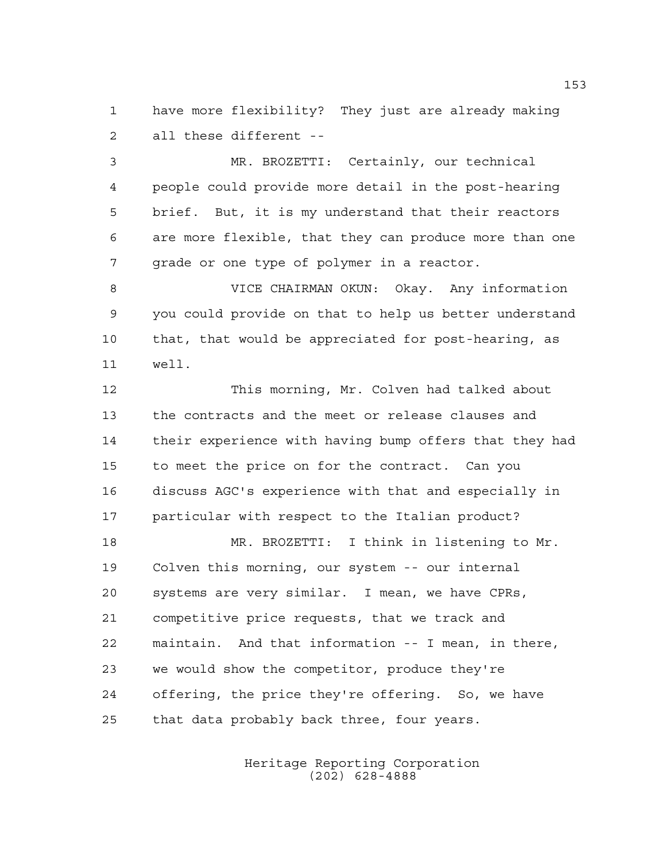have more flexibility? They just are already making all these different --

 MR. BROZETTI: Certainly, our technical people could provide more detail in the post-hearing brief. But, it is my understand that their reactors are more flexible, that they can produce more than one 7 grade or one type of polymer in a reactor.

 VICE CHAIRMAN OKUN: Okay. Any information you could provide on that to help us better understand that, that would be appreciated for post-hearing, as well.

 This morning, Mr. Colven had talked about the contracts and the meet or release clauses and their experience with having bump offers that they had to meet the price on for the contract. Can you discuss AGC's experience with that and especially in particular with respect to the Italian product?

 MR. BROZETTI: I think in listening to Mr. Colven this morning, our system -- our internal systems are very similar. I mean, we have CPRs, competitive price requests, that we track and maintain. And that information -- I mean, in there, we would show the competitor, produce they're offering, the price they're offering. So, we have that data probably back three, four years.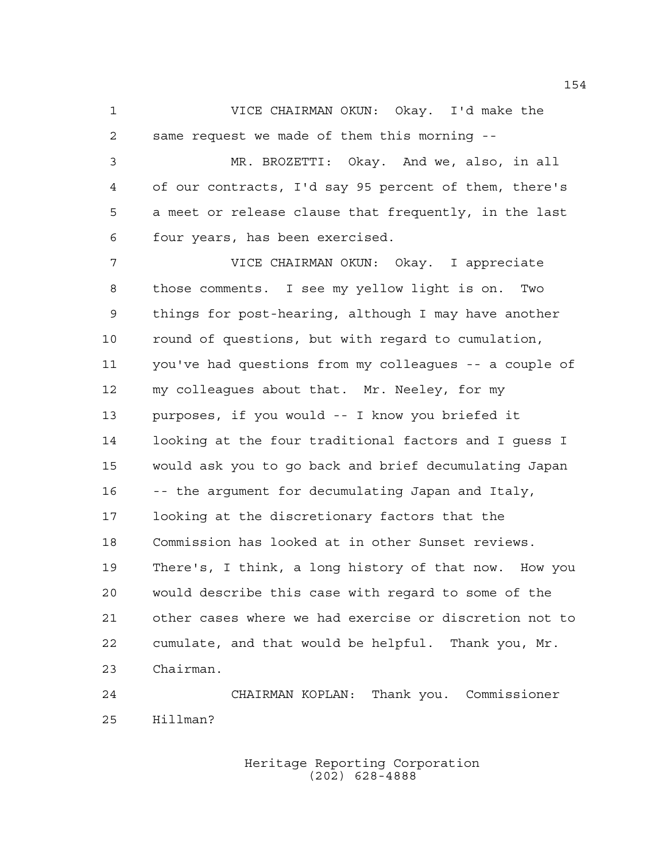VICE CHAIRMAN OKUN: Okay. I'd make the same request we made of them this morning --

 MR. BROZETTI: Okay. And we, also, in all of our contracts, I'd say 95 percent of them, there's a meet or release clause that frequently, in the last four years, has been exercised.

 VICE CHAIRMAN OKUN: Okay. I appreciate those comments. I see my yellow light is on. Two things for post-hearing, although I may have another round of questions, but with regard to cumulation, you've had questions from my colleagues -- a couple of my colleagues about that. Mr. Neeley, for my purposes, if you would -- I know you briefed it looking at the four traditional factors and I guess I would ask you to go back and brief decumulating Japan -- the argument for decumulating Japan and Italy, looking at the discretionary factors that the Commission has looked at in other Sunset reviews. There's, I think, a long history of that now. How you would describe this case with regard to some of the other cases where we had exercise or discretion not to cumulate, and that would be helpful. Thank you, Mr. Chairman.

 CHAIRMAN KOPLAN: Thank you. Commissioner Hillman?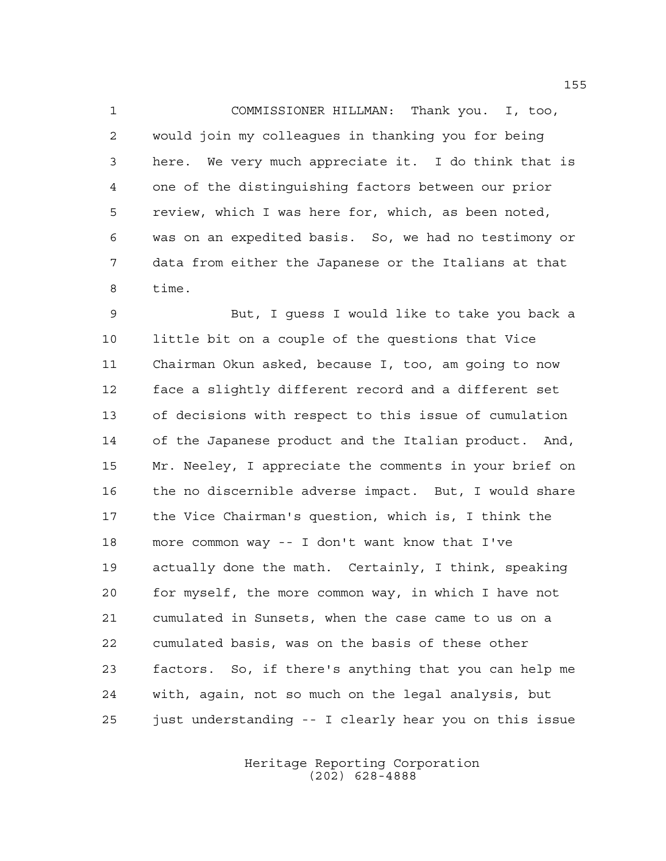COMMISSIONER HILLMAN: Thank you. I, too, would join my colleagues in thanking you for being here. We very much appreciate it. I do think that is one of the distinguishing factors between our prior review, which I was here for, which, as been noted, was on an expedited basis. So, we had no testimony or data from either the Japanese or the Italians at that time.

 But, I guess I would like to take you back a little bit on a couple of the questions that Vice Chairman Okun asked, because I, too, am going to now face a slightly different record and a different set of decisions with respect to this issue of cumulation of the Japanese product and the Italian product. And, Mr. Neeley, I appreciate the comments in your brief on the no discernible adverse impact. But, I would share the Vice Chairman's question, which is, I think the more common way -- I don't want know that I've actually done the math. Certainly, I think, speaking for myself, the more common way, in which I have not cumulated in Sunsets, when the case came to us on a cumulated basis, was on the basis of these other factors. So, if there's anything that you can help me with, again, not so much on the legal analysis, but just understanding -- I clearly hear you on this issue

> Heritage Reporting Corporation (202) 628-4888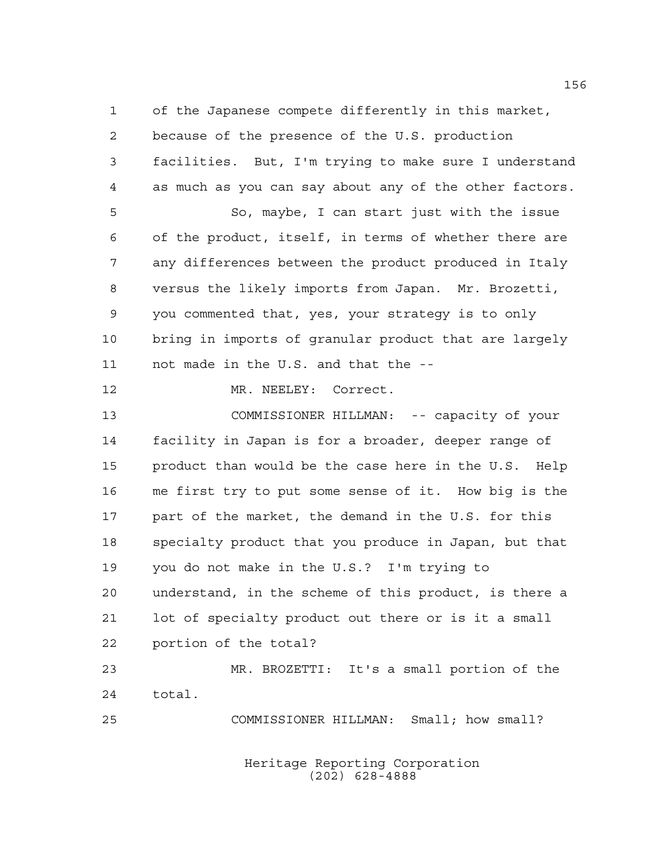of the Japanese compete differently in this market,

 because of the presence of the U.S. production facilities. But, I'm trying to make sure I understand as much as you can say about any of the other factors. So, maybe, I can start just with the issue of the product, itself, in terms of whether there are any differences between the product produced in Italy versus the likely imports from Japan. Mr. Brozetti, you commented that, yes, your strategy is to only bring in imports of granular product that are largely not made in the U.S. and that the -- 12 MR. NEELEY: Correct. COMMISSIONER HILLMAN: -- capacity of your facility in Japan is for a broader, deeper range of product than would be the case here in the U.S. Help me first try to put some sense of it. How big is the 17 part of the market, the demand in the U.S. for this specialty product that you produce in Japan, but that you do not make in the U.S.? I'm trying to understand, in the scheme of this product, is there a lot of specialty product out there or is it a small portion of the total? MR. BROZETTI: It's a small portion of the total. COMMISSIONER HILLMAN: Small; how small?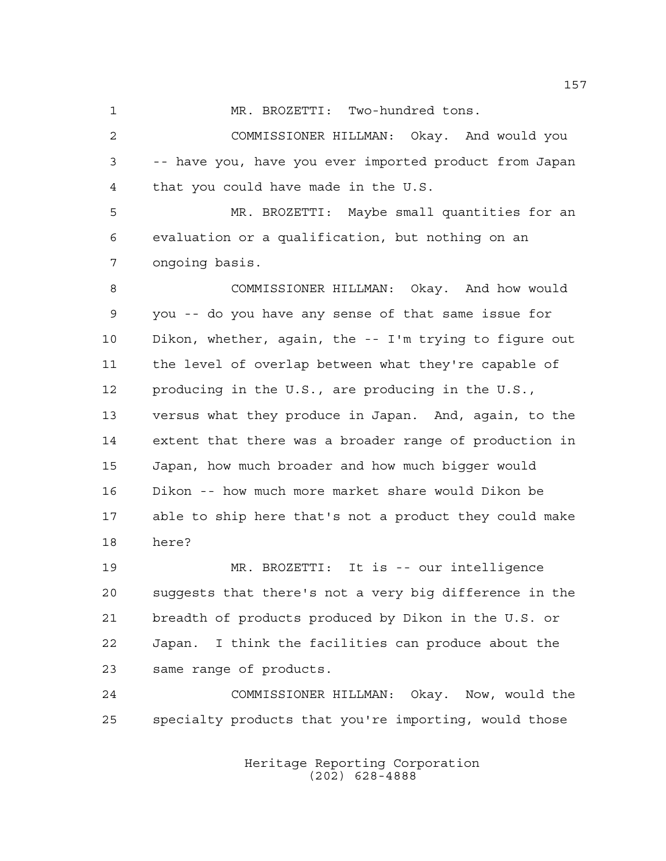MR. BROZETTI: Two-hundred tons.

 COMMISSIONER HILLMAN: Okay. And would you -- have you, have you ever imported product from Japan that you could have made in the U.S.

 MR. BROZETTI: Maybe small quantities for an evaluation or a qualification, but nothing on an ongoing basis.

 COMMISSIONER HILLMAN: Okay. And how would you -- do you have any sense of that same issue for Dikon, whether, again, the -- I'm trying to figure out the level of overlap between what they're capable of producing in the U.S., are producing in the U.S., versus what they produce in Japan. And, again, to the extent that there was a broader range of production in Japan, how much broader and how much bigger would Dikon -- how much more market share would Dikon be able to ship here that's not a product they could make here?

 MR. BROZETTI: It is -- our intelligence suggests that there's not a very big difference in the breadth of products produced by Dikon in the U.S. or Japan. I think the facilities can produce about the same range of products.

 COMMISSIONER HILLMAN: Okay. Now, would the specialty products that you're importing, would those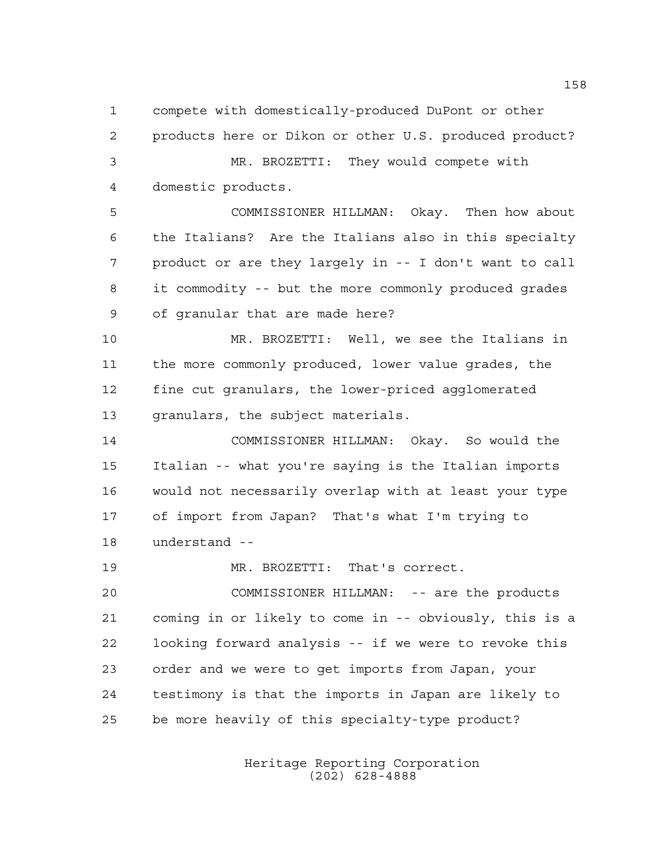compete with domestically-produced DuPont or other products here or Dikon or other U.S. produced product? MR. BROZETTI: They would compete with domestic products. COMMISSIONER HILLMAN: Okay. Then how about the Italians? Are the Italians also in this specialty product or are they largely in -- I don't want to call it commodity -- but the more commonly produced grades of granular that are made here? MR. BROZETTI: Well, we see the Italians in the more commonly produced, lower value grades, the fine cut granulars, the lower-priced agglomerated granulars, the subject materials. COMMISSIONER HILLMAN: Okay. So would the Italian -- what you're saying is the Italian imports would not necessarily overlap with at least your type of import from Japan? That's what I'm trying to understand -- MR. BROZETTI: That's correct. COMMISSIONER HILLMAN: -- are the products coming in or likely to come in -- obviously, this is a

 looking forward analysis -- if we were to revoke this order and we were to get imports from Japan, your testimony is that the imports in Japan are likely to be more heavily of this specialty-type product?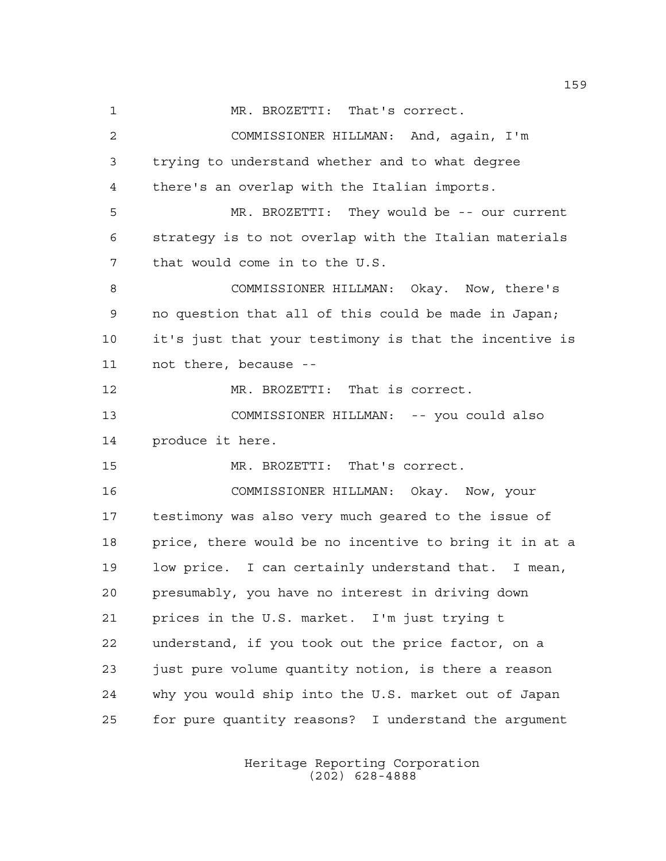MR. BROZETTI: That's correct.

 COMMISSIONER HILLMAN: And, again, I'm trying to understand whether and to what degree there's an overlap with the Italian imports. MR. BROZETTI: They would be -- our current strategy is to not overlap with the Italian materials that would come in to the U.S. COMMISSIONER HILLMAN: Okay. Now, there's no question that all of this could be made in Japan; it's just that your testimony is that the incentive is not there, because -- MR. BROZETTI: That is correct. COMMISSIONER HILLMAN: -- you could also produce it here. MR. BROZETTI: That's correct. COMMISSIONER HILLMAN: Okay. Now, your testimony was also very much geared to the issue of price, there would be no incentive to bring it in at a low price. I can certainly understand that. I mean, presumably, you have no interest in driving down prices in the U.S. market. I'm just trying t understand, if you took out the price factor, on a just pure volume quantity notion, is there a reason why you would ship into the U.S. market out of Japan for pure quantity reasons? I understand the argument

> Heritage Reporting Corporation (202) 628-4888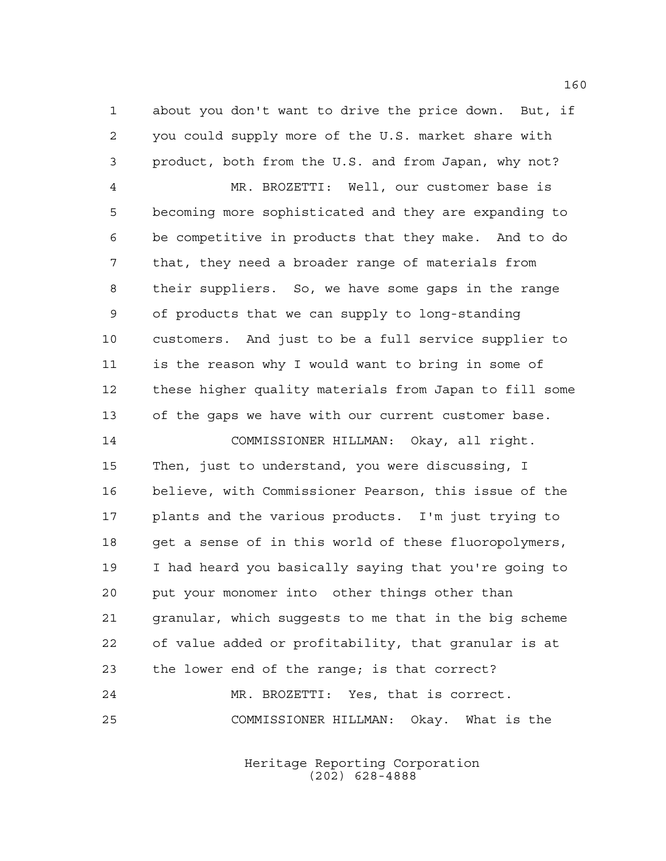about you don't want to drive the price down. But, if you could supply more of the U.S. market share with product, both from the U.S. and from Japan, why not?

 MR. BROZETTI: Well, our customer base is becoming more sophisticated and they are expanding to be competitive in products that they make. And to do that, they need a broader range of materials from their suppliers. So, we have some gaps in the range of products that we can supply to long-standing customers. And just to be a full service supplier to is the reason why I would want to bring in some of these higher quality materials from Japan to fill some of the gaps we have with our current customer base.

 COMMISSIONER HILLMAN: Okay, all right. Then, just to understand, you were discussing, I believe, with Commissioner Pearson, this issue of the plants and the various products. I'm just trying to get a sense of in this world of these fluoropolymers, I had heard you basically saying that you're going to put your monomer into other things other than granular, which suggests to me that in the big scheme of value added or profitability, that granular is at the lower end of the range; is that correct? MR. BROZETTI: Yes, that is correct. COMMISSIONER HILLMAN: Okay. What is the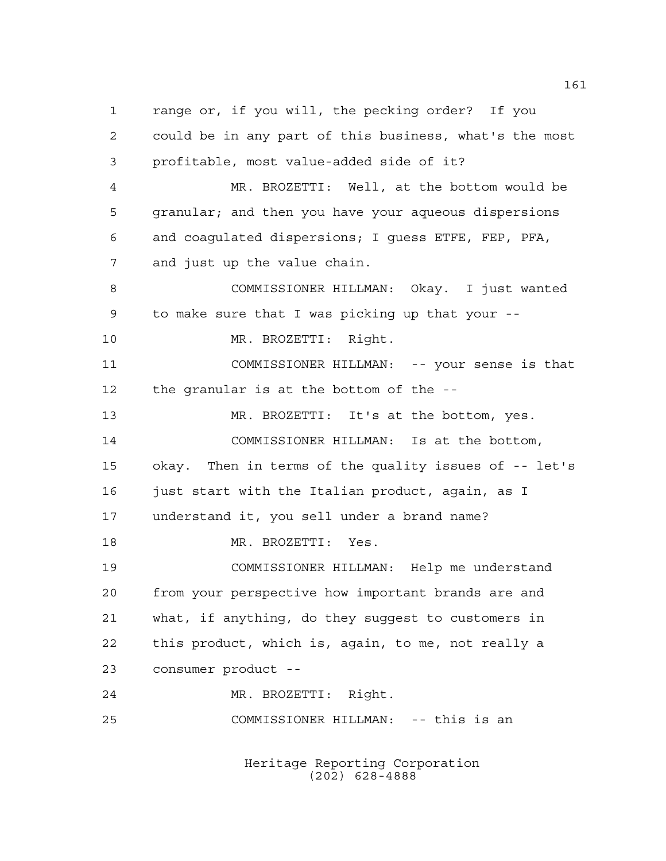range or, if you will, the pecking order? If you could be in any part of this business, what's the most profitable, most value-added side of it? MR. BROZETTI: Well, at the bottom would be granular; and then you have your aqueous dispersions and coagulated dispersions; I guess ETFE, FEP, PFA, and just up the value chain. COMMISSIONER HILLMAN: Okay. I just wanted to make sure that I was picking up that your -- 10 MR. BROZETTI: Right. COMMISSIONER HILLMAN: -- your sense is that the granular is at the bottom of the -- MR. BROZETTI: It's at the bottom, yes. COMMISSIONER HILLMAN: Is at the bottom, okay. Then in terms of the quality issues of -- let's 16 just start with the Italian product, again, as I understand it, you sell under a brand name? 18 MR. BROZETTI: Yes. COMMISSIONER HILLMAN: Help me understand from your perspective how important brands are and what, if anything, do they suggest to customers in this product, which is, again, to me, not really a consumer product -- MR. BROZETTI: Right. COMMISSIONER HILLMAN: -- this is an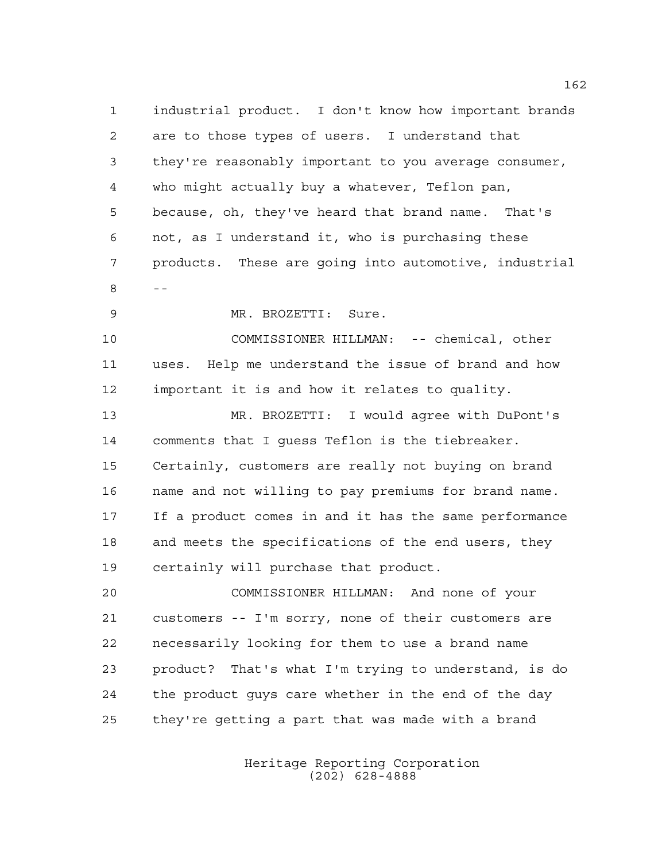industrial product. I don't know how important brands are to those types of users. I understand that they're reasonably important to you average consumer, who might actually buy a whatever, Teflon pan, because, oh, they've heard that brand name. That's not, as I understand it, who is purchasing these products. These are going into automotive, industrial --

MR. BROZETTI: Sure.

 COMMISSIONER HILLMAN: -- chemical, other uses. Help me understand the issue of brand and how important it is and how it relates to quality.

 MR. BROZETTI: I would agree with DuPont's comments that I guess Teflon is the tiebreaker. Certainly, customers are really not buying on brand name and not willing to pay premiums for brand name. If a product comes in and it has the same performance and meets the specifications of the end users, they certainly will purchase that product.

 COMMISSIONER HILLMAN: And none of your customers -- I'm sorry, none of their customers are necessarily looking for them to use a brand name product? That's what I'm trying to understand, is do the product guys care whether in the end of the day they're getting a part that was made with a brand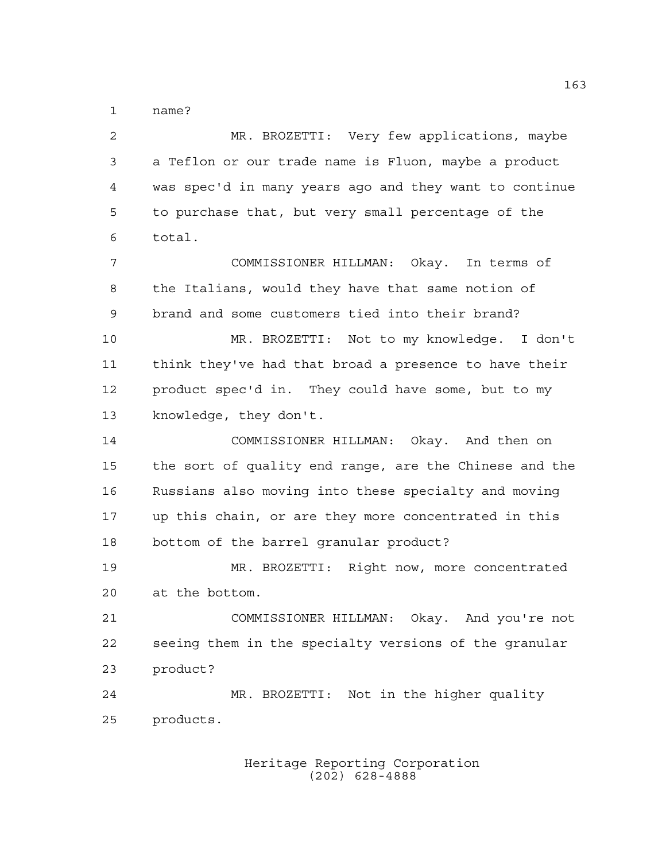name?

 MR. BROZETTI: Very few applications, maybe a Teflon or our trade name is Fluon, maybe a product was spec'd in many years ago and they want to continue to purchase that, but very small percentage of the total. COMMISSIONER HILLMAN: Okay. In terms of the Italians, would they have that same notion of brand and some customers tied into their brand? MR. BROZETTI: Not to my knowledge. I don't think they've had that broad a presence to have their product spec'd in. They could have some, but to my knowledge, they don't. COMMISSIONER HILLMAN: Okay. And then on the sort of quality end range, are the Chinese and the Russians also moving into these specialty and moving up this chain, or are they more concentrated in this bottom of the barrel granular product? MR. BROZETTI: Right now, more concentrated at the bottom. COMMISSIONER HILLMAN: Okay. And you're not seeing them in the specialty versions of the granular product? MR. BROZETTI: Not in the higher quality products.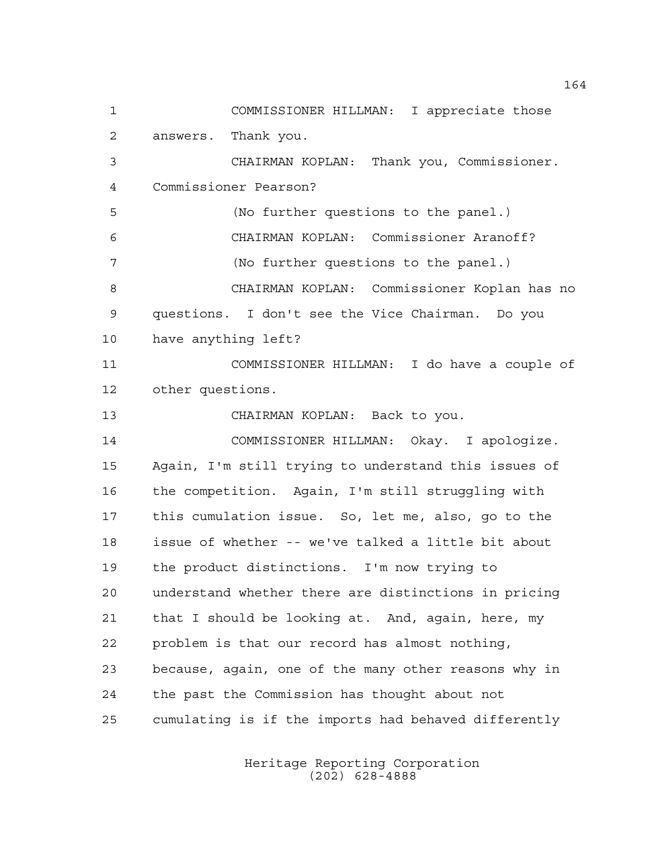COMMISSIONER HILLMAN: I appreciate those answers. Thank you. CHAIRMAN KOPLAN: Thank you, Commissioner. Commissioner Pearson? (No further questions to the panel.) CHAIRMAN KOPLAN: Commissioner Aranoff? (No further questions to the panel.) CHAIRMAN KOPLAN: Commissioner Koplan has no questions. I don't see the Vice Chairman. Do you have anything left? COMMISSIONER HILLMAN: I do have a couple of other questions. CHAIRMAN KOPLAN: Back to you. COMMISSIONER HILLMAN: Okay. I apologize. Again, I'm still trying to understand this issues of the competition. Again, I'm still struggling with this cumulation issue. So, let me, also, go to the issue of whether -- we've talked a little bit about the product distinctions. I'm now trying to understand whether there are distinctions in pricing that I should be looking at. And, again, here, my problem is that our record has almost nothing, because, again, one of the many other reasons why in the past the Commission has thought about not cumulating is if the imports had behaved differently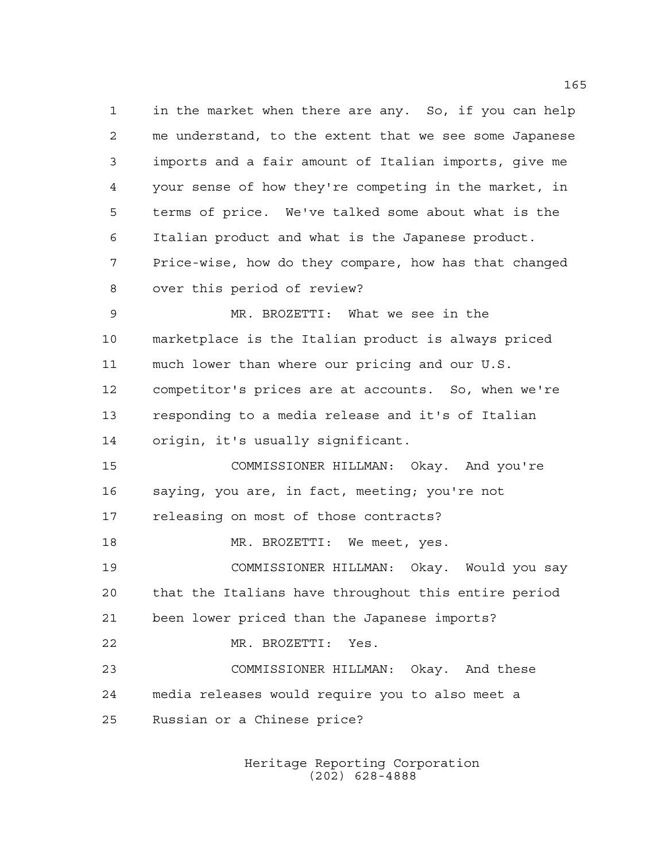in the market when there are any. So, if you can help me understand, to the extent that we see some Japanese imports and a fair amount of Italian imports, give me your sense of how they're competing in the market, in terms of price. We've talked some about what is the Italian product and what is the Japanese product. Price-wise, how do they compare, how has that changed over this period of review? MR. BROZETTI: What we see in the marketplace is the Italian product is always priced much lower than where our pricing and our U.S. competitor's prices are at accounts. So, when we're responding to a media release and it's of Italian origin, it's usually significant. COMMISSIONER HILLMAN: Okay. And you're saying, you are, in fact, meeting; you're not releasing on most of those contracts? MR. BROZETTI: We meet, yes. COMMISSIONER HILLMAN: Okay. Would you say that the Italians have throughout this entire period been lower priced than the Japanese imports? MR. BROZETTI: Yes. COMMISSIONER HILLMAN: Okay. And these media releases would require you to also meet a Russian or a Chinese price?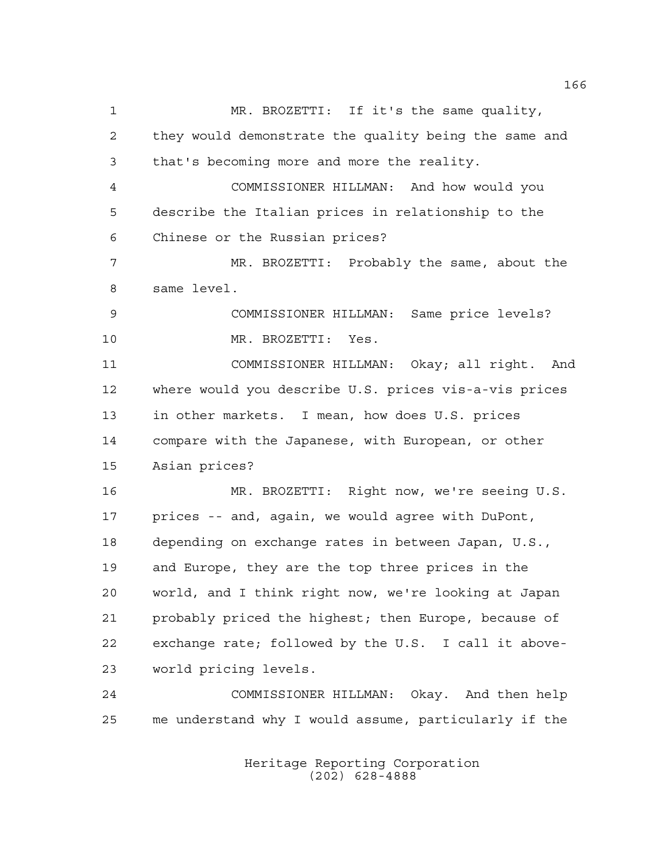MR. BROZETTI: If it's the same quality, they would demonstrate the quality being the same and that's becoming more and more the reality. COMMISSIONER HILLMAN: And how would you describe the Italian prices in relationship to the Chinese or the Russian prices? MR. BROZETTI: Probably the same, about the same level. COMMISSIONER HILLMAN: Same price levels? MR. BROZETTI: Yes. COMMISSIONER HILLMAN: Okay; all right. And where would you describe U.S. prices vis-a-vis prices in other markets. I mean, how does U.S. prices compare with the Japanese, with European, or other Asian prices? MR. BROZETTI: Right now, we're seeing U.S. prices -- and, again, we would agree with DuPont, depending on exchange rates in between Japan, U.S., and Europe, they are the top three prices in the world, and I think right now, we're looking at Japan probably priced the highest; then Europe, because of exchange rate; followed by the U.S. I call it above- world pricing levels. COMMISSIONER HILLMAN: Okay. And then help me understand why I would assume, particularly if the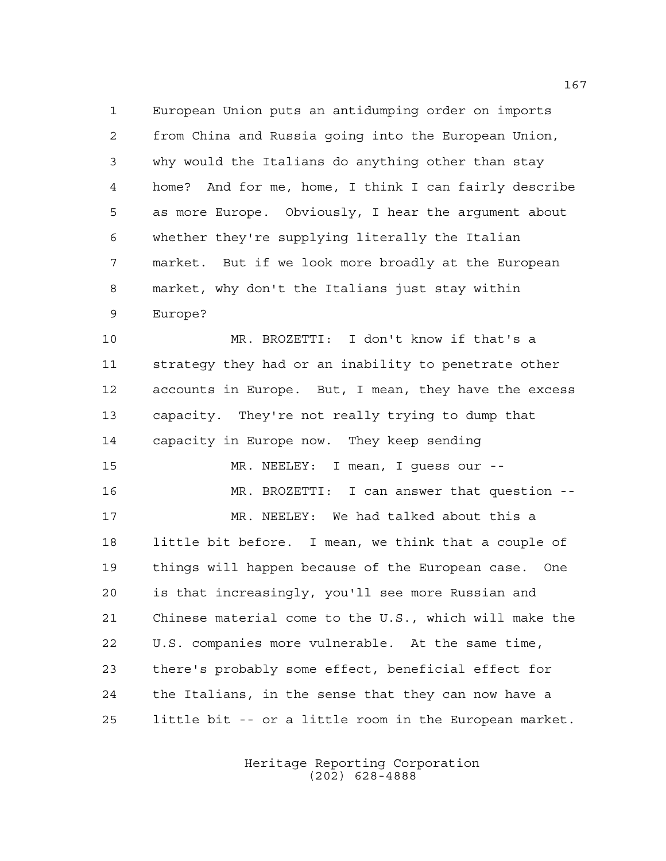European Union puts an antidumping order on imports from China and Russia going into the European Union, why would the Italians do anything other than stay home? And for me, home, I think I can fairly describe as more Europe. Obviously, I hear the argument about whether they're supplying literally the Italian market. But if we look more broadly at the European market, why don't the Italians just stay within Europe?

 MR. BROZETTI: I don't know if that's a strategy they had or an inability to penetrate other accounts in Europe. But, I mean, they have the excess capacity. They're not really trying to dump that capacity in Europe now. They keep sending MR. NEELEY: I mean, I guess our -- MR. BROZETTI: I can answer that question -- MR. NEELEY: We had talked about this a little bit before. I mean, we think that a couple of things will happen because of the European case. One is that increasingly, you'll see more Russian and Chinese material come to the U.S., which will make the U.S. companies more vulnerable. At the same time, there's probably some effect, beneficial effect for the Italians, in the sense that they can now have a little bit -- or a little room in the European market.

> Heritage Reporting Corporation (202) 628-4888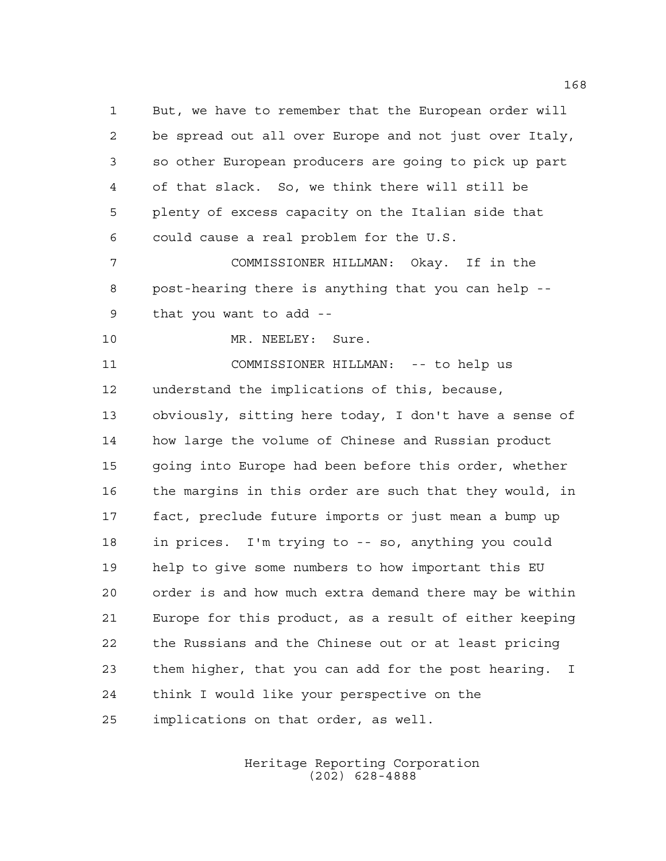But, we have to remember that the European order will be spread out all over Europe and not just over Italy, so other European producers are going to pick up part of that slack. So, we think there will still be plenty of excess capacity on the Italian side that could cause a real problem for the U.S.

 COMMISSIONER HILLMAN: Okay. If in the post-hearing there is anything that you can help -- that you want to add --

10 MR. NEELEY: Sure.

 COMMISSIONER HILLMAN: -- to help us understand the implications of this, because, obviously, sitting here today, I don't have a sense of how large the volume of Chinese and Russian product going into Europe had been before this order, whether the margins in this order are such that they would, in fact, preclude future imports or just mean a bump up in prices. I'm trying to -- so, anything you could help to give some numbers to how important this EU order is and how much extra demand there may be within Europe for this product, as a result of either keeping the Russians and the Chinese out or at least pricing them higher, that you can add for the post hearing. I think I would like your perspective on the implications on that order, as well.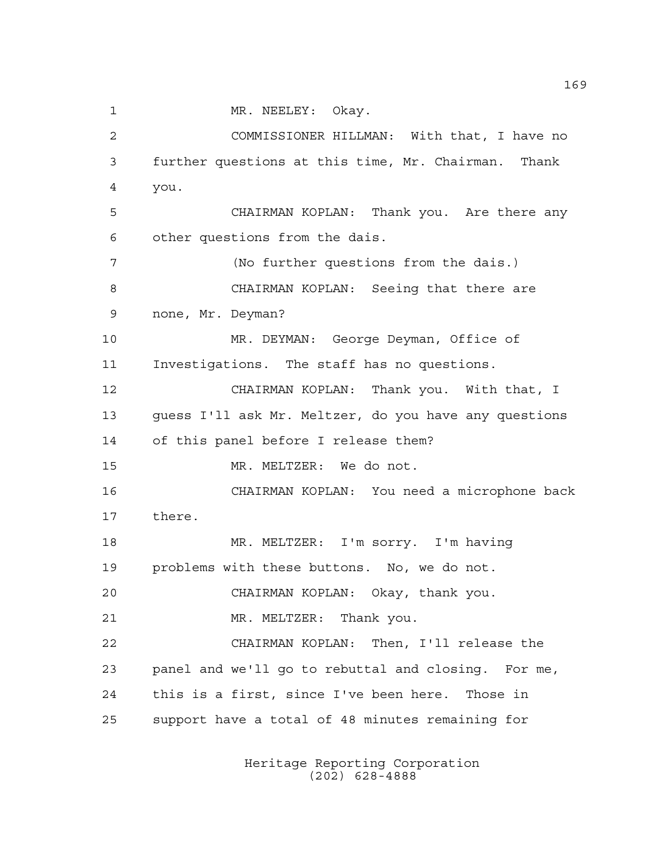1 MR. NEELEY: Okay.

 COMMISSIONER HILLMAN: With that, I have no further questions at this time, Mr. Chairman. Thank you. CHAIRMAN KOPLAN: Thank you. Are there any other questions from the dais. (No further questions from the dais.) CHAIRMAN KOPLAN: Seeing that there are none, Mr. Deyman? MR. DEYMAN: George Deyman, Office of Investigations. The staff has no questions. CHAIRMAN KOPLAN: Thank you. With that, I guess I'll ask Mr. Meltzer, do you have any questions of this panel before I release them? MR. MELTZER: We do not. CHAIRMAN KOPLAN: You need a microphone back there. 18 MR. MELTZER: I'm sorry. I'm having problems with these buttons. No, we do not. CHAIRMAN KOPLAN: Okay, thank you. MR. MELTZER: Thank you. CHAIRMAN KOPLAN: Then, I'll release the panel and we'll go to rebuttal and closing. For me, this is a first, since I've been here. Those in support have a total of 48 minutes remaining for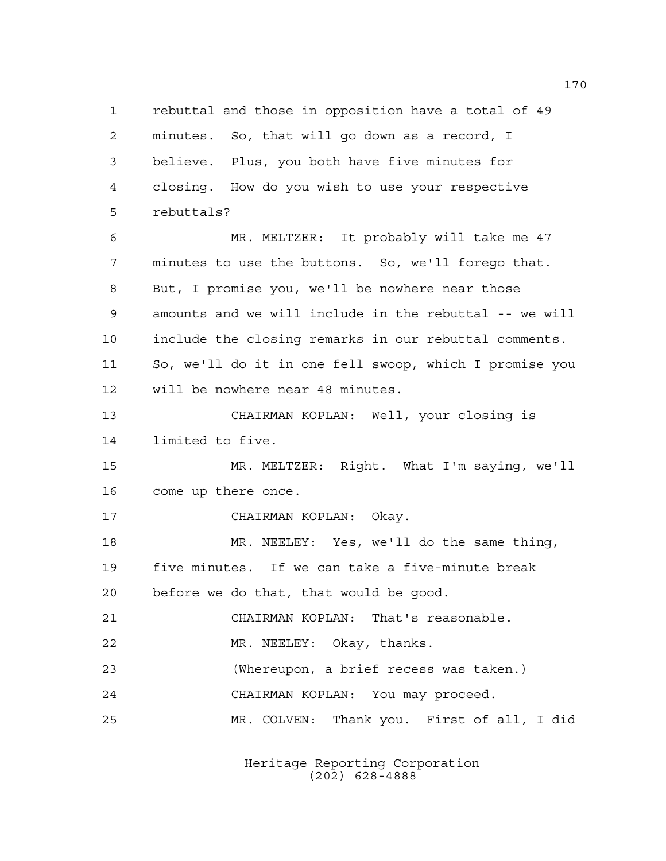rebuttal and those in opposition have a total of 49 minutes. So, that will go down as a record, I believe. Plus, you both have five minutes for closing. How do you wish to use your respective rebuttals? MR. MELTZER: It probably will take me 47 minutes to use the buttons. So, we'll forego that. But, I promise you, we'll be nowhere near those amounts and we will include in the rebuttal -- we will include the closing remarks in our rebuttal comments. So, we'll do it in one fell swoop, which I promise you will be nowhere near 48 minutes. CHAIRMAN KOPLAN: Well, your closing is limited to five. MR. MELTZER: Right. What I'm saying, we'll come up there once. CHAIRMAN KOPLAN: Okay. MR. NEELEY: Yes, we'll do the same thing, five minutes. If we can take a five-minute break before we do that, that would be good. CHAIRMAN KOPLAN: That's reasonable. MR. NEELEY: Okay, thanks. (Whereupon, a brief recess was taken.) CHAIRMAN KOPLAN: You may proceed. MR. COLVEN: Thank you. First of all, I did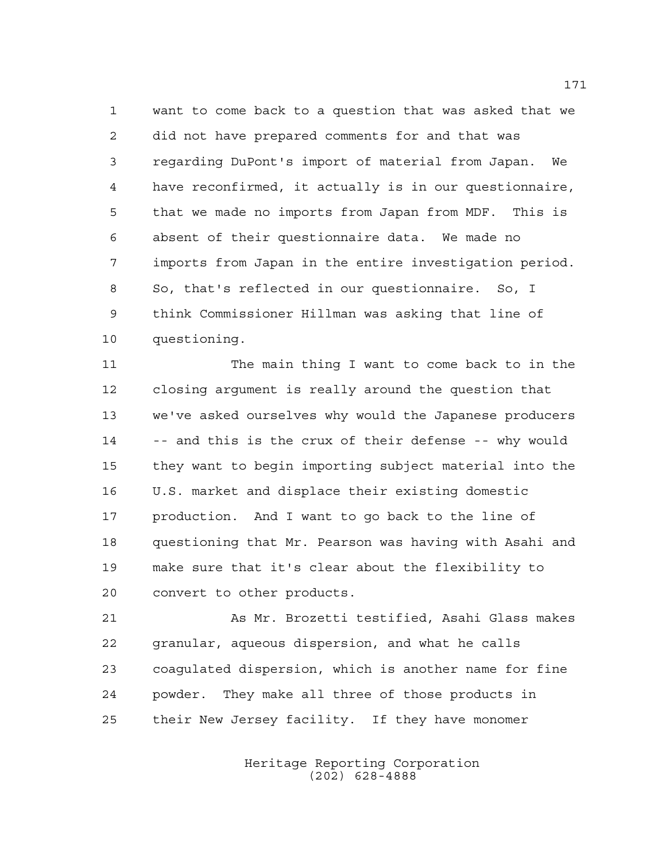want to come back to a question that was asked that we did not have prepared comments for and that was regarding DuPont's import of material from Japan. We have reconfirmed, it actually is in our questionnaire, that we made no imports from Japan from MDF. This is absent of their questionnaire data. We made no imports from Japan in the entire investigation period. So, that's reflected in our questionnaire. So, I think Commissioner Hillman was asking that line of questioning.

 The main thing I want to come back to in the closing argument is really around the question that we've asked ourselves why would the Japanese producers -- and this is the crux of their defense -- why would they want to begin importing subject material into the U.S. market and displace their existing domestic production. And I want to go back to the line of questioning that Mr. Pearson was having with Asahi and make sure that it's clear about the flexibility to convert to other products.

 As Mr. Brozetti testified, Asahi Glass makes granular, aqueous dispersion, and what he calls coagulated dispersion, which is another name for fine powder. They make all three of those products in their New Jersey facility. If they have monomer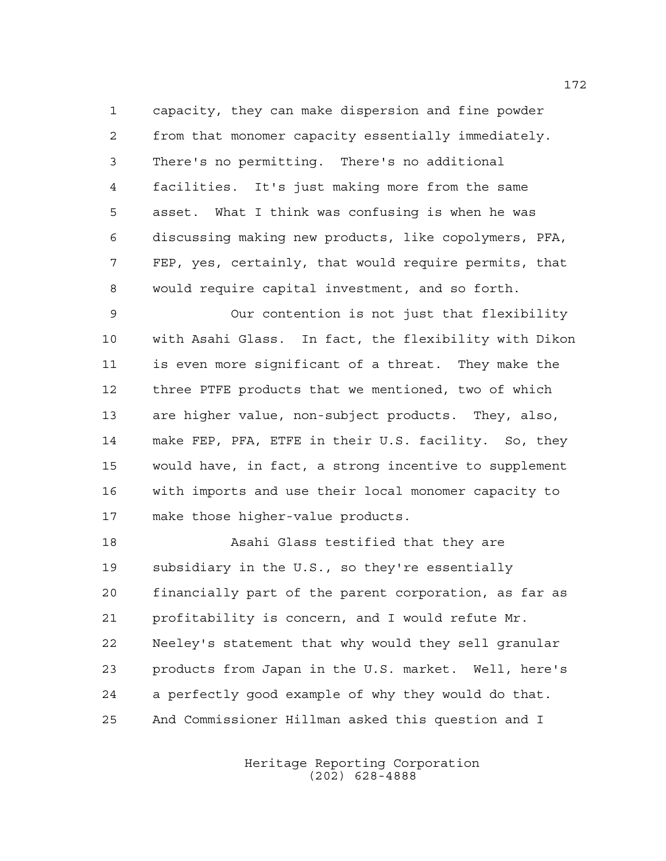capacity, they can make dispersion and fine powder from that monomer capacity essentially immediately. There's no permitting. There's no additional facilities. It's just making more from the same asset. What I think was confusing is when he was discussing making new products, like copolymers, PFA, FEP, yes, certainly, that would require permits, that would require capital investment, and so forth.

 Our contention is not just that flexibility with Asahi Glass. In fact, the flexibility with Dikon is even more significant of a threat. They make the three PTFE products that we mentioned, two of which are higher value, non-subject products. They, also, make FEP, PFA, ETFE in their U.S. facility. So, they would have, in fact, a strong incentive to supplement with imports and use their local monomer capacity to make those higher-value products.

 Asahi Glass testified that they are subsidiary in the U.S., so they're essentially financially part of the parent corporation, as far as profitability is concern, and I would refute Mr. Neeley's statement that why would they sell granular products from Japan in the U.S. market. Well, here's a perfectly good example of why they would do that. And Commissioner Hillman asked this question and I

> Heritage Reporting Corporation (202) 628-4888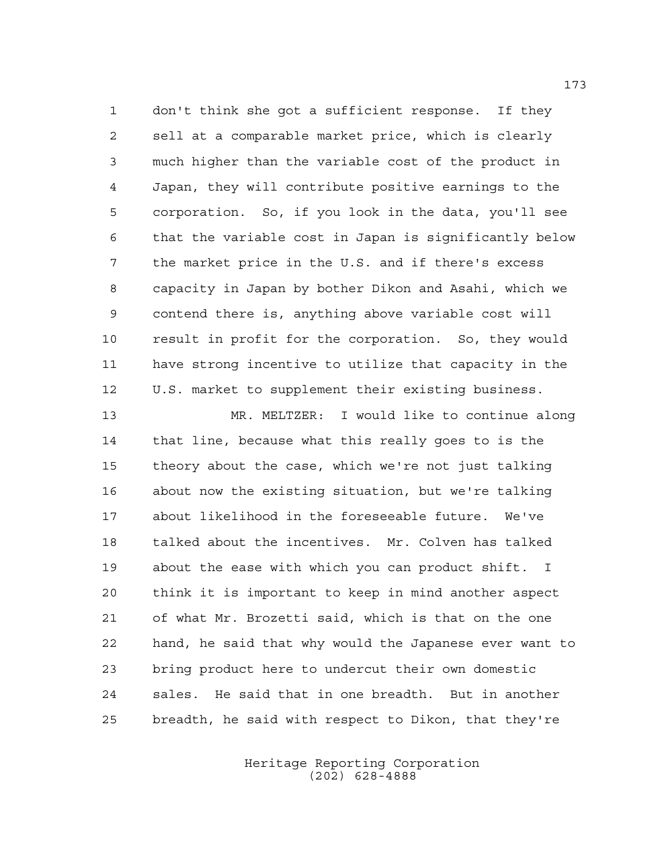don't think she got a sufficient response. If they sell at a comparable market price, which is clearly much higher than the variable cost of the product in Japan, they will contribute positive earnings to the corporation. So, if you look in the data, you'll see that the variable cost in Japan is significantly below the market price in the U.S. and if there's excess capacity in Japan by bother Dikon and Asahi, which we contend there is, anything above variable cost will result in profit for the corporation. So, they would have strong incentive to utilize that capacity in the U.S. market to supplement their existing business.

 MR. MELTZER: I would like to continue along that line, because what this really goes to is the theory about the case, which we're not just talking about now the existing situation, but we're talking about likelihood in the foreseeable future. We've talked about the incentives. Mr. Colven has talked about the ease with which you can product shift. I think it is important to keep in mind another aspect of what Mr. Brozetti said, which is that on the one hand, he said that why would the Japanese ever want to bring product here to undercut their own domestic sales. He said that in one breadth. But in another breadth, he said with respect to Dikon, that they're

> Heritage Reporting Corporation (202) 628-4888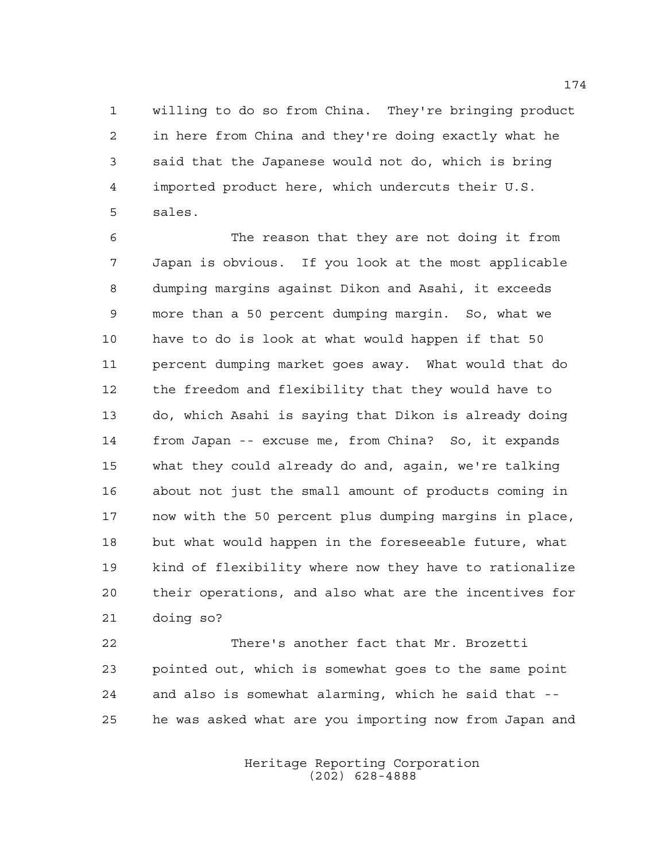willing to do so from China. They're bringing product in here from China and they're doing exactly what he said that the Japanese would not do, which is bring imported product here, which undercuts their U.S. sales.

 The reason that they are not doing it from Japan is obvious. If you look at the most applicable dumping margins against Dikon and Asahi, it exceeds more than a 50 percent dumping margin. So, what we have to do is look at what would happen if that 50 percent dumping market goes away. What would that do the freedom and flexibility that they would have to do, which Asahi is saying that Dikon is already doing from Japan -- excuse me, from China? So, it expands what they could already do and, again, we're talking about not just the small amount of products coming in now with the 50 percent plus dumping margins in place, but what would happen in the foreseeable future, what kind of flexibility where now they have to rationalize their operations, and also what are the incentives for doing so?

 There's another fact that Mr. Brozetti pointed out, which is somewhat goes to the same point and also is somewhat alarming, which he said that -- he was asked what are you importing now from Japan and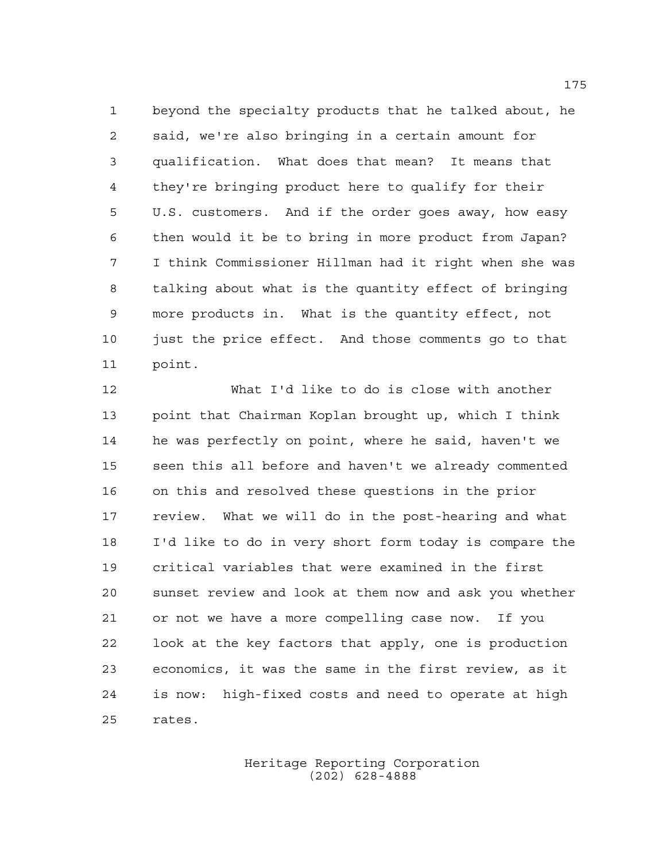beyond the specialty products that he talked about, he said, we're also bringing in a certain amount for qualification. What does that mean? It means that they're bringing product here to qualify for their U.S. customers. And if the order goes away, how easy then would it be to bring in more product from Japan? I think Commissioner Hillman had it right when she was talking about what is the quantity effect of bringing more products in. What is the quantity effect, not just the price effect. And those comments go to that point.

 What I'd like to do is close with another point that Chairman Koplan brought up, which I think he was perfectly on point, where he said, haven't we seen this all before and haven't we already commented on this and resolved these questions in the prior review. What we will do in the post-hearing and what I'd like to do in very short form today is compare the critical variables that were examined in the first sunset review and look at them now and ask you whether or not we have a more compelling case now. If you look at the key factors that apply, one is production economics, it was the same in the first review, as it is now: high-fixed costs and need to operate at high rates.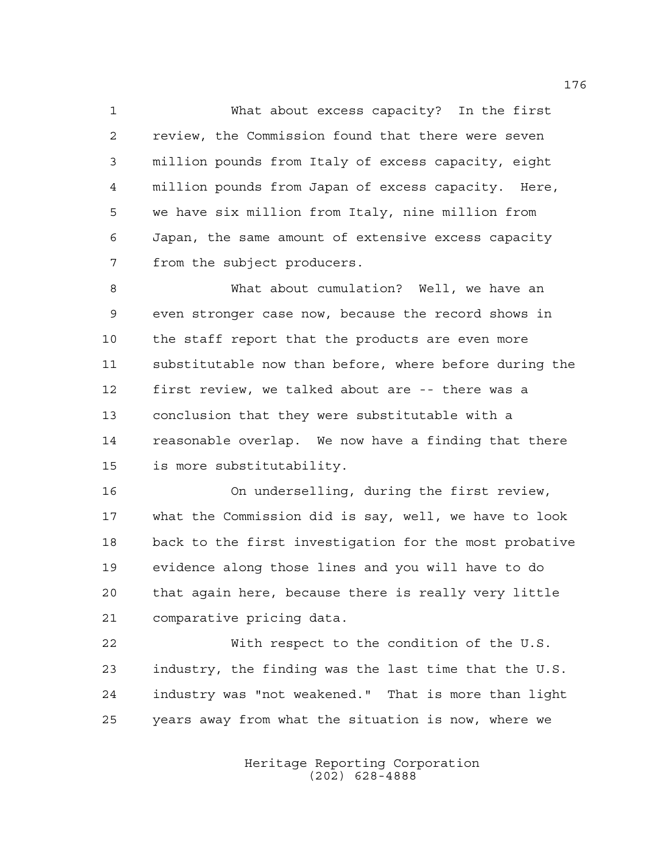What about excess capacity? In the first review, the Commission found that there were seven million pounds from Italy of excess capacity, eight million pounds from Japan of excess capacity. Here, we have six million from Italy, nine million from Japan, the same amount of extensive excess capacity from the subject producers.

 What about cumulation? Well, we have an even stronger case now, because the record shows in the staff report that the products are even more substitutable now than before, where before during the first review, we talked about are -- there was a conclusion that they were substitutable with a reasonable overlap. We now have a finding that there is more substitutability.

 On underselling, during the first review, what the Commission did is say, well, we have to look back to the first investigation for the most probative evidence along those lines and you will have to do that again here, because there is really very little comparative pricing data.

 With respect to the condition of the U.S. industry, the finding was the last time that the U.S. industry was "not weakened." That is more than light years away from what the situation is now, where we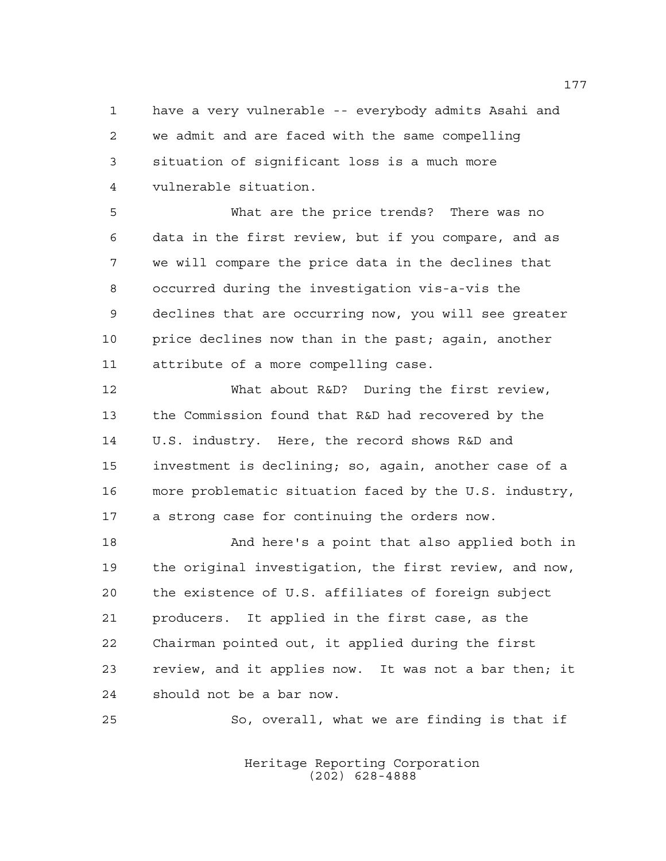have a very vulnerable -- everybody admits Asahi and we admit and are faced with the same compelling situation of significant loss is a much more vulnerable situation.

 What are the price trends? There was no data in the first review, but if you compare, and as we will compare the price data in the declines that occurred during the investigation vis-a-vis the declines that are occurring now, you will see greater 10 price declines now than in the past; again, another attribute of a more compelling case.

 What about R&D? During the first review, the Commission found that R&D had recovered by the U.S. industry. Here, the record shows R&D and investment is declining; so, again, another case of a more problematic situation faced by the U.S. industry, a strong case for continuing the orders now.

 And here's a point that also applied both in the original investigation, the first review, and now, the existence of U.S. affiliates of foreign subject producers. It applied in the first case, as the Chairman pointed out, it applied during the first review, and it applies now. It was not a bar then; it should not be a bar now.

So, overall, what we are finding is that if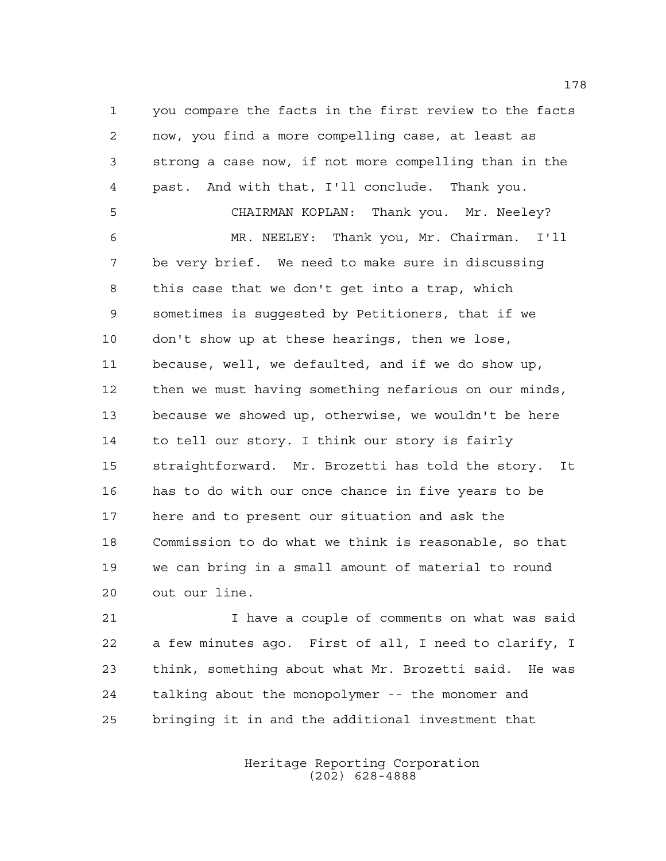you compare the facts in the first review to the facts now, you find a more compelling case, at least as strong a case now, if not more compelling than in the past. And with that, I'll conclude. Thank you. CHAIRMAN KOPLAN: Thank you. Mr. Neeley? MR. NEELEY: Thank you, Mr. Chairman. I'll be very brief. We need to make sure in discussing this case that we don't get into a trap, which sometimes is suggested by Petitioners, that if we don't show up at these hearings, then we lose, because, well, we defaulted, and if we do show up, then we must having something nefarious on our minds, because we showed up, otherwise, we wouldn't be here to tell our story. I think our story is fairly straightforward. Mr. Brozetti has told the story. It has to do with our once chance in five years to be here and to present our situation and ask the Commission to do what we think is reasonable, so that we can bring in a small amount of material to round out our line.

 I have a couple of comments on what was said a few minutes ago. First of all, I need to clarify, I think, something about what Mr. Brozetti said. He was talking about the monopolymer -- the monomer and bringing it in and the additional investment that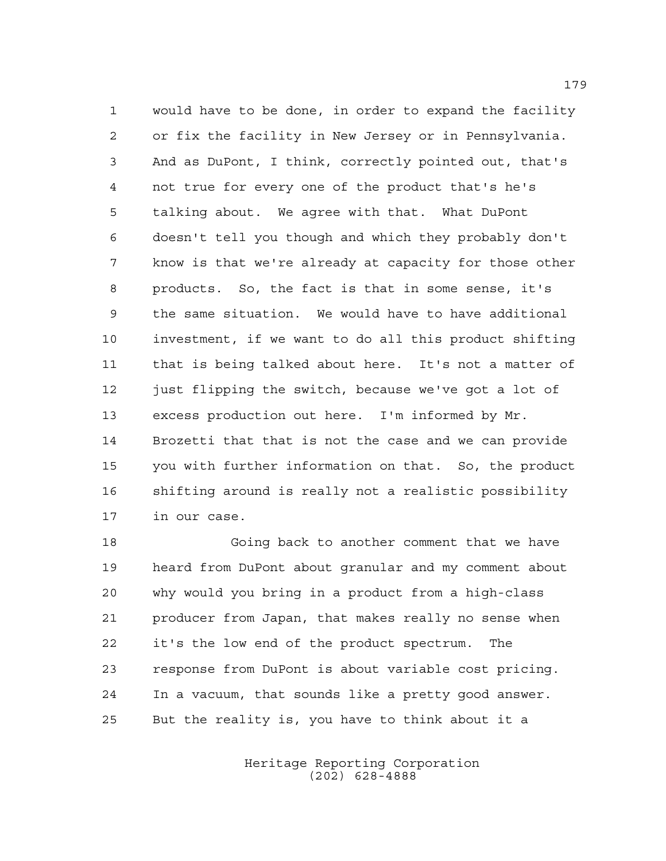would have to be done, in order to expand the facility or fix the facility in New Jersey or in Pennsylvania. And as DuPont, I think, correctly pointed out, that's not true for every one of the product that's he's talking about. We agree with that. What DuPont doesn't tell you though and which they probably don't know is that we're already at capacity for those other products. So, the fact is that in some sense, it's the same situation. We would have to have additional investment, if we want to do all this product shifting that is being talked about here. It's not a matter of 12 just flipping the switch, because we've got a lot of excess production out here. I'm informed by Mr. Brozetti that that is not the case and we can provide you with further information on that. So, the product shifting around is really not a realistic possibility in our case.

 Going back to another comment that we have heard from DuPont about granular and my comment about why would you bring in a product from a high-class producer from Japan, that makes really no sense when it's the low end of the product spectrum. The response from DuPont is about variable cost pricing. In a vacuum, that sounds like a pretty good answer. But the reality is, you have to think about it a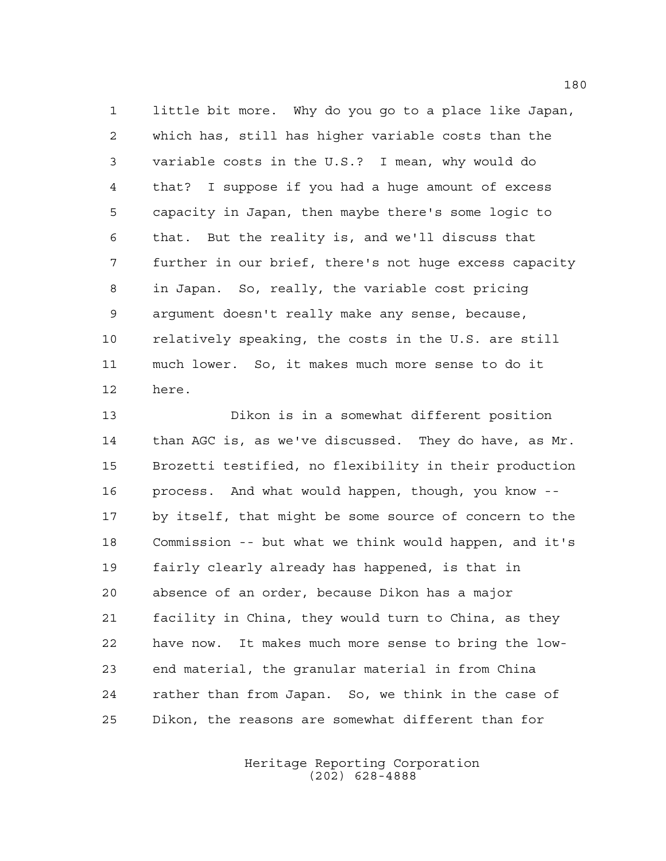little bit more. Why do you go to a place like Japan, which has, still has higher variable costs than the variable costs in the U.S.? I mean, why would do that? I suppose if you had a huge amount of excess capacity in Japan, then maybe there's some logic to that. But the reality is, and we'll discuss that further in our brief, there's not huge excess capacity in Japan. So, really, the variable cost pricing argument doesn't really make any sense, because, relatively speaking, the costs in the U.S. are still much lower. So, it makes much more sense to do it here.

 Dikon is in a somewhat different position than AGC is, as we've discussed. They do have, as Mr. Brozetti testified, no flexibility in their production process. And what would happen, though, you know -- by itself, that might be some source of concern to the Commission -- but what we think would happen, and it's fairly clearly already has happened, is that in absence of an order, because Dikon has a major facility in China, they would turn to China, as they have now. It makes much more sense to bring the low- end material, the granular material in from China rather than from Japan. So, we think in the case of Dikon, the reasons are somewhat different than for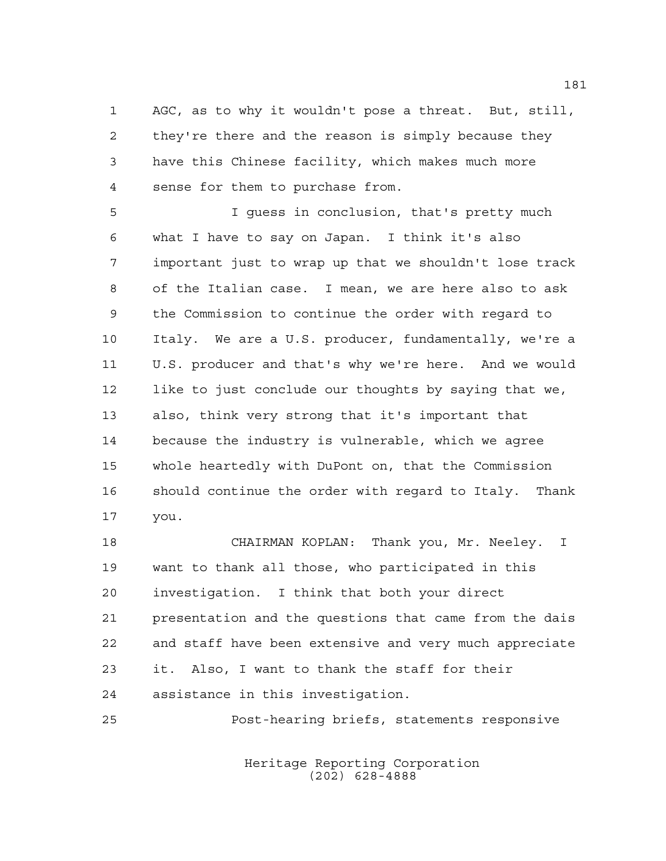AGC, as to why it wouldn't pose a threat. But, still, they're there and the reason is simply because they have this Chinese facility, which makes much more sense for them to purchase from.

 I guess in conclusion, that's pretty much what I have to say on Japan. I think it's also important just to wrap up that we shouldn't lose track of the Italian case. I mean, we are here also to ask the Commission to continue the order with regard to Italy. We are a U.S. producer, fundamentally, we're a U.S. producer and that's why we're here. And we would like to just conclude our thoughts by saying that we, also, think very strong that it's important that because the industry is vulnerable, which we agree whole heartedly with DuPont on, that the Commission should continue the order with regard to Italy. Thank you.

 CHAIRMAN KOPLAN: Thank you, Mr. Neeley. I want to thank all those, who participated in this investigation. I think that both your direct presentation and the questions that came from the dais and staff have been extensive and very much appreciate it. Also, I want to thank the staff for their assistance in this investigation.

Post-hearing briefs, statements responsive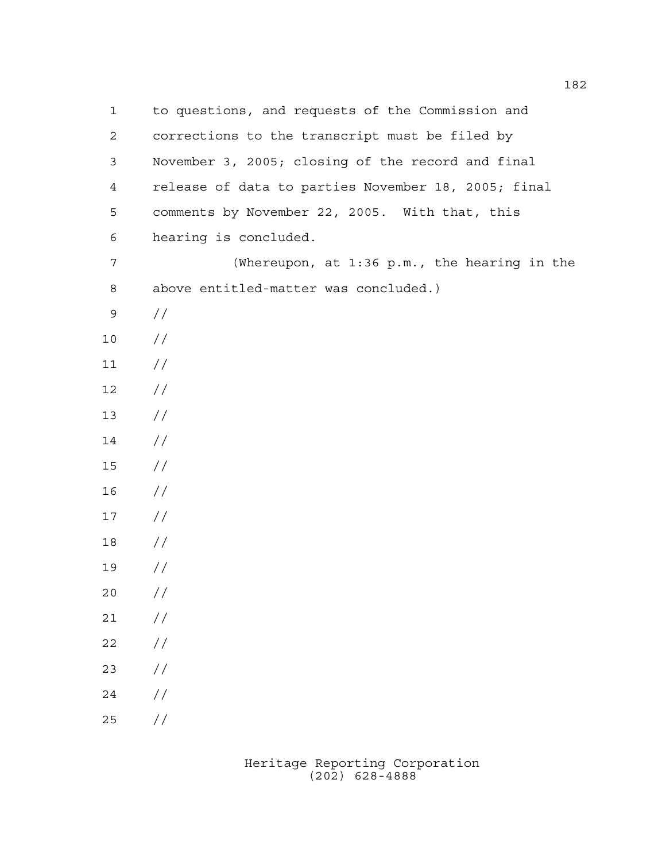to questions, and requests of the Commission and corrections to the transcript must be filed by November 3, 2005; closing of the record and final release of data to parties November 18, 2005; final comments by November 22, 2005. With that, this hearing is concluded. (Whereupon, at 1:36 p.m., the hearing in the above entitled-matter was concluded.) //  $10 /$  $11 /$  // //  $14 /$  // // // // //  $20 /$  $21 /$  $22 / /$ 23  $//$  $24 /$ //